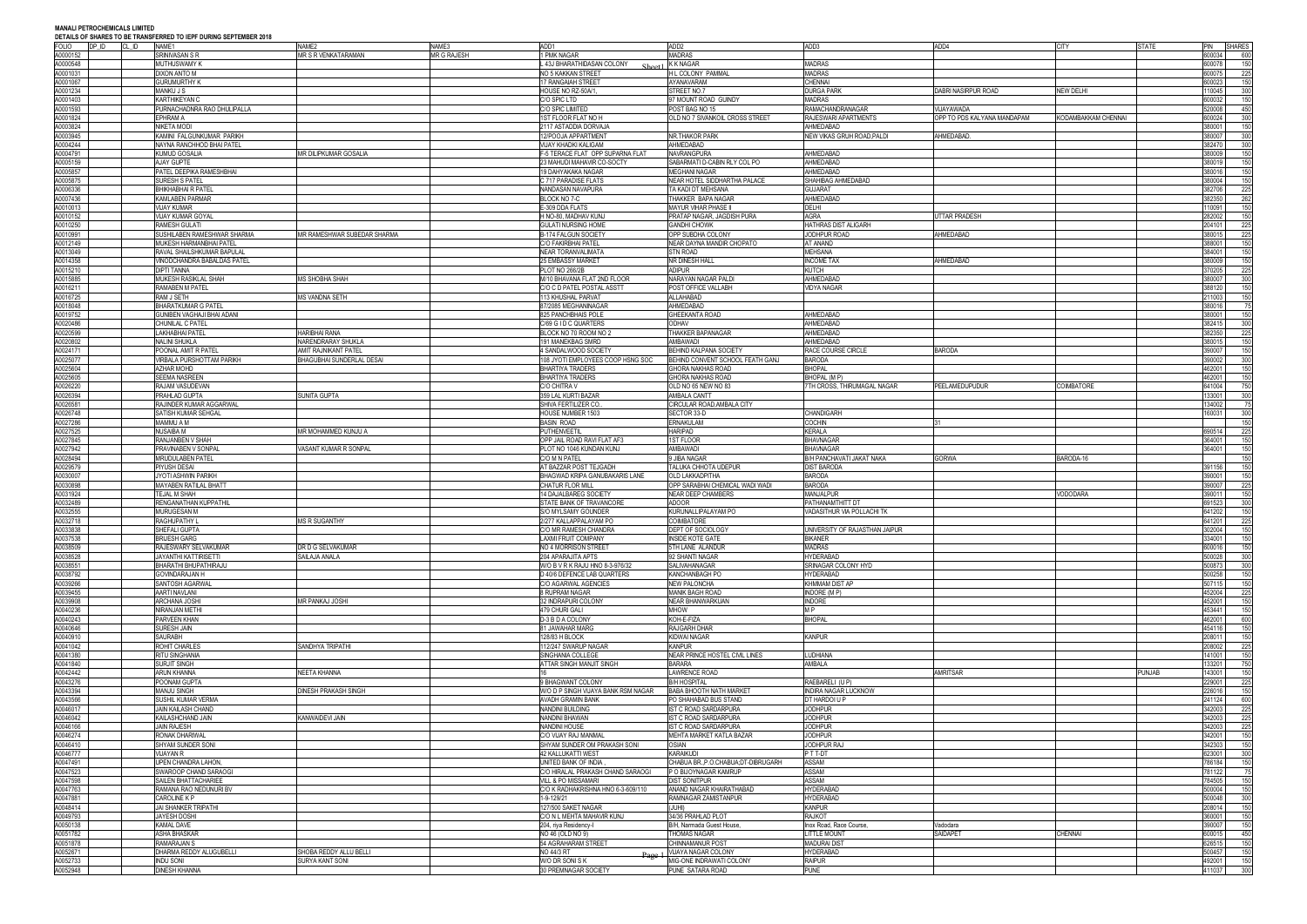| <b>FOLIO</b>         | DP ID | CL ID | <u>DETAILS OF SHARES TO DE TRANSFERRED TO IEFT DURING SEFTEMBER ZUTG</u><br>NAME1 | NAME3<br>NAME <sub>2</sub>                 | ADD1                                                      | ADD <sub>2</sub>                                              | ADD3                                           | ADD4                        | <b>CITY</b>         | <b>STATE</b> | PIN              | <b>SHARES</b> |
|----------------------|-------|-------|-----------------------------------------------------------------------------------|--------------------------------------------|-----------------------------------------------------------|---------------------------------------------------------------|------------------------------------------------|-----------------------------|---------------------|--------------|------------------|---------------|
| A0000152             |       |       | SRINIVASAN S R                                                                    | <b>MR S R VENKATARAMAN</b><br>MR G RAJESH  | 1 PMK NAGAR                                               | <b>MADRAS</b>                                                 |                                                |                             |                     |              | 600034           | 600           |
| 40000548             |       |       | <b>MUTHUSWAMY K</b>                                                               |                                            | L 43J BHARATHIDASAN COLONY                                | K K NAGAR                                                     | <b>MADRAS</b>                                  |                             |                     |              | 600078           | 150           |
| A0001031<br>40001067 |       |       | DIXON ANTO M<br>Gurumurthy K                                                      |                                            | NO 5 KAKKAN STREET<br>17 RANGAIAH STREET                  | H L COLONY PAMMAL<br>AYANAVARAM                               | <b>MADRAS</b><br><b>CHENNAI</b>                |                             |                     |              | 600075<br>600023 | 225<br>150    |
| A0001234             |       |       | MANKU J S                                                                         |                                            | HOUSE NO RZ-50A/1                                         | STREET NO.7                                                   | <b>DURGA PARK</b>                              | DABRI NASIRPUR ROAD         | NEW DELHI           |              | 110045           | 300           |
| A0001403             |       |       | KARTHIKEYAN (                                                                     |                                            | C/O SPIC LTD                                              | 97 MOUNT ROAD GUINDY                                          | <b>MADRAS</b>                                  |                             |                     |              | 600032           | 150           |
| A0001593             |       |       | PURNACHADNRA RAO DHULIPALLA                                                       |                                            | C/O SPIC LIMITED                                          | POST BAG NO 15                                                | RAMACHANDRANAGAR<br>RAJESWARI APARTMENTS       | VIJAYAWADA                  |                     |              | 520008           | 450           |
| A0001824<br>A0003824 |       |       | EPHRAM A<br>NIKETA MODI                                                           |                                            | 1ST FLOOR FLAT NO H<br>2117 ASTADDIA DORVAJA              | OLD NO 7 SIVANKOIL CROSS STREET                               | AHMEDABAD                                      | OPP TO PDS KALYANA MANDAPAM | KODAMBAKKAM CHENNAI |              | 600024<br>380001 | 300<br>150    |
| A0003945             |       |       | KAMINI FALGUNKUMAR PARIKH                                                         |                                            | 12/POOJA APPARTMENT                                       | NR.THAKOR PARK                                                | NEW VIKAS GRUH ROAD, PALDI                     | AHMEDABAD                   |                     |              | 380007           | 300           |
| A0004244             |       |       | NAYNA RANCHHOD BHAI PATEL                                                         |                                            | VIJAY KHADKI KALIGAM                                      | AHMEDABAD                                                     |                                                |                             |                     |              | 382470           | 300           |
| 40004791             |       |       | Kumud Gosalia                                                                     | MR DILIPKUMAR GOSALIA                      | F-5 TERACE FLAT OPP SUPARNA FLAT                          | <b>NAVRANGPURA</b>                                            | AHMEDABAD                                      |                             |                     |              | 380009           | 150           |
| 40005159<br>A0005857 |       |       | AJAY GUPTE<br>PATEL DEEPIKA RAMESHBHAI                                            |                                            | 23 MAHUDI MAHAVIR CO-SOCTY<br>19 DAHYAKAKA NAGAR          | SABARMATI D-CABIN RLY COL PO<br><b>MEGHANI NAGAR</b>          | AHMEDABAD<br>AHMEDABAD                         |                             |                     |              | 380019<br>380016 | 150<br>150    |
| A0005875             |       |       | <b>SURESH S PATEL</b>                                                             |                                            | C 717 PARADISE FLATS                                      | NEAR HOTEL SIDDHARTHA PALACE                                  | SHAHIBAG AHMEDABAD                             |                             |                     |              | 380004           | 150           |
| 40006336             |       |       | IHIKHABHAI R PATEL                                                                |                                            | NANDASAN NAVAPURA                                         | TA KADI DT MEHSANA                                            | <b>GUJARAT</b>                                 |                             |                     |              | 382706           | 225           |
| A0007436             |       |       | KAMLABEN PARMAR                                                                   |                                            | BLOCK NO 7-C                                              | THAKKER BAPA NAGAR                                            | AHMEDABAD                                      |                             |                     |              | 382350           | 262           |
| A0010013<br>A0010152 |       |       | VIJAY KUMAR<br><b>JIJAY KUMAR GOYAL</b>                                           |                                            | E-309 DDA FLATS<br>H NO-80, MADHAV KUNJ                   | <b>MAYUR VIHAR PHASE II</b><br>PRATAP NAGAR, JAGDISH PURA     | DELHI<br>AGRA                                  | <b>JTTAR PRADESH</b>        |                     |              | 110091<br>282002 | 150<br>150    |
| A0010250             |       |       | RAMESH GULATI                                                                     |                                            | <b>GULATI NURSING HOME</b>                                | <b>GANDHI CHOWK</b>                                           | HATHRAS DIST ALIGARH                           |                             |                     |              | 204101           | 225           |
| A0010991             |       |       | SUSHILABEN RAMESHWAR SHARMA                                                       | MR RAMESHWAR SUBEDAR SHARMA                | B-174 FALGUN SOCIETY                                      | OPP SUBDHA COLONY                                             | JODHPUR ROAD                                   | AHMEDABAD                   |                     |              | 380015           | 225           |
| A0012149             |       |       | MUKESH HARMANBHAI PATEL                                                           |                                            | C/O FAKIRBHAI PATEL                                       | NEAR DAYNA MANDIR CHOPATO                                     | AT ANAND                                       |                             |                     |              | 388001           | 150           |
| A0013049<br>A0014358 |       |       | RAVAL SHAILSHKUMAR BAPULAL<br><b>/INODCHANDRA BABALDAS PATEL</b>                  |                                            | NEAR TORANVALIMATA<br>25 EMBASSY MARKET                   | <b>STN ROAD</b><br>NR DINESH HALL                             | <b>MEHSANA</b><br><b>INCOME TAX</b>            | AHMEDABAD                   |                     |              | 384001<br>380009 | 150<br>150    |
| A0015210             |       |       | DIPTI TANNA                                                                       |                                            | <b>PLOT NO 266/2B</b>                                     | <b>ADIPUR</b>                                                 | KUTCH                                          |                             |                     |              | 370205           | 225           |
| 40015885             |       |       | MUKESH RASIKLAL SHAH                                                              | <b>MS SHOBHA SHAH</b>                      | M/10 BHAVANA FLAT 2ND FLOOR                               | NARAYAN NAGAR PALDI                                           | AHMEDABAD                                      |                             |                     |              | 380007           | 300           |
| 40016211             |       |       | RAMABEN M PATEL                                                                   |                                            | C/O C D PATEL POSTAL ASSTT                                | POST OFFICE VALLABH                                           | <b>VIDYA NAGAR</b>                             |                             |                     |              | 388120           | 150           |
| A0016725<br>A0018048 |       |       | RAM J SETH<br>BHARATKUMAR G PATEL                                                 | <b>MS VANDNA SETH</b>                      | 113 KHUSHAL PARVAT<br>87/2085 MEGHANINAGAR                | ALLAHABAD<br>AHMEDABAD                                        |                                                |                             |                     |              | 211003<br>380016 | 150<br>- 75   |
| 40019752             |       |       | GUNIBEN VAGHAJI BHAI ADANI                                                        |                                            | 825 PANCHBHAIS POLE                                       | <b>GHEEKANTA ROAD</b>                                         | AHMEDABAD                                      |                             |                     |              | 380001           | 150           |
| A0020486             |       |       | CHUNILAL C PATEL                                                                  |                                            | C/69 G I D C QUARTERS                                     | <b>ODHAV</b>                                                  | AHMEDABAD                                      |                             |                     |              | 382415           | 300           |
| 40020599<br>40020802 |       |       | LAKHABHAI PATEL<br>NALINI SHUKLA                                                  | <b>HARIBHAI RANA</b><br>NARENDRARAY SHUKLA | BLOCK NO 70 ROOM NO 2<br>191 MANEKBAG SMRD                | <b>THAKKER BAPANAGAR</b><br>ambawadi                          | AHMEDABAD<br>AHMEDABAD                         |                             |                     |              | 382350<br>380015 | 225<br>150    |
| A0024171             |       |       | POONAL AMIT R PATEL                                                               | AMIT RAJNIKANT PATEL                       | 4 SANDALWOOD SOCIETY                                      | BEHIND KALPANA SOCIETY                                        | RACE COURSE CIRCLE                             | <b>BARODA</b>               |                     |              | 390007           | 150           |
| 40025077             |       |       | VIRBALA PURSHOTTAM PARIKH                                                         | BHAGUBHAI SUNDERLAL DESAI                  | 108 JYOTI EMPLOYEES COOP HSNG SOC                         | BEHIND CONVENT SCHOOL FEATH GANJ                              | <b>BARODA</b>                                  |                             |                     |              | 390002           | 300           |
| A0025604             |       |       | AZHAR MOHD                                                                        |                                            | <b>BHARTIYA TRADERS</b>                                   | <b>GHORA NAKHAS ROAD</b>                                      | <b>BHOPAI</b>                                  |                             |                     |              | 462001           | 150           |
| 40025605<br>40026220 |       |       | SEEMA NASREEN<br>RAJAM VASUDEVAN                                                  |                                            | <b>BHARTIYA TRADERS</b><br>C/O CHITRA V                   | <b>GHORA NAKHAS ROAD</b><br>OLD NO 65 NEW NO 83               | BHOPAL (MP)<br>7TH CROSS, THIRUMAGAL NAGAR     | <b>PEELAMEDUPUDUR</b>       | COIMBATORE          |              | 462001<br>641004 | 150<br>750    |
| A0026394             |       |       | PRAHLAD GUPTA                                                                     | SUNITA GUPTA                               | 359 LAL KURTI BAZAR                                       | AMBALA CANTT                                                  |                                                |                             |                     |              | 133001           | 300           |
| 40026581             |       |       | RAJINDER KUMAR AGGARWAL                                                           |                                            | SHIVA FERTILIZER CO                                       | CIRCULAR ROAD, AMBALA CITY                                    |                                                |                             |                     |              | 134002           | - 75          |
| A0026748             |       |       | SATISH KUMAR SEHGAL                                                               |                                            | HOUSE NUMBER 1503                                         | SECTOR 33-D                                                   | <b>CHANDIGARH</b>                              |                             |                     |              | 160031           | 300           |
| A0027286<br>A0027525 |       |       | MAMMU A M<br>NUSAIBA M                                                            | MR MOHAMMED KUNJU A                        | <b>BASIN ROAD</b><br>PUTHENVEETIL                         | <b>ERNAKULAM</b><br><b>HARIPAD</b>                            | <b>COCHIN</b><br>KERALA                        |                             |                     |              | 690514           | 150<br>225    |
| A0027845             |       |       | RANJANBEN V SHAH                                                                  |                                            | OPP JAIL ROAD RAVI FLAT AF3                               | 1ST FLOOR                                                     | <b>BHAVNAGAR</b>                               |                             |                     |              | 364001           | 150           |
| A0027942             |       |       | PRAVINABEN V SONPAI                                                               | VASANT KUMAR R SONPAL                      | PLOT NO 1046 KUNDAN KUNJ                                  | AMBAWADI                                                      | <b>BHAVNAGAR</b>                               |                             |                     |              | 364001           | 150           |
| 40028494             |       |       | MRUDULABEN PATEL                                                                  |                                            | C/O M N PATEL                                             | 9 JIBA NAGAR                                                  | B/H PANCHAVATI JAKAT NAKA                      | GORWA                       | BARODA-16           |              |                  | 150           |
| A0029579<br>40030007 |       |       | PIYUSH DESAI<br>jyoti Ashwin Parikh                                               |                                            | AT BAZZAR POST TEJGADH<br>BHAGWAD KRIPA GANUBAKARIS LANE  | TALUKA CHHOTA UDEPUR<br><b>OLD LAKKADPITHA</b>                | <b>DIST BARODA</b><br><b>BARODA</b>            |                             |                     |              | 391156<br>390001 | 150<br>150    |
| 40030898             |       |       | MAYABEN RATILAL BHATT                                                             |                                            | CHATUR FLOR MILL                                          | OPP SARABHAI CHEMICAL WADI WADI                               | <b>BARODA</b>                                  |                             |                     |              | 390007           | 225           |
| A0031924             |       |       | TEJAL M SHAH                                                                      |                                            | 14 DAJALBAREG SOCIETY                                     | <b>NEAR DEEP CHAMBERS</b>                                     | <b>MANJALPUR</b>                               |                             | VODODARA            |              | 390011           | 150           |
| 40032489             |       |       | RENGANATHAN KUPPATHIL                                                             |                                            | STATE BANK OF TRAVANCORE                                  | ADOOR                                                         | PATHANAMTHITT DT                               |                             |                     |              | 691523           | 300           |
| 40032555<br>A0032718 |       |       | MURUGESAN M<br>RAGHUPATHY                                                         | <b>MS R SUGANTHY</b>                       | S/O MYLSAMY GOUNDER<br>2/277 KALLAPPALAYAM PO             | KURUNALLIPALAYAM PO<br>COIMBATORE                             | VADASITHUR VIA POLLACHI TK                     |                             |                     |              | 641202<br>641201 | 150<br>225    |
| A0033838             |       |       | SHEFALI GUPTA                                                                     |                                            | C/O MR RAMESH CHANDRA                                     | DEPT OF SOCIOLOGY                                             | UNIVERSITY OF RAJASTHAN JAIPUR                 |                             |                     |              | 02004            | 150           |
| A0037538             |       |       | BRIJESH GARG                                                                      |                                            | LAXMI FRUIT COMPANY                                       | <b>INSIDE KOTE GATE</b>                                       | <b>BIKANER</b>                                 |                             |                     |              | 334001           | 150           |
| A0038509             |       |       | RAJESWARY SELVAKUMAR                                                              | DR D G SELVAKUMAR                          | NO 4 MORRISON STREET                                      | 5TH LANE ALANDUR                                              | <b>MADRAS</b>                                  |                             |                     |              | 600016           | 150           |
| A0038528<br>A0038551 |       |       | <b>JAYANTHI KATTIRISETTI</b><br>BHARATHI BHUPATHIRAJU                             | SAILAJA ANALA                              | 204 APARAJITA APTS<br>W/O B V R K RAJU HNO 8-3-976/32     | 92 SHANTI NAGAR<br>SALIVAHANAGAR                              | <b>HYDERABAD</b><br>SRINAGAR COLONY HYD        |                             |                     |              | 500028<br>500873 | 300<br>300    |
| A0038792             |       |       | GOVINDARAJAN H                                                                    |                                            | D 40/6 DEFENCE LAB QUARTERS                               | KANCHANBAGH PO                                                | <b>HYDERABAD</b>                               |                             |                     |              | 500258           | 150           |
| A0039266             |       |       | SANTOSH AGARWAL                                                                   |                                            | C/O AGARWAL AGENCIES                                      | <b>NEW PALONCHA</b>                                           | <b>KHMMAM DIST AP</b>                          |                             |                     |              | 507115           | 150           |
| A0039455<br>A0039908 |       |       | AARTI NAVLANI<br>ARCHANA JOSHI                                                    | VIR PANKAJ JOSHI                           | 8 RUPRAM NAGAR<br>32 INDRAPURI COLONY                     | <b>MANIK BAGH ROAD</b><br><b>NEAR BHANWARKUAN</b>             | INDORE (MP)<br><b>INDORE</b>                   |                             |                     |              | 452004<br>452001 | 225<br>150    |
| A0040236             |       |       | NIRANJAN METHI                                                                    |                                            | 479 CHURI GALI                                            | <b>MHOW</b>                                                   | M P                                            |                             |                     |              | 453441           | 150           |
| A0040243             |       |       | PARVEEN KHAN                                                                      |                                            | D-3 B D A COLONY                                          | KOH-E-FIZA                                                    | <b>BHOPAL</b>                                  |                             |                     |              | 462001           | 600           |
| A0040646             |       |       | SURESH JAIN                                                                       |                                            | 81 JAWAHAR MARG                                           | <b>RAJGARH DHAR</b>                                           |                                                |                             |                     |              | 454116           | 150           |
| A0040910<br>A0041042 |       |       | SAURABH<br>ROHIT CHARLES                                                          | <b>SANDHYA TRIPATHI</b>                    | 128/83 H BLOCK<br>112/247 SWARUP NAGAR                    | <b>KIDWAI NAGAR</b><br><b>KANPUR</b>                          | <b>KANPUR</b>                                  |                             |                     |              | 208011<br>208002 | 150<br>225    |
| A0041380             |       |       | RITU SINGHANIA                                                                    |                                            | SINGHANIA COLLEGE                                         | NEAR PRINCE HOSTEL CIVIL LINES                                | <b>LUDHIANA</b>                                |                             |                     |              | 141001           | 150           |
| A0041840             |       |       | <b>JURJIT SINGH</b>                                                               |                                            | ATTAR SINGH MANJIT SINGH                                  | <b>BARARA</b>                                                 | AMBALA                                         |                             |                     |              | 133201           | 750           |
| A0042442             |       |       | ARUN KHANNA                                                                       | NEETA KHANNA                               |                                                           | <b>LAWRENCE ROAD</b>                                          |                                                | <b>AMRITSAR</b>             |                     | PUNJAB       | 143001           | 150           |
| A0043276<br>A0043394 |       |       | <b>POONAM GUPTA</b><br>MANJU SINGH                                                | DINESH PRAKASH SINGH                       | 9 BHAGWANT COLONY<br>W/O D P SINGH VIJAYA BANK RSM NAGAR  | <b>B/H HOSPITAL</b><br>BABA BHOOTH NATH MARKET                | RAEBARELI (U P)<br><b>INDIRA NAGAR LUCKNOW</b> |                             |                     |              | 229001<br>226016 | 225<br>150    |
| A0043566             |       |       | SUSHIL KUMAR VERMA                                                                |                                            | <b>AVADH GRAMIN BANK</b>                                  | PO SHAHABAD BUS STAND                                         | DT HARDOI U F                                  |                             |                     |              | 241124           | 600           |
| A0046017             |       |       | JAIN KAILASH CHAND                                                                |                                            | <b>NANDINI BUILDING</b>                                   | <b>IST C ROAD SARDARPURA</b>                                  | <b>JODHPUR</b>                                 |                             |                     |              | 342003           | 225           |
| A0046042<br>A0046166 |       |       | KAILASHCHAND JAIN<br>JAIN RAJESH                                                  | KANWAIDEVI JAIN                            | NANDINI BHAWAN                                            | IST C ROAD SARDARPURA<br>IST C ROAD SARDARPURA                | <b>JODHPUR</b><br><b>JODHPUR</b>               |                             |                     |              | 342003<br>342003 | 225           |
| A0046274             |       |       | RONAK DHARIWAL                                                                    |                                            | <b>NANDINI HOUSE</b><br>C/O VIJAY RAJ MANMAL              | MEHTA MARKET KATLA BAZAR                                      | <b>JODHPUR</b>                                 |                             |                     |              | 342001           | 225<br>150    |
| A0046410             |       |       | SHYAM SUNDER SONI                                                                 |                                            | SHYAM SUNDER OM PRAKASH SONI                              | <b>OSIAN</b>                                                  | JODHPUR RAJ                                    |                             |                     |              | 342303           | 150           |
| A0046777             |       |       | VIJAYAN R                                                                         |                                            | <b>42 KALLUKATTI WEST</b>                                 | <b>KARAIKUDI</b>                                              | P T T-DT                                       |                             |                     |              | 623001           | 300           |
| A0047491<br>A0047523 |       |       | JPEN CHANDRA LAHON,<br>SWAROOP CHAND SARAOGI                                      |                                            | UNITED BANK OF INDIA<br>C/O HIRALAL PRAKASH CHAND SARAOGI | CHABUA BR., P.O.CHABUA; DT-DIBRUGARH<br>P O BIJOYNAGAR KAMRUP | <b>ASSAM</b><br><b>ASSAM</b>                   |                             |                     |              | 786184<br>781122 | 150<br>75     |
| A0047598             |       |       | SAILEN BHATTACHARIEE                                                              |                                            | <b>VILL &amp; PO MISSAMARI</b>                            | <b>DIST SONITPUR</b>                                          | ASSAM                                          |                             |                     |              | 784505           | 150           |
| A0047763             |       |       | RAMANA RAO NEDUNURI BV                                                            |                                            | C/O K RADHAKRISHNA HNO 6-3-609/110                        | ANAND NAGAR KHAIRATHABAD                                      | <b>HYDERABAD</b>                               |                             |                     |              | 500004           | 150           |
| A0047881             |       |       | CAROLINE K P                                                                      |                                            | 1-9-129/21                                                | RAMNAGAR ZAMISTANPUR                                          | <b>HYDERABAD</b>                               |                             |                     |              | 500048           | 300           |
| A0048414<br>A0049793 |       |       | JAI SHANKER TRIPATHI<br>JAYESH DOSHI                                              |                                            | 127/500 SAKET NAGAR<br>C/O N L MEHTA MAHAVIR KUNJ         | (JUHI)<br>34/36 PRAHLAD PLOT                                  | <b>KANPUR</b><br><b>RAJKOT</b>                 |                             |                     |              | 208014<br>360001 | 150<br>150    |
| A0050138             |       |       | KAMAL DAVE                                                                        |                                            | 204, riya Residency-I                                     | B/H, Narmada Guest House,                                     | Inox Road, Race Course,                        | Vadodara                    |                     |              | 390007           | 150           |
| A0051782             |       |       | ASHA BHASKAR                                                                      |                                            | NO 46 (OLD NO 9)                                          | THOMAS NAGAR                                                  | <b>LITTLE MOUNT</b>                            | SAIDAPET                    | <b>CHENNAI</b>      |              | 600015           | 450           |
| A0051878             |       |       | RAMARAJAN S                                                                       |                                            | 54 AGRAHARAM STREET                                       | CHINNAMANUR POST                                              | <b>MADURAI DIST</b>                            |                             |                     |              | 626515           | 150           |
| A0052671<br>A0052733 |       |       | DHARMA REDDY ALUGUBELLI<br>INDU SONI                                              | SHOBA REDDY ALLU BELLI<br>SURYA KANT SONI  | NO 44/3 RT<br>W/O DR SONISK                               | VIJAYA NAGAR COLONY<br>MIG-ONE INDRAWATI COLONY               | <b>HYDERABAD</b><br><b>RAIPUR</b>              |                             |                     |              | 500457<br>492001 | 150<br>150    |
| A0052948             |       |       | DINESH KHANNA                                                                     |                                            | 30 PREMNAGAR SOCIETY                                      | PUNE SATARA ROAD                                              | <b>PUNE</b>                                    |                             |                     |              | 411037           | 300           |
|                      |       |       |                                                                                   |                                            |                                                           |                                                               |                                                |                             |                     |              |                  |               |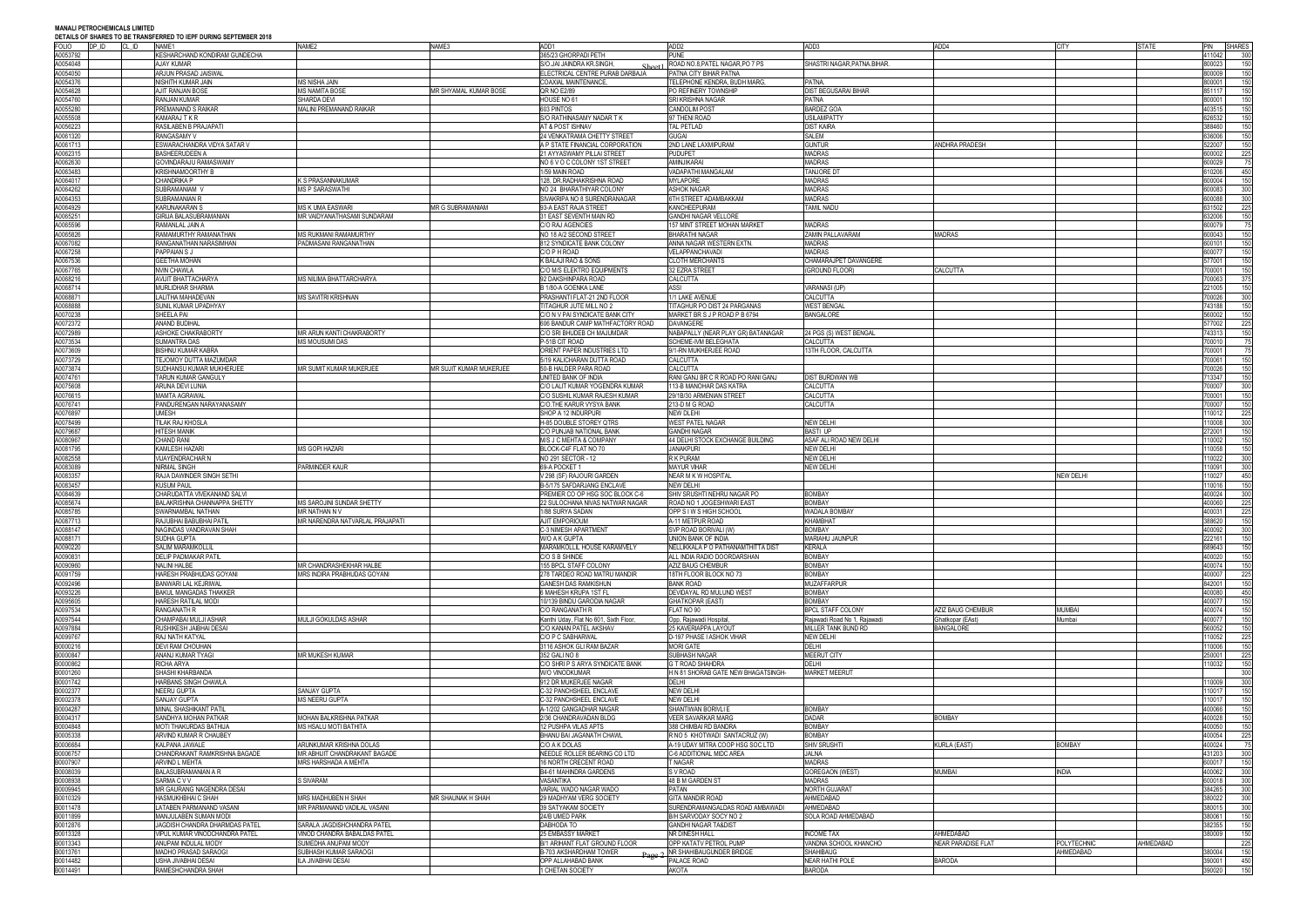### **MANALI PETROCHEMICALS LIMITED**

**DEN TO IEDE NURING SERTEMBER 2019** 

| <b>DETAILS OF SHAKES TO BE HVANSI LIVILD TO ILFT DUNNS SEFTLINDEN ZUTO</b><br><b>FOLIO</b> | DP ID | CL ID | NAME1                                                            | NAME2                                                      | NAME3                   | ADD1                                                               | ADD <sub>2</sub>                                              | ADD3                                                | ADD4                                 | <b>CITY</b>   | STATE     | PIN SHARES                     |  |
|--------------------------------------------------------------------------------------------|-------|-------|------------------------------------------------------------------|------------------------------------------------------------|-------------------------|--------------------------------------------------------------------|---------------------------------------------------------------|-----------------------------------------------------|--------------------------------------|---------------|-----------|--------------------------------|--|
| A0053792                                                                                   |       |       | KESHARCHAND KONDIRAM GUNDECHA                                    |                                                            |                         | 365/23 GHORPADI PETH                                               | <b>PUNE</b>                                                   |                                                     |                                      |               |           | 11042<br>300                   |  |
| A0054048<br>A0054050                                                                       |       |       | AJAY KUMAR<br>ARJUN PRASAD JAISWAL                               |                                                            |                         | S/O.JAI JAINDRA KR.SINGH.<br>ELECTRICAL CENTRE PURAB DARBAJA       | ROAD NO.8, PATEL NAGAR, PO 7 PS<br>PATNA CITY BIHAR PATNA     | SHASTRI NAGAR, PATNA. BIHAR.                        |                                      |               |           | 150<br>300023<br>800009<br>150 |  |
| 40054376                                                                                   |       |       | NISHITH KUMAR JAIN                                               | MS NISHA JAIN                                              |                         | COAXIAL MAINTENANCE,                                               | TELEPHONE KENDRA, BUDH MARG,                                  | PATNA.                                              |                                      |               |           | 800001<br>150                  |  |
| 40054628                                                                                   |       |       | AJIT RANJAN BOSE                                                 | <b>MS NAMITA BOSE</b>                                      | MR SHYAMAL KUMAR BOSE   | QR NO E2/89                                                        | PO REFINERY TOWNSHIP                                          | <b>DIST BEGUSARAI BIHAR</b>                         |                                      |               |           | 150<br>851117                  |  |
| A0054760<br>A0055280                                                                       |       |       | RANJAN KUMAR<br>PREMANAND S RAIKAR                               | SHARDA DEVI<br>MALINI PREMANAND RAIKAR                     |                         | HOUSE NO 61<br>603 PINTOS                                          | <b>SRI KRISHNA NAGAR</b><br><b>CANDOLIM POST</b>              | <b>PATNA</b><br><b>BARDEZ GOA</b>                   |                                      |               |           | 800001<br>150<br>103515<br>150 |  |
| A0055508                                                                                   |       |       | KAMARAJ T K R                                                    |                                                            |                         | S/O RATHINASAMY NADAR T K                                          | 97 THENI ROAD                                                 | <b>USILAMPATTY</b>                                  |                                      |               |           | 326532<br>150                  |  |
| A0056223                                                                                   |       |       | RASILABEN B PRAJAPATI                                            |                                                            |                         | AT & POST ISHNAV                                                   | TAL PETLAD                                                    | <b>DIST KAIRA</b>                                   |                                      |               |           | 388460<br>150                  |  |
| A0061320<br>A0061713                                                                       |       |       | RANGASAMY V<br>ESWARACHANDRA VIDYA SATAR V                       |                                                            |                         | 24 VENKATRAMA CHETTY STREET<br>A P STATE FINANCIAL CORPORATION     | <b>GUGAI</b><br>2ND LANE LAXMIPURAM                           | SALEM<br><b>GUNTUR</b>                              | <b>ANDHRA PRADESH</b>                |               |           | 150<br>36006<br>522007<br>150  |  |
| 40062315                                                                                   |       |       | <b>BASHEERUDEEN A</b>                                            |                                                            |                         | 21 AYYASWAMY PILLAI STREET                                         | <b>PUDUPET</b>                                                | <b>MADRAS</b>                                       |                                      |               |           | 600002<br>225                  |  |
| 40062630                                                                                   |       |       | <b>GOVINDARAJU RAMASWAMY</b>                                     |                                                            |                         | NO 6 V O C COLONY 1ST STREET                                       | AMINJIKARAI                                                   | <b>MADRAS</b>                                       |                                      |               |           | 600029<br>75                   |  |
| A0063483<br>A0064017                                                                       |       |       | <b>KRISHNAMOORTHY B</b><br>CHANDRIKA P                           | K S PRASANNAKUMAR                                          |                         | 1/59 MAIN ROAD<br>128, DR.RADHAKRISHNA ROAD                        | VADAPATHI MANGALAM<br>MYLAPORE                                | TANJORE DT<br><b>MADRAS</b>                         |                                      |               |           | 10206<br>450<br>600004<br>150  |  |
| A0064262                                                                                   |       |       | <b>SUBRAMANIAM</b>                                               | <b>MS P SARASWATHI</b>                                     |                         | NO 24 BHARATHIYAR COLONY                                           | ASHOK NAGAR                                                   | <b>MADRAS</b>                                       |                                      |               |           | 300<br>600083                  |  |
| A0064353<br>A0064929                                                                       |       |       | SUBRAMANIAN F                                                    | <b>MS K UMA EASWARI</b>                                    | MR G SUBRAMANIAM        | SIVAKRIPA NO 8 SURENDRANAGAR                                       | <b>6TH STREET ADAMBAKKAM</b>                                  | <b>MADRAS</b><br><b>TAMIL NADU</b>                  |                                      |               |           | 600088<br>300<br>31502         |  |
| A0065251                                                                                   |       |       | KARUNAKARAN S<br><b>GIRIJA BALASUBRAMANIAN</b>                   | MR VAIDYANATHASAMI SUNDARAM                                |                         | 93-A EAST RAJA STREET<br>31 EAST SEVENTH MAIN RD                   | KANCHEEPURAM<br><b>GANDHI NAGAR VELLORE</b>                   |                                                     |                                      |               |           | 225<br>32006<br>150            |  |
| A0065596                                                                                   |       |       | ramanlal jain a                                                  |                                                            |                         | C/O RAJ AGENCIES                                                   | 157 MINT STREET MOHAN MARKET                                  | <b>MADRAS</b>                                       |                                      |               |           | 600079<br>75                   |  |
| 40065826<br>A0067082                                                                       |       |       | RAMAMURTHY RAMANATHAN<br>RANGANATHAN NARASIMHAN                  | <b>MS RUKMANI RAMAMURTHY</b><br>PADMASANI RANGANATHAN      |                         | NO 18 A/2 SECOND STREET<br>812 SYNDICATE BANK COLONY               | <b>BHARATHI NAGAR</b><br>ANNA NAGAR WESTERN EXTN.             | ZAMIN PALLAVARAM<br><b>MADRAS</b>                   | <b>MADRAS</b>                        |               |           | 600043<br>150<br>600101<br>150 |  |
| A0067258                                                                                   |       |       | <b>PAPPAIAN S J</b>                                              |                                                            |                         | C/O P H ROAD                                                       | VELAPPANCHAVADI                                               | <b>MADRAS</b>                                       |                                      |               |           | 150<br>600077                  |  |
| A0067536                                                                                   |       |       | <b>GEETHA MOHAN</b>                                              |                                                            |                         | K BALAJI RAO & SONS                                                | <b>CLOTH MERCHANTS</b>                                        | CHAMARAJPET DAVANGERE                               |                                      |               |           | 77001<br>150                   |  |
| A0067765<br>40068216                                                                       |       |       | NVIN CHAWLA<br><b>AVIJIT BHATTACHARYA</b>                        | <b>MS NILIMA BHATTARCHARYA</b>                             |                         | C/O M/S ELEKTRO EQUIPMENTS<br>92 DAKSHINPARA ROAD                  | 32 EZRA STREET<br>CALCUTTA                                    | (GROUND FLOOR)                                      | <b>CALCUTTA</b>                      |               |           | 700001<br>150<br>00063<br>375  |  |
| 40068714                                                                                   |       |       | MURLIDHAR SHARMA                                                 |                                                            |                         | B 1/80-A GOENKA LANE                                               | ASSI                                                          | <b>VARANASI (UP)</b>                                |                                      |               |           | 150<br>221005                  |  |
| A0068871                                                                                   |       |       | <b>ALITHA MAHADEVAN</b>                                          | <b>MS SAVITRI KRISHNAN</b>                                 |                         | PRASHANTI FLAT-21 2ND FLOOR                                        | 1/1 LAKE AVENUE                                               | CALCUTTA                                            |                                      |               |           | 700026<br>300                  |  |
| 8888004<br>40070238                                                                        |       |       | SUNIL KUMAR UPADHYAY<br>SHEELA PAI                               |                                                            |                         | TITAGHUR JUTE MILL NO 2<br>C/O N V PAI SYNDICATE BANK CITY         | TITAGHUR PO DIST 24 PARGANAS<br>MARKET BR S J P ROAD P B 6794 | <b>WEST BENGAL</b><br><b>BANGALORE</b>              |                                      |               |           | 150<br>743188<br>150<br>560002 |  |
| A0072372                                                                                   |       |       | <b>ANAND BUDIHAL</b>                                             |                                                            |                         | 606 BANDUR CAMP MATHFACTORY ROAD                                   | <b>DAVANGERE</b>                                              |                                                     |                                      |               |           | 577002<br>225                  |  |
| 40072989                                                                                   |       |       | ASHOKE CHAKRABORTY                                               | MR ARUN KANTI CHAKRABORTY                                  |                         | C/O SRI BHUDEB CH MAJUMDAR                                         | NABAPALLY (NEAR PLAY GR) BATANAGAR                            | 24 PGS (S) WEST BENGAL                              |                                      |               |           | 743313<br>150                  |  |
| A0073534<br>40073609                                                                       |       |       | SUMANTRA DAS<br>BISHNU KUMAR KABRA                               | MS MOUSUMI DAS                                             |                         | P-51B CIT ROAD<br>ORIENT PAPER INDUSTRIES LTD                      | SCHEME-MM BELEGHATA<br>9/1-RN MUKHERJEE ROAD                  | CALCUTTA<br>13TH FLOOR, CALCUTTA                    |                                      |               |           | 700010<br>75<br>75<br>00001    |  |
| 40073729                                                                                   |       |       | TEJOMOY DUTTA MAZUMDAR                                           |                                                            |                         | 5/19 KALICHARAN DUTTA ROAD                                         | CALCUTTA                                                      |                                                     |                                      |               |           | 150<br>00061                   |  |
| A0073874                                                                                   |       |       | SUDHANSU KUMAR MUKHERJEE                                         | MR SUMIT KUMAR MUKERJEE                                    | MR SUJIT KUMAR MUKERJEE | 50-B HALDER PARA ROAD                                              | CALCUTTA                                                      |                                                     |                                      |               |           | 700026<br>150                  |  |
| A0074761<br>40075608                                                                       |       |       | TARUN KUMAR GANGULY<br>ARUNA DEVI LUNIA                          |                                                            |                         | UNITED BANK OF INDIA<br>C/O LALIT KUMAR YOGENDRA KUMAR             | RANI GANJ BR C R ROAD PO RANI GANJ<br>113-B MANOHAR DAS KATRA | <b>DIST BURDWAN WB</b><br>CALCUTTA                  |                                      |               |           | 13347<br>150<br>300<br>00007   |  |
| A0076615                                                                                   |       |       | MAMTA AGRAWAL                                                    |                                                            |                         | C/O SUSHIL KUMAR RAJESH KUMAR                                      | 29/1B/30 ARMENIAN STREET                                      | CALCUTTA                                            |                                      |               |           | 700001<br>150                  |  |
| A0076741                                                                                   |       |       | PANDURENGAN NARAYANASAMY                                         |                                                            |                         | C/O.THE KARUR VYSYA BANK                                           | 213-D M G ROAD                                                | CALCUTTA                                            |                                      |               |           | 700007<br>150                  |  |
| A0076897<br>A0078499                                                                       |       |       | MESH<br><b>TILAK RAJ KHOSLA</b>                                  |                                                            |                         | SHOP A 12 INDURPURI<br><b>H-85 DOUBLE STOREY QTRS</b>              | <b>NEW DLEHI</b><br><b>WEST PATEL NAGAR</b>                   | <b>NEW DELHI</b>                                    |                                      |               |           | 10012<br>225<br>10008<br>300   |  |
| A0079687                                                                                   |       |       | HITESH MANIK                                                     |                                                            |                         | C/O PUNJAB NATIONAL BANK                                           | <b>GANDHI NAGAR</b>                                           | BASTI UP                                            |                                      |               |           | 272001<br>150                  |  |
| A0080967                                                                                   |       |       | <b>HAND RANI</b>                                                 |                                                            |                         | M/S J C MEHTA & COMPANY                                            | 44 DELHI STOCK EXCHANGE BUILDING                              | ASAF ALI ROAD NEW DELHI                             |                                      |               |           | 10002<br>150                   |  |
|                                                                                            |       |       | KAMLESH HAZARI                                                   |                                                            |                         |                                                                    |                                                               |                                                     |                                      |               |           | 10058<br>150                   |  |
| A0081795                                                                                   |       |       |                                                                  | <b>MS GOPI HAZARI</b>                                      |                         | BLOCK-C4F FLAT NO 70                                               | <b>JANAKPURI</b>                                              | <b>NEW DELHI</b>                                    |                                      |               |           |                                |  |
| A0082558<br>A0083089                                                                       |       |       | VIJAYENDRACHAR N<br>NIRMAL SINGH                                 | PARMINDER KAUR                                             |                         | NO 291 SECTOR - 12<br>69-A POCKET 1                                | R K PURAM<br><b>MAYUR VIHAR</b>                               | <b>NEW DELHI</b><br><b>NEW DELHI</b>                |                                      |               |           | 10022<br>300<br>10091<br>300   |  |
| A0083357                                                                                   |       |       | RAJA DAWINDER SINGH SETHI                                        |                                                            |                         | V 298 (SF) RAJOURI GARDEN                                          | NEAR M K W HOSPITAL                                           |                                                     |                                      | NEW DELHI     |           | 10027<br>450                   |  |
| A0083457                                                                                   |       |       | <b>KUSUM PAUL</b>                                                |                                                            |                         | B-5/175 SAFDARJANG ENCLAVE                                         | NEW DELHI                                                     |                                                     |                                      |               |           | 10016<br>150                   |  |
| A0084639<br>40085674                                                                       |       |       | CHARUDATTA VIVEKANAND SALVI<br>BALAKRISHNA CHANNAPPA SHETTY      | MS SAROJINI SUNDAR SHETTY                                  |                         | PREMIER CO OP HSG SOC BLOCK C-6<br>22 SULOCHANA NIVAS NATWAR NAGAR | SHIV SRUSHTI NEHRU NAGAR PO<br>ROAD NO 1 JOGESHWARI EAST      | <b>BOMBAY</b><br><b>BOMBAY</b>                      |                                      |               |           | 400024<br>300<br>100060<br>225 |  |
| 40085785                                                                                   |       |       | WARNAMBAL NATHAN                                                 | AR NATHAN N V                                              |                         | 1/88 SURYA SADAN                                                   | OPP S I W S HIGH SCHOOL                                       | WADALA BOMBAY                                       |                                      |               |           | 225<br>100031                  |  |
| A0087713<br>A0088147                                                                       |       |       | RAJUBHAI BABUBHAI PATIL<br>NAGINDAS VANDRAVAN SHAH               | <b>IR NARENDRA NATVARLAL PRAJAPATI</b>                     |                         | AJIT EMPORIOUM<br>C-3 NIMESH APARTMENT                             | A-11 METPUR ROAD<br>SVP ROAD BORIVALI (W)                     | <b>KHAMBHAT</b><br><b>ROMRAY</b>                    |                                      |               |           | 150<br>88620<br>300<br>00092   |  |
| A0088171                                                                                   |       |       | SUDHA GUPTA                                                      |                                                            |                         | W/O A K GUPTA                                                      | UNION BANK OF INDIA                                           | <b>MARIAHU JAUNPUR</b>                              |                                      |               |           | 222161<br>150                  |  |
| A0090220                                                                                   |       |       | SALIM MARAMKOLLIL                                                |                                                            |                         | MARAMKOLLIL HOUSE KARAMVELY                                        | NELLIKKALA P O PATHANAMTHITTA DIST                            | <b>KERALA</b>                                       |                                      |               |           | 150<br>689643                  |  |
| A0090831<br>A0090960                                                                       |       |       | DELIP PADMAKAR PATIL<br>NALINI HALBE                             | MR CHANDRASHEKHAR HALBE                                    |                         | C/O S B SHINDE<br>155 BPCL STAFF COLONY                            | ALL INDIA RADIO DOORDARSHAN<br><b>AZIZ BAUG CHEMBUR</b>       | <b>BOMBAY</b><br><b>BOMBAY</b>                      |                                      |               |           | 400020<br>150<br>400074<br>150 |  |
| A0091759                                                                                   |       |       | HARESH PRABHUDAS GOYANI                                          | MRS INDIRA PRABHUDAS GOYANI                                |                         | 278 TARDEO ROAD MATRU MANDIR                                       | 18TH FLOOR BLOCK NO 73                                        | <b>BOMBAY</b>                                       |                                      |               |           | 225<br>400007                  |  |
| A0092496                                                                                   |       |       | BANWARI LAL KEJRIWAL                                             |                                                            |                         | <b>GANESH DAS RAMKISHUN</b>                                        | <b>BANK ROAD</b>                                              | <b>MUZAFFARPUR</b>                                  |                                      |               |           | 150<br>342001                  |  |
| A0093226<br>A0095605                                                                       |       |       | BAKUL MANGADAS THAKKER<br><b>HARESH RATILAL MODI</b>             |                                                            |                         | 6 MAHESH KRUPA 1ST FL<br>10/139 BINDU GARODIA NAGAR                | DEVIDAYAL RD MULUND WEST<br><b>GHATKOPAR (EAST)</b>           | <b>BOMBAY</b><br><b>BOMBAY</b>                      |                                      |               |           | 400080<br>450<br>100077<br>150 |  |
| A0097534                                                                                   |       |       | RANGANATH R                                                      |                                                            |                         | C/O RANGANATH R                                                    | FLAT NO 90                                                    | <b>BPCL STAFF COLONY</b>                            | AZIZ BAUG CHEMBUR                    | MUMBAI        |           | 150<br>100074                  |  |
| A0097544<br>A0097884                                                                       |       |       | CHAMPABAI MULJI ASHAR<br>RUSHIKESH JAIBHAI DESAI                 | MULJI GOKULDAS ASHAR                                       |                         | Kanthi Uday, Flat No 601, Sixth Floor,<br>C/O KANAN PATEL AKSHAV   | Opp, Rajawadi Hospital,<br>25 KAVERIAPPA LAYOUT               | Rajawadi Road No 1, Rajawadi<br>MILLER TANK BUND RD | Ghatkopar (EAst)<br><b>BANGALORE</b> | Mumbai        |           | 400077<br>150<br>560052<br>150 |  |
| A0099767                                                                                   |       |       | RAJ NATH KATYAL                                                  |                                                            |                         | C/O P C SABHARWAL                                                  | D-197 PHASE I ASHOK VIHAR                                     | NEW DELHI                                           |                                      |               |           | 10052<br>225                   |  |
| B0000216                                                                                   |       |       | DEVI RAM CHOUHAN                                                 |                                                            |                         | 3116 ASHOK GLI RAM BAZAR                                           | <b>MORI GATE</b>                                              | <b>DELHI</b>                                        |                                      |               |           | 10006<br>150                   |  |
| 30000847<br>30000862                                                                       |       |       | ANANJ KUMAR TYAGI<br>RICHA ARYA                                  | <b>MR MUKESH KUMAR</b>                                     |                         | 352 GALI NO 8<br>C/O SHRI P S ARYA SYNDICATE BANK                  | SUBHASH NAGAR<br>G T ROAD SHAHDRA                             | <b>MEERUT CITY</b><br>DELHI                         |                                      |               |           | 225<br>250001<br>10032<br>150  |  |
| 30001260                                                                                   |       |       | SHASHI KHARBANDA                                                 |                                                            |                         | W/O VINODKUMAR                                                     | H N 81 SHORAB GATE NEW BHAGATSINGH-                           | <b>MARKET MEERUT</b>                                |                                      |               |           | 300                            |  |
| 30001742                                                                                   |       |       | <b>HARBANS SINGH CHAWLA</b>                                      |                                                            |                         | 912 DR MUKERJEE NAGAR                                              | <b>DELHI</b>                                                  |                                                     |                                      |               |           | 10009<br>300                   |  |
| B0002377<br>B0002378                                                                       |       |       | NEERU GUPTA<br>SANJAY GUPTA                                      | <b>SANJAY GUPTA</b><br>MS NEERU GUPTA                      |                         | C-32 PANCHSHEEL ENCLAVE<br>C-32 PANCHSHEEL ENCLAVE                 | <b>NEW DELHI</b><br>NEW DELHI                                 |                                                     |                                      |               |           | 10017<br>150<br>10017<br>150   |  |
| B0004287                                                                                   |       |       | MINAL SHASHIKANT PATIL                                           |                                                            |                         | A-1/202 GANGADHAR NAGAR                                            | SHANTIWAN BORIVLI E                                           | <b>BOMBAY</b>                                       |                                      |               |           | 150<br>100066                  |  |
| 30004317<br>30004848                                                                       |       |       | SANDHYA MOHAN PATKAR<br>MOTI THAKURDAS BATHIJA                   | MOHAN BALKRISHNA PATKAR<br>MS HSALU MOTI BATHITA           |                         | 2/36 CHANDRAVADAN BLDG<br>12 PUSHPA VILAS APTS                     | <b>VEER SAVARKAR MARG</b><br>388 CHIMBAI RD BANDRA            | <b>DADAR</b><br><b>BOMBAY</b>                       | <b>BOMBAY</b>                        |               |           | 400028<br>150<br>400050        |  |
| 30005338                                                                                   |       |       | ARVIND KUMAR R CHAUBEY                                           |                                                            |                         | BHANU BAI JAGANATH CHAWL                                           | R NO 5 KHOTWADI SANTACRUZ (W)                                 | <b>BOMBAY</b>                                       |                                      |               |           | 150<br>225<br>400054           |  |
| B0006684                                                                                   |       |       | KALPANA JAWALE                                                   | ARUNKUMAR KRISHNA DOLAS                                    |                         | C/O A K DOLAS                                                      | A-19 UDAY MITRA COOP HSG SOC LTD                              | SHIV SRUSHTI                                        | <b>KURLA (EAST</b>                   | <b>BOMBAY</b> |           | 400024<br>75                   |  |
| 30006757<br>B0007907                                                                       |       |       | CHANDRAKANT RAMKRISHNA BAGADE<br>ARVIND L MEHTA                  | MR ABHIJIT CHANDRAKANT BAGADE<br>MRS HARSHADA A MEHTA      |                         | NEEDLE ROLLER BEARING CO LTD<br>16 NORTH CRECENT ROAD              | C-6 ADDITIONAL MIDC AREA<br>T NAGAR                           | JALNA<br><b>MADRAS</b>                              |                                      |               |           | 431203<br>300<br>150<br>600017 |  |
| B0008039                                                                                   |       |       | BALASUBRAMANIAN A R                                              |                                                            |                         | B4-61 MAHINDRA GARDENS                                             | S V ROAD                                                      | <b>GOREGAON (WEST)</b>                              | <b>MUMBAI</b>                        | india         |           | 300<br>400062                  |  |
| B0008938                                                                                   |       |       | SARMA C V V                                                      | S SIVARAM                                                  |                         | VASANTIKA                                                          | 48 B M GARDEN ST                                              | <b>MADRAS</b>                                       |                                      |               |           | 600018<br>300                  |  |
| B0009945<br>B0010329                                                                       |       |       | MR GAURANG NAGENDRA DESAI<br>HASMUKHBHAI C SHAH                  | MRS MADHUBEN H SHAH                                        | MR SHAUNAK H SHAH       | VARIAL WADO NAGAR WADO<br>29 MADHYAM VERG SOCIETY                  | PATAN<br><b>GITA MANDIR ROAD</b>                              | NORTH GUJARAT<br>AHMEDABAD                          |                                      |               |           | 384265<br>300<br>300<br>80022  |  |
| B0011478                                                                                   |       |       | LATABEN PARMANAND VASANI                                         | MR PARMANAND VADILAL VASANI                                |                         | 39 SATYAKAM SOCIETY                                                | SURENDRAMANGALDAS ROAD AMBAWADI                               | AHMEDABAD                                           |                                      |               |           | 300<br>380015                  |  |
| B0011899                                                                                   |       |       | MANJULABEN SUMAN MODI                                            |                                                            |                         | 24/B UMED PARK                                                     | B/H SARVODAY SOCY NO 2                                        | SOLA ROAD AHMEDABAD                                 |                                      |               |           | 380061<br>150                  |  |
| B0012876<br>B0013328                                                                       |       |       | JAGDISH CHANDRA DHARMDAS PATEL<br>VIPUL KUMAR VINODCHANDRA PATEL | SARALA JAGDISHCHANDRA PATEL<br>INOD CHANDRA BABALDAS PATEL |                         | DABHODA TO<br>25 EMBASSY MARKET                                    | <b>GANDHI NAGAR TA&amp;DIST</b><br>NR DINESH HALL             | <b>INCOME TAX</b>                                   | AHMEDABAD                            |               |           | 382355<br>150<br>150<br>80009  |  |
| B0013343                                                                                   |       |       | ANUPAM INDULAL MODY                                              | SUMEDHA ANUPAM MODY                                        |                         | B/1 ARIHANT FLAT GROUND FLOOR                                      | OPP KATATV PETROL PUMP                                        | VANDNA SCHOOL KHANCHO                               | <b>NEAR PARADISE FLAT</b>            | POLYTECHNIC   | AHMEDABAD | 225                            |  |
| 30013761<br>30014482                                                                       |       |       | MADHO PRASAD SARAOGI<br>JSHA JIVABHAI DESAI                      | SUBHASH KUMAR SARAOGI<br>LA JIVABHAI DESAI                 |                         | B-703 AKSHARDHAM TOWER<br>OPP ALLAHABAD BANK                       | O NR SHAHIBAUGUNDER BRIDGE<br>PALACE ROAD                     | <b>SHAHIBAUG</b><br><b>NEAR HATHI POLE</b>          | <b>BARODA</b>                        | AHMEDABAD     |           | 380004<br>150<br>390001<br>450 |  |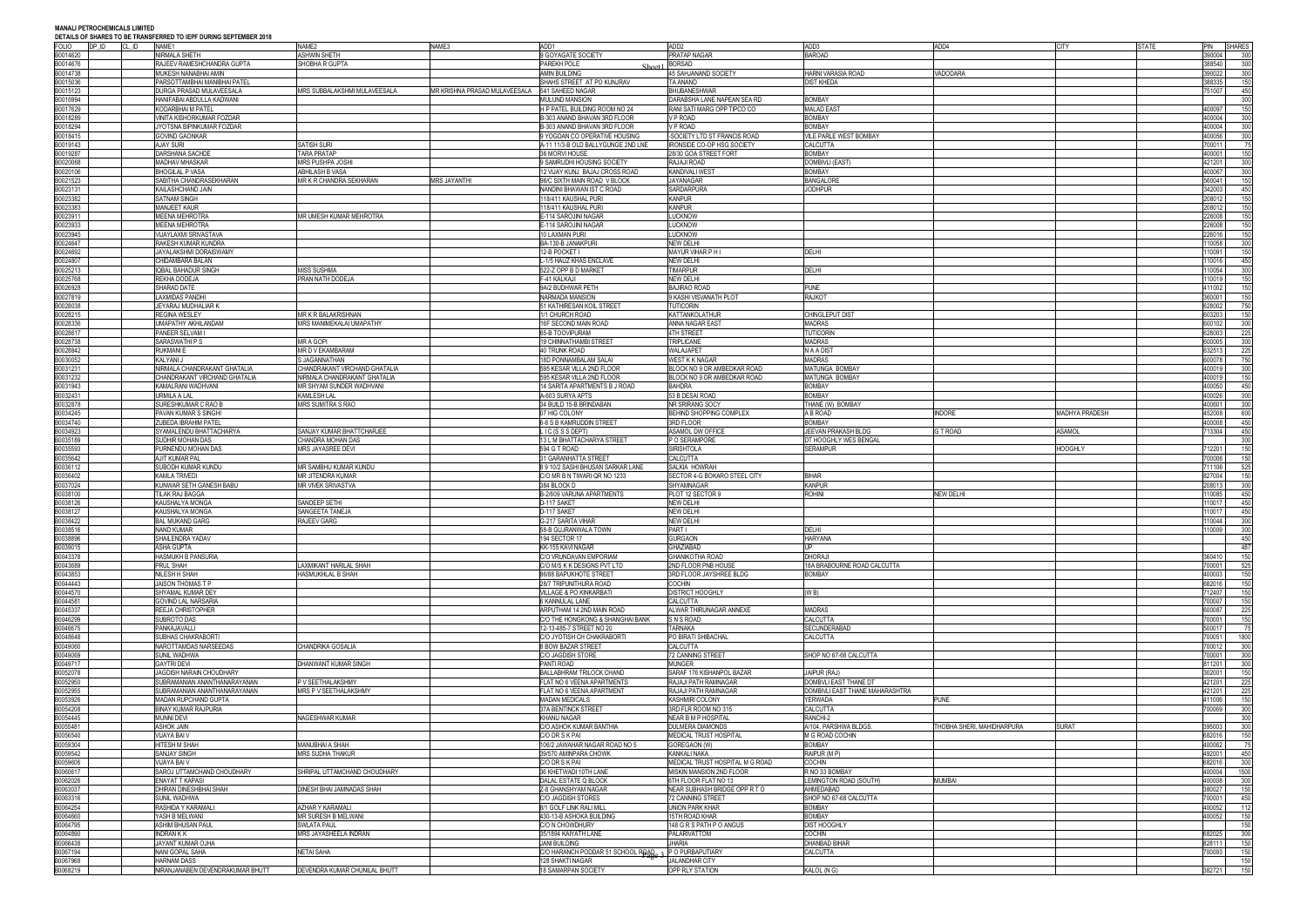### **MANALI PETROCHEMICALS LIMITED**

### **DEN TO IEDE NURING SERTEMBER 2019**

|                      |       | DETAILS OF SHARES TO BE TRANSFERRED TO IEPF DURING SEPTEMBER 2010 |                               |                                                  |                                         |                                 |                                 |                            |                |              |            |      |
|----------------------|-------|-------------------------------------------------------------------|-------------------------------|--------------------------------------------------|-----------------------------------------|---------------------------------|---------------------------------|----------------------------|----------------|--------------|------------|------|
| <b>FOLIO</b>         | DP ID | CL ID<br>NAME1                                                    | NAME2                         | NAME3                                            | ADD1                                    | ADD <sub>2</sub>                | ADD3                            | ADD4                       | <b>CITY</b>    | <b>STATE</b> | PIN SHARES |      |
| B0014620             |       | NIRMALA SHETH                                                     | <b>ASHWIN SHETH</b>           |                                                  | 9 GOYAGATE SOCIETY                      | PRATAP NAGAR                    | <b>BAROAD</b>                   |                            |                |              | 390004     | 300  |
| B0014676             |       | RAJEEV RAMESHCHANDRA GUPTA                                        | SHOBHA R GUPTA                |                                                  | PAREKH POLE<br>Sheet1                   | <b>BORSAD</b>                   |                                 |                            |                |              | 388540     | 300  |
| B0014738             |       | MUKESH NANABHAI AMIN                                              |                               |                                                  | <b>AMIN BUILDING</b>                    | 45 SAHJANAND SOCIETY            | <b>HARNI VARASIA ROAD</b>       | VADODARA                   |                |              | 390022     | 300  |
| B0015036             |       | PARSOTTAMBHAI MANIBHAI PATEL                                      |                               |                                                  | SHAHS STREET AT PO KUNJRAV              | TA ANAND                        | <b>DIST KHEDA</b>               |                            |                |              | 88335      | 150  |
| B0015123             |       | DURGA PRASAD MULAVEESALA                                          | MRS SUBBALAKSHMI MULAVEESALA  | MR KRISHNA PRASAD MULAVEESALA   541 SAHEED NAGAR |                                         | <b>BHUBANESHWAR</b>             |                                 |                            |                |              | 751007     | 450  |
|                      |       |                                                                   |                               |                                                  |                                         |                                 |                                 |                            |                |              |            |      |
| B0016994             |       | HANIFABAI ABDULLA KADWANI                                         |                               |                                                  | <b>MULUND MANSION</b>                   | DARABSHA LANE NAPEAN SEA RD     | <b>BOMBAY</b>                   |                            |                |              |            | 300  |
| B0017629             |       | KODARBHAI M PATEL                                                 |                               |                                                  | H P PATEL BUILDING ROOM NO 24           | RANI SATI MARG OPP TIPCO CO     | <b>MALAD EAST</b>               |                            |                |              | 400097     | 150  |
| B0018289             |       | VINITA KISHORKUMAR FOZDAR                                         |                               |                                                  | B-303 ANAND BHAVAN 3RD FLOOR            | <b>VP ROAD</b>                  | <b>BOMBAY</b>                   |                            |                |              | 400004     | 300  |
| B0018294             |       | JYOTSNA BIPINKUMAR FOZDAR                                         |                               |                                                  | B-303 ANAND BHAVAN 3RD FLOOR            | V P ROAD                        | <b>BOMBAY</b>                   |                            |                |              | 100004     | 300  |
| B0018415             |       | <b>GOVIND GAONKAR</b>                                             |                               |                                                  | 9 YOGDAN CO OPERATIVE HOUSING           | SOCIETY LTD ST FRANCIS ROAD     | VILE PARLE WEST BOMBAY          |                            |                |              | 100056     | 300  |
|                      |       |                                                                   |                               |                                                  |                                         |                                 |                                 |                            |                |              |            |      |
| B0019143             |       | <b>AJAY SURI</b>                                                  | SATISH SURI                   |                                                  | A-11 11/3-B OLD BALLYGUNGE 2ND LNE      | IRONSIDE CO-OP HSG SOCIETY      | CALCUTTA                        |                            |                |              | 00011      | 75   |
| B0019287             |       | DARSHANA SACHDE                                                   | <b>TARA PRATAP</b>            |                                                  | 36 MORVI HOUSE                          | 28/30 GOA STREET FORT           | <b>BOMBAY</b>                   |                            |                |              | 400001     | 150  |
| B0020068             |       | <b>MADHAV MHASKAR</b>                                             | MRS PUSHPA JOSHI              |                                                  | 9 SAMRUDHI HOUSING SOCIETY              | RAJAJI ROAD                     | DOMBIVLI (EAST)                 |                            |                |              | 421201     | 300  |
| B0020106             |       | <b>BHOGILAL P VASA</b>                                            | ABHILASH B VASA               |                                                  | 12 VIJAY KUNJ BAJAJ CROSS ROAD          | <b>KANDIVALI WEST</b>           | <b>BOMBAY</b>                   |                            |                |              | 400067     | 300  |
|                      |       |                                                                   |                               |                                                  |                                         |                                 |                                 |                            |                |              |            |      |
| B0021523             |       | SABITHA CHANDRASEKHARAN                                           | MR K R CHANDRA SEKHARAN       | <b>MRS JAYANTHI</b>                              | 96/C SIXTH MAIN ROAD V BLOCK            | <b>JAYANAGAR</b>                | <b>BANGALORE</b>                |                            |                |              | 560041     | 150  |
| B0023131             |       | KAILASHCHAND JAIN                                                 |                               |                                                  | NANDINI BHAWAN IST C ROAD               | <b>SARDARPURA</b>               | <b>JODHPUR</b>                  |                            |                |              | 342003     | 450  |
| 023382               |       | <b>SATNAM SINGH</b>                                               |                               |                                                  | 118/411 KAUSHAL PURI                    | <b>KANPUR</b>                   |                                 |                            |                |              | 208012     | 150  |
| 30023383             |       | <b>MANJEET KAUR</b>                                               |                               |                                                  | 118/411 KAUSHAL PURI                    | <b>KANPUR</b>                   |                                 |                            |                |              | 208012     | 150  |
| 30023911             |       | <b>MEENA MEHROTRA</b>                                             | MR UMESH KUMAR MEHROTRA       |                                                  | E-114 SAROJINI NAGAR                    | <b>LUCKNOW</b>                  |                                 |                            |                |              | 226008     | 150  |
|                      |       |                                                                   |                               |                                                  |                                         |                                 |                                 |                            |                |              |            |      |
| 0023933              |       | <b>MEENA MEHROTRA</b>                                             |                               |                                                  | E-114 SAROJINI NAGAR                    | <b>UCKNOW</b>                   |                                 |                            |                |              | 26008      | 150  |
| 30023945             |       | <b>VIJAYLAXMI SRIVASTAVA</b>                                      |                               |                                                  | 10 LAXMAN PURI                          | <b>UCKNOW</b>                   |                                 |                            |                |              | 26016      | 150  |
| 30024647             |       | RAKESH KUMAR KUNDRA                                               |                               |                                                  | BA-130-B JANAKPURI                      | <b>NEW DELHI</b>                |                                 |                            |                |              | 10058      | 300  |
| 0024692              |       | JAYALAKSHMI DORAISWAMY                                            |                               |                                                  | 12-B POCKET I                           | MAYUR VIHAR P H I               | DELHI                           |                            |                |              | 10091      | 150  |
|                      |       |                                                                   |                               |                                                  |                                         |                                 |                                 |                            |                |              |            |      |
| 024807               |       | CHIDAMBARA BALAN                                                  |                               |                                                  | L-1/5 HAUZ KHAS ENCLAVE                 | <b>NEW DELHI</b>                |                                 |                            |                |              | 10016      | 450  |
| B0025213             |       | IQBAL BAHADUR SINGH                                               | <b>MISS SUSHMA</b>            |                                                  | 522-Z OPP B D MARKET                    | <b>TIMARPUR</b>                 | <b>DELHI</b>                    |                            |                |              | 10054      | 300  |
| 30025768             |       | REKHA DODEJA                                                      | PRAN NATH DODEJA              |                                                  | F-41 KALKAJI                            | <b>NEW DELHI</b>                |                                 |                            |                |              | 10019      | 150  |
| 30026928             |       | SHARAD DATE                                                       |                               |                                                  | 9A/2 BUDHWAR PETH                       | <b>BAJIRAO ROAD</b>             | <b>PUNE</b>                     |                            |                |              | 111002     | 150  |
| 30027819             |       | <b>LAXMIDAS PANDHI</b>                                            |                               |                                                  | NARMADA MANSION                         | 9 KASHI VISVANATH PLOT          | <b>RAJKOT</b>                   |                            |                |              | 60001      | 150  |
|                      |       |                                                                   |                               |                                                  |                                         |                                 |                                 |                            |                |              |            |      |
| B0028038             |       | JEYARAJ MUDHALIAR K                                               |                               |                                                  | 51 KATHIRESAN KOIL STREET               | <b>TUTICORIN</b>                |                                 |                            |                |              | 328002     | 750  |
| B0028215             |       | <b>REGINA WESLEY</b>                                              | MR K R BALAKRISHNAN           |                                                  | 1/1 CHURCH ROAD                         | KATTANKOLATHUR                  | CHINGLEPUT DIST                 |                            |                |              | 603203     | 150  |
| B0028336             |       | UMAPATHY AKHILANDAM                                               | MRS MANIMEKALAI UMAPATHY      |                                                  | 16F SECOND MAIN ROAD                    | ANNA NAGAR EAST                 | <b>MADRAS</b>                   |                            |                |              | 600102     | 300  |
| 30028617             |       | PANEER SELVAM I                                                   |                               |                                                  | 65-B TOOVIPURAM                         | <b>4TH STREET</b>               | <b>TUTICORIN</b>                |                            |                |              | 328003     | 225  |
| B0028738             |       | SARASWATHI P S                                                    | MR A GOPI                     |                                                  |                                         | <b>TRIPLICANE</b>               | <b>MADRAS</b>                   |                            |                |              | 600005     |      |
|                      |       |                                                                   |                               |                                                  | 19 CHINNATHAMBI STREET                  |                                 |                                 |                            |                |              |            | 300  |
| B0028842             |       | <b>RUKMANIE</b>                                                   | MR D V EKAMBARAM              |                                                  | <b>40 TRUNK ROAD</b>                    | WALAJAPET                       | N A A DIST                      |                            |                |              | 32513      | 225  |
| B0030052             |       | KALYANI J                                                         | S JAGANNATHAN                 |                                                  | <b>18D PONNAMBALAM SALAI</b>            | <b>WEST K K NAGAR</b>           | <b>MADRAS</b>                   |                            |                |              | 600078     | 750  |
| B0031231             |       | NIRMALA CHANDRAKANT GHATALIA                                      | CHANDRAKANT VIRCHAND GHATALIA |                                                  | 595 KESAR VILLA 2ND FLOOR               | BLOCK NO 9 DR AMBEDKAR ROAD     | MATUNGA BOMBAY                  |                            |                |              | 400019     | 300  |
| B0031232             |       | CHANDRAKANT VIRCHAND GHATALIA                                     | NIRMALA CHANDRAKANT GHATALIA  |                                                  | 595 KESAR VILLA 2ND FLOOR               | BLOCK NO 9 DR AMBEDKAR ROAD     | MATUNGA BOMBAY                  |                            |                |              | 400019     | 150  |
|                      |       |                                                                   |                               |                                                  |                                         |                                 |                                 |                            |                |              |            |      |
| B0031943             |       | KAMALRANI WADHVANI                                                | MR SHYAM SUNDER WADHVANI      |                                                  | 14 SARITA APARTMENTS B J ROAD           | <b>BAHDRA</b>                   | <b>BOMBAY</b>                   |                            |                |              | 400050     | 450  |
| B0032431             |       | <b>URMILA A LAL</b>                                               | <b>KAMLESH LAL</b>            |                                                  | A-603 SURYA APTS                        | 53 B DESAI ROAD                 | <b>BOMBAY</b>                   |                            |                |              | 100026     | 300  |
| 0032878              |       | SURESHKUMAR C RAO B                                               | MRS SUMITRA S RAO             |                                                  | 34 BUILD 15-B BRINDABAN                 | NR SRIRANG SOCY                 | THANE (W) BOMBAY                |                            |                |              | 100601     | 300  |
| 30034245             |       | PAVAN KUMAR S SINGHI                                              |                               |                                                  | 07 HIG COLONY                           | BEHIND SHOPPING COMPLEX         | A B ROAD                        | <b>INDORE</b>              | MADHYA PRADESH |              | 152008     | 600  |
| B0034740             |       | ZUBEDA IBRAHIM PATEI                                              |                               |                                                  | 6-8 S B KAMRUDDIN STREET                | 3RD FLOOR                       | <b>BOMBAY</b>                   |                            |                |              | 100008     | 450  |
|                      |       |                                                                   |                               |                                                  |                                         |                                 |                                 |                            |                |              |            |      |
| B0034923             |       | SYAMALENDU BHATTACHARYA                                           | SANJAY KUMAR BHATTCHARJEE     |                                                  | LIC (SSSDEPT)                           | <b>ASAMOL DW OFFICE</b>         | JEEVAN PRAKASH BLDG             | <b>G T ROAD</b>            | ASAMOL         |              | 13304      | 450  |
| B0035189             |       | SUDHIR MOHAN DAS                                                  | CHANDRA MOHAN DAS             |                                                  | 13 L M BHATTACHARYA STREET              | P O SERAMPOR                    | DT HOOGHLY WES BENGAL           |                            |                |              |            | 300  |
| B0035593             |       | PURNENDU MOHAN DAS                                                | MRS JAYASREE DEVI             |                                                  | 594 G T ROAD                            | <b>SIRISHTOLA</b>               | <b>SERAMPUR</b>                 |                            | <b>HOOGHLY</b> |              | 12201      | 150  |
| B0035642             |       | AJIT KUMAR PAL                                                    |                               |                                                  | 31 GARANHATTA STREET                    | CALCUTTA                        |                                 |                            |                |              | '00006     | 150  |
| B0036112             |       | SUBODH KUMAR KUNDU                                                | MR SAMBHU KUMAR KUNDU         |                                                  | 8 9 10/2 SASHI BHUSAN SARKAR LANE       | <b>SALKIA HOWRAH</b>            |                                 |                            |                |              | 11106      | 525  |
| B0036402             |       | <b>KAMLA TRIVEDI</b>                                              | MR JITENDRA KUMAR             |                                                  | C/O MR B N TIWARI QR NO 1233            | SECTOR 4-G BOKARO STEEL CITY    | <b>BIHAR</b>                    |                            |                |              | 327004     | 150  |
| B0037024             |       | KUNWAR SETH GANESH BABU                                           | <b>MR VIVEK SRIVASTVA</b>     |                                                  | 384 BLOCK D                             | <b>SHYAMNAGAR</b>               | <b>KANPUR</b>                   |                            |                |              | 208013     | 300  |
|                      |       |                                                                   |                               |                                                  |                                         |                                 |                                 |                            |                |              |            |      |
| B0038100             |       | TILAK RAJ BAGGA                                                   |                               |                                                  | B-2/609 VARUNA APARTMENTS               | PLOT 12 SECTOR 9                | <b>ROHINI</b>                   | <b>NEW DELHI</b>           |                |              | 10085      | 450  |
| B0038126             |       | KAUSHALYA MONGA                                                   | SANDEEP SETHI                 |                                                  | D-117 SAKET                             | NEW DELHI                       |                                 |                            |                |              | 10017      | 450  |
| B0038127             |       | KAUSHALYA MONGA                                                   | SANGEETA TANEJA               |                                                  | D-117 SAKET                             | NEW DELHI                       |                                 |                            |                |              | 10017      | 450  |
| B0038422             |       | <b>BAL MUKAND GARG</b>                                            | RAJEEV GARG                   |                                                  | G-217 SARITA VIHAR                      | NEW DELHI                       |                                 |                            |                |              | 10044      | 300  |
|                      |       |                                                                   |                               |                                                  | 58-B GUJRANWALA TOWN                    |                                 |                                 |                            |                |              |            | 300  |
| B0038516<br>B0038896 |       | NAND KUMAR                                                        |                               |                                                  |                                         | <b>PARTI</b>                    | <b>DELHI</b>                    |                            |                |              | 10009      |      |
|                      |       | SHAILENDRA YADAV                                                  |                               |                                                  | 194 SECTOR 17                           | <b>GURGAON</b>                  | <b>HARYANA</b>                  |                            |                |              |            | 450  |
| B0039015             |       | ASHA GUPTA                                                        |                               |                                                  | KK-155 KAVI NAGAR                       | GHAZIABAD                       |                                 |                            |                |              |            | 487  |
| B0043378             |       | HASMUKH B PANSURIA                                                |                               |                                                  | C/O VRUNDAVAN EMPORIAM                  | <b>GHANIKOTHA ROAD</b>          | <b>DHORAJI</b>                  |                            |                |              | 360410     | 150  |
| B0043689             |       | PRUL SHAH                                                         | LAXMIKANT HARILAL SHAH        |                                                  | C/O M/S K K DESIGNS PVT LTD             | 2ND FLOOR PNB HOUSE             | 18A BRABOURNE ROAD CALCUTTA     |                            |                |              | 700001     | 525  |
|                      |       |                                                                   | HASMUKHLAL B SHAH             |                                                  | 86/88 BAPUKHOTE STREET                  |                                 |                                 |                            |                |              |            |      |
| B0043853             |       | NILESH H SHAH                                                     |                               |                                                  |                                         | 3RD FLOOR JAYSHREE BLDG         | <b>BOMBAY</b>                   |                            |                |              | 100003     | 150  |
| B0044443             |       | <b>JAISON THOMAS T P</b>                                          |                               |                                                  | 28/7 TRIPUNITHURA ROAD                  | <b>COCHIN</b>                   |                                 |                            |                |              | 82016      | 150  |
| B0044570             |       | SHYAMAL KUMAR DEY                                                 |                               |                                                  | <b>VILLAGE &amp; PO KINKARBATI</b>      | DISTRICT HOOGHLY                | (W B)                           |                            |                |              | 12407      | 150  |
| B0044581             |       | <b>GOVIND LAL NARSARIA</b>                                        |                               |                                                  | <b>6 KANNULAL LANE</b>                  | CALCUTTA                        |                                 |                            |                |              | 00007      | 150  |
| B0045337             |       | REEJA CHRISTOPHER                                                 |                               |                                                  | ARPUTHAM 14 2ND MAIN ROAD               | ALWAR THIRUNAGAR ANNEXE         | <b>MADRAS</b>                   |                            |                |              | 600087     | 225  |
|                      |       |                                                                   |                               |                                                  |                                         |                                 |                                 |                            |                |              |            |      |
| B0046299             |       | <b>SUBROTO DAS</b>                                                |                               |                                                  | C/O THE HONGKONG & SHANGHAI BANK        | SNSROAD                         | <b>CALCUTTA</b>                 |                            |                |              | 700001     | 150  |
| B0046675             |       | PANKAJAVALLI                                                      |                               |                                                  | 12-13-485-7 STREET NO 20                | TARNAKA                         | SECUNDERABAD                    |                            |                |              | 500017     | 75   |
| B0048648             |       | SUBHAS CHAKRABORTI                                                |                               |                                                  | C/O JYOTISH CH CHAKRABORTI              | PO BIRATI SHIBACHAL             | <b>CALCUTTA</b>                 |                            |                |              | 700051     | 1800 |
| B0049060             |       | NAROTTAMDAS NARSEEDAS                                             | CHANDRIKA GOSALIA             |                                                  | 8 BOW BAZAR STREET                      | CALCUTTA                        |                                 |                            |                |              | 00012      | 300  |
| B0049069             |       | SUNIL WADHWA                                                      |                               |                                                  | C/O JAGDISH STORE                       | 72 CANNING STREET               | SHOP NO 67-68 CALCUTTA          |                            |                |              | 700001     | 300  |
|                      |       |                                                                   |                               |                                                  |                                         |                                 |                                 |                            |                |              |            |      |
| B0049717             |       | <b>GAYTRI DEVI</b>                                                | DHANWANT KUMAR SINGH          |                                                  | PANTI ROAD                              | MUNGER                          |                                 |                            |                |              | 811201     | 300  |
| B0052078             |       | JAGDISH NARAIN CHOUDHARY                                          |                               |                                                  | BALLABHRAM TRILOCK CHAND                | SARAF 176 KISHANPOL BAZAR       | JAIPUR (RAJ)                    |                            |                |              | 02001      | 150  |
| B0052950             |       | SUBRAMANIAN ANANTHANARAYANAN                                      | P V SEETHALAKSHMY             |                                                  | FLAT NO 6 VEENA APARTMENTS              | RAJAJI PATH RAMNAGAR            | DOMBVLI EAST THANE DT           |                            |                |              | 21201      | 225  |
| B0052955             |       | SUBRAMANIAN ANANTHANARAYANAN                                      | MRS P V SEETHALAKSHMY         |                                                  | FLAT NO 6 VEENA APARTMENT               | RAJAJI PATH RAMNAGAR            | DOMBIVLI EAST THANE MAHARASHTRA |                            |                |              | 121201     | 225  |
| B0053926             |       | MADAN RUPCHAND GUPTA                                              |                               |                                                  | <b>MADAN MEDICALS</b>                   | <b>KASHMIRI COLONY</b>          | <b>YERWADA</b>                  | <b>PUNE</b>                |                |              | 11006      | 150  |
|                      |       |                                                                   |                               |                                                  |                                         |                                 |                                 |                            |                |              |            |      |
| B0054208             |       | <b>BINAY KUMAR RAJPURIA</b>                                       |                               |                                                  | 37A BENTINCK STREET                     | 3RD FLR ROOM NO 315             | CALCUTTA                        |                            |                |              | 00069      | 300  |
| B0054445             |       | <b>MUNNI DEVI</b>                                                 | NAGESHWAR KUMAR               |                                                  | <b>KHANIJ NAGAR</b>                     | <b>NEAR B M P HOSPITAL</b>      | RANCHI-2                        |                            |                |              |            | 300  |
| B0055481             |       | <b>ASHOK JAIN</b>                                                 |                               |                                                  | C/O.ASHOK KUMAR BANTHIA                 | <b>DULMERA DIAMONDS</b>         | A/104, PARSHWA BLDGS.           | THOBHA SHERI, MAHIDHARPURA | SURAT          |              | 395003     | 300  |
| B0056540             |       | VIJAYA BAI V                                                      |                               |                                                  | C/O DR S K PAI                          | <b>MEDICAL TRUST HOSPITAL</b>   | M G ROAD COCHIN                 |                            |                |              | 682016     | 150  |
| B0059304             |       | <b>HITESH M SHAH</b>                                              | MANUBHAI A SHAH               |                                                  | 106/2 JAWAHAR NAGAR ROAD NO 5           | GOREGAON (W)                    | <b>BOMBAY</b>                   |                            |                |              | 100062     | 75   |
|                      |       |                                                                   |                               |                                                  |                                         |                                 |                                 |                            |                |              |            |      |
| B0059542             |       | <b>SANJAY SINGH</b>                                               | MRS SUDHA THAKUR              |                                                  | 39/570 AMINPARA CHOWK                   | <b>KANKALI NAKA</b>             | RAIPUR (MP)                     |                            |                |              | 92001      | 450  |
| B0059606             |       | VIJAYA BAI V                                                      |                               |                                                  | C/O DR S K PAI                          | MEDICAL TRUST HOSPITAL M G ROAD | <b>COCHIN</b>                   |                            |                |              | 682016     | 300  |
| B0060617             |       | SAROJ UTTAMCHAND CHOUDHARY                                        | SHRIPAL UTTAMCHAND CHOUDHARY  |                                                  | 36 KHETWADI 10TH LANE                   | <b>MISKIN MANSION 2ND FLOOR</b> | R NO 33 BOMBAY                  |                            |                |              | 100004     | 1500 |
| B0062026             |       | <b>ENAYAT T KAPASI</b>                                            |                               |                                                  | DALAL ESTATE Q BLOCK                    | 6TH FLOOR FLAT NO 13            | LEMINGTON ROAD (SOUTH)          | <b>MUMBAI</b>              |                |              | 80000      | 300  |
| B0063037             |       | DHIRAN DINESHBHAI SHAH                                            | DINESH BHAI JAMNADAS SHAH     |                                                  | Z-8 GHANSHYAM NAGAR                     | NEAR SUBHASH BRIDGE OPP R TO    | AHMEDABAD                       |                            |                |              | 380027     | 150  |
|                      |       |                                                                   |                               |                                                  |                                         |                                 |                                 |                            |                |              |            |      |
| B0063316             |       | <b>SUNIL WADHWA</b>                                               |                               |                                                  | C/O JAGDISH STORES                      | <b>72 CANNING STREET</b>        | SHOP NO 67-68 CALCUTTA          |                            |                |              | '00001     | 450  |
| B0064254             |       | RASHIDA Y KARAMALI                                                | AZHAR Y KARAMALI              |                                                  | 8/1 GOLF LINK RALI MILL                 | <b>UNION PARK KHAR</b>          | <b>BOMBAY</b>                   |                            |                |              | 100052     | 112  |
| B0064660             |       | YASH B MELWANI                                                    | MR SURESH B MELWANI           |                                                  | 430-13-B ASHOKA BUILDING                | 15TH ROAD KHAR                  | <b>BOMBAY</b>                   |                            |                |              | 100052     | 150  |
| B0064795             |       | ASHIM BHUSAN PAUL                                                 | SWLATA PAUL                   |                                                  | C/O N CHOWDHURY                         | 148 G R S PATH P O ANGUS        | <b>DIST HOOGHLY</b>             |                            |                |              |            | 150  |
| B0064890             |       | <b>INDRAN K K</b>                                                 | <b>MRS JAYASHEELA INDRAN</b>  |                                                  | 35/1894 KAIYATH LANE                    | PALARIVATTOM                    | COCHIN                          |                            |                |              | 82025      | 300  |
| B0066438             |       | JAYANT KUMAR OJHA                                                 |                               |                                                  | <b>JANI BUILDING</b>                    | <b>JHARIA</b>                   | <b>DHANBAD BIHAR</b>            |                            |                |              | 328111     | 150  |
| B0067194             |       | NANI GOPAL SAHA                                                   | <b>NETAI SAHA</b>             |                                                  |                                         | P O PURBAPUTIARY                | CALCUTTA                        |                            |                |              | 00093      | 150  |
|                      |       |                                                                   |                               |                                                  | C/O HARANCH PODDAR 51 SCHOOL ROAD. $_2$ |                                 |                                 |                            |                |              |            |      |
| B0067968             |       | <b>HARNAM DASS</b>                                                |                               |                                                  | 128 SHAKTI NAGAR                        | <b>JALANDHAR CITY</b>           |                                 |                            |                |              |            | 150  |
| B0068219             |       | NIRANJANABEN DEVENDRAKUMAR BHUTT                                  | DEVENDRA KUMAR CHUNILAL BHUTT |                                                  | 18 SAMARPAN SOCIETY                     | OPP RLY STATION                 | KALOL (N G)                     |                            |                |              | 382721     | 150  |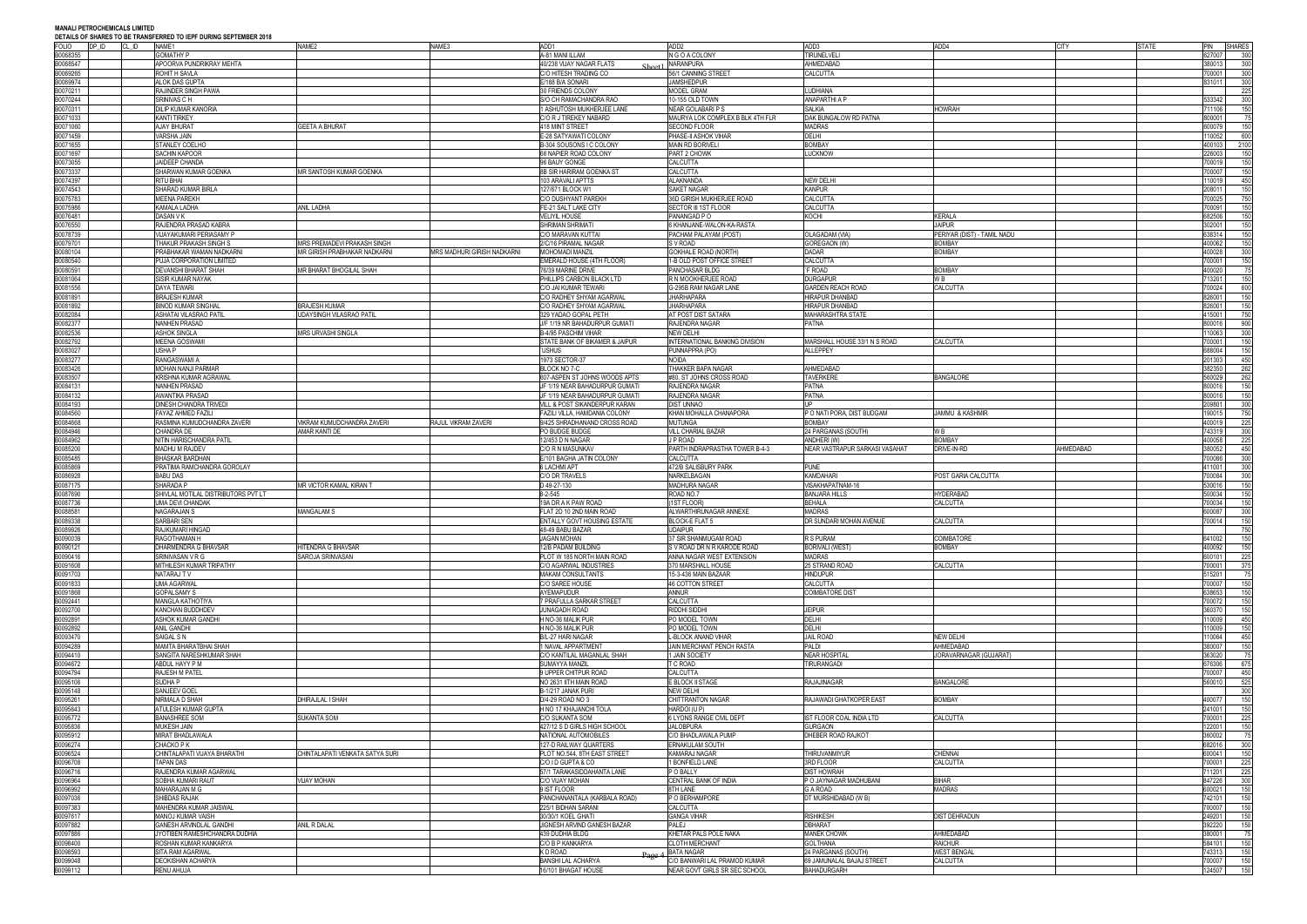**MANALI PETROCHEMICALS LIMITED DEN TO IEDE NURING SERTEMBER 2019** 

|                         | DETAILS OF SHAKES TO BE TRANSFERKED TO IEPP DURING SEPTEMBER 2010 |                                     | NAME3                       |                                                  | ADD <sub>2</sub>                                              | ADD3                                            |                             | <b>CITY</b> |              |                                      |
|-------------------------|-------------------------------------------------------------------|-------------------------------------|-----------------------------|--------------------------------------------------|---------------------------------------------------------------|-------------------------------------------------|-----------------------------|-------------|--------------|--------------------------------------|
| FOLIO<br>DP ID<br>CL ID | NAME1                                                             | NAME2                               |                             | ADD1                                             |                                                               |                                                 | ADD4                        |             | <b>STATE</b> | PIN<br><b>SHARES</b>                 |
| B0068355                | <b>GOMATHY P</b>                                                  |                                     |                             | A-81 MANI ILLAM                                  | N G O A COLONY                                                | <b>TIRUNELVELI</b>                              |                             |             |              | 327007<br>300                        |
| B0068547                | APOORVA PUNDRIKRAY MEHTA                                          |                                     |                             | 40/238 VIJAY NAGAR FLATS                         | <b>NARANPURA</b>                                              | AHMEDABAD                                       |                             |             |              | 380013<br>300                        |
| B0069265                | ROHIT H SAVLA                                                     |                                     |                             | C/O HITESH TRADING CO                            | 56/1 CANNING STREET                                           | CALCUTTA                                        |                             |             |              | 700001<br>300                        |
| B0069974                | ALOK DAS GUPTA                                                    |                                     |                             | E/188 B/A SONARI                                 | <b>JAMSHEDPUR</b>                                             |                                                 |                             |             |              | 831011<br>300                        |
| B0070211                | RAJINDER SINGH PAWA                                               |                                     |                             | 30 FRIENDS COLONY                                | MODEL GRAM                                                    | LUDHIANA                                        |                             |             |              | 225                                  |
|                         |                                                                   |                                     |                             |                                                  |                                                               |                                                 |                             |             |              |                                      |
| B0070244                | SRINIVAS C H                                                      |                                     |                             | S/O CH RAMACHANDRA RAO                           | 10-155 OLD TOWN                                               | ANAPARTHI A P                                   |                             |             |              | 300<br>533342                        |
| B0070311                | DILIP KUMAR KANORIA                                               |                                     |                             | 1 ASHUTOSH MUKHERJEE LANE                        | <b>NEAR GOLABARI P S</b>                                      | <b>SALKIA</b>                                   | <b>HOWRAH</b>               |             |              | 150<br>11106                         |
| B0071033                | KANTI TIRKEY                                                      |                                     |                             | C/O R J TIREKEY NABARD                           | MAURYA LOK COMPLEX B BLK 4TH FLR                              | DAK BUNGALOW RD PATNA                           |                             |             |              | 800001<br>75                         |
| B0071060                | <b>AJAY BHURAT</b>                                                | <b>GEETA A BHURAT</b>               |                             | <b>418 MINT STREET</b>                           | <b>SECOND FLOOR</b>                                           | <b>MADRAS</b>                                   |                             |             |              | 150<br>600079                        |
|                         | <b>VARSHA JAIN</b>                                                |                                     |                             | E-28 SATYAWATI COLONY                            |                                                               | <b>DELHI</b>                                    |                             |             |              | 10052<br>600                         |
| B0071459                |                                                                   |                                     |                             |                                                  | PHASE-II ASHOK VIHAR                                          |                                                 |                             |             |              |                                      |
| B0071655                | STANLEY COELHO                                                    |                                     |                             | B-304 SOUSONS I C COLONY                         | <b>MAIN RD BORIVEL</b>                                        | <b>BOMBAY</b>                                   |                             |             |              | 400103<br>2100                       |
| B0071697                | <b>SACHIN KAPOOR</b>                                              |                                     |                             | 66 NAPIER ROAD COLONY                            | PART 2 CHOWK                                                  | <b>LUCKNOW</b>                                  |                             |             |              | 226003<br>150                        |
| B0073055                | JAIDEEP CHANDA                                                    |                                     |                             | 96 BAUY GONGE                                    | CALCUTTA                                                      |                                                 |                             |             |              | 150<br>700019                        |
| B0073337                | SHARWAN KUMAR GOENKA                                              | MR SANTOSH KUMAR GOENKA             |                             | 8B SIR HARIRAM GOENKA ST                         | CALCUTTA                                                      |                                                 |                             |             |              | 00007<br>150                         |
|                         |                                                                   |                                     |                             |                                                  |                                                               |                                                 |                             |             |              |                                      |
| B0074397                | RITU BHAI                                                         |                                     |                             | 103 ARAVALI APTTS                                | <b>ALAKNANDA</b>                                              | <b>NEW DELHI</b>                                |                             |             |              | 10019<br>450                         |
| B0074543                | SHARAD KUMAR BIRLA                                                |                                     |                             | 127/671 BLOCK W1                                 | <b>SAKET NAGAR</b>                                            | <b>KANPUR</b>                                   |                             |             |              | 208011<br>150                        |
| B0075783                | <b>MEENA PAREKH</b>                                               |                                     |                             | C/O DUSHYANT PAREKH                              | 36D GIRISH MUKHERJEE ROAD                                     | CALCUTTA                                        |                             |             |              | 00025<br>750                         |
| B0075986                | KAMALA LADHA                                                      | ANIL LADHA                          |                             | FE-21 SALT LAKE CITY                             | <b>SECTOR III 1ST FLOOR</b>                                   | CALCUTTA                                        |                             |             |              | 00091<br>150                         |
| B0076481                | DASAN V K                                                         |                                     |                             | <b>VELIYIL HOUSE</b>                             | PANANGAD P O                                                  | KOCHI                                           | KERALA                      |             |              | 682506<br>150                        |
|                         |                                                                   |                                     |                             |                                                  |                                                               |                                                 |                             |             |              |                                      |
| B0076550                | RAJENDRA PRASAD KABRA                                             |                                     |                             | SHRIMAN SHRIMATI                                 | 6 KHANJANE-WALON-KA-RASTA                                     |                                                 | <b>JAIPUR</b>               |             |              | 02001<br>150                         |
| B0078739                | VIJAYAKUMARI PERIASAMY P                                          |                                     |                             | C/O MARAVAN KUTTAI                               | PACHAM PALAYAM (POST)                                         | OLAGADAM (VIA)                                  | PERIYAR (DIST) - TAMIL NADU |             |              | 150<br>38314                         |
| B0079701                | THAKUR PRAKASH SINGH S                                            | MRS PREMADEVI PRAKASH SINGH         |                             | 2/C/16 PIRAMAL NAGAR                             | S V ROAD                                                      | GOREGAON (W)                                    | BOMBAY                      |             |              | 400062<br>150                        |
| B0080104                | PRABHAKAR WAMAN NADKARNI                                          | <b>MR GIRISH PRABHAKAR NADKARNI</b> | MRS MADHURI GIRISH NADKARNI | MOHOMADI MANZIL                                  | <b>GOKHALE ROAD (NORTH)</b>                                   | <b>DADAR</b>                                    | <b>BOMBAY</b>               |             |              | 300<br>100028                        |
|                         |                                                                   |                                     |                             |                                                  | 1-B OLD POST OFFICE STREET                                    |                                                 |                             |             |              |                                      |
| B0080540                | PUJA CORPORATION LIMITED                                          |                                     |                             | EMERALD HOUSE (4TH FLOOR)                        |                                                               | CALCUTTA                                        |                             |             |              | 150<br>700001                        |
| B0080591                | DEVANSHI BHARAT SHAH                                              | MR BHARAT BHOGILAL SHAH             |                             | 76/39 MARINE DRIVE                               | PANCHASAR BLDG                                                | `F ROAD                                         | <b>BOMBAY</b>               |             |              | 400020<br>75                         |
| B0081064                | SISIR KUMAR NAYAK                                                 |                                     |                             | PHILLIPS CARBON BLACK LTD                        | R N MOOKHERJEE ROAD                                           | <b>DURGAPUR</b>                                 | W B                         |             |              | 13201<br>150                         |
| B0081556                | DAYA TEWARI                                                       |                                     |                             | C/O JAI KUMAR TEWARI                             | G-295B RAM NAGAR LANE                                         | <b>GARDEN REACH ROAD</b>                        | CALCUTTA                    |             |              | 700024<br>600                        |
| B0081891                |                                                                   |                                     |                             |                                                  |                                                               |                                                 |                             |             |              | 326001                               |
|                         | <b>BRAJESH KUMAR</b>                                              |                                     |                             | C/O RADHEY SHYAM AGARWAL                         | <b>JHARHAPARA</b>                                             | <b>HIRAPUR DHANBAD</b>                          |                             |             |              | 150                                  |
| B0081892                | <b>BINOD KUMAR SINGHAL</b>                                        | <b>BRAJESH KUMAR</b>                |                             | C/O RADHEY SHYAM AGARWAL                         | <b>JHARHAPARA</b>                                             | <b>HIRAPUR DHANBAD</b>                          |                             |             |              | 826001<br>150                        |
| B0082084                | ASHATAI VILASRAO PATIL                                            | <b>JDAYSINGH VILASRAO PATIL</b>     |                             | 329 YADAO GOPAL PETH                             | AT POST DIST SATARA                                           | <b>MAHARASHTRA STATE</b>                        |                             |             |              | 115001<br>750                        |
| B0082377                | NANHEN PRASAD                                                     |                                     |                             | J/F 1/19 NR BAHADURPUR GUMATI                    | RAJENDRA NAGAR                                                | <b>PATNA</b>                                    |                             |             |              | 900<br>300016                        |
|                         |                                                                   |                                     |                             |                                                  |                                                               |                                                 |                             |             |              |                                      |
| B0082536                | <b>ASHOK SINGLA</b>                                               | (ARS URVASHI SINGLA                 |                             | B-4/95 PASCHIM VIHAR                             | <b>NEW DELHI</b>                                              |                                                 |                             |             |              | 10063<br>300                         |
| B0082792                | MEENA GOSWAMI                                                     |                                     |                             | STATE BANK OF BIKAMER & JAIPUR                   | INTERNATIONAL BANKING DIVISION                                | MARSHALL HOUSE 33/1 N S ROAD                    | CALCUTTA                    |             |              | 700001<br>150                        |
| B0083027                | USHA P                                                            |                                     |                             | USHUS                                            | PUNNAPPRA (PO)                                                | <b>ALLEPPEY</b>                                 |                             |             |              | 88004<br>150                         |
| B0083277                | RANGASWAMI A                                                      |                                     |                             | 1973 SECTOR-37                                   | Noida                                                         |                                                 |                             |             |              | 01303<br>450                         |
|                         |                                                                   |                                     |                             |                                                  |                                                               |                                                 |                             |             |              |                                      |
| B0083426                | MOHAN NANJI PARMAR                                                |                                     |                             | BLOCK NO 7-C                                     | THAKKER BAPA NAGAR                                            | AHMEDABAD                                       |                             |             |              | 382350<br>262                        |
| B0083507                | KRISHNA KUMAR AGRAWAL                                             |                                     |                             | 607-ASPEN ST JOHNS WOODS APTS                    | #80, ST JOHNS CROSS ROAD                                      | <b>TAVERKERE</b>                                | BANGALORE                   |             |              | 60029<br>262                         |
| B0084131                | NANHEN PRASAD                                                     |                                     |                             | JF 1/19 NEAR BAHADURPUR GUMATI                   | RAJENDRA NAGAR                                                | <b>PATNA</b>                                    |                             |             |              | 300016<br>150                        |
| B0084132                | AWANTIKA PRASAD                                                   |                                     |                             | JF 1/19 NEAR BAHADURPUR GUMAT                    | RAJENDRA NAGAR                                                | <b>PATNA</b>                                    |                             |             |              | 800016<br>150                        |
|                         |                                                                   |                                     |                             |                                                  |                                                               |                                                 |                             |             |              |                                      |
| B0084193                | DINESH CHANDRA TRIVEDI                                            |                                     |                             | VILL & POST SIKANDERPUR KARAN                    | <b>DIST UNNAO</b>                                             | UP                                              |                             |             |              | 300<br>209801                        |
| B0084560                | FAYAZ AHMED FAZILI                                                |                                     |                             | FAZILI VILLA, HAMDANIA COLONY                    | KHAN MOHALLA CHANAPORA                                        | P O NATI PORA, DIST BUDGAM                      | <b>IAMMU &amp; KASHMIR</b>  |             |              | 90015<br>750                         |
| B0084668                | RASMINA KUMUDCHANDRA ZAVERI                                       | VIKRAM KUMUDCHANDRA ZAVERI          | RAJUL VIKRAM ZAVERI         | 9/425 SHRADHANAND CROSS ROAD                     | <b>MUTUNGA</b>                                                | <b>BOMBAY</b>                                   |                             |             |              | 225<br>400019                        |
| B0084946                | CHANDRA DE                                                        | AMAR KANTI DE                       |                             | PO BUDGE BUDGE                                   | VILL CHARIAL BAZAR                                            | 24 PARGANAS (SOUTH)                             | W B                         |             |              | 743319<br>300                        |
|                         |                                                                   |                                     |                             |                                                  |                                                               |                                                 |                             |             |              |                                      |
| B0084962                | NITIN HARISCHANDRA PATIL                                          |                                     |                             | 12/453 D N NAGAR                                 | J P ROAD                                                      | ANDHERI (W)                                     | <b>BOMBAY</b>               |             |              | 400058<br>225                        |
| B0085200                | MADHU M RAJDEV                                                    |                                     |                             | C/O R N MASUNKAV                                 | PARTH INDRAPRASTHA TOWER B-4-3                                | NEAR VASTRAPUR SARKASI VASAHAT                  | DRIVE-IN-RD                 | AHMEDABAD   |              | 80052<br>450                         |
|                         |                                                                   |                                     |                             |                                                  |                                                               |                                                 |                             |             |              |                                      |
|                         |                                                                   |                                     |                             |                                                  |                                                               |                                                 |                             |             |              |                                      |
| B0085485                | BHASKAR BARDHAN                                                   |                                     |                             | E/101 BAGHA JATIN COLONY                         | CALCUTTA                                                      |                                                 |                             |             |              | '00086<br>300                        |
| B0085869                | PRATIMA RAMCHANDRA GOROLAY                                        |                                     |                             | <b>6 LACHMI APT</b>                              | 472/B SALISBURY PARK                                          | PUNE                                            |                             |             |              | 411001<br>300                        |
| B0086928                | BABU DAS                                                          |                                     |                             | C/O DR TRAVELS                                   | NARKELBAGAN                                                   | KAMDAHARI                                       | POST GARIA CALCUTTA         |             |              | 00084<br>300                         |
| B0087175                | SHARADA P                                                         | MR VICTOR KAMAL KIRAN T             |                             | D 49-27-130                                      | MADHURA NAGAR                                                 | VISAKHAPATNAM-16                                |                             |             |              | 150<br>30016                         |
|                         |                                                                   |                                     |                             |                                                  |                                                               |                                                 |                             |             |              |                                      |
| B0087690                | SHIVLAL MOTILAL DISTRIBUTORS PVT LT                               |                                     |                             | 8-2-545                                          | ROAD NO.7                                                     | <b>BANJARA HILLS</b>                            | <b>HYDERABAD</b>            |             |              | 500034<br>150                        |
| B0087736                | UMA DEVI CHANDAK                                                  |                                     |                             | 19A DR A K PAW ROAD                              | (1ST FLOOR)                                                   | <b>BEHALA</b>                                   | <b>CALCUTTA</b>             |             |              | 700034<br>150                        |
| B0088581                | NAGARAJAN S                                                       | MANGALAM S                          |                             | FLAT 2D 10 2ND MAIN ROAD                         | ALWARTHIRUNAGAR ANNEXE                                        | MADRAS                                          |                             |             |              | 00087<br>300                         |
| B0089338                | SARBARI SEN                                                       |                                     |                             | ENTALLY GOVT HOUSING ESTATE                      | <b>BLOCK-E FLAT 5</b>                                         | DR SUNDARI MOHAN AVENUE                         | CALCUTTA                    |             |              | 00014<br>150                         |
|                         |                                                                   |                                     |                             |                                                  | <b>UDAIPUR</b>                                                |                                                 |                             |             |              | 750                                  |
| B0089926                | RAJKUMARI HINGAD                                                  |                                     |                             | 48-49 BABU BAZAR                                 |                                                               |                                                 |                             |             |              |                                      |
| B0090039                | RAGOTHAMAN H                                                      |                                     |                             | <b>JAGAN MOHAN</b>                               | 37 SIR SHANMUGAM ROAD                                         | R S PURAM                                       | COIMBATORE                  |             |              | 641002<br>150                        |
| B0090121                | DHARMENDRA G BHAVSAR                                              | HITENDRA G BHAVSAR                  |                             | 12/B PADAM BUILDING                              | S V ROAD DR N R KARODE ROAD                                   | <b>BORIVALI (WEST)</b>                          | <b>BOMBAY</b>               |             |              | 100092<br>150                        |
| B0090416                | SRINIVASAN V R G                                                  | <b>SAROJA SRINVASAN</b>             |                             | PLOT W 185 NORTH MAIN ROAD                       | ANNA NAGAR WEST EXTENSION                                     | <b>MADRAS</b>                                   |                             |             |              | 225<br>00101                         |
| B0091608                | MITHILESH KUMAR TRIPATHY                                          |                                     |                             | C/O AGARWAL INDUSTRIES                           | 370 MARSHALL HOUSE                                            | 25 STRAND ROAD                                  | CALCUTTA                    |             |              | 700001<br>375                        |
|                         |                                                                   |                                     |                             | <b>MAKAM CONSULTANTS</b>                         |                                                               |                                                 |                             |             |              |                                      |
| B0091703                | NATARAJ T V                                                       |                                     |                             |                                                  | 15-3-436 MAIN BAZAAR                                          | <b>HINDUPUR</b>                                 |                             |             |              | 15201<br>75                          |
| B0091833                | <b>UMA AGARWAL</b>                                                |                                     |                             | C/O SAREE HOUSE                                  | <b>46 COTTON STREET</b>                                       | <b>CALCUTTA</b>                                 |                             |             |              | 150<br>700007                        |
| B0091868                | <b>GOPALSAMY S</b>                                                |                                     |                             | AYEMAPUDUR                                       | ANNUR                                                         | <b>COIMBATORE DIST</b>                          |                             |             |              | 638653<br>150                        |
| B0092441                | <b>MANGLA KATHOTIYA</b>                                           |                                     |                             | 7 PRAFULLA SARKAR STREET                         | CALCUTTA                                                      |                                                 |                             |             |              | 700072<br>150                        |
| B0092700                | KANCHAN BUDDHDEV                                                  |                                     |                             | <b>JUNAGADH ROAD</b>                             | RIDDHI SIDDHI                                                 | <b>JEIPUR</b>                                   |                             |             |              | 860370<br>150                        |
|                         |                                                                   |                                     |                             |                                                  |                                                               | <b>DELHI</b>                                    |                             |             |              |                                      |
| B0092891                | ASHOK KUMAR GANDHI                                                |                                     |                             | H NO-36 MALIK PUR                                | PO MODEL TOWN                                                 |                                                 |                             |             |              | 450<br>10009                         |
| B0092892                | ANIL GANDHI                                                       |                                     |                             | H NO-36 MALIK PUR                                | PO MODEL TOWN                                                 | <b>DELHI</b>                                    |                             |             |              | 10009<br>150                         |
| B0093470                | SAIGAL S N                                                        |                                     |                             | <b>B/L-27 HARI NAGAR</b>                         | -BLOCK ANAND VIHAR                                            | <b>JAIL ROAD</b>                                | NEW DELHI                   |             |              | 10064<br>450                         |
| B0094289                | MAMTA BHARATBHAI SHAH                                             |                                     |                             | 1 NAVAL APPARTMENT                               | JAIN MERCHANT PENCH RASTA                                     | PALDI                                           | AHMEDABAD                   |             |              | 80007<br>150                         |
| B0094410                | SANGITA NARESHKUMAR SHAH                                          |                                     |                             | C/O KANTILAL MAGANLAL SHAH                       | 1 JAIN SOCIETY                                                | <b>NEAR HOSPITAI</b>                            | JORAVARNAGAR (GUJARAT)      |             |              | 363020<br>75                         |
|                         |                                                                   |                                     |                             |                                                  |                                                               |                                                 |                             |             |              |                                      |
| B0094672                | ABDUL HAYY P M                                                    |                                     |                             | SUMAYYA MANZIL                                   | <b>C ROAD</b>                                                 | TIRURANGADI                                     |                             |             |              | 676306<br>675                        |
| B0094794                | RAJESH M PATEL                                                    |                                     |                             | 9 UPPER CHITPUR ROAD                             | CALCUTTA                                                      |                                                 |                             |             |              | 00007<br>450                         |
| B0095106                | SUDHA P                                                           |                                     |                             | NO 2631 IITH MAIN ROAD                           | <b>E BLOCK II STAGE</b>                                       | RAJAJINAGAR                                     | <b>BANGALORE</b>            |             |              | 60010<br>525                         |
| B0095148                | SANJEEV GOEL                                                      |                                     |                             | B-1/217 JANAK PURI                               | NEW DELHI                                                     |                                                 |                             |             |              | 300                                  |
|                         |                                                                   |                                     |                             |                                                  |                                                               |                                                 |                             |             |              |                                      |
| B0095261                | NIRMALA D SHAH                                                    | DHIRAJLAL I SHAH                    |                             | D/4-29 ROAD NO 3                                 | <b>CHITTRANTON NAGAR</b>                                      | RAJAWADI GHATKOPER EAST                         | <b>BOMBAY</b>               |             |              | 00077<br>150                         |
| B0095643                | <b>ATULESH KUMAR GUPTA</b>                                        |                                     |                             | H NO 17 KHAJANCHI TOLA                           | HARDOI (U P)                                                  |                                                 |                             |             |              | 150<br>241001                        |
| B0095772                | <b>BANASHREE SOM</b>                                              | <b>SUKANTA SOM</b>                  |                             | C/O SUKANTA SOM                                  | <b>SLYONS RANGE CIVIL DEPT</b>                                | IST FLOOR COAL INDIA LTD                        | CALCUTTA                    |             |              | 225<br>'00001                        |
|                         | <b>MUKESH JAIN</b>                                                |                                     |                             |                                                  | <b>JALOBPURA</b>                                              | <b>GURGAON</b>                                  |                             |             |              |                                      |
| B0095836                |                                                                   |                                     |                             | 427/12 S D GIRLS HIGH SCHOOL                     |                                                               |                                                 |                             |             |              | 22001<br>150                         |
| B0095912                | MIRAT BHADLAWALA                                                  |                                     |                             | NATIONAL AUTOMOBILES                             | C/O BHADLAWALA PUMP                                           | DHEBER ROAD RAJKOT                              |                             |             |              | 360002<br>75                         |
| B0096274                | CHACKO P K                                                        |                                     |                             | 127-D RAILWAY QUARTERS                           | <b>ERNAKULAM SOUTH</b>                                        |                                                 |                             |             |              | 682016<br>300                        |
| B0096524                | CHINTALAPATI VIJAYA BHARATHI                                      | CHINTALAPATI VENKATA SATYA SURI     |                             | PLOT NO.544, 8TH EAST STREET                     | KAMARAJ NAGAR                                                 | THIRUVANMIYUR                                   | <b>CHENNAI</b>              |             |              | 600041<br>150                        |
|                         |                                                                   |                                     |                             |                                                  |                                                               |                                                 |                             |             |              |                                      |
| B0096708                | TAPAN DAS                                                         |                                     |                             | C/O I D GUPTA & CO                               | <b>BONFIELD LANE</b>                                          | 3RD FLOOR                                       | <b>CALCUTTA</b>             |             |              | 700001<br>225                        |
| B0096716                | RAJENDRA KUMAR AGARWAL                                            |                                     |                             | 57/1 TARAKASIDDAHANTA LANE                       | P O BALLY                                                     | DIST HOWRAH                                     |                             |             |              | 225<br>11201                         |
| B0096964                | SOBHA KUMARI RAUT                                                 | <b>VIJAY MOHAN</b>                  |                             | C/O VIJAY MOHAN                                  | CENTRAL BANK OF INDIA                                         | P O JAYNAGAR MADHUBANI                          | <b>BIHAR</b>                |             |              | 300<br>347226                        |
|                         | MAHARAJAN M G                                                     |                                     |                             | 9 IST FLOOR                                      | 8TH LANE                                                      | G A ROAD                                        | <b>MADRAS</b>               |             |              |                                      |
| B0096992                |                                                                   |                                     |                             |                                                  |                                                               |                                                 |                             |             |              | 600021<br>150                        |
| B0097036                | SHIBDAS RAJAK                                                     |                                     |                             | PANCHANANTALA (KARBALA ROAD)                     | O BERHAMPORE                                                  | DT MURSHIDABAD (W B)                            |                             |             |              | 742101<br>150                        |
| B0097383                | MAHENDRA KUMAR JAISWAL                                            |                                     |                             | 225/1 BIDHAN SARANI                              | CALCUTTA                                                      |                                                 |                             |             |              | 150<br>'00007                        |
| B0097617                | MANOJ KUMAR VAISH                                                 |                                     |                             | 30/30/1 KOEL GHATI                               | <b>GANGA VIHAR</b>                                            | <b>RISHIKESH</b>                                | DIST DEHRADUN               |             |              | 249201<br>150                        |
|                         |                                                                   |                                     |                             |                                                  | PALEJ                                                         |                                                 |                             |             |              |                                      |
| B0097882                | <b>GANESH ARVINDLAL GANDHI</b>                                    | ANIL R DALAL                        |                             | JIGNESH ARVIND GANESH BAZAR                      |                                                               | <b>DBHARAT</b>                                  |                             |             |              | 392220<br>150                        |
| B0097886                | JYOTIBEN RAMESHCHANDRA DUDHIA                                     |                                     |                             | 439 DUDHIA BLDG                                  | KHETAR PALS POLE NAKA                                         | <b>MANEK CHOWK</b>                              | AHMEDABAD                   |             |              | 80001<br>75                          |
| B0098400                | ROSHAN KUMAR KANKARYA                                             |                                     |                             | C/O B P KANKARYA                                 | <b>CLOTH MERCHANT</b>                                         | <b>GOLTHANA</b>                                 | <b>RAICHUR</b>              |             |              | 584101<br>150                        |
| B0098593                | SITA RAM AGARWAL                                                  |                                     |                             | K D ROAD                                         | <b>BATA NAGAR</b>                                             | 24 PARGANAS (SOUTH)                             | <b>WEST BENGAL</b>          |             |              | 743313                               |
|                         |                                                                   |                                     |                             |                                                  |                                                               |                                                 |                             |             |              |                                      |
| B0099048<br>B0099112    | <b>DEOKISHAN ACHARYA</b><br>RENU AHUJA                            |                                     |                             | <b>BANSHI LAL ACHARYA</b><br>16/101 BHAGAT HOUSI | C/O BANWARI LAL PRAMOD KUMAR<br>NEAR GOVT GIRLS SR SEC SCHOOL | 69 JAMUNALAL BAJAJ STREET<br><b>BAHADURGARH</b> | CALCUTTA                    |             |              | 150<br>700007<br>150<br>150<br>24507 |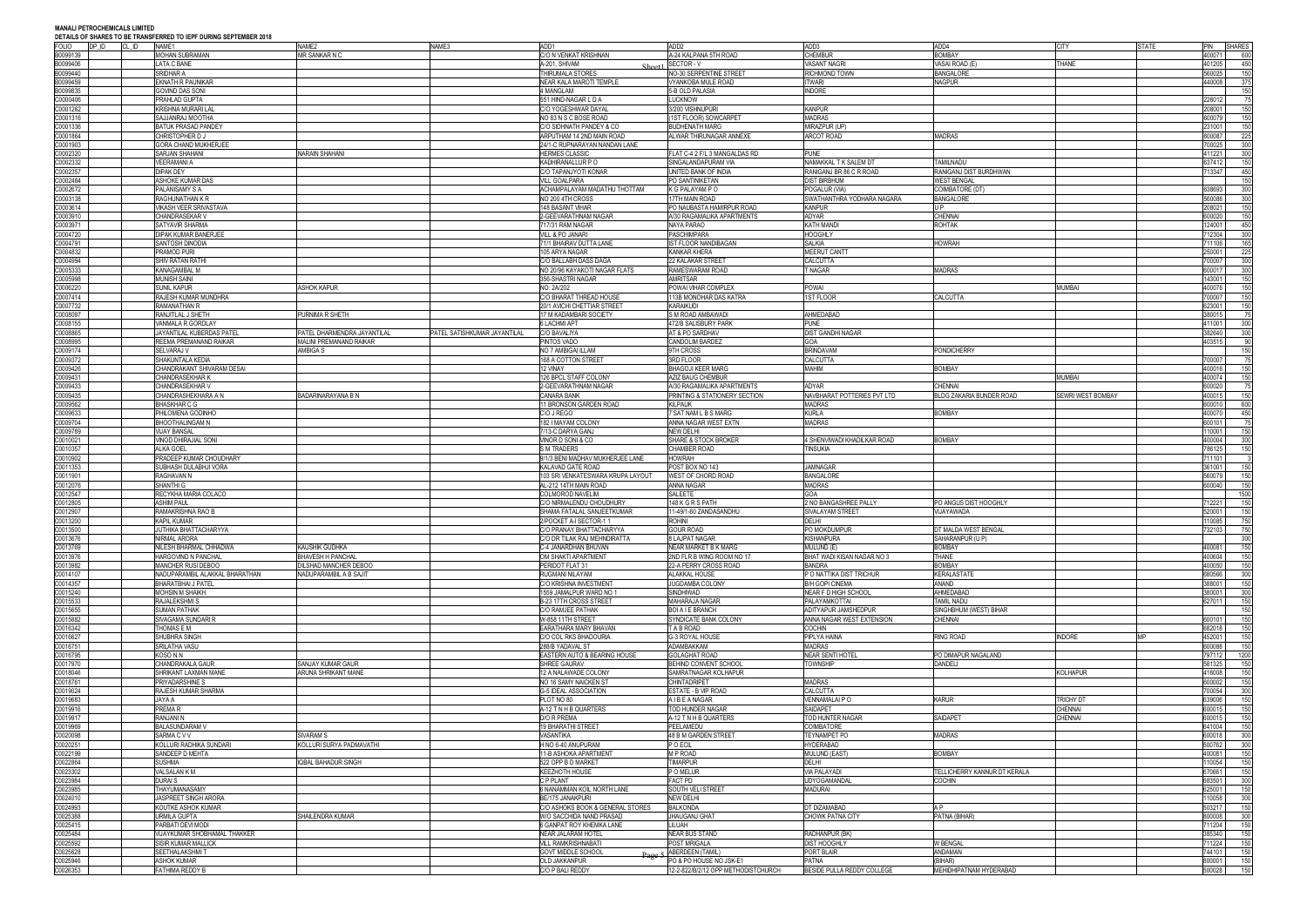| <b>FOLIO</b>         | DP ID<br>CL ID | DETAILS OF SHAKES TO BE TRANSFERRED TO IEFT DORING SEFTEMBER 2010<br>NAME1 | NAME <sub>2</sub>              | NAME3                        | ADD1                                     | ADD <sub>2</sub>                                               | ADD3                                | ADD4                              | <b>CITY</b>       | <b>STATE</b> | PIN              | <b>SHARES</b>     |
|----------------------|----------------|----------------------------------------------------------------------------|--------------------------------|------------------------------|------------------------------------------|----------------------------------------------------------------|-------------------------------------|-----------------------------------|-------------------|--------------|------------------|-------------------|
|                      |                |                                                                            |                                |                              |                                          |                                                                |                                     |                                   |                   |              |                  |                   |
| B0099139             |                | <b>MOHAN SUBRAMAN</b>                                                      | MR SANKAR N C                  |                              | C/O N VENKAT KRISHNAN                    | A-24 KALPANA 5TH ROAD                                          | <b>CHEMBUR</b>                      | <b>BOMBAY</b>                     |                   |              | 400071           | 600               |
| B0099406             |                | LATA C BANE                                                                |                                |                              | A-201. SHIVAM                            | SECTOR-V                                                       | <b>VASANT NAGRI</b>                 | <b>JASAI ROAD (E)</b>             | THANE             |              | 401205           | 450               |
| B0099440             |                | SRIDHAR A                                                                  |                                |                              | THIRUMALA STORES                         | NO-30 SERPENTINE STREET                                        | <b>RICHMOND TOWN</b>                | <b>BANGALORE</b>                  |                   |              | 560025           | 150               |
| B0099459             |                | <b>EKNATH R PAUNIKAR</b>                                                   |                                |                              | NEAR KALA MAROTI TEMPLE                  | VYANKOBA MULE ROAD                                             | <b>ITWARI</b>                       | NAGPUR                            |                   |              | 440008           | 375               |
| B0099835             |                | <b>GOVIND DAS SONI</b>                                                     |                                |                              | 4 MANGLAM                                | 5-B OLD PALASIA                                                | <b>INDORE</b>                       |                                   |                   |              |                  | 150               |
| C0000406             |                | PRAHLAD GUPTA                                                              |                                |                              | 551 HIND-NAGAR L D A                     | <b>LUCKNOW</b>                                                 |                                     |                                   |                   |              | 226012           | 75                |
| C0001262             |                | KRISHNA MURARI LAL                                                         |                                |                              | C/O YOGESHWAR DAYAL                      | 3/200 VISHNUPURI                                               | <b>KANPUR</b>                       |                                   |                   |              | 208001           | 150               |
|                      |                |                                                                            |                                |                              |                                          |                                                                |                                     |                                   |                   |              |                  |                   |
| C0001316             |                | SAJJANRAJ MOOTHA                                                           |                                |                              | NO 83 N S C BOSE ROAD                    | (1ST FLOOR) SOWCARPET                                          | <b>MADRAS</b>                       |                                   |                   |              | 600079           | 150               |
| C0001336             |                | BATUK PRASAD PANDEY                                                        |                                |                              | C/O SIDHNATH PANDEY & CO                 | <b>BUDHENATH MARG</b>                                          | <b>MIRAZPUR (UP</b>                 |                                   |                   |              | 231001           | 150               |
| C0001864             |                | CHRISTOPHER D J                                                            |                                |                              | ARPUTHAM 14 2ND MAIN ROAD                | ALWAR THIRUNAGAR ANNEXE                                        | <b>ARCOT ROAD</b>                   | <b>MADRAS</b>                     |                   |              | 600087           | 225               |
| C0001903             |                | GORA CHAND MUKHERJEE                                                       |                                |                              | 24/1-C RUPNARAYAN NANDAN LANE            |                                                                |                                     |                                   |                   |              | 700025           | 300               |
| 0002320              |                | SARJAN SHAHANI                                                             | NARAIN SHAHANI                 |                              | <b>HERMES CLASSIC</b>                    | FLAT C-4 2 F/L 3 MANGALDAS RD                                  | <b>PUNE</b>                         |                                   |                   |              | 111221           | 300               |
| 0002332              |                | <b>VEERAMANI A</b>                                                         |                                |                              |                                          | SINGALANDAPURAM VIA                                            | NAMAKKAL T K SALEM DT               | TAMILNADU                         |                   |              | 637412           | 150               |
|                      |                |                                                                            |                                |                              | KADHIRANALLUR P O                        |                                                                |                                     |                                   |                   |              |                  |                   |
| 0002357              |                | <b>DIPAK DEY</b>                                                           |                                |                              | C/O TAPANJYOTI KONAR                     | UNITED BANK OF INDIA                                           | RANIGANJ BR 86 C R ROAD             | RANIGANJ DIST BURDHWAN            |                   |              | 713347           | 450               |
| C0002484             |                | ASHOKE KUMAR DAS                                                           |                                |                              | VILL GOALPARA                            | PO SANTINIKETAN                                                | <b>DIST BIRBHUM</b>                 | <b>WEST BENGAL</b>                |                   |              |                  | 150               |
| 0002672              |                | PALANISAMY S A                                                             |                                |                              | ACHAMPALAYAM MADATHU THOTTAM             | K G PALAYAM P O                                                | POGALUR (VIA)                       | COIMBATORE (DT                    |                   |              | 38693            | 300               |
| C0003138             |                | RAGHUNATHAN K R                                                            |                                |                              | NO 200 4TH CROSS                         | 17TH MAIN ROAD                                                 | SWATHANTHRA YODHARA NAGARA          | <b>BANGALORE</b>                  |                   |              | 560086           | 300               |
| C0003614             |                | <b>VIKASH VEER SRIVASTAVA</b>                                              |                                |                              | 148 BASANT VIHAR                         | PO NAUBASTA HAMIRPUR ROAD                                      | <b>KANPUR</b>                       |                                   |                   |              | 208021           | 150               |
| 0003910              |                | CHANDRASEKAR V                                                             |                                |                              | 2-GEEVARATHNAM NAGAR                     | A/30 RAGAMALIKA APARTMENTS                                     | ADYAR                               | CHENNAI                           |                   |              | 600020           | 150               |
|                      |                |                                                                            |                                |                              |                                          |                                                                |                                     |                                   |                   |              |                  |                   |
| C0003971             |                | SATYAVIR SHARMA                                                            |                                |                              | 717/31 RAM NAGAR                         | NAYA PARAO                                                     | <b>KATH MAND</b>                    | <b>ROHTAK</b>                     |                   |              | 124001           | 450               |
| C0004720             |                | DIPAK KUMAR BANERJEE                                                       |                                |                              | VILL & PO JANARI                         | <b>PASCHIMPARA</b>                                             | <b>HOOGHLY</b>                      |                                   |                   |              | 712304           | 300               |
| C0004791             |                | <b>SANTOSH DINODIA</b>                                                     |                                |                              | 71/1 BHAIRAV DUTTA LANE                  | <b>IST FLOOR NANDIBAGAN</b>                                    | <b>SALKIA</b>                       | <b>HOWRAH</b>                     |                   |              | 711106           | 165               |
| 0004832              |                | PRAMOD PURI                                                                |                                |                              | 105 ARYA NAGAR                           | <b>KANKAR KHERA</b>                                            | <b>MEERUT CANTT</b>                 |                                   |                   |              | 250001           | 225               |
| C0004994             |                | <b>SHIV RATAN RATH</b>                                                     |                                |                              | C/O BALLABH DASS DAGA                    | 22 KALAKAR STREET                                              | CALCUTTA                            |                                   |                   |              | 700007           | 300               |
| C0005333             |                | KANAGAMBAL M                                                               |                                |                              | NO 20/96 KAYAKOTI NAGAR FLATS            | RAMESWARAM ROAD                                                | <b>T NAGAR</b>                      | <b>MADRAS</b>                     |                   |              | 600017           | 300               |
|                      |                |                                                                            |                                |                              |                                          |                                                                |                                     |                                   |                   |              |                  |                   |
| C0005998             |                | MUNISH SAINI                                                               |                                |                              | 356-SHASTRI NAGAR                        | <b>AMRITSAR</b>                                                |                                     |                                   |                   |              | 143001           | 150               |
| C0006220             |                | SUNIL KAPUR                                                                | <b>ASHOK KAPUR</b>             |                              | NO: 2A/202                               | POWAI VIHAR COMPLEX                                            | POWAI                               |                                   | <b>MUMBAI</b>     |              | 400076           | 150               |
| C0007414             |                | RAJESH KUMAR MUNDHRA                                                       |                                |                              | C/O BHARAT THREAD HOUSE                  | 113B MONOHAR DAS KATRA                                         | 1ST FLOOR                           | CALCUTTA                          |                   |              | 700007           | 150               |
| C0007732             |                | RAMANATHAN R                                                               |                                |                              | 20/1 AVICHI CHETTIAR STREET              | <b>KARAIKUDI</b>                                               |                                     |                                   |                   |              | 623001           | 150               |
| C0008097             |                | RANJITLAL J SHETH                                                          | PURNIMA R SHETH                |                              | 17 M KADAMBARI SOCIETY                   | S M ROAD AMBAWADI                                              | AHMEDABAD                           |                                   |                   |              | 380015           | - 75              |
| C0008155             |                | VANMALA R GORDLAY                                                          |                                |                              | <b>6 LACHMI APT</b>                      | 472/B SALISBURY PARK                                           | <b>PUNE</b>                         |                                   |                   |              | 411001           | 300               |
|                      |                |                                                                            |                                |                              |                                          |                                                                |                                     |                                   |                   |              |                  |                   |
| 0008865              |                | JAYANTILAL KUBERDAS PATEL                                                  | PATEL DHARMENDRA JAYANTILAL    | PATEL SATISHKUMAR JAYANTILAL | C/O BAVALIYA                             | AT & PO SARDHAV                                                | <b>DIST GANDHI NAGAR</b>            |                                   |                   |              | 382640           | 300               |
| C0008995             |                | REEMA PREMANAND RAIKAR                                                     | <b>MALINI PREMANAND RAIKAR</b> |                              | PINTOS VADO                              | CANDOLIM BARDEZ                                                | GOA                                 |                                   |                   |              | 403515           | 90                |
| C0009174             |                | SELVARAJ V                                                                 | AMBIGA S                       |                              | NO 7 AMBIGAI ILLAM                       | 9TH CROSS                                                      | <b>BRINDAVAM</b>                    | PONDICHERRY                       |                   |              |                  | 150               |
| C0009372             |                | SHAKUNTALA KEDIA                                                           |                                |                              | 168 A COTTON STREET                      | 3RD FLOOR                                                      | CALCUTTA                            |                                   |                   |              | 700007           | 75                |
| C0009426             |                | CHANDRAKANT SHIVARAM DESAI                                                 |                                |                              | 12 VINAY                                 | BHAGOJI KEER MARG                                              | <b>MAHIM</b>                        | <b>BOMBAY</b>                     |                   |              | 400016           | 150               |
| C0009431             |                | <b>CHANDRASEKHAR K</b>                                                     |                                |                              | 126 BPCL STAFF COLONY                    | AZIZ BAUG CHEMBUR                                              |                                     |                                   | MUMBAI            |              | 400074           | 150               |
|                      |                |                                                                            |                                |                              |                                          |                                                                |                                     |                                   |                   |              |                  | 75                |
| 0009433              |                | CHANDRASEKHAR V                                                            |                                |                              | 2-GEEVARATHNAM NAGAR                     | A/30 RAGAMALIKA APARTMENTS                                     | <b>ADYAR</b>                        | <b>CHENNAI</b>                    |                   |              | 600020           |                   |
| 0009435              |                | CHANDRASHEKHARA A N                                                        | BADARINARAYANA B N             |                              | <b>CANARA BANK</b>                       | PRINTING & STATIONERY SECTION                                  | NAVBHARAT POTTERIES PVT LTD         | BLDG ZAKARIA BUNDER ROAD          | SEWRI WEST BOMBAY |              | 400015           | 150               |
| C0009562             |                | BHASKHAR C G                                                               |                                |                              | 11 BRONSON GARDEN ROAD                   | <b>KILPAUK</b>                                                 | <b>MADRAS</b>                       |                                   |                   |              | 600010           | 600               |
| 0009633              |                | PHILOMENA GODINHO                                                          |                                |                              | CIO J REGO                               | 7 SAT NAM L B S MARG                                           | <b>KURLA</b>                        | BOMBAY                            |                   |              | 400070           | 450               |
| C0009704             |                | BHOOTHALINGAM N                                                            |                                |                              | 182 I MAYAM COLONY                       | ANNA NAGAR WEST EXTN                                           | <b>MADRAS</b>                       |                                   |                   |              | 600101           | 75                |
| C0009789             |                | <b>VIJAY BANSAL</b>                                                        |                                |                              | 7/13-C DARYA GANJ                        | <b>NEW DELHI</b>                                               |                                     |                                   |                   |              | 110001           | 150               |
| 0010021              |                |                                                                            |                                |                              | VINOR D SONI & CO                        | SHARE & STOCK BROKER                                           | 4 SHENVIWADI KHADILKAR ROAD         | OMBAY                             |                   |              | 400004           | 300               |
|                      |                | VINOD DHIRAJIAL SONI                                                       |                                |                              |                                          |                                                                |                                     |                                   |                   |              |                  |                   |
| C0010357             |                | ALKA GOEL                                                                  |                                |                              | S M TRADERS                              | <b>CHAMBER ROAD</b>                                            | <b>TINSUKIA</b>                     |                                   |                   |              | 786125           | 150               |
| C0010902             |                | PRADEEP KUMAR CHOUDHARY                                                    |                                |                              | 9/1/3 BENI MADHAV MUKHERJEE LANE         | <b>HOWRAH</b>                                                  |                                     |                                   |                   |              | 711101           |                   |
| C0011353             |                | SUBHASH DULABHJI VORA                                                      |                                |                              | KALAVAD GATE ROAD                        | POST BOX NO 143                                                | <b>JAMNAGAR</b>                     |                                   |                   |              | 361001           | 150               |
| C0011901             |                | RAGHAVAN N                                                                 |                                |                              | 103 SRI VENKATESWARA KRUPA LAYOUT        | WEST OF CHORD ROAD                                             | <b>BANGALORE</b>                    |                                   |                   |              | 560079           | 150               |
| C0012076             |                | SHANTHI G                                                                  |                                |                              | AL-212 14TH MAIN ROAD                    | <b>ANNA NAGAR</b>                                              | <b>MADRAS</b>                       |                                   |                   |              | 600040           | 150               |
|                      |                |                                                                            |                                |                              |                                          |                                                                | GOA                                 |                                   |                   |              |                  |                   |
| C0012547             |                | RECYKHA MARIA COLACO                                                       |                                |                              | COLMOROD NAVELIM                         | SALEETE                                                        |                                     |                                   |                   |              |                  | 1500              |
| C0012805             |                | ASHIM PAUL                                                                 |                                |                              | C/O NIRMALENDU CHOUDHURY                 | 148 K G R S PATH                                               | 2 NO BANGASHREE PALLY               | PO ANGUS DIST HOOGHLY             |                   |              | 12221            | 150               |
| 0012907              |                | RAMAKRISHNA RAO B                                                          |                                |                              | SHAMA FATALAL SANJEETKUMAR               | 11-49/1-60 ZANDASANDHU                                         | <b>SIVALAYAM STREET</b>             | <b>JIJAYAWADA</b>                 |                   |              | 520001           | 150               |
| C0013200             |                | KAPIL KUMAR                                                                |                                |                              | 2/POCKET A-I SECTOR-1 1                  | ROHINI                                                         | <b>DELHI</b>                        |                                   |                   |              | 110085           | 750               |
| C0013500             |                | JUTHIKA BHATTACHARYYA                                                      |                                |                              | C/O PRANAY BHATTACHARYYA                 | GOUR ROAD                                                      | PO MOKDUMPUR                        | DT MAI DA WEST BENGAL             |                   |              | 732103           | 750               |
| C0013676             |                | NIRMAL ARORA                                                               |                                |                              | C/O DR TILAK RAJ MEHNDIRATTA             | 8 LAJPAT NAGAR                                                 | <b>KISHANPURA</b>                   | SAHARANPUR (U P)                  |                   |              |                  | 300               |
| C0013769             |                | NILESH BHARMAL CHHADWA                                                     | KAUSHIK GUDHKA                 |                              | C-4 JANARDHAN BHUVAN                     | <b>NEAR MARKET B K MARG</b>                                    | MULUND (E)                          | <b>BOMBAY</b>                     |                   |              | 400081           | 150               |
|                      |                |                                                                            |                                |                              |                                          |                                                                |                                     |                                   |                   |              |                  |                   |
| C0013976             |                | <b>HARGOVIND N PANCHAL</b>                                                 | <b>BHAVESH H PANCHAL</b>       |                              | OM SHAKTI APARTMENT                      | 2ND FLR B WING ROOM NO 17                                      | BHAT WADI KISAN NAGAR NO 3          | THANE                             |                   |              | 400604           | 150               |
| C0013982             |                | <b>MANCHER RUSI DEBOO</b>                                                  | DILSHAD MANCHER DEBOO          |                              | PERIDOT FLAT 31                          | 22-A PERRY CROSS ROAD                                          | <b>BANDRA</b>                       | <b>BOMBAY</b>                     |                   |              | 400050           | 150               |
| C0014107             |                | NADUPARAMBIL ALAKKAL BHARATHAN                                             | NADUPARAMBIL A B SAJIT         |                              | RUGMANI NILAYAM                          | <b>ALAKKAL HOUSE</b>                                           | P O NATTIKA DIST TRICHUR            | <b>KERALASTATE</b>                |                   |              | 680566           | 300               |
| C0014357             |                | <b>BHARATBHAI J PATEL</b>                                                  |                                |                              | C/O KRISHNA INVESTMENT                   | JUGDAMBA COLONY                                                | <b>B/H GOPI CINEMA</b>              | ANAND                             |                   |              | 388001           | 150               |
| C0015240             |                | <b>MOHSIN M SHAIKH</b>                                                     |                                |                              | 1559 JAMALPUR WARD NO 1                  | <b>SINDHIWAD</b>                                               | NEAR F D HIGH SCHOOL                | AHMEDABAD                         |                   |              | 380001           | 300               |
| C0015533             |                | RAJALEKSHMI S                                                              |                                |                              | B-23 17TH CROSS STREET                   | MAHARAJA NAGAR                                                 | PALAYAMKOTTAI                       | TAMIL NADU                        |                   |              | 627011           | 150               |
| C0015655             |                | <b>SUMAN PATHAK</b>                                                        |                                |                              |                                          | <b>BOI A I E BRANCH</b>                                        | ADITYAPUR JAMSHEDPUR                |                                   |                   |              |                  | 150               |
|                      |                |                                                                            |                                |                              | C/O RAMJEE PATHAK                        |                                                                |                                     | SINGHBHUM (WEST) BIHAR            |                   |              |                  |                   |
| C0015882             |                | SIVAGAMA SUNDARI R                                                         |                                |                              | W-858 11TH STREET                        | SYNDICATE BANK COLONY                                          | ANNA NAGAR WEST EXTENSION           | <b>CHENNAI</b>                    |                   |              | 600101           | 150               |
| C0016342             |                | THOMAS E M                                                                 |                                |                              | EARATHARA MARY BHAVAN                    | T A B ROAD                                                     | <b>COCHIN</b>                       |                                   |                   |              | 682018           | 150               |
| C0016627             |                | SHUBHRA SINGH                                                              |                                |                              | C/O COL RKS BHADOURIA                    | G-3 ROYAL HOUSE                                                | PIPLYA HAINA                        | <b>RING ROAD</b>                  | <b>INDORE</b>     |              | 452001           | 150               |
| C0016751             |                | SRILATHA VASU                                                              |                                |                              | 288/B YADAVAL ST                         | ADAMBAKKAM                                                     | <b>MADRAS</b>                       |                                   |                   |              | 600088           | 150               |
| C0016795             |                | KOSO N N                                                                   |                                |                              | EASTERN AUTO & BEARING HOUSE             | <b>GOLAGHAT ROAD</b>                                           | <b>NEAR SENTI HOTEL</b>             | PO DIMAPUR NAGALAND               |                   |              | 797112           | 1200              |
| C0017970             |                | CHANDRAKALA GAUR                                                           | SANJAY KUMAR GAUR              |                              | SHREE GAURAV                             | <b>BEHIND CONVENT SCHOOL</b>                                   | <b>TOWNSHIP</b>                     | <b>DANDELI</b>                    |                   |              | 581325           | 150               |
| C0018046             |                | SHRIKANT LAXMAN MANE                                                       | ARUNA SHRIKANT MANE            |                              | 12 A NALAWADE COLONY                     | SAMRATNAGAR KOLHAPUR                                           |                                     |                                   | KOLHAPUR          |              | 116008           | 150               |
| C0018761             |                | PRIYADARSHINE S                                                            |                                |                              | NO 16 SAMY NAICKEN ST                    | <b>CHINTADRIPET</b>                                            | <b>MADRAS</b>                       |                                   |                   |              | 600002           | 150               |
|                      |                |                                                                            |                                |                              |                                          |                                                                |                                     |                                   |                   |              |                  |                   |
| C0019024             |                | RAJESH KUMAR SHARMA                                                        |                                |                              | G-5 IDEAL ASSOCIATION                    | ESTATE - B VIP ROAD                                            | CALCUTTA                            |                                   |                   |              | 700054           | 300               |
| C0019683             |                | JAYA A                                                                     |                                |                              | PLOT NO 80                               | A I B E A NAGAR                                                | <b>VENNAMALAI P O</b>               | <b>KARUR</b>                      | <b>TRICHY DT</b>  |              | 639006           | 150               |
| C0019916             |                | PREMA <sub>R</sub>                                                         |                                |                              | A-12 TN H B QUARTERS                     | TOD HUNDER NAGAR                                               | <b>SAIDAPET</b>                     |                                   | <b>CHENNAI</b>    |              | 600015           | 150               |
| C0019917             |                | RANJANI N                                                                  |                                |                              | D/O R PREMA                              | A-12 T N H B QUARTERS                                          | TOD HUNTER NAGAR                    | <b>SAIDAPET</b>                   | <b>CHENNAI</b>    |              | 600015           | 150               |
| C0019969             |                | <b>BALASUNDARAM V</b>                                                      |                                |                              | 19 BHARATHI STREET                       | PEELAMEDU                                                      | <b>COIMBATORE</b>                   |                                   |                   |              | 641004           | 150               |
| C0020098             |                | SARMA C V V                                                                | SIVARAM S                      |                              | VASANTIKA                                | 48 B M GARDEN STREET                                           | <b>TEYNAMPET PO</b>                 | <b>MADRAS</b>                     |                   |              | 600018           | 300               |
|                      |                |                                                                            |                                |                              |                                          |                                                                |                                     |                                   |                   |              |                  |                   |
| C0020251             |                | KOLLURI RADHIKA SUNDARI                                                    | KOLLURI SURYA PADMAVATHI       |                              | H NO 6-40 ANUPURAM                       | P O ECIL                                                       | <b>HYDERABAD</b>                    |                                   |                   |              | 500762           | 300               |
| C0022199             |                | SANDEEP D MEHTA                                                            |                                |                              | 11-B ASHOKA APARTMENT                    | M P ROAD                                                       | <b>MULUND (EAST)</b>                | <b>BOMBAY</b>                     |                   |              | 400081           | 150               |
| C0022864             |                | SUSHMA                                                                     | <b>IQBAL BAHADUR SINGH</b>     |                              | 522 OPP B D MARKET                       | <b>TIMARPUR</b>                                                | DELHI                               |                                   |                   |              | 110054           | 150               |
| 00023302             |                | VALSALAN K M                                                               |                                |                              | KEEZHOTH HOUSE                           | P O MELUR                                                      | <b>VIA PALAYADI</b>                 | TELLICHERRY KANNUR DT KERALA      |                   |              | 670661           | 150               |
| C0023984             |                | <b>DURAIS</b>                                                              |                                |                              | C P PLANT                                | <b>FACT PD</b>                                                 | <b>UDYOGAMANDAL</b>                 | <b>COCHIN</b>                     |                   |              | 683501           | 300               |
| 00023985             |                | THAYUMANASAMY                                                              |                                |                              | 6 NANAMMAN KOIL NORTH LANE               | SOUTH VELI STREET                                              | <b>MADURAI</b>                      |                                   |                   |              | 625001           | 150               |
|                      |                |                                                                            |                                |                              |                                          |                                                                |                                     |                                   |                   |              |                  |                   |
| C0024010             |                | JASPREET SINGH ARORA                                                       |                                |                              | <b>BE/175 JANAKPURI</b>                  | <b>NEW DELHI</b>                                               |                                     |                                   |                   |              | 10058            | 300               |
| C0024993             |                | KOUTKE ASHOK KUMAR                                                         |                                |                              | C/O ASHOKS BOOK & GENERAL STORES         | <b>BALKONDA</b>                                                | DT DIZAMABAD                        |                                   |                   |              | 503217           | 150               |
| 00025388             |                | <b>URMILA GUPTA</b>                                                        | SHAILENDRA KUMAR               |                              | W/O SACCHIDA NAND PRASAD                 | JHAUGANJ GHAT                                                  | <b>CHOWK PATNA CITY</b>             | PATNA (BIHAR)                     |                   |              | 800008           | 300               |
| C0025415             |                | PARBATI DEVI MODI                                                          |                                |                              | 6 GANPAT ROY KHEMKA LANE                 | LILUAH                                                         |                                     |                                   |                   |              | 11204            | 150               |
| 00025484             |                | VIJAYKUMAR SHOBHAMAL THAKKER                                               |                                |                              | NEAR JALARAM HOTEL                       | <b>NEAR BUS STAND</b>                                          | RADHANPUR (BK)                      |                                   |                   |              | 385340           | 150               |
|                      |                |                                                                            |                                |                              |                                          |                                                                |                                     |                                   |                   |              | 711224           | 150               |
|                      |                |                                                                            |                                |                              |                                          |                                                                |                                     |                                   |                   |              |                  |                   |
| C0025592             |                | <b>SISIR KUMAR MALLICK</b>                                                 |                                |                              | <b>VILL RAMKRISHNABAT</b>                | POST MRIGALA                                                   | <b>DIST HOOGHLY</b>                 | W BENGAL                          |                   |              |                  |                   |
| 00025628             |                | SEETHALAKSHMIT                                                             |                                |                              | <b>GOVT MIDDLE SCHOOL</b><br>DaoA        | <b>ABERDEEN (TAMIL)</b>                                        | PORT BLAIR                          | ANDAMAN                           |                   |              | 744101           |                   |
| 00025946<br>00026353 |                | ASHOK KUMAR<br>FATHIMA REDDY B                                             |                                |                              | <b>OLD JAKKANPUR</b><br>C/O P BALI REDDY | PO & PO HOUSE NO JSK-E1<br>12-2-822/B/2/12 OPP METHODISTCHURCH | PATNA<br>BESIDE PULLA REDDY COLLEGE | BIHAR)<br>MEHIDHIPATNAM HYDERABAD |                   |              | 800001<br>500028 | 150<br>150<br>150 |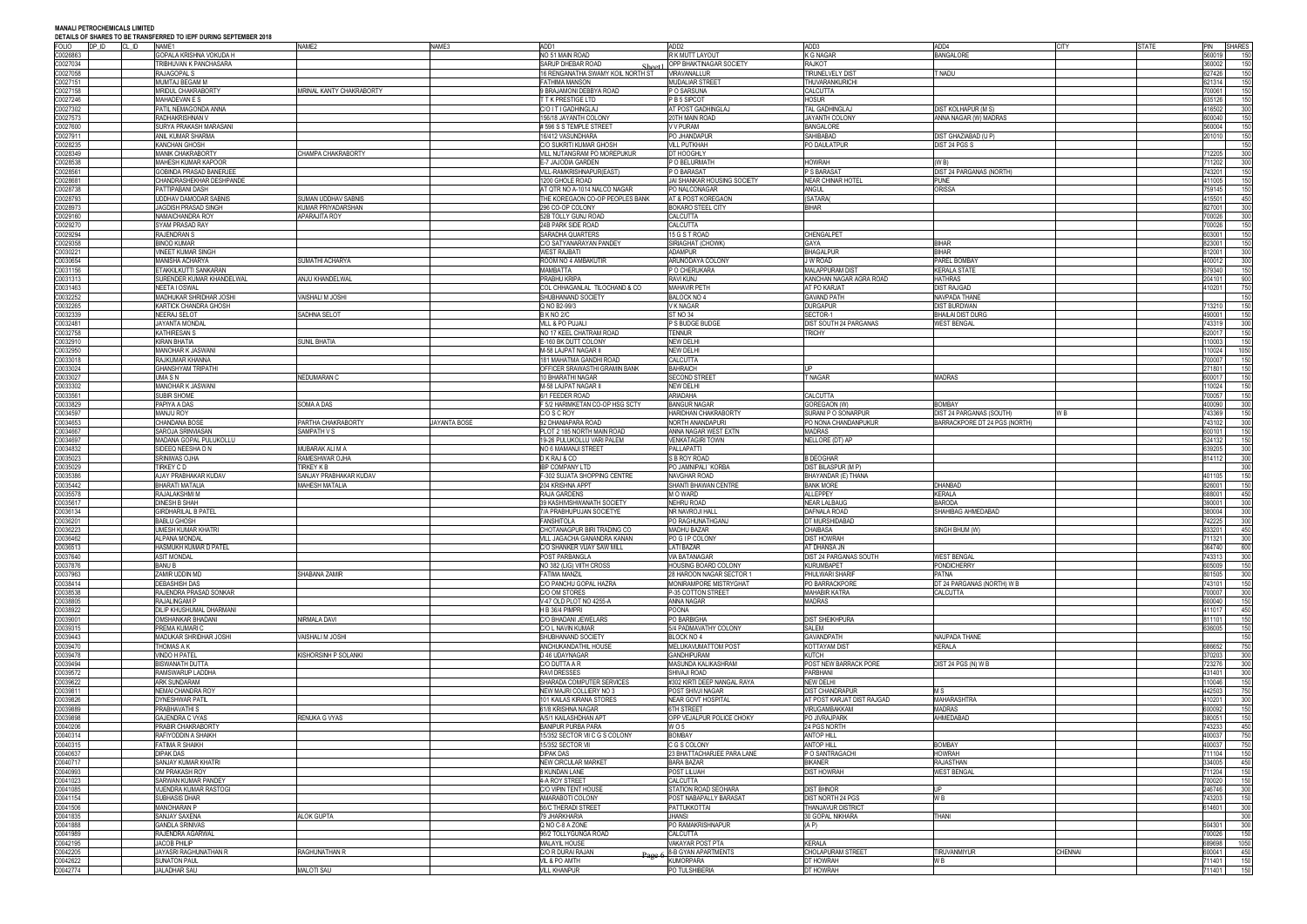**MANALI PETROCHEMICALS LIMITED DEN TO IEDE NURING SERTEMBER 2019** 

|          |                | DETAILS OF SHAKES TO BE TRANSFERRED TO IEPF DURING SEPTEMBER 2010 |                          |                     |                                   |                             |                            |                                 |             |              |        |               |
|----------|----------------|-------------------------------------------------------------------|--------------------------|---------------------|-----------------------------------|-----------------------------|----------------------------|---------------------------------|-------------|--------------|--------|---------------|
| FOLIO    | DP ID<br>CL ID | NAME1                                                             | NAME2                    | NAME3               | ADD1                              | ADD <sub>2</sub>            | ADD3                       | ADD4                            | <b>CITY</b> | <b>STATE</b> | PIN    | <b>SHARES</b> |
| C0026863 |                | GOPALA KRISHNA VOKUDA H                                           |                          |                     | NO 51 MAIN ROAD                   | R K MUTT LAYOUT             | <b>K G NAGAR</b>           | <b>BANGALORE</b>                |             |              | 560019 | 150           |
| C0027034 |                | TRIBHUVAN K PANCHASARA                                            |                          |                     | SARUP DHEBAR ROAD                 | OPP BHAKTINAGAR SOCIETY     | <b>RAJKOT</b>              |                                 |             |              | 360002 | 150           |
| 0027058  |                | RAJAGOPAL S                                                       |                          |                     | 16 RENGANATHA SWAMY KOIL NORTH ST | VIRAVANALLUR                | <b>TIRUNELVELY DIST</b>    | t nadu                          |             |              | 627426 | 150           |
| 00027151 |                | MUMTAJ BEGAM M                                                    |                          |                     | <b>FATHIMA MANSON</b>             | <b>MUDALIAR STREET</b>      | THUVARANKURICHI            |                                 |             |              | 621314 | 150           |
| 00027158 |                | MRIDUL CHAKRABORTY                                                | MRINAL KANTY CHAKRABORTY |                     | 9 BRAJAMONI DEBBYA ROAD           | P O SARSUNA                 | <b>CALCUTTA</b>            |                                 |             |              | 700061 | 150           |
|          |                |                                                                   |                          |                     |                                   |                             |                            |                                 |             |              |        |               |
| 0027246  |                | MAHADEVAN E S                                                     |                          |                     | T T K PRESTIGE LTD                | P B 5 SIPCOT                | <b>HOSUR</b>               |                                 |             |              | 335126 | 150           |
| 00027302 |                | PATIL NEMAGONDA ANNA                                              |                          |                     | C/O I T I GADHINGLAJ              | AT POST GADHINGLAJ          | TAL GADHINGLAJ             | <b>DIST KOLHAPUR (M S)</b>      |             |              | 116502 | 300           |
| C0027573 |                | RADHAKRISHNAN V                                                   |                          |                     | 156/18 JAYANTH COLONY             | 20TH MAIN ROAD              | JAYANTH COLONY             | ANNA NAGAR (W) MADRAS           |             |              | 600040 | 150           |
| 0027600  |                | SURYA PRAKASH MARASANI                                            |                          |                     | # 596 S S TEMPLE STREET           | V V PURAM                   | <b>BANGALORE</b>           |                                 |             |              | 560004 | 150           |
| 00027911 |                | ANIL KUMAR SHARMA                                                 |                          |                     | 16/412 VASUNDHARA                 | PO JHANDAPUI                | SAHIBABAD                  | DIST GHAZIABAD (U P)            |             |              | 201010 | 150           |
|          |                |                                                                   |                          |                     |                                   |                             |                            |                                 |             |              |        |               |
| C0028235 |                | <b>KANCHAN GHOSH</b>                                              |                          |                     | C/O SUKRITI KUMAR GHOSH           | <b>VILL PUTKHAH</b>         | PO DAULATPUR               | DIST 24 PGS S                   |             |              |        | 150           |
| C0028349 |                | <b>MANIK CHAKRABORTY</b>                                          | CHAMPA CHAKRABORTY       |                     | VILL NUTANGRAM PO MOREPUKUR       | DT HOOGHLY                  |                            |                                 |             |              | 712205 | 300           |
| 0028538  |                | MAHESH KUMAR KAPOOR                                               |                          |                     | E-7 JAJODIA GARDEN                | O BELURMATH                 | <b>HOWRAH</b>              | (W B)                           |             |              | 11202  | 300           |
| 0028561  |                | <b>GOBINDA PRASAD BANERJEE</b>                                    |                          |                     | VILL-RAMKRISHNAPUR(EAST)          | P O BARASAT                 | P S BARASAT                | DIST 24 PARGANAS (NORTH)        |             |              | 743201 | 150           |
| 0028681  |                | CHANDRASHEKHAR DESHPANDE                                          |                          |                     | 1200 GHOLE ROAD                   | JAI SHANKAR HOUSING SOCIETY | <b>NEAR CHINAR HOTEL</b>   | <b>PUNE</b>                     |             |              | 411005 | 150           |
|          |                |                                                                   |                          |                     |                                   |                             |                            |                                 |             |              |        |               |
| 0028738  |                | PATTIPABANI DASH                                                  |                          |                     | AT QTR NO A-1014 NALCO NAGAR      | PO NALCONAGAR               | <b>ANGUL</b>               | ORISSA                          |             |              | 759145 | 150           |
| 0028793  |                | UDDHAV DAMODAR SABNIS                                             | SUMAN UDDHAV SABNIS      |                     | THE KOREGAON CO-OP PEOPLES BANK   | AT & POST KOREGAON          | (SATARA)                   |                                 |             |              | 415501 | 450           |
| 0028973  |                | JAGDISH PRASAD SINGH                                              | KUMAR PRIYADARSHAN       |                     | 296 CO-OP COLONY                  | <b>BOKARO STEEL CITY</b>    | <b>BIHAR</b>               |                                 |             |              | 827001 | 300           |
| 00029160 |                | NAMAICHANDRA ROY                                                  | APARAJITA ROY            |                     | 52B TOLLY GUNJ ROAD               | CALCUTTA                    |                            |                                 |             |              | 700026 | 300           |
|          |                |                                                                   |                          |                     |                                   |                             |                            |                                 |             |              |        |               |
| 0029270  |                | SYAM PRASAD RAY                                                   |                          |                     | 24B PARK SIDE ROAD                | CALCUTTA                    |                            |                                 |             |              | 700026 | 150           |
| 0029294  |                | <b>RAJENDRAN S</b>                                                |                          |                     | SARADHA QUARTERS                  | 15 G S T ROAD               | <b>CHENGALPET</b>          |                                 |             |              | 603001 | 150           |
| 0029358  |                | <b>BINOD KUMAR</b>                                                |                          |                     | C/O SATYANARAYAN PANDEY           | SIRIAGHAT (CHOWK)           | GAYA                       | <b>BIHAR</b>                    |             |              | 823001 | 150           |
| 20030221 |                | VINEET KUMAR SINGH                                                |                          |                     | <b>WEST RAJBATI</b>               | <b>ADAMPUR</b>              | <b>BHAGALPUR</b>           | <b>BIHAR</b>                    |             |              | 812001 | 300           |
| 20030654 |                | <b>MANISHA ACHARYA</b>                                            | SUMATHI ACHARYA          |                     | ROOM NO 4 AMBAKUTIR               | ARUNODAYA COLONY            | <b>J W ROAD</b>            | PAREL BOMBAY                    |             |              | 400012 | 300           |
|          |                |                                                                   |                          |                     |                                   |                             |                            |                                 |             |              |        |               |
| C0031156 |                | ETAKKILKUTTI SANKARAN                                             |                          |                     | <b>MAMBATTA</b>                   | P O CHERUKARA               | <b>MALAPPURAM DIST</b>     | <b>KERALA STATE</b>             |             |              | 679340 | 150           |
| C0031313 |                | SURENDER KUMAR KHANDELWAL                                         | ANJU KHANDELWAL          |                     | PRABHU KRIPA                      | <b>RAVI KUNJ</b>            | KANCHAN NAGAR AGRA ROAD    | <b>HATHRAS</b>                  |             |              | 204101 | 900           |
| 00031463 |                | NEETA I OSWAL                                                     |                          |                     | COL CHHAGANLAL TILOCHAND & CO     | <b>MAHAVIR PETH</b>         | AT PO KARJAT               | <b>DIST RAJGAD</b>              |             |              | 110201 | 750           |
| 20032252 |                | MADHUKAR SHRIDHAR JOSHI                                           | VAISHALI M JOSH          |                     | SHUBHANAND SOCIETY                | BALOCK NO 4                 | <b>GAVAND PATH</b>         | NAVPADA THANE                   |             |              |        | 150           |
| 0032265  |                |                                                                   |                          |                     | Q NO B2-99/3                      | V K NAGAR                   | <b>DURGAPUR</b>            | <b>DIST BURDWAN</b>             |             |              | 713210 | 150           |
|          |                | KARTICK CHANDRA GHOSH                                             |                          |                     |                                   |                             |                            |                                 |             |              |        |               |
| 00032339 |                | <b>NEERAJ SELOT</b>                                               | SADHNA SELOT             |                     | <b>B K NO 2/C</b>                 | <b>ST NO 34</b>             | SECTOR-1                   | <b>BHAILAI DIST DURG</b>        |             |              | 490001 | 150           |
| 0032481  |                | JAYANTA MONDAL                                                    |                          |                     | VILL & PO PUJALI                  | P S BUDGE BUDGE             | DIST SOUTH 24 PARGANAS     | <b>NEST BENGAL</b>              |             |              | 743319 | 300           |
| 20032758 |                | <b>KATHIRESAN S</b>                                               |                          |                     | NO 17 KEEL CHATRAM ROAD           | <b>TENNUR</b>               | <b>TRICHY</b>              |                                 |             |              | 620017 | 150           |
| C0032910 |                | <b>KIRAN BHATIA</b>                                               | SUNIL BHATIA             |                     | E-160 BK DUTT COLONY              | <b>NEW DELH</b>             |                            |                                 |             |              | 110003 | 150           |
|          |                | <b>MANOHAR K JASWANI</b>                                          |                          |                     |                                   |                             |                            |                                 |             |              |        |               |
| 00032950 |                |                                                                   |                          |                     | M-58 LAJPAT NAGAR II              | <b>NEW DELHI</b>            |                            |                                 |             |              | 10024  | 1050          |
| 00033018 |                | RAJKUMAR KHANNA                                                   |                          |                     | 181 MAHATMA GANDHI ROAD           | CALCUTTA                    |                            |                                 |             |              | 700007 | 150           |
| 20033024 |                | <b>GHANSHYAM TRIPATH</b>                                          |                          |                     | OFFICER SRAWASTHI GRAMIN BANK     | <b>BAHRAICH</b>             | I ID                       |                                 |             |              | 271801 | 150           |
| 20033027 |                | UMA S N                                                           | NEDUMARAN C              |                     | 10 BHARATHI NAGAR                 | <b>SECOND STREET</b>        | <b>T NAGAR</b>             | <b>MADRAS</b>                   |             |              | 600017 | 150           |
| 0033302  |                | MANOHAR K JASWANI                                                 |                          |                     | M-58 LAJPAT NAGAR                 | <b>NEW DELHI</b>            |                            |                                 |             |              | 10024  |               |
|          |                |                                                                   |                          |                     |                                   |                             |                            |                                 |             |              |        | 150           |
| 20033561 |                | SUBIR SHOME                                                       |                          |                     | 6/1 FEEDER ROAD                   | <b>ARIADAHA</b>             | <b>CALCUTTA</b>            |                                 |             |              | 700057 | 150           |
| 00033829 |                | PAPIYA A DAS                                                      | SOMA A DAS               |                     | F 5/2 HARIMKETAN CO-OP HSG SCTY   | <b>BANGUR NAGAR</b>         | GOREGAON (W)               | <b>BOMBAY</b>                   |             |              | 400090 | 300           |
| 20034597 |                | <b>MANJU ROY</b>                                                  |                          |                     | C/O S C ROY                       | HARIDHAN CHAKRABORTY        | SURANI P O SONARPUR        | <b>DIST 24 PARGANAS (SOUTH)</b> | W B         |              | 743369 | 150           |
| 20034653 |                | CHANDANA BOSE                                                     | PARTHA CHAKRABORTY       | <b>JAYANTA BOSE</b> | 92 DHANIAPARA ROAD                | NORTH ANANDAPURI            | PO NONA CHANDANPUKUR       | BARRACKPORE DT 24 PGS (NORTH)   |             |              | 743102 | 300           |
|          |                |                                                                   |                          |                     |                                   |                             |                            |                                 |             |              |        |               |
| C0034667 |                | SAROJA SRINVIASAN                                                 | SAMPATH V S              |                     | PLOT 2 185 NORTH MAIN ROAD        | ANNA NAGAR WEST EXTN        | <b>MADRAS</b>              |                                 |             |              | 600101 | 150           |
| 20034697 |                | MADANA GOPAL PULUKOLLU                                            |                          |                     | 19-26 PULUKOLLU VARI PALEM        | <b>VENKATAGIRI TOWN</b>     | NELLORE (DT) AP            |                                 |             |              | 524132 | 150           |
| 20034832 |                | SIDEEQ NEESHA D N                                                 | MUBARAK ALI M A          |                     | NO 6 MAMANJI STREET               | <b>PALLAPATTI</b>           |                            |                                 |             |              | 39205  | 300           |
| C0035023 |                | <b>SRINIWAS OJHA</b>                                              | RAMESHWAR OJHA           |                     | D K RAJ & CO                      | S B ROY ROAD                | <b>B DEOGHAR</b>           |                                 |             |              | 814112 | 300           |
|          |                |                                                                   | TIRKEY K B               |                     |                                   |                             |                            |                                 |             |              |        |               |
| 20035029 |                | TIRKEY C D                                                        |                          |                     | <b>IBP COMPANY LTD</b>            | PO JAMNIPALI 'KORBA         | DIST BILASPUR (M P)        |                                 |             |              |        | 300           |
| C0035386 |                | AJAY PRABHAKAR KUDAV                                              | SANJAY PRABHAKAR KUDAV   |                     | F-302 SUJATA SHOPPING CENTRE      | <b>NAVGHAR ROAD</b>         | BHAYANDAR (E) THANA        |                                 |             |              | 401105 | 150           |
| 20035442 |                | <b>BHARATI MATALIA</b>                                            | <b>MAHESH MATALIA</b>    |                     | 204 KRISHNA APPT                  | SHANTI BHAWAN CENTRE        | <b>BANK MORE</b>           | <b>DHANBAD</b>                  |             |              | 826001 | 150           |
| 20035578 |                | RAJALAKSHMI M                                                     |                          |                     | RAJA GARDENS                      | <b>MO WARD</b>              | <b>ALLEPPEY</b>            | <b>KERALA</b>                   |             |              | 688001 | 450           |
| C0035617 |                | <b>DINESH B SHAH</b>                                              |                          |                     | 39 KASHIVISHWANATH SOCIETY        | <b>NEHRU ROAD</b>           | <b>NEAR LALBAUG</b>        | <b>BARODA</b>                   |             |              | 390001 | 300           |
|          |                |                                                                   |                          |                     |                                   |                             |                            |                                 |             |              |        |               |
| C0036134 |                | GIRDHARILAL B PATEL                                               |                          |                     | 7/A PRABHUPUJAN SOCIETYE          | NR NAVROJI HALL             | DAFNALA ROAD               | SHAHIBAG AHMEDABAD              |             |              | 380004 | 300           |
| C0036201 |                | BABLU GHOSH                                                       |                          |                     | FANSHITOLA                        | PO RAGHUNATHGANJ            | DT MURSHIDABAD             |                                 |             |              | 742225 | 300           |
| C0036223 |                | <b>UMESH KUMAR KHATRI</b>                                         |                          |                     | CHOTANAGPUR BIRI TRADING CO       | MADHU BAZAR                 | CHAIBASA                   | SINGH BHUM (W)                  |             |              | 333201 | 450           |
| C0036462 |                | ALPANA MONDAL                                                     |                          |                     | VILL JAGACHA GANANDRA KANAN       | PO G I P COLONY             | <b>DIST HOWRAH</b>         |                                 |             |              | 711321 | 300           |
|          |                |                                                                   |                          |                     |                                   |                             |                            |                                 |             |              |        |               |
| C0036513 |                | HASMUKH KUMAR D PATEL                                             |                          |                     | C/O SHANKER VIJAY SAW MILL        | <b>LATI BAZAR</b>           | AT DHANSA JN               |                                 |             |              | 364740 | 600           |
| C0037640 |                | <b>ASIT MONDAL</b>                                                |                          |                     | POST PARBANGLA                    | <b>VIA BATANAGAR</b>        | DIST 24 PARGANAS SOUTH     | <b>WEST BENGAL</b>              |             |              | 743313 | 300           |
| C0037876 |                | <b>BANU B</b>                                                     |                          |                     | NO 382 (LIG) VIITH CROSS          | HOUSING BOARD COLONY        | <b>KURUMBAPET</b>          | <b>PONDICHERRY</b>              |             |              | 605009 | 150           |
| C0037963 |                | ZAMIR UDDIN MD                                                    | SHABANA ZAMIR            |                     | <b>FATIMA MANZIL</b>              | 28 HAROON NAGAR SECTOR 1    | PHULWARI SHARIF            | PATNA                           |             |              | 801505 | 300           |
| C0038414 |                | <b>DEBASHISH DAS</b>                                              |                          |                     | C/O PANCHU GOPAL HAZRA            | MONIRAMPORE MISTRYGHAT      | PO BARRACKPORE             | DT 24 PARGANAS (NORTH) W B      |             |              | 743101 | 150           |
| C0038538 |                |                                                                   |                          |                     |                                   | P-35 COTTON STREET          |                            |                                 |             |              | 700007 |               |
|          |                | RAJENDRA PRASAD SONKAR                                            |                          |                     | C/O OM STORES                     |                             | <b>MAHABIR KATRA</b>       | CALCUTTA                        |             |              |        | 300           |
| C0038805 |                | RAJALINGAM P                                                      |                          |                     | V-47 OLD PLOT NO 4255-A           | <b>ANNA NAGAR</b>           | <b>MADRAS</b>              |                                 |             |              | 600040 | 150           |
| C0038922 |                | DILIP KHUSHUMAL DHARMANI                                          |                          |                     | H B 36/4 PIMPRI                   | POONA                       |                            |                                 |             |              | 111017 | 450           |
| C0039001 |                | OMSHANKAR BHADANI                                                 | NIRMALA DAVI             |                     | C/O BHADANI JEWELARS              | PO BARBIGHA                 | <b>DIST SHEIKHPURA</b>     |                                 |             |              | 811101 | 150           |
| C0039315 |                | PREMA KUMARI C                                                    |                          |                     | C/O L NAVIN KUMAR                 | 5/4 PADMAVATHY COLONY       | SALEM                      |                                 |             |              | 636005 | 150           |
| C0039443 |                | MADUKAR SHRIDHAR JOSHI                                            | VAISHALI M JOSHI         |                     |                                   | BLOCK NO 4                  | <b>GAVANDPATH</b>          | <b>NAUPADA THANE</b>            |             |              |        | 150           |
|          |                |                                                                   |                          |                     | SHUBHANAND SOCIETY                |                             |                            |                                 |             |              |        |               |
| C0039470 |                | THOMAS A K                                                        |                          |                     | ANCHUKANDATHIL HOUSE              | MELUKAVUMATTOM POST         | <b>KOTTAYAM DIST</b>       | <b>KERALA</b>                   |             |              | 686652 | 750           |
| C0039478 |                | <b>VINDO H PATEL</b>                                              | KISHORSINH P SOLANKI     |                     | D 46 UDAYNAGAR                    | <b>GANDHIPURAM</b>          | <b>KUTCH</b>               |                                 |             |              | 370203 | 300           |
| C0039494 |                | <b>BISWANATH DUTTA</b>                                            |                          |                     | C/O DUTTA A R                     | MASUNDA KALIKASHRAM         | POST NEW BARRACK PORE      | DIST 24 PGS (N) W B             |             |              | 723276 | 300           |
| C0039572 |                | RAMSWARUP LADDHA                                                  |                          |                     | <b>RAVI DRESSES</b>               | SHIVAJI ROAD                | PARBHANI                   |                                 |             |              | 431401 | 300           |
|          |                |                                                                   |                          |                     |                                   |                             |                            |                                 |             |              |        |               |
| C0039622 |                | <b>ARK SUNDARAM</b>                                               |                          |                     | SHARADA COMPUTER SERVICES         | #302 KIRTI DEEP NANGAL RAYA | <b>NEW DELHI</b>           |                                 |             |              | 10046  | 150           |
| C0039811 |                | <b>NEMAI CHANDRA ROY</b>                                          |                          |                     | NEW MAJRI COLLIERY NO 3           | POST SHIVJI NAGAR           | <b>DIST CHANDRAPUR</b>     | M S                             |             |              | 442503 | 750           |
| C0039826 |                | <b>DYNESHWAR PATIL</b>                                            |                          |                     | 101 KAILAS KIRANA STORES          | NEAR GOVT HOSPITAL          | AT POST KARJAT DIST RAJGAD | <b>MAHARASHTRA</b>              |             |              | 410201 | 300           |
| C0039889 |                | PRABHAVATHI S                                                     |                          |                     | 61/8 KRISHNA NAGAR                | 6TH STREET                  | VIRUGAMBAKKAM              | MADRAS                          |             |              | 600092 | 150           |
| C0039898 |                | GAJENDRA C VYAS                                                   | RENUKA G VYAS            |                     | A/5/1 KAILASHDHAN APT             | OPP VEJALPUR POLICE CHOKY   | PO JIVRAJPARK              | AHMEDABAD                       |             |              | 380051 | 150           |
|          |                |                                                                   |                          |                     |                                   |                             |                            |                                 |             |              |        |               |
| C0040206 |                | PRABIR CHAKRABORTY                                                |                          |                     | <b>BANIPUR PURBA PARA</b>         | W O 5                       | 24 PGS NORTH               |                                 |             |              | 743233 | 450           |
| C0040314 |                | RAFIYODDIN A SHAIKH                                               |                          |                     | 15/352 SECTOR VII C G S COLONY    | <b>BOMBAY</b>               | <b>ANTOP HILL</b>          |                                 |             |              | 400037 | 750           |
| 00040315 |                | <b>FATIMA R SHAIKH</b>                                            |                          |                     | 15/352 SECTOR VII                 | C G S COLONY                | <b>ANTOP HILL</b>          | <b>BOMBAY</b>                   |             |              | 400037 | 750           |
| C0040637 |                | <b>DIPAK DAS</b>                                                  |                          |                     | DIPAK DAS                         | 23 BHATTACHARJEE PARA LANE  | P O SANTRAGACHI            | <b>HOWRAH</b>                   |             |              | 711104 | 150           |
| C0040717 |                | SANJAY KUMAR KHATRI                                               |                          |                     | NEW CIRCULAR MARKET               | <b>BARA BAZAR</b>           | <b>BIKANER</b>             | <b>RAJASTHAN</b>                |             |              | 334005 | 450           |
|          |                |                                                                   |                          |                     |                                   |                             |                            |                                 |             |              |        |               |
| C0040993 |                | OM PRAKASH ROY                                                    |                          |                     | <b>8 KUNDAN LANE</b>              | POST LILUAH                 | <b>DIST HOWRAH</b>         | <b>WEST BENGAL</b>              |             |              | 11204  | 150           |
| 00041023 |                | SARWAN KUMAR PANDEY                                               |                          |                     | 4-A ROY STREET                    | CALCUTTA                    |                            |                                 |             |              | 700020 | 150           |
| C0041085 |                | <b>VIJENDRA KUMAR RASTOG</b>                                      |                          |                     | C/O VIPIN TENT HOUSE              | STATION ROAD SEOHARA        | <b>DIST BHNOR</b>          |                                 |             |              | 246746 | 300           |
| C0041154 |                | SUBHASIS DHAR                                                     |                          |                     | AMARABOTI COLONY                  | POST NABAPALLY BARASAT      | DIST NORTH 24 PGS          | W B                             |             |              | 743203 | 150           |
| C0041506 |                |                                                                   |                          |                     |                                   |                             |                            |                                 |             |              | 614601 |               |
|          |                | <b>MANOHARAN P</b>                                                |                          |                     | 56/C THERADI STREET               | PATTUKKOTTAI                | <b>THANJAVUR DISTRICT</b>  |                                 |             |              |        | 300           |
| C0041835 |                | SANJAY SAXENA                                                     | <b>ALOK GUPTA</b>        |                     | 79 JHARKHARIA                     | <b>JHANSI</b>               | 30 GOPAL NIKHARA           | Thani                           |             |              |        | 300           |
| C0041888 |                | <b>GANDLA SRINIVAS</b>                                            |                          |                     | Q NO C-8 A ZONE                   | PO RAMAKRISHNAPUR           | (A P)                      |                                 |             |              | 504301 | 300           |
| C0041989 |                | RAJENDRA AGARWAL                                                  |                          |                     | 96/2 TOLLYGUNGA ROAD              | CALCUTTA                    |                            |                                 |             |              | 700026 | 150           |
| C0042195 |                | JACOB PHILIP                                                      |                          |                     | MALAYIL HOUSE                     | VAKAYAR POST PTA            | <b>KERALA</b>              |                                 |             |              | 689698 | 1050          |
|          |                |                                                                   |                          |                     |                                   |                             |                            |                                 |             |              |        |               |
| 00042205 |                | JAYASRI RAGHUNATHAN R                                             | RAGHUNATHAN R            |                     | C/O R DURAI RAJAN                 | <b>8-B GYAN APARTMENTS</b>  | <b>CHOLAPURAM STREET</b>   | <b>TIRUVANMIYUR</b>             | CHENNAI     |              | 600041 | 450           |
| 00042622 |                | <b>SUNATON PAUL</b>                                               |                          |                     | VIL & PO AMTH                     | <b>KUMORPARA</b>            | DT HOWRAH                  | W B                             |             |              | 711401 | 150           |
| C0042774 |                | <b>JALADHAR SAU</b>                                               | <b>MALOTI SAU</b>        |                     | <b>VILL KHANPUR</b>               | PO TULSHIBERIA              | DT HOWRAH                  |                                 |             |              | 711401 | 150           |
|          |                |                                                                   |                          |                     |                                   |                             |                            |                                 |             |              |        |               |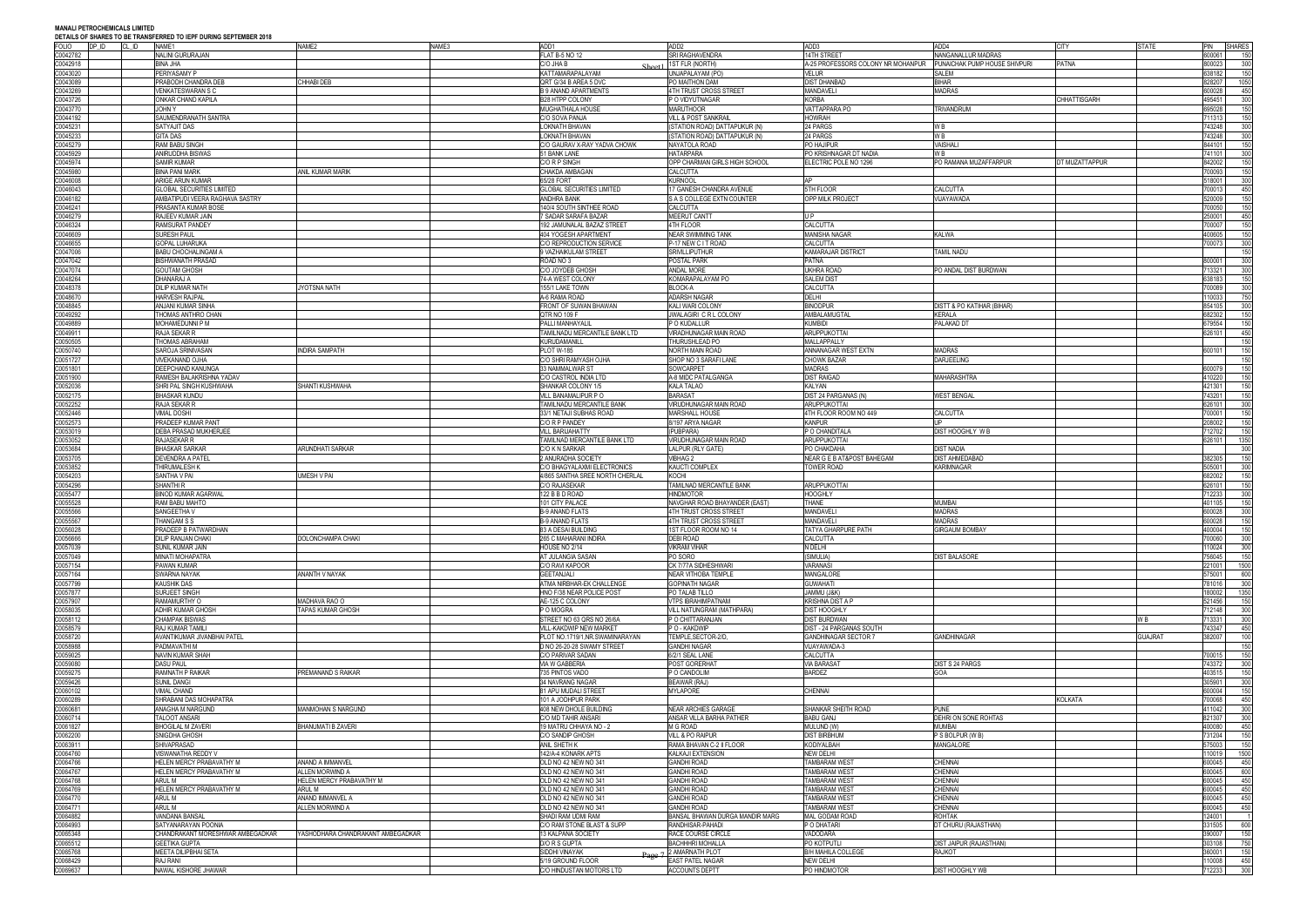| FOLIO<br>$\mathsf{D}$ P ID | CL ID | NAME1                            | NAME <sub>2</sub>                 | NAME3 | ADD1                                          | ADD <sub>2</sub>                          | ADD3                               | ADD4                                  | <b>CITY</b>         | <b>STATE</b>   | PIN             | <b>SHARES</b> |
|----------------------------|-------|----------------------------------|-----------------------------------|-------|-----------------------------------------------|-------------------------------------------|------------------------------------|---------------------------------------|---------------------|----------------|-----------------|---------------|
| C0042782                   |       | NALINI GURURAJAN                 |                                   |       | <b>FLAT B-5 NO 12</b>                         | <b>SRI RAGHAVENDRA</b>                    | <b>14TH STREET</b>                 | NANGANALLUR MADRAS                    |                     |                | 600061          | 150           |
| C0042918                   |       | <b>BINA JHA</b>                  |                                   |       | C/O JHA B                                     | 1ST FLR (NORTH)                           | A-25 PROFESSORS COLONY NR MOHANPUR | PUNAICHAK PUMP HOUSE SHIVPURI         | <b>PATNA</b>        |                | 800023          | 300           |
| C0043020                   |       |                                  |                                   |       | Sheet1                                        | <b>JNJAPALAYAM (PO</b>                    | VELUR                              | <b>SALEM</b>                          |                     |                |                 |               |
|                            |       | PERIYASAMY P                     |                                   |       | KATTAMARAPALAYAM                              |                                           |                                    |                                       |                     |                | 638182          | 150           |
| C0043089                   |       | PRABODH CHANDRA DEB              | CHHABI DEB                        |       | QRT G/34 B AREA 5 DVC                         | PO MAITHON DAM                            | <b>DIST DHANBAD</b>                | <b>BIHAR</b>                          |                     |                | 828207          | 1050          |
| C0043269                   |       | <b>VENKATESWARAN S C</b>         |                                   |       | <b>B 9 ANAND APARTMENTS</b>                   | 4TH TRUST CROSS STREET                    | <b>MANDAVELI</b>                   | <b>MADRAS</b>                         |                     |                | 600028          | 450           |
| C0043726                   |       | ONKAR CHAND KAPILA               |                                   |       | <b>B28 HTPP COLONY</b>                        | P O VIDYUTNAGAR                           | <b>KORBA</b>                       |                                       | <b>CHHATTISGARH</b> |                | 495451          | 300           |
| C0043770                   |       | JOHN Y                           |                                   |       | MUGHATHALA HOUSE                              | <b>MARUTHOOR</b>                          | VATTAPPARA PO                      | <b>TRIVANDRUM</b>                     |                     |                | 695028          | 150           |
| C0044192                   |       | SAUMENDRANATH SANTRA             |                                   |       | C/O SOVA PANJA                                | VILL & POST SANKRAIL                      | <b>HOWRAH</b>                      |                                       |                     |                | 711313          | 150           |
| C0045231                   |       | SATYAJIT DAS                     |                                   |       | LOKNATH BHAVAN                                | (STATION ROAD) DATTAPUKUR (N              | 24 PARGS                           | W B                                   |                     |                | 743248          | 300           |
| C0045233                   |       | <b>GITA DAS</b>                  |                                   |       | LOKNATH BHAVAN                                | (STATION ROAD) DATTAPUKUR (N)             | 24 PARGS                           | W <sub>B</sub>                        |                     |                | 743248          | 300           |
| C0045279                   |       | RAM BABU SINGH                   |                                   |       | C/O GAURAV X-RAY YADVA CHOWK                  | NAYATOLA ROAD                             | PO HAJIPUR                         | <b>/AISHALI</b>                       |                     |                | 844101          | 150           |
|                            |       |                                  |                                   |       |                                               |                                           |                                    |                                       |                     |                |                 |               |
| C0045929                   |       | ANIRUDDHA BISWAS                 |                                   |       | 51 BANK LANE                                  | <b>HATARPARA</b>                          | PO KRISHNAGAR DT NADIA             | W B                                   |                     |                | 741101          | 300           |
| C0045974                   |       | SAMIR KUMAR                      |                                   |       | C/O R P SINGH                                 | OPP CHARMAN GIRLS HIGH SCHOOL             | ELECTRIC POLE NO 1296              | PO RAMANA MUZAFFARPUR                 | DT MUZATTAPPUR      |                | 842002          | 150           |
| C0045980                   |       | <b>BINA PANI MARK</b>            | anil kumar Marik                  |       | CHAKDA AMBAGAN                                | CALCUTTA                                  |                                    |                                       |                     |                | 700093          | 150           |
| C0046008                   |       | ARIGE ARUN KUMAR                 |                                   |       | 65/28 FORT                                    | <b>KURNOOL</b>                            |                                    |                                       |                     |                | 18001           | 300           |
| C0046043                   |       | <b>GLOBAL SECURITIES LIMITED</b> |                                   |       | <b>GLOBAL SECURITIES LIMITED</b>              | 17 GANESH CHANDRA AVENUE                  | 5TH FLOOR                          | CALCUTTA                              |                     |                | 700013          | 450           |
| C0046182                   |       | AMBATIPUDI VEERA RAGHAVA SASTRY  |                                   |       | <b>ANDHRA BANK</b>                            | S A S COLLEGE EXTN COUNTER                | <b>OPP MILK PROJECT</b>            | <b>JIJAYAWADA</b>                     |                     |                | 520009          | 150           |
|                            |       |                                  |                                   |       |                                               |                                           |                                    |                                       |                     |                |                 |               |
| C0046241                   |       | PRASANTA KUMAR BOSE              |                                   |       | 140/4 SOUTH SINTHEE ROAD                      | CALCUTTA                                  |                                    |                                       |                     |                | 700050          | 150           |
| C0046279                   |       | RAJEEV KUMAR JAIN                |                                   |       | 7 SADAR SARAFA BAZAR                          | <b>MEERUT CANTT</b>                       | U P                                |                                       |                     |                | 250001          | 450           |
| C0046324                   |       | RAMSURAT PANDEY                  |                                   |       | 192 JAMUNALAL BAZAZ STREET                    | 4TH FLOOR                                 | CALCUTTA                           |                                       |                     |                | 700007          | 150           |
| C0046609                   |       | SURESH PAUL                      |                                   |       | 404 YOGESH APARTMENT                          | <b>NEAR SWIMMING TANK</b>                 | MANISHA NAGAR                      | KALWA                                 |                     |                | 400605          | 150           |
| 00046655                   |       | <b>GOPAL LUHARUKA</b>            |                                   |       | C/O REPRODUCTION SERVICE                      | P-17 NEW C IT ROAD                        | CALCUTTA                           |                                       |                     |                | 700073          | 300           |
| C0047006                   |       | BABU CHOCHALINGAM A              |                                   |       | 9 VAZHAIKULAM STREET                          | SRIVILLIPUTHUF                            | KAMARAJAR DISTRICT                 | TAMIL NADU                            |                     |                |                 | 150           |
| C0047042                   |       | <b>BISHWANATH PRASAD</b>         |                                   |       | ROAD NO 3                                     | POSTAL PARK                               | <b>PATNA</b>                       |                                       |                     |                | 800001          | 300           |
|                            |       |                                  |                                   |       |                                               |                                           |                                    |                                       |                     |                |                 |               |
| C0047074                   |       | <b>GOUTAM GHOSH</b>              |                                   |       | C/O JOYDEB GHOSH                              | ANDAL MORE                                | <b>UKHRA ROAD</b>                  | PO ANDAL DIST BURDWAN                 |                     |                | 713321          | 300           |
| C0048264                   |       | DHANARAJ A                       |                                   |       | 74-A WEST COLONY                              | KOMARAPALAYAM PO                          | <b>SALEM DIST</b>                  |                                       |                     |                | 638183          | 150           |
| C0048378                   |       | <b>DILIP KUMAR NATH</b>          | <b>IYOTSNA NATH</b>               |       | 155/1 LAKE TOWN                               | <b>BLOCK-A</b>                            | CALCUTTA                           |                                       |                     |                | 700089          | 300           |
| C0048670                   |       | <b>HARVESH RAJPAL</b>            |                                   |       | A-6 RAMA ROAD                                 | <b>ADARSH NAGAR</b>                       | DELHI                              |                                       |                     |                | 110033          | 750           |
| C0048845                   |       | ANJANI KUMAR SINHA               |                                   |       | <b>FRONT OF SUWAN BHAWAN</b>                  | KALI WARI COLONY                          | <b>BINODPUR</b>                    | <b>DISTT &amp; PO KATIHAR (BIHAR)</b> |                     |                | 854105          | 300           |
| C0049292                   |       | THOMAS ANTHRO CHAN               |                                   |       | QTR NO 109 F                                  | JWALAGIRI CRL COLONY                      | AMBALAMUGTAL                       | <b>KERALA</b>                         |                     |                | 682302          | 150           |
| C0049889                   |       | MOHAMEDUNNI P M                  |                                   |       | PALLI MANHAYALII                              | P O KUDALLUR                              | <b>KUMBIDI</b>                     | PALAKAD DT                            |                     |                | 679554          | 150           |
|                            |       |                                  |                                   |       |                                               |                                           |                                    |                                       |                     |                |                 |               |
| C0049911                   |       | RAJA SEKAR R                     |                                   |       | TAMILNADU MERCANTILE BANK LTD                 | VIRADHUNAGAR MAIN ROAD                    | <b>ARUPPUKOTTAI</b>                |                                       |                     |                | 626101          | 450           |
| C0050505                   |       | THOMAS ABRAHAM                   |                                   |       | <b>KURUDAMANILI</b>                           | THURUSHLEAD PO                            | MALLAPPALLY                        |                                       |                     |                |                 | 150           |
| C0050740                   |       | SAROJA SRINIVASAN                | <b>INDIRA SAMPATH</b>             |       | <b>PLOT W-185</b>                             | NORTH MAIN ROAD                           | ANNANAGAR WEST EXTN                | <b>MADRAS</b>                         |                     |                | 600101          | 150           |
| C0051727                   |       | <b>VIVEKANAND OJHA</b>           |                                   |       | C/O SHRI RAMYASH OJHA                         | SHOP NO 3 SARAFI LANE                     | <b>CHOWK BAZAR</b>                 | <b>DARJEELING</b>                     |                     |                |                 | 150           |
| C0051801                   |       | DEEPCHAND KANUNGA                |                                   |       | 33 NAMMALWAR ST                               | SOWCARPET                                 | <b>MADRAS</b>                      |                                       |                     |                | 600079          | 150           |
| C0051900                   |       | RAMESH BALAKRISHNA YADAV         |                                   |       | C/O CASTROL INDIA LTD                         | A-8 MIDC PATALGANGA                       | <b>DIST RAIGAD</b>                 | MAHARASHTRA                           |                     |                | 110220          | 150           |
| C0052036                   |       | SHRI PAL SINGH KUSHWAHA          | SHANTI KUSHWAHA                   |       |                                               | <b>KALA TALAO</b>                         | KALYAN                             |                                       |                     |                | 421301          | 150           |
|                            |       |                                  |                                   |       | SHANKAR COLONY 1/5                            |                                           |                                    |                                       |                     |                |                 |               |
| C0052175                   |       | BHASKAR KUNDU                    |                                   |       | VILL BANAMALIPUR P O                          | BARASAT                                   | DIST 24 PARGANAS (N)               | <b>WEST BENGAL</b>                    |                     |                | 743201          | 150           |
| C0052252                   |       | RAJA SEKAR R                     |                                   |       | TAMILNADU MERCANTILE BANK                     | VIRUDHUNAGAR MAIN ROAD                    | <b>ARUPPUKOTTAI</b>                |                                       |                     |                | 626101          | 300           |
| C0052446                   |       | <b>VIMAL DOSHI</b>               |                                   |       | 33/1 NETAJI SUBHAS ROAD                       | MARSHALL HOUSE                            | 4TH FLOOR ROOM NO 449              | CALCUTTA                              |                     |                | 700001          | 150           |
| C0052573                   |       | PRADEEP KUMAR PANT               |                                   |       | C/O R P PANDEY                                | 8/197 ARYA NAGAR                          | <b>KANPUR</b>                      |                                       |                     |                | 208002          | 150           |
| C0053019                   |       | DEBA PRASAD MUKHERJEE            |                                   |       | <b>VILL BARIJAHATTY</b>                       | (PUBPARA)                                 | P O CHANDITALA                     | DIST HOOGHLY WB                       |                     |                | 12702           | 150           |
| C0053052                   |       | RAJASEKAR R                      |                                   |       | TAMILNAD MERCANTILE BANK LTD                  | VIRUDHUNAGAR MAIN ROAD                    | <b>ARUPPUKOTTAI</b>                |                                       |                     |                | 626101          | 1350          |
|                            |       |                                  |                                   |       |                                               |                                           |                                    |                                       |                     |                |                 |               |
| C0053684                   |       | <b>BHASKAR SARKAF</b>            | ARUNDHATI SARKAR                  |       | C/O K N SARKAR                                | LALPUR (RLY GATE)                         | PO CHAKDAHA                        | <b>DIST NADIA</b>                     |                     |                |                 | 300           |
| C0053705                   |       | <b>DEVENDRA A PATEL</b>          |                                   |       | 2 ANURADHA SOCIETY                            | <b>VIBHAG 2</b>                           | NEAR G E B AT&POST BAHEGAM         | <b>DIST AHMEDABAD</b>                 |                     |                | 382305          | 150           |
| C0053852                   |       | THIRUMALESH K                    |                                   |       | C/O BHAGYALAXMI ELECTRONICS                   | KAUCTI COMPLEX                            | <b>TOWER ROAD</b>                  | KARIMNAGAR                            |                     |                | 505001          | 300           |
| C0054203                   |       | SANTHA V PAI                     | JMESH V PAI                       |       | 4/865 SANTHA SREE NORTH CHERLAI               | KOCHI                                     |                                    |                                       |                     |                | 682002          | 150           |
| 00054296                   |       | SHANTHI R                        |                                   |       | <b>C/O RAJASEKAR</b>                          | TAMILNAD MERCANTILE BANK                  | <b>ARUPPUKOTTAI</b>                |                                       |                     |                | 626101          | 150           |
| C0055477                   |       | <b>BINOD KUMAR AGARWAL</b>       |                                   |       | 122 B B D ROAD                                | <b>HINDMOTOR</b>                          | <b>HOOGHLY</b>                     |                                       |                     |                | 712233          | 300           |
|                            |       |                                  |                                   |       |                                               |                                           |                                    |                                       |                     |                | 401105          | 150           |
|                            |       |                                  |                                   |       |                                               |                                           |                                    |                                       |                     |                |                 |               |
| 00055528                   |       | RAM BABU MAHTO                   |                                   |       | 101 CITY PALACE                               | NAVGHAR ROAD BHAYANDER (EAST)             | <b>THANE</b>                       | <b>MUMBAI</b>                         |                     |                |                 |               |
| C0055566                   |       | SANGEETHA V                      |                                   |       | <b>B-9 ANAND FLATS</b>                        | <b>4TH TRUST CROSS STREET</b>             | <b>MANDAVELI</b>                   | <b>MADRAS</b>                         |                     |                | 600028          | 300           |
| C0055567                   |       | THANGAM S S                      |                                   |       | <b>B-9 ANAND FLATS</b>                        | <b>ATH TRUST CROSS STREET</b>             | <b>MANDAVELI</b>                   | <b>MADRAS</b>                         |                     |                | 600028          | 150           |
| C0056028                   |       | PRADEEP B PATWARDHAN             |                                   |       | 83 A DESAI BUILDING                           | 1ST FLOOR ROOM NO 14                      | TATYA GHARPURE PATH                | <b>GIRGAUM BOMBAY</b>                 |                     |                | 100004          | 150           |
| C0056666                   |       | <b>DILIP RANJAN CHAKI</b>        | DOLONCHAMPA CHAKI                 |       | 265 C MAHARANI INDIRA                         | DEBI ROAD                                 | <b>CALCUTTA</b>                    |                                       |                     |                | 700060          | 300           |
|                            |       |                                  |                                   |       |                                               |                                           |                                    |                                       |                     |                |                 |               |
| C0057039                   |       | SUNIL KUMAR JAIN                 |                                   |       | HOUSE NO 2/14                                 | <b>VIKRAM VIHAR</b>                       | N DELHI                            |                                       |                     |                | 110024          | 300           |
| C0057049                   |       | MINATI MOHAPATRA                 |                                   |       | AT JULANGIA SASAN                             | PO SORO                                   | (SIMULIA)                          | <b>DIST BALASORE</b>                  |                     |                | 756045          | 150           |
| C0057154                   |       | PAWAN KUMAR                      |                                   |       | <b>C/O RAVI KAPOOR</b>                        | CK 7/77A SIDHESHWARI                      | <b>VARANASI</b>                    |                                       |                     |                | 221001          | 1500          |
| C0057164                   |       | SWARNA NAYAK                     | ANANTH V NAYAK                    |       | <b>GEETANJALI</b>                             | <b>NEAR VITHOBA TEMPLE</b>                | MANGALORE                          |                                       |                     |                | 575001          | 600           |
| C0057799                   |       | KAUSHIK DAS                      |                                   |       | ATMA NIRBHAR-EK CHALLENGE                     | <b>GOPINATH NAGAR</b>                     | <b>GUWAHATI</b>                    |                                       |                     |                | 781016          | 300           |
| C0057877                   |       | SURJEET SINGH                    |                                   |       | HNO F/38 NEAR POLICE POST                     | PO TALAB TILLO                            | JAMMU (J&K)                        |                                       |                     |                | 180002          | 1350          |
| C0057907                   |       | RAMAMURTHY O                     | Madhava Rao O                     |       | AE-125 C COLONY                               | VTPS IBRAHIMPATNAM                        | <b>KRISHNA DIST A P</b>            |                                       |                     |                | 521456          | 150           |
| C0058035                   |       | ADHIR KUMAR GHOSH                | TAPAS KUMAR GHOSH                 |       | P O MOGRA                                     | <b>VILL NATUNGRAM (MATHPARA)</b>          | <b>DIST HOOGHLY</b>                |                                       |                     |                | 712148          | 300           |
| C0058112                   |       | <b>CHAMPAK BISWAS</b>            |                                   |       |                                               | P O CHITTARANJAN                          | <b>DIST BURDWAN</b>                |                                       |                     | W B            | 713331          | 300           |
|                            |       |                                  |                                   |       | STREET NO 63 QRS NO 26/6A                     |                                           |                                    |                                       |                     |                |                 |               |
| C0058579                   |       | RAJ KUMAR TAMILI                 |                                   |       | <b>VILL-KAKDWIP NEW MARKET</b>                | P O - KAKDWIP                             | DIST - 24 PARGANAS SOUTH           |                                       |                     |                | 743347          | 450           |
| C0058720                   |       | AVANTIKUMAR JIVANBHAI PATEL      |                                   |       | PLOT NO.1719/1.NR.SWAMINARAYAN                | TEMPLE, SECTOR-2/D,                       | <b>GANDHINAGAR SECTOR 7</b>        | <b>GANDHINAGAR</b>                    |                     | <b>GUAJRAT</b> | 382007          | 100           |
| C0058988                   |       | PADMAVATHI M                     |                                   |       | D NO 26-20-28 SWAMY STREET                    | <b>GANDHI NAGAR</b>                       | VIJAYAWADA-3                       |                                       |                     |                |                 | 150           |
| C0059025                   |       | NAVIN KUMAR SHAH                 |                                   |       | C/O PARIVAR SADAN                             | 6/2/1 SEAL LANE                           | <b>CALCUTTA</b>                    |                                       |                     |                | 700015          | 150           |
| C0059080                   |       | <b>DASU PAUL</b>                 |                                   |       | VIA W GABBERIA                                | POST GORERHAT                             | <b>VIA BARASAT</b>                 | <b>DIST S 24 PARGS</b>                |                     |                | 743372          | 300           |
| C0059275                   |       | <b>RAMNATH P RAIKAR</b>          | <b>PREMANAND S RAIKAR</b>         |       | 735 PINTOS VADO                               | P O CANDOLIM                              | <b>BARDEZ</b>                      | GOA                                   |                     |                | 403515          | 150           |
|                            |       |                                  |                                   |       |                                               |                                           |                                    |                                       |                     |                |                 |               |
| C0059426                   |       | <b>SUNIL DANGI</b>               |                                   |       | 34 NAVRANG NAGAR                              | <b>BEAWAR (RAJ)</b>                       |                                    |                                       |                     |                | 305901          | 300           |
| C0060102                   |       | <b>VIMAL CHAND</b>               |                                   |       | 81 APU MUDALI STREET                          | <b>MYLAPORE</b>                           | <b>CHENNAI</b>                     |                                       |                     |                | 600004          | 150           |
| C0060289                   |       | SHRABANI DAS MOHAPATRA           |                                   |       | 101 A JODHPUR PARK                            |                                           |                                    |                                       | KOLKATA             |                | 700068          | 450           |
| C0060681                   |       | ANAGHA M NARGUND                 | <b>MANMOHAN S NARGUND</b>         |       | 408 NEW DHOLE BUILDING                        | <b>NEAR ARCHIES GARAGE</b>                | SHANKAR SHEITH ROAD                | <b>PUNE</b>                           |                     |                | 411042          | 300           |
| C0060714                   |       | TALOOT ANSARI                    |                                   |       | C/O MD TAHIR ANSARI                           | ANSAR VILLA BARHA PATHER                  | <b>BABU GANJ</b>                   | DEHRI ON SONE ROHTAS                  |                     |                | 821307          | 300           |
| C0061827                   |       | BHOGILAL M ZAVERI                | <b>BHANUMATI B ZAVERI</b>         |       | 19 MATRU CHHAYA NO - 2                        | M G ROAD                                  | MULUND (W)                         | MUMBAI                                |                     |                | 400080          | 450           |
| C0062200                   |       | SNIGDHA GHOSH                    |                                   |       | C/O SANDIP GHOSH                              | VILL & PO RAIPUR                          | <b>DIST BIRBHUM</b>                | P S BOLPUR (W B)                      |                     |                | 731204          | 150           |
| C0063911                   |       | SHIVAPRASAD                      |                                   |       | ANIL SHETH K                                  | RAMA BHAVAN C-2 II FLOOR                  | <b>KODIYALBAH</b>                  | <b>MANGALORE</b>                      |                     |                | 575003          | 150           |
|                            |       |                                  |                                   |       |                                               |                                           |                                    |                                       |                     |                |                 |               |
| C0064760                   |       | VISWANATHA REDDY V               |                                   |       | 142/A-4 KONARK APTS                           | KALKAJI EXTENSION                         | <b>NEW DELHI</b>                   |                                       |                     |                | 110019          | 1500          |
| C0064766                   |       | HELEN MERCY PRABAVATHY M         | ANAND A IMMANVEL                  |       | OLD NO 42 NEW NO 341                          | <b>GANDHI ROAD</b>                        | <b>TAMBARAM WEST</b>               | <b>CHENNAI</b>                        |                     |                | 600045          | 450           |
| C0064767                   |       | HELEN MERCY PRABAVATHY M         | ALLEN MORWIND A                   |       | OLD NO 42 NEW NO 341                          | <b>GANDHI ROAD</b>                        | <b>TAMBARAM WEST</b>               | <b>CHENNAI</b>                        |                     |                | 600045          | 600           |
| C0064768                   |       | arul M                           | HELEN MERCY PRABAVATHY M          |       | OLD NO 42 NEW NO 341                          | <b>GANDHI ROAD</b>                        | <b>TAMBARAM WEST</b>               | <b>CHENNAI</b>                        |                     |                | 600045          | 450           |
| C0064769                   |       | HELEN MERCY PRABAVATHY M         | arul M                            |       | OLD NO 42 NEW NO 341                          | <b>GANDHI ROAD</b>                        | <b>TAMBARAM WEST</b>               | <b>CHENNAI</b>                        |                     |                | 600045          | 450           |
| C0064770                   |       | ARUL M                           | ANAND IMMANVEL A                  |       | OLD NO 42 NEW NO 341                          | <b>GANDHI ROAD</b>                        | <b>TAMBARAM WEST</b>               | <b>CHENNAI</b>                        |                     |                | 600045          | 450           |
| C0064771                   |       | arul M                           | ALLEN MORWIND A                   |       | OLD NO 42 NEW NO 341                          | <b>GANDHI ROAD</b>                        | <b>TAMBARAM WEST</b>               | <b>CHENNAI</b>                        |                     |                | 600045          | 450           |
|                            |       |                                  |                                   |       |                                               |                                           |                                    |                                       |                     |                |                 |               |
| C0064882                   |       | VANDANA BANSAL                   |                                   |       | SHADI RAM UDMI RAM                            | BANSAL BHAWAN DURGA MANDIR MARG           | MAL GODAM ROAD                     | <b>ROHTAK</b>                         |                     |                | 124001          |               |
| C0064993                   |       | SATYANARAYAN POONIA              |                                   |       | C/O RAM STONE BLAST & SUPP                    | RANDHISAR-PAHADI                          | P O DHATARI                        | DT CHURU (RAJASTHAN)                  |                     |                | 331505          | 600           |
| C0065348                   |       | CHANDRAKANT MORESHWAR AMBEGADKAR | YASHODHARA CHANDRAKANT AMBEGADKAR |       | 13 KALPANA SOCIETY                            | RACE COURSE CIRCLE                        | VADODARA                           |                                       |                     |                | 390007          | 150           |
| C0065512                   |       | <b>GEETIKA GUPTA</b>             |                                   |       | <b>D/O R S GUPTA</b>                          | <b>BACHHHRI MOHALLA</b>                   | PO KOTPUTLI                        | DIST JAIPUR (RAJASTHAN)               |                     |                | 303108          | 750           |
| C0065768                   |       | MEETA DILIPBHAI SETA             |                                   |       | SIDDHI VINAYAK                                | AMARNATH PLOT                             | B/H MAHILA COLLEGE                 | RAJKOT                                |                     |                | 360001          | 150           |
| C0068429<br>C0069637       |       | RAJ RANI<br>NAWAL KISHORE JHAWAR |                                   |       | 5/19 GROUND FLOOR<br>C/O HINDUSTAN MOTORS LTD | EAST PATEL NAGAR<br><b>ACCOUNTS DEPTT</b> | <b>NEW DELHI</b><br>PO HINDMOTOR   | DIST HOOGHLY WB                       |                     |                | 10008<br>712233 | 450<br>300    |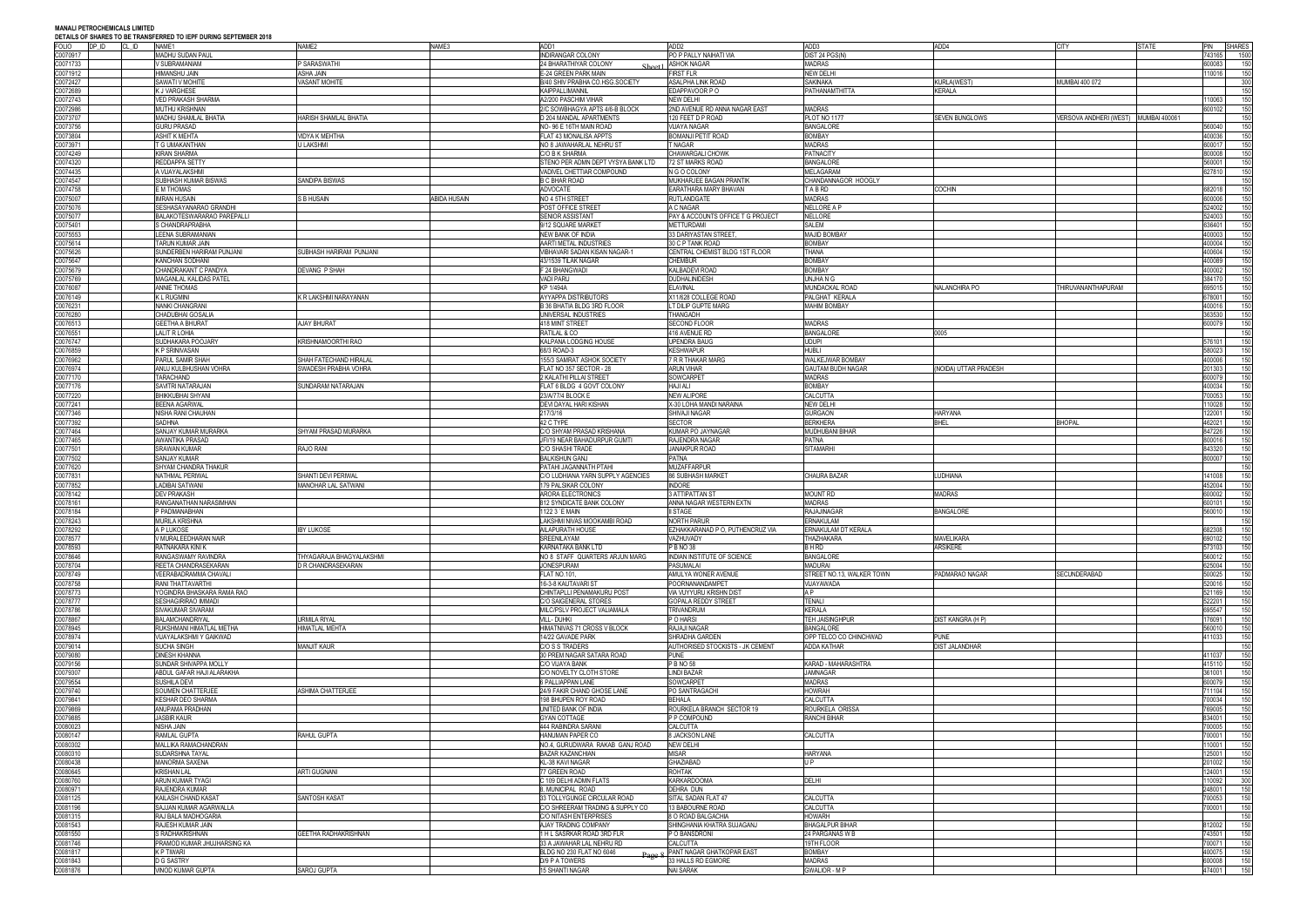| <b>FOLIO</b> | DP ID<br>CL ID | DETAILS OF SHAKES TO BE TRANSFERRED TO IEFT DORING SEFTEMBER 2010<br>NAME1 | NAME <sub>2</sub>          | NAME3        | ADD1                               | ADD <sub>2</sub>                  | ADD3                      | ADD4                 | <b>CITY</b>                          | STATE | PIN SHARES |      |
|--------------|----------------|----------------------------------------------------------------------------|----------------------------|--------------|------------------------------------|-----------------------------------|---------------------------|----------------------|--------------------------------------|-------|------------|------|
|              |                |                                                                            |                            |              |                                    |                                   |                           |                      |                                      |       | 43165      |      |
| C0070917     |                | MADHU SUDAN PAUL                                                           |                            |              | <b>INDIRANGAR COLONY</b>           | PO P PALLY NAIHATI VIA            | DIST 24 PGS(N)            |                      |                                      |       |            | 1500 |
| C0071733     |                | V SUBRAMANIAM                                                              | P SARASWATHI               |              | 24 BHARATHIYAR COLONY              | <b>ASHOK NAGAR</b>                | <b>MADRAS</b>             |                      |                                      |       | 600083     | 150  |
| C0071912     |                | HIMANSHU JAIN                                                              | <b>ASHA JAIN</b>           |              | E-24 GREEN PARK MAIN               | <b>FIRST FLR</b>                  | <b>NEW DELHI</b>          |                      |                                      |       | 10016      | 150  |
| C0072427     |                | <b>SAWATI V MOHITE</b>                                                     | <b>VASANT MOHITE</b>       |              | B/40 SHIV PRABHA CO.HSG.SOCIETY    | ASALPHA LINK ROAD                 | <b>SAKINAKA</b>           | KURLA(WEST)          | MUMBAI 400 072                       |       |            | 300  |
| 00072689     |                | K J VARGHESE                                                               |                            |              | KAIPPALLIMANNIL                    | EDAPPAVOOR P O                    | PATHANAMTHITTA            | KERALA               |                                      |       |            | 150  |
| 20072743     |                | <b>VED PRAKASH SHARMA</b>                                                  |                            |              | A2/200 PASCHIM VIHAR               | <b>NEW DELHI</b>                  |                           |                      |                                      |       | 10063      | 150  |
| C0072986     |                | <b>MUTHU KRISHNAN</b>                                                      |                            |              | 2/C SOWBHAGYA APTS 4/6-B BLOCK     | 2ND AVENUE RD ANNA NAGAR EAST     | <b>MADRAS</b>             |                      |                                      |       | 600102     | 150  |
|              |                |                                                                            |                            |              |                                    |                                   |                           |                      |                                      |       |            |      |
| C0073707     |                | MADHU SHAMLAL BHATIA                                                       | HARISH SHAMLAL BHATIA      |              | D 204 MANDAL APARTMENTS            | 120 FEET D P ROAD                 | PLOT NO 1177              | SEVEN BUNGLOWS       | VERSOVA ANDHERI (WEST) MUMBAI 400061 |       |            | 150  |
| C0073756     |                | <b>GURU PRASAD</b>                                                         |                            |              | NO-96 E 16TH MAIN ROAD             | <b>VIJAYA NAGAR</b>               | <b>BANGALORE</b>          |                      |                                      |       | 560040     | 150  |
| 20073804     |                | <b>ASHIT K MEHTA</b>                                                       | <b>VIDYA K MEHTHA</b>      |              | FLAT 43 MONALISA APPTS             | <b>BOMANJI PETIT ROAD</b>         | <b>BOMBAY</b>             |                      |                                      |       | 400036     | 150  |
| C0073971     |                | T G UMAKANTHAN                                                             | J LAKSHMI                  |              | NO 8 JAWAHARLAL NEHRU ST           | T NAGAR                           | <b>MADRAS</b>             |                      |                                      |       | 600017     | 150  |
| 0074249      |                | KIRAN SHARMA                                                               |                            |              | C/O B K SHARMA                     | CHAWARGALI CHOWK                  | <b>PATNACITY</b>          |                      |                                      |       | 800008     | 150  |
| 0074320      |                | REDDAPPA SETTY                                                             |                            |              | STENO PER ADMN DEPT VYSYA BANK LTD | 72 ST MARKS ROAD                  | <b>BANGALORE</b>          |                      |                                      |       | 60001      | 150  |
|              |                |                                                                            |                            |              |                                    |                                   |                           |                      |                                      |       |            |      |
| 0074435      |                | A VIJAYALAKSHMI                                                            |                            |              | VADIVEL CHETTIAR COMPOUND          | N G O COLONY                      | <b>MELAGARAM</b>          |                      |                                      |       | 327810     | 150  |
| 0074547      |                | SUBHASH KUMAR BISWAS                                                       | SANDIPA BISWAS             |              | B C BHAR ROAD                      | MUKHARJEE BAGAN PRANTIK           | CHANDANNAGOR HOOGLY       |                      |                                      |       |            | 150  |
| 0074758      |                | E M THOMAS                                                                 |                            |              | <b>ADVOCATE</b>                    | EARATHARA MARY BHAVAN             | TABRD                     | <b>COCHIN</b>        |                                      |       | 682018     | 150  |
| 20075007     |                | <b>IMRAN HUSAIN</b>                                                        | S B HUSAIN                 | ABIDA HUSAIN | NO 4 5TH STREET                    | <b>RUTLANDGATE</b>                | <b>MADRAS</b>             |                      |                                      |       | 600006     | 150  |
| 0075076      |                | SESHASAYANARAO GRANDHI                                                     |                            |              | POST OFFICE STREET                 | A C NAGAR                         | NELLORE A F               |                      |                                      |       | 524002     | 150  |
| 0075077      |                | BALAKOTESWARARAO PAREPALLI                                                 |                            |              | SENIOR ASSISTANT                   | PAY & ACCOUNTS OFFICE T G PROJECT | <b>NELLORE</b>            |                      |                                      |       | 524003     | 150  |
| 00075401     |                | S CHANDRAPRABHA                                                            |                            |              | 9/12 SQUARE MARKET                 | <b>METTURDAMI</b>                 | <b>SALEM</b>              |                      |                                      |       | 36401      | 150  |
| 0075553      |                | LEENA SUBRAMANIAN                                                          |                            |              | NEW BANK OF INDIA                  | 33 DARIYASTAN STREET,             | <b>MAJID BOMBAY</b>       |                      |                                      |       | 100003     | 150  |
|              |                |                                                                            |                            |              |                                    |                                   |                           |                      |                                      |       |            |      |
| C0075614     |                | TARUN KUMAR JAIN                                                           |                            |              | AARTI METAL INDUSTRIES             | 30 C P TANK ROAD                  | <b>BOMBAY</b>             |                      |                                      |       | 400004     | 150  |
| 0075626      |                | SUNDERBEN HARIRAM PUNJANI                                                  | SUBHASH HARIRAM PUNJANI    |              | VIBHAVARI SADAN KISAN NAGAR-1      | CENTRAL CHEMIST BLDG 1ST FLOOR    | THANA                     |                      |                                      |       | 100604     | 150  |
| 20075647     |                | KANCHAN SODHANI                                                            |                            |              | 43/1539 TILAK NAGAR                | <b>CHEMBUR</b>                    | <b>BOMBAY</b>             |                      |                                      |       | 100089     | 150  |
| C0075679     |                | CHANDRAKANT C PANDYA                                                       | <b>DEVANG P SHAH</b>       |              | F 24 BHANGWADI                     | KALBADEVI ROAD                    | <b>BOMBAY</b>             |                      |                                      |       | 400002     | 150  |
| C0075769     |                | MAGANLAL KALIDAS PATEL                                                     |                            |              | <b>VADI PARU</b>                   | <b>DUDHALINIDESH</b>              | UNJHA N G                 |                      |                                      |       | 384170     | 150  |
| 0076087      |                | <b>ANNIE THOMAS</b>                                                        |                            |              | KP 1/494A                          | <b>ELAVINAL</b>                   | MUNDACKAL ROAD            | <b>NALANCHIRA PO</b> | THIRUVANANTHAPURAM                   |       | 695015     | 150  |
| 0076149      |                | K L RUGMINI                                                                | K R LAKSHMI NARAYANAN      |              | AYYAPPA DISTRIBUTORS               | X11/628 COLLEGE ROAD              | PALGHAT KERALA            |                      |                                      |       | 378001     | 150  |
| C0076231     |                | NANKI CHANGRANI                                                            |                            |              | B 36 BHATIA BLDG 3RD FLOOR         | LT DILIP GUPTE MARG               | <b>MAHIM BOMBAY</b>       |                      |                                      |       | 400016     | 150  |
|              |                |                                                                            |                            |              |                                    |                                   |                           |                      |                                      |       |            |      |
| 0076280      |                | <b>CHADUBHAI GOSALIA</b>                                                   |                            |              | UNIVERSAL INDUSTRIES               | THANGADH                          |                           |                      |                                      |       | 363530     | 150  |
| C0076513     |                | <b>GEETHA A BHURAT</b>                                                     | <b>AJAY BHURAT</b>         |              | 418 MINT STREET                    | <b>SECOND FLOOR</b>               | <b>MADRAS</b>             |                      |                                      |       | 600079     | 150  |
| 0076551      |                | <b>LALIT R LOHIA</b>                                                       |                            |              | RATILAL & CO                       | 416 AVENUE RD                     | <b>BANGALORE</b>          | 0005                 |                                      |       |            | 150  |
| C0076747     |                | SUDHAKARA POOJARY                                                          | KRISHNAMOORTHI RAO         |              | KALPANA LODGING HOUSE              | <b>UPENDRA BAUG</b>               | <b>UDUPI</b>              |                      |                                      |       | 576101     | 150  |
| 0076859      |                | K P SRINIVASAN                                                             |                            |              | 68/3 ROAD-3                        | <b>KESHWAPUR</b>                  | <b>HUBLI</b>              |                      |                                      |       | 580023     | 150  |
| 20076962     |                | PARUL SAMIR SHAH                                                           | SHAH FATECHAND HIRALAL     |              | 155/3 SAMRAT ASHOK SOCIETY         | 7 R R THAKAR MARG                 | WALKEJWAR BOMBAY          |                      |                                      |       | 100006     | 150  |
|              |                |                                                                            |                            |              |                                    |                                   |                           |                      |                                      |       |            |      |
| C0076974     |                | ANUJ KULBHUSHAN VOHRA                                                      | SWADESH PRABHA VOHRA       |              | FLAT NO 357 SECTOR - 28            | <b>ARUN VIHAR</b>                 | <b>GAUTAM BUDH NAGAR</b>  | NOIDA) UTTAR PRADESH |                                      |       | 201303     | 150  |
| C0077170     |                | TARACHAND                                                                  |                            |              | 2 KALATHI PILLAI STREET            | SOWCARPET                         | <b>MADRAS</b>             |                      |                                      |       | 600079     | 150  |
| 0077176      |                | SAVITRI NATARAJAN                                                          | SUNDARAM NATARAJAN         |              | FLAT 6 BLDG 4 GOVT COLONY          | <b>HAJI ALI</b>                   | <b>BOMBAY</b>             |                      |                                      |       | 100034     | 150  |
| C0077220     |                | BHIKKUBHAI SHYANI                                                          |                            |              | 23/A/77/4 BLOCK E                  | <b>NEW ALIPORE</b>                | CALCUTTA                  |                      |                                      |       | '00053     | 150  |
| C0077241     |                | BEENA AGARWAL                                                              |                            |              | DEVI DAYAL HARI KISHAN             | X-30 LOHA MANDI NARAINA           | <b>NEW DELHI</b>          |                      |                                      |       | 10028      | 150  |
| 0077346      |                | NISHA RANI CHAUHAN                                                         |                            |              | 217/3/16                           | SHIVAJI NAGAR                     | <b>GURGAON</b>            | HARYANA              |                                      |       | 22001      | 150  |
| C0077392     |                | SADHNA                                                                     |                            |              | 42 C TYPE                          | <b>SECTOR</b>                     | <b>BERKHERA</b>           | BHEL                 | <b>BHOPAL</b>                        |       | 62021      | 150  |
|              |                |                                                                            | SHYAM PRASAD MURARKA       |              |                                    |                                   |                           |                      |                                      |       |            |      |
| C0077464     |                | SANJAY KUMAR MURARKA                                                       |                            |              | C/O SHYAM PRASAD KRISHANA          | KUMAR PO JAYNAGAR                 | MUDHUBANI BIHAR           |                      |                                      |       | 847226     | 150  |
| 0077465      |                | AWANTIKA PRASAD                                                            |                            |              | JFI/19 NEAR BAHADURPUR GUMTI       | RAJENDRA NAGAF                    | <b>PATNA</b>              |                      |                                      |       | 300016     | 150  |
| C0077501     |                | SRAWAN KUMAR                                                               | RAJO RANI                  |              | C/O SHASHI TRADE                   | JANAKPUR ROAD                     | <b>SITAMARHI</b>          |                      |                                      |       | 343320     | 150  |
| C0077502     |                | SANJAY KUMAR                                                               |                            |              | <b>BALKISHUN GANJ</b>              | <b>PATNA</b>                      |                           |                      |                                      |       | 300007     | 150  |
| C0077620     |                | SHYAM CHANDRA THAKUR                                                       |                            |              | PATAHI JAGANNATH PTAHI             | <b>MUZAFFARPUR</b>                |                           |                      |                                      |       |            | 150  |
| C0077831     |                | NATHMAL PERIWAI                                                            | SHANTI DEVI PERIWAL        |              | C/O LUDHIANA YARN SUPPLY AGENCIES  | <b>86 SUBHASH MARKET</b>          | CHAURA BAZAR              | <b>UDHIANA</b>       |                                      |       | 41008      | 150  |
| C0077852     |                | LADIBAI SATWANI                                                            | <b>MANOHAR LAL SATWANI</b> |              | 179 PALSIKAR COLONY                | <b>INDORE</b>                     |                           |                      |                                      |       | 152004     | 150  |
|              |                |                                                                            |                            |              |                                    |                                   |                           |                      |                                      |       |            |      |
| C0078142     |                | <b>DEV PRAKASH</b>                                                         |                            |              | <b>ARORA ELECTRONICS</b>           | 3 ATTIPATTAN ST                   | <b>MOUNT RD</b>           | <b>MADRAS</b>        |                                      |       | 600002     | 150  |
| C0078161     |                | RANGANATHAN NARASIMHAN                                                     |                            |              | 812 SYNDICATE BANK COLONY          | ANNA NAGAR WESTERN EXTN           | MADRAS                    |                      |                                      |       | 600101     | 150  |
| 0078184      |                | P PADMANABHAN                                                              |                            |              | 1122 3 `E MAIN                     | II STAGE                          | <b>RAJAJINAGAR</b>        | <b>BANGALORE</b>     |                                      |       | 560010     | 150  |
| C0078243     |                | <b>MURILA KRISHNA</b>                                                      |                            |              | LAKSHMI NIVAS MOOKAMBI ROAD        | NORTH PARUR                       | <b>ERNAKULAM</b>          |                      |                                      |       |            | 150  |
| C0078292     |                | A P I UKOSE                                                                | <b>IRY I UKOSE</b>         |              | AIL APURATH HOUSE                  | EZHAKKARANAD P O. PUTHENCRUZ VIA  | ERNAKULAM DT KERALA       |                      |                                      |       | 82308      | 150  |
| C0078577     |                | V MURALEEDHARAN NAIR                                                       |                            |              | SREENILAYAM                        | VAZHUVADY                         | THAZHAKARA                | <b>MAVELIKARA</b>    |                                      |       | 690102     | 150  |
| C0078593     |                | RATNAKARA KINI K                                                           |                            |              | KARNATAKA BANK LTD                 | P B NO 38                         | B H RD                    | <b>ARSIKERE</b>      |                                      |       | 573103     | 150  |
| C0078646     |                | RANGASWAMY RAVINDRA                                                        | THYAGARAJA BHAGYALAKSHMI   |              | NO 8 STAFF QUARTERS ARJUN MARG     | INDIAN INSTITUTE OF SCIENCE       | <b>BANGALORE</b>          |                      |                                      |       | 560012     | 150  |
| C0078704     |                | REETA CHANDRASEKARAN                                                       | D R CHANDRASEKARAN         |              | <b>JONESPURAM</b>                  | PASUMALAI                         | <b>MADURAI</b>            |                      |                                      |       | 625004     | 150  |
|              |                |                                                                            |                            |              |                                    |                                   |                           |                      |                                      |       |            |      |
| C0078749     |                | <b>VEERABADRAMMA CHAVALI</b>                                               |                            |              | <b>FLAT NO.101,</b>                | AMULYA WONER AVENUE               | STREET NO.13, WALKER TOWN | PADMARAO NAGAR       | SECUNDERABAD                         |       | 500025     | 150  |
| C0078758     |                | RANI THATTAVARTHI                                                          |                            |              | 16-3-8 KAUTAVARI ST                | POORNANANDAMPET                   | VIJAYAWADA                |                      |                                      |       | 520016     | 150  |
| C0078773     |                | YOGINDRA BHASKARA RAMA RAO                                                 |                            |              | CHINTAPLLI PENAMAKURU POST         | <b>VIA VUYYURU KRISHN DIST</b>    | A P                       |                      |                                      |       | 521169     | 150  |
| C0078777     |                | SESHAGIRIRAO IMMADI                                                        |                            |              | C/O SAIGENERAL STORES              | <b>GOPALA REDDY STREET</b>        | <b>TENALI</b>             |                      |                                      |       | 22201      | 150  |
| C0078786     |                | SIVAKUMAR SIVARAM                                                          |                            |              | MILC/PSLV PROJECT VALIAMALA        | <b>TRIVANDRUM</b>                 | <b>KERALA</b>             |                      |                                      |       | 395547     | 150  |
| C0078867     |                | BALAMCHANDRIYAL                                                            | URMILA RIYAL               |              | <b>VILL-DUHKI</b>                  | P O HARSI                         | <b>TEH JAISINGHPUR</b>    | DIST KANGRA (H P)    |                                      |       | 176091     | 150  |
| C0078945     |                | RUKSHMANI HIMATLAL METHA                                                   | HIMATLAL MEHTA             |              | HIMATNIVAS 71 CROSS V BLOCK        | RAJAJI NAGAR                      | <b>BANGALORE</b>          |                      |                                      |       | 560010     | 150  |
| 20078974     |                | VIJAYALAKSHMI Y GAIKWAD                                                    |                            |              | 14/22 GAVADE PARK                  | SHRADHA GARDEN                    | OPP TELCO CO CHINCHWAD    | PUNE                 |                                      |       | 11033      | 150  |
| 0079014      |                | SUCHA SINGH                                                                | <b>MANJIT KAUR</b>         |              | C/O S S TRADERS                    | AUTHORISED STOCKISTS - JK CEMENT  | ADDA KATHAR               | DIST JALANDHAR       |                                      |       |            | 150  |
|              |                | <b>DINESH KHANNA</b>                                                       |                            |              | 30 PREM NAGAR SATARA ROAD          | PUNE                              |                           |                      |                                      |       | 411037     | 150  |
| C0079080     |                |                                                                            |                            |              |                                    |                                   |                           |                      |                                      |       |            |      |
| C0079156     |                | SUNDAR SHIVAPPA MOLLY                                                      |                            |              | C/O VIJAYA BANK                    | P B NO 58                         | KARAD - MAHARASHTRA       |                      |                                      |       | 415110     | 150  |
| C0079307     |                | ABDUL GAFAR HAJI ALARAKHA                                                  |                            |              | C/O NOVELTY CLOTH STORE            | <b>LINDI BAZAR</b>                | <b>JAMNAGAR</b>           |                      |                                      |       | 61001      | 150  |
| C0079554     |                | SUSHILA DEVI                                                               |                            |              | 6 PALLIAPPAN LANE                  | SOWCARPET                         | <b>MADRAS</b>             |                      |                                      |       | 600079     | 150  |
| C0079740     |                | SOUMEN CHATTERJEE                                                          | <b>ASHIMA CHATTERJEE</b>   |              | 24/9 FAKIR CHAND GHOSE LANE        | PO SANTRAGACHI                    | <b>HOWRAH</b>             |                      |                                      |       | 711104     | 150  |
| C0079841     |                | KESHAR DEO SHARMA                                                          |                            |              | 198 BHUPEN ROY ROAD                | <b>BEHALA</b>                     | CALCUTTA                  |                      |                                      |       | '00034     | 150  |
| C0079869     |                | ANUPAMA PRADHAN                                                            |                            |              | UNITED BANK OF INDIA               | ROURKELA BRANCH SECTOR 19         | ROURKELA ORISSA           |                      |                                      |       | '69005     | 150  |
| C0079885     |                | <b>JASBIR KAUR</b>                                                         |                            |              | <b>GYAN COTTAGE</b>                | P P COMPOUND                      | RANCHI BIHAR              |                      |                                      |       | 834001     | 150  |
| C0080023     |                | NISHA JAIN                                                                 |                            |              | <b>444 RABINDRA SARANI</b>         | CALCUTTA                          |                           |                      |                                      |       | '00005     | 150  |
|              |                |                                                                            |                            |              |                                    |                                   |                           |                      |                                      |       |            |      |
| C0080147     |                | RAMLAL GUPTA                                                               | <b>RAHUL GUPTA</b>         |              | HANUMAN PAPER CO                   | <b>8 JACKSON LANE</b>             | CALCUTTA                  |                      |                                      |       | '00001     | 150  |
| 00080302     |                | MALLIKA RAMACHANDRAN                                                       |                            |              | NO.4, GURUDWARA RAKAB GANJ ROAD    | <b>NEW DELHI</b>                  |                           |                      |                                      |       | 10001      | 150  |
| 00080310     |                | SUDARSHNA TAYAL                                                            |                            |              | <b>BAZAR KAZANCHIAN</b>            | <b>MISAR</b>                      | <b>HARYANA</b>            |                      |                                      |       | 25001      | 150  |
| 00080438     |                | <b>MANORMA SAXENA</b>                                                      |                            |              | KL-38 KAVI NAGAR                   | GHAZIABAD                         | U P                       |                      |                                      |       | 01002      | 150  |
| C0080645     |                | KRISHAN LAL                                                                | <b>ARTI GUGNANI</b>        |              | 77 GREEN ROAD                      | <b>ROHTAK</b>                     |                           |                      |                                      |       | 24001      | 150  |
| C0080760     |                | ARUN KUMAR TYAGI                                                           |                            |              | C 109 DELHI ADMN FLATS             | <b>KARKARDOOMA</b>                | DELHI                     |                      |                                      |       | 10092      | 300  |
| C0080971     |                | RAJENDRA KUMAR                                                             |                            |              | 3, MUNICIPAL ROAD                  | <b>DEHRA DUN</b>                  |                           |                      |                                      |       | 248001     | 150  |
| C0081125     |                | KAILASH CHAND KASAT                                                        | SANTOSH KASAT              |              | 33 TOLLYGUNGE CIRCULAR ROAD        | SITAL SADAN FLAT 47               | CALCUTTA                  |                      |                                      |       | '00053     | 150  |
|              |                |                                                                            |                            |              |                                    |                                   |                           |                      |                                      |       |            |      |
| C0081196     |                | SAJJAN KUMAR AGARWALLA                                                     |                            |              | C/O SHREERAM TRADING & SUPPLY CO   | 13 BABOURNE ROAD                  | CALCUTTA                  |                      |                                      |       | '00001     | 150  |
| 00081315     |                | RAJ BALA MADHOGARIA                                                        |                            |              | C/O NITASH ENTERPRISES             | 8 O ROAD BALGACHIA                | <b>HOWARH</b>             |                      |                                      |       |            | 150  |
| C0081543     |                | RAJESH KUMAR JAIN                                                          |                            |              | AJAY TRADING COMPANY               | SHINGHANIA KHATRA SUJAGANJ        | <b>BHAGALPUR BIHAR</b>    |                      |                                      |       | 312002     | 150  |
| 00081550     |                | S RADHAKRISHNAN                                                            | GEETHA RADHAKRISHNAN       |              | 1 H L SASRKAR ROAD 3RD FLR         | P O BANSDRONI                     | 24 PARGANAS W E           |                      |                                      |       | 743501     | 150  |
| C0081746     |                | PRAMOD KUMAR JHUJHARSING KA                                                |                            |              | 33 A JAWAHAR LAL NEHRU RD          | CALCUTTA                          | 19TH FLOOR                |                      |                                      |       | 700071     | 150  |
| C0081817     |                | K P TIWARI                                                                 |                            |              | BLDG NO 230 FLAT NO 6046           | PANT NAGAR GHATKOPAR EAST         | <b>BOMBAY</b>             |                      |                                      |       | 00075      | 150  |
| C0081843     |                | D G SASTRY                                                                 |                            |              | D/9 P A TOWERS                     | 33 HALLS RD EGMORE                | <b>MADRAS</b>             |                      |                                      |       | 800008     | 150  |
| C0081876     |                | VINOD KUMAR GUPTA                                                          | SAROJ GUPTA                |              | 15 SHANTI NAGAR                    | <b>NAI SARAK</b>                  | <b>GWALIOR - MP</b>       |                      |                                      |       | 174001     | 150  |
|              |                |                                                                            |                            |              |                                    |                                   |                           |                      |                                      |       |            |      |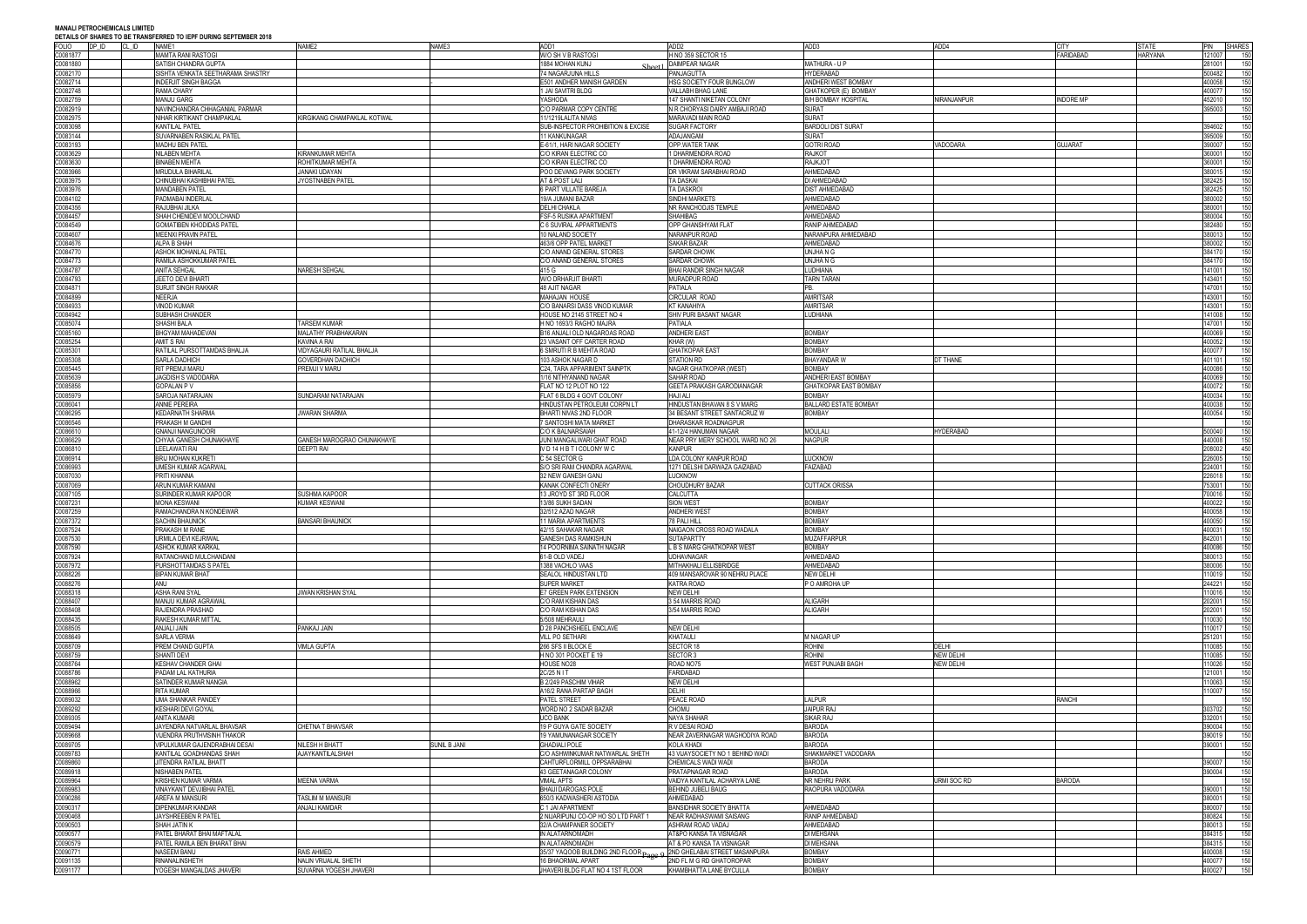**MANALI PETROCHEMICALS LIMITED DEN TA IEDE NIJBING SEDTEMBER 2019** 

| <b>FOLIO</b>         | DP ID | DETAILS OF SHARES TO BE TRANSFERRED TO IEPF DURING SEPTEMBER 2018<br>CL ID<br>NAME1 | NAME2                       | NAME3        | ADD1                                          | ADD <sub>2</sub>                 | ADD3                         | ADD4             |                | <b>STATE</b>             | PIN SHARES |
|----------------------|-------|-------------------------------------------------------------------------------------|-----------------------------|--------------|-----------------------------------------------|----------------------------------|------------------------------|------------------|----------------|--------------------------|------------|
|                      |       |                                                                                     |                             |              | W/O SH V B RASTOGI                            |                                  |                              |                  |                |                          |            |
| C0081877             |       | <b>MAMTA RANI RASTOGI</b>                                                           |                             |              |                                               | H NO 359 SECTOR 15               |                              |                  | FARIDABAD      | <b>HARYANA</b><br>121007 |            |
| C0081880             |       | SATISH CHANDRA GUPTA                                                                |                             |              | 1884 MOHAN KUNJ                               | <b>DAIMPEAR NAGAR</b>            | MATHURA - U P                |                  |                | 281001                   | 150        |
| C0082170             |       | SISHTA VENKATA SEETHARAMA SHASTRY                                                   |                             |              | 74 NAGARJUNA HILLS                            | PANJAGUTTA                       | <b>HYDERABAD</b>             |                  |                | 500482                   | 150        |
| C0082714             |       | <b>INDERJIT SINGH BAGGA</b>                                                         |                             |              | E501 ANDHER MANISH GARDEN                     | HSG SOCIETY FOUR BUNGLOW         | ANDHERI WEST BOMBAY          |                  |                | 400058                   | 150        |
| C0082748             |       | <b>RAMA CHARY</b>                                                                   |                             |              | 1 JAI SAVITRI BLDG                            | VALLABH BHAG LANE                | GHATKOPER (E) BOMBAY         |                  |                | 400077                   | 150        |
| C0082759             |       | <b>MANJU GARG</b>                                                                   |                             |              | YASHODA                                       | 147 SHANTI NIKETAN COLONY        | B/H BOMBAY HOSPITAL          | NIRANJANPUR      | indore MP      | 452010                   | 150        |
| C0082919             |       | NAVINCHANDRA CHHAGANIAL PARMAR                                                      |                             |              | C/O PARMAR COPY CENTRE                        | N R CHORYASI DAIRY AMBAJI ROAD   | <b>SURAT</b>                 |                  |                | 395003                   | 150        |
| C0082975             |       | NIHAR KIRTIKANT CHAMPAKLAL                                                          | KIRGIKANG CHAMPAKLAL KOTWAL |              | 11/1219LALITA NIVAS                           | MARAVADI MAIN ROAD               | <b>SURAT</b>                 |                  |                |                          | 150        |
| C0083098             |       | <b>KANTILAL PATEL</b>                                                               |                             |              | SUB-INSPECTOR PROHIBITION & EXCISE            | <b>SUGAR FACTORY</b>             | <b>BARDOLI DIST SURAT</b>    |                  |                | 394602                   | 150        |
| C0083144             |       | SUVARNABEN RASIKLAL PATEL                                                           |                             |              | 11 KANKUNAGAR                                 | ADAJANGAM                        | SURAT                        |                  |                | 395009                   | 150        |
| C0083193             |       | <b>MADHU BEN PATEL</b>                                                              |                             |              | E-61/1, HARI NAGAR SOCIETY                    | <b>OPP.WATER TANK</b>            | <b>GOTRI ROAD</b>            | VADODARA         | <b>GUJARAT</b> | 390007                   | 150        |
| C0083629             |       | <b>NILABEN MEHTA</b>                                                                | KIRANKUMAR MEHTA            |              | C/O KIRAN ELECTRIC CO                         | 1 DHARMENDRA ROAD                | RAJKOT                       |                  |                | 360001                   | 150        |
| C0083630             |       | <b>BINABEN MEHTA</b>                                                                | ROHITKUMAR MEHTA            |              | C/O KIRAN ELECTRIC CO                         | 1 DHARMENDRA ROAD                | <b>RAJKJOT</b>               |                  |                | 360001                   | 150        |
| C0083966             |       | <b>MRUDULA BIHARILAL</b>                                                            | JANAKI UDAYAN               |              | POO DEVANG PARK SOCIETY                       | DR VIKRAM SARABHAI ROAD          | AHMEDABAD                    |                  |                | 380015                   | 150        |
| C0083975             |       | CHINUBHAI KASHIBHAI PATEL                                                           | JYOSTNABEN PATEL            |              | AT & POST LALI                                | <b>TA DASKAI</b>                 | DI AHMEDABAD                 |                  |                | 382425                   | 150        |
| C0083976             |       | <b>MANDABEN PATEL</b>                                                               |                             |              | 6 PART VILLATE BAREJA                         | TA DASKROI                       | <b>DIST AHMEDABAD</b>        |                  |                | 382425                   | 150        |
| C0084102             |       | PADMABAI INDERLAL                                                                   |                             |              | 19/A JUMANI BAZAR                             | <b>SINDHI MARKETS</b>            | AHMEDABAD                    |                  |                | 380002                   | 150        |
| C0084356             |       | RAJUBHAI JILKA                                                                      |                             |              | <b>DELHI CHAKLA</b>                           | NR RANCHODJIS TEMPLE             | AHMEDABAD                    |                  |                | 80001                    | 150        |
| C0084457             |       | SHAH CHENIDEVI MOOLCHAND                                                            |                             |              | FSF-5 RUSIKA APARTMENT                        | <b>SHAHIBAG</b>                  | AHMEDABAD                    |                  |                | 380004                   | 150        |
| C0084549             |       | <b>GOMATIBEN KHODIDAS PATEL</b>                                                     |                             |              | C 6 SUVIRAL APPARTMENTS                       | OPP GHANSHYAM FLAT               | RANIP AHMEDABAD              |                  |                | 382480                   | 150        |
| C0084607             |       | <b>MEENXI PRAVIN PATEL</b>                                                          |                             |              | 10 NALAND SOCIETY                             | NARANPUR ROAD                    | NARANPURA AHMEDABAD          |                  |                | 380013                   | 150        |
| C0084676             |       | ALPA B SHAH                                                                         |                             |              | 463/6 OPP PATEL MARKET                        | SAKAR BAZAR                      | AHMEDABAD                    |                  |                | 380002                   | 150        |
| C0084770             |       |                                                                                     |                             |              |                                               | SARDAR CHOWK                     | UNJHA N G                    |                  |                | 384170                   | 150        |
|                      |       | ASHOK MOHANLAL PATEL                                                                |                             |              | C/O ANAND GENERAL STORES                      |                                  |                              |                  |                | 384170                   |            |
| C0084773             |       | RAMILA ASHOKKUMAR PATEL                                                             |                             |              | C/O ANAND GENERAL STORES                      | <b>SARDAR CHOWK</b>              | UNJHANG                      |                  |                |                          | 150        |
| C0084787             |       | <b>ANITA SEHGAL</b>                                                                 | VARESH SEHGAL               |              | 415 G                                         | <b>BHAI RANDIR SINGH NAGAR</b>   | LUDHIANA                     |                  |                | 141001                   | 150        |
| C0084793             |       | JEETO DEVI BHARTI                                                                   |                             |              | W/O DRHARJIT BHARTI                           | MURADPUR ROAD                    | <b>TARN TARAN</b>            |                  |                | 143401                   | 150        |
| C0084871             |       | <b>SURJIT SINGH RAKKAR</b>                                                          |                             |              | <b>48 AJIT NAGAR</b>                          | PATIALA                          | <b>PR</b>                    |                  |                | 147001                   | 150        |
| C0084899             |       | <b>NEERJA</b>                                                                       |                             |              | MAHAJAN HOUSE                                 | <b>CIRCULAR ROAD</b>             | <b>AMRITSAR</b>              |                  |                | 143001                   | 150        |
| C0084933             |       | <b>VINOD KUMAR</b>                                                                  |                             |              | C/O BANARSI DASS VINOD KUMAR                  | <b>KT KANAHIYA</b>               | <b>AMRITSAR</b>              |                  |                | 143001                   | 150        |
| C0084942             |       | SUBHASH CHANDER                                                                     |                             |              | HOUSE NO 2145 STREET NO 4                     | SHIV PURI BASANT NAGAR           | LUDHIANA                     |                  |                | 141008                   | 150        |
| C0085074             |       | <b>SHASHI BALA</b>                                                                  | <b>TARSEM KUMAR</b>         |              | H NO 1693/3 RAGHO MAJRA                       | <b>PATIALA</b>                   |                              |                  |                | 147001                   | 150        |
| C0085160             |       | <b>BHGYAM MAHADEVAN</b>                                                             | <b>MALATHY PRABHAKARAN</b>  |              | B16 ANJALI OLD NAGAROAS ROAD                  | <b>ANDHERI EAST</b>              | <b>BOMBAY</b>                |                  |                | 400069                   | 150        |
| C0085254             |       | <b>AMIT S RAI</b>                                                                   | KAVINA A RAI                |              | 23 VASANT OFF CARTER ROAD                     | KHAR (W)                         | <b>BOMBAY</b>                |                  |                | 400052                   | 150        |
| C0085301             |       | RATILAL PURSOTTAMDAS BHALJA                                                         | VIDYAGAURI RATILAL BHALJA   |              | 6 SMRUTI R B MEHTA ROAD                       | <b>GHATKOPAR EAST</b>            | <b>BOMBAY</b>                |                  |                | 400077                   | 150        |
| C0085308             |       | <b>SARLA DADHICH</b>                                                                | <b>SOVERDHAN DADHICH</b>    |              | 103 ASHOK NAGAR D                             | STATION RD                       | <b>BHAYANDAR W</b>           | DT THANE         |                | 401101                   | 150        |
| C0085445             |       | RIT PREMJI MARU                                                                     | PREMJI V MARU               |              | C24, TARA APPARIMENT SAINPTK                  | NAGAR GHATKOPAR (WEST)           | <b>BOMBAY</b>                |                  |                | 400086                   | 150        |
| C0085639             |       | JAGDISH S VADODARIA                                                                 |                             |              | 1/16 NITHYANAND NAGAR                         | SAHAR ROAD                       | ANDHERI EAST BOMBAY          |                  |                | 400069                   | 150        |
| C0085856             |       | <b>GOPALAN PV</b>                                                                   |                             |              | FLAT NO 12 PLOT NO 122                        | GEETA PRAKASH GARODIANAGAR       | <b>GHATKOPAR EAST BOMBAY</b> |                  |                | 400072                   | 150        |
| C0085979             |       | SAROJA NATARAJAN                                                                    | SUNDARAM NATARAJAN          |              | FLAT 6 BLDG 4 GOVT COLONY                     | <b>HAJI ALI</b>                  | <b>BOMBAY</b>                |                  |                | 400034                   | 150        |
| C0086041             |       | <b>ANNIE PEREIRA</b>                                                                |                             |              | HINDUSTAN PETROLEUM CORPN LT                  | HINDUSTAN BHAVAN 8 S V MARG      | BALLARD ESTATE BOMBAY        |                  |                | 400038                   | 150        |
| C0086295             |       | <b>KEDARNATH SHARMA</b>                                                             | WARAN SHARMA                |              | BHARTI NIVAS 2ND FLOOR                        | 34 BESANT STREET SANTACRUZ W     | <b>BOMBAY</b>                |                  |                | 400054                   | 150        |
| C0086546             |       | PRAKASH M GANDHI                                                                    |                             |              | 7 SANTOSHI MATA MARKET                        | DHARASKAR ROADNAGPUR             |                              |                  |                |                          | 150        |
| C0086610             |       | <b>GNANJI NANGUNOORI</b>                                                            |                             |              | C/O K BALNARSAIAH                             | 41-12/4 HANUMAN NAGAR            | MOULALI                      | <b>HYDERABAD</b> |                | 500040                   | 150        |
| C0086629             |       | CHYAA GANESH CHUNAKHAYE                                                             | GANESH MAROGRAO CHUNAKHAYE  |              | JUNI MANGALWARI GHAT ROAD                     | NEAR PRY MERY SCHOOL WARD NO 26  | <b>NAGPUR</b>                |                  |                | 440008                   | 150        |
| C0086810             |       | <b>LEELAWATI RAI</b>                                                                | <b>DEEPTI RAI</b>           |              | IVD 14 H B T I COLONY W C                     | <b>KANPUR</b>                    |                              |                  |                | 208002                   | 450        |
| C0086914             |       | <b>BRIJ MOHAN KUKRETI</b>                                                           |                             |              | C 54 SECTOR G                                 | LDA COLONY KANPUR ROAD           | <b>LUCKNOW</b>               |                  |                | 226005                   | 150        |
| C0086993             |       | UMESH KUMAR AGARWAL                                                                 |                             |              | S/O SRI RAM CHANDRA AGARWAL                   | 1271 DELSHI DARWAZA GAIZABAD     | FAIZABAD                     |                  |                | 224001                   | 150        |
| C0087030             |       | PRITI KHANNA                                                                        |                             |              | 32 NEW GANESH GANJ                            | <b>LUCKNOW</b>                   |                              |                  |                | 226018                   | 150        |
| C0087069             |       | ARUN KUMAR KAMANI                                                                   |                             |              | KANAK CONFECTI ONERY                          | CHOUDHURY BAZAR                  | <b>CUTTACK ORISSA</b>        |                  |                | 753001                   | 150        |
| C0087105             |       | SURINDER KUMAR KAPOOR                                                               | <b>SUSHMA KAPOOR</b>        |              | 13 JROYD ST 3RD FLOOR                         | CALCUTTA                         |                              |                  |                | 700016                   | 150        |
| C0087231             |       |                                                                                     | KUMAR KESWANI               |              |                                               | <b>SION WEST</b>                 | <b>BOMBAY</b>                |                  |                | 400022                   | 150        |
|                      |       | <b>MONA KESWANI</b>                                                                 |                             |              | 13/86 SUKH SADAN                              |                                  |                              |                  |                |                          |            |
| C0087259             |       | RAMACHANDRA N KONDEWAR                                                              |                             |              | 32/512 AZAD NAGAR                             | <b>ANDHERI WEST</b>              | <b>BOMBAY</b>                |                  |                | 400058                   | 150        |
| C0087372             |       | <b>SACHIN BHAUNICK</b>                                                              | <b>BANSARI BHAUNICK</b>     |              | 11 MARIA APARTMENTS                           | 78 PALI HILL                     | <b>BOMBAY</b>                |                  |                | 100050                   | 150        |
| C0087524<br>C0087530 |       | PRAKASH M RANE                                                                      |                             |              | 42/15 SAHAKAR NAGAR                           | NAIGAON CROSS ROAD WADALA        | <b>BOMBAY</b>                |                  |                | 400031                   | 150        |
|                      |       | URMILA DEVI KEJRIWAL                                                                |                             |              | <b>GANESH DAS RAMKISHUN</b>                   | <b>SUTAPARTTY</b>                | <b>MUZAFFARPUR</b>           |                  |                | 342001                   | 150        |
| C0087590             |       | ASHOK KUMAR KARKAL                                                                  |                             |              | 14 POORNIMA SAINATH NAGAR                     | L B S MARG GHATKOPAR WEST        | <b>BOMBAY</b>                |                  |                | 400086                   | 150        |
| C0087924             |       | RATANCHAND MULCHANDANI                                                              |                             |              | 61-B OLD VADEJ                                | <b>UDHAVNAGAR</b>                | AHMEDABAD                    |                  |                | 80013                    | 150        |
| C0087972             |       | PURSHOTTAMDAS S PATEL                                                               |                             |              | 1388 VACHLO VAAS                              | MITHAKHALI ELLISBRIDGE           | AHMEDABAD                    |                  |                | 80006                    | 150        |
| C0088226             |       | <b>BIPAN KUMAR BHAT</b>                                                             |                             |              | SEALOL HINDUSTAN LTD                          | 409 MANSAROVAR 90 NEHRU PLACE    | NEW DELHI                    |                  |                | 110019                   | 150        |
| C0088276             |       | ANU                                                                                 |                             |              | SUPER MARKET                                  | KATRA ROAD                       | P O AMROHA UP                |                  |                | 244221                   | 150        |
| C0088318             |       | <b>ASHA RANI SYAL</b>                                                               | JIWAN KRISHAN SYAL          |              | E7 GREEN PARK EXTENSION                       | <b>NEW DELHI</b>                 |                              |                  |                | 110016                   | 150        |
| C0088407             |       | MANJU KUMAR AGRAWAL                                                                 |                             |              | C/O RAM KISHAN DAS                            | 354 MARRIS ROAD                  | <b>ALIGARH</b>               |                  |                | 202001                   | 150        |
| C0088408             |       | RAJENDRA PRASHAD                                                                    |                             |              | C/O RAM KISHAN DAS                            | 3/54 MARRIS ROAD                 | <b>ALIGARH</b>               |                  |                | 202001                   | 150        |
| C0088435             |       | RAKESH KUMAR MITTAL                                                                 |                             |              | 5/508 MEHRAULI                                |                                  |                              |                  |                | 10030                    | 150        |
| C0088505             |       | ANJALI JAIN                                                                         | PANKAJ JAIN                 |              | D 28 PANCHSHEEL ENCLAVE                       | <b>NEW DELHI</b>                 |                              |                  |                | 10017                    | 150        |
| C0088649             |       | SARLA VERMA                                                                         |                             |              | <b>VILL PO SETHARI</b>                        | KHATAULI                         | M NAGAR UP                   |                  |                | 251201                   | 150        |
| C0088709             |       | PREM CHAND GUPTA                                                                    | <b>/IMLA GUPTA</b>          |              | 266 SFS II BLOCK E                            | SECTOR 18                        | <b>ROHINI</b>                | DELHI            |                | 110085                   | 150        |
| C0088759             |       | SHANTI DEVI                                                                         |                             |              | H NO 301 POCKET E 19                          | SECTOR 3                         | <b>ROHINI</b>                | <b>NEW DELHI</b> |                | 10085                    | 150        |
| C0088764             |       | KESHAV CHANDER GHAI                                                                 |                             |              | HOUSE NO28                                    | ROAD NO75                        | WEST PUNJABI BAGH            | <b>NEW DELHI</b> |                | 110026                   | 150        |
| C0088786             |       | PADAM LAL KATHURIA                                                                  |                             |              | 2C/25 N I T                                   | <b>FARIDABAD</b>                 |                              |                  |                | 121001                   | 150        |
| C0088962             |       | SATINDER KUMAR NANGIA                                                               |                             |              | <b>B 2/249 PASCHIM VIHAR</b>                  | NEW DELHI                        |                              |                  |                | 10063                    | 150        |
| C0088966             |       | RITA KUMAR                                                                          |                             |              | A16/2 RANA PARTAP BAGH                        | <b>DELHI</b>                     |                              |                  |                | 10007                    | 150        |
| C0089032             |       | UMA SHANKAR PANDEY                                                                  |                             |              | PATEL STREET                                  | PEACE ROAD                       | LALPUR                       |                  | RANCHI         |                          | 150        |
| C0089292             |       | <b>KESHARI DEVI GOYAL</b>                                                           |                             |              | WORD NO 2 SADAR BAZAR                         | <b>CHOMU</b>                     | <b>JAIPUR RAJ</b>            |                  |                | 303702                   | 150        |
| C0089305             |       | ANITA KUMARI                                                                        |                             |              | <b>UCO BANK</b>                               | NAYA SHAHAR                      | SIKAR RAJ                    |                  |                | 32001                    | 150        |
| C0089494             |       | JAYENDRA NATVARLAL BHAVSAR                                                          | CHETNA T BHAVSAR            |              | 19 P GUYA GATE SOCIETY                        | R V DESAI ROAD                   | <b>BARODA</b>                |                  |                | 390004                   | 150        |
| C0089668             |       | <b>VIJENDRA PRUTHVISINH THAKOR</b>                                                  |                             |              | 19 YAMUNANAGAR SOCIETY                        | NEAR ZAVERNAGAR WAGHODIYA ROAD   | <b>BARODA</b>                |                  |                | 390019                   | 150        |
| C0089705             |       | VIPULKUMAR GAJENDRABHAI DESA                                                        | NILESH H BHATT              | sunil B Jani | <b>GHADIALI POLE</b>                          | KOLA KHADI                       | <b>BARODA</b>                |                  |                | 390001                   | 150        |
| C0089783             |       | KANTILAL GOADHANDAS SHAH                                                            | AJAYKANTILALSHAH            |              | C/O ASHWINKUMAR NATWARLAL SHETH               | 43 VIJAYSOCIETY NO 1 BEHIND WADI | SHAKMARKET VADODARA          |                  |                |                          | 150        |
| C0089860             |       | JITENDRA RATILAL BHATT                                                              |                             |              | CAHTURFLORMILL OPPSARABHAI                    | CHEMICALS WADI WADI              | <b>BARODA</b>                |                  |                | 390007                   | 150        |
| C0089918             |       | NISHABEN PATEL                                                                      |                             |              | 43 GEETANAGAR COLONY                          | PRATAPNAGAR ROAD                 | <b>BARODA</b>                |                  |                | 390004                   | 150        |
| C0089964             |       | KRISHEN KUMAR VARMA                                                                 | MEENA VARMA                 |              | VIMAL APTS                                    | VAIDYA KANTILAL ACHARYA LANE     | NR NEHRU PARK                | URMI SOC RD      | <b>BARODA</b>  |                          | 150        |
| C0089983             |       | <b>VINAYKANT DEVJIBHAI PATEL</b>                                                    |                             |              | <b>BHAIJI DAROGAS POLE</b>                    | BEHIND JUBELI BAUG               | RAOPURA VADODARA             |                  |                | 390001                   | 150        |
| C0090286             |       | AREFA M MANSURI                                                                     | TASLIM M MANSURI            |              | 650/3 KADWASHERI ASTODIA                      | AHMEDABAD                        |                              |                  |                | 380001                   | 150        |
| C0090317             |       | <b>DIPENKUMAR KANDAR</b>                                                            | ANJALI KAMDAR               |              | C 1 JAI APARTMENT                             | <b>BANSIDHAR SOCIETY BHATTA</b>  | AHMEDABAD                    |                  |                | 380007                   | 150        |
| C0090468             |       | JAYSHREEBEN R PATEL                                                                 |                             |              | 2 NIJARIPUNJ CO-OP HO SO LTD PART 1           | <b>NEAR RADHASWAMI SAISANG</b>   | RANIP AHMEDABAD              |                  |                | 380824                   | 150        |
| C0090503             |       | SHAH JATIN K                                                                        |                             |              | 32/A CHAMPANER SOCIETY                        | ASHRAM ROAD VADAJ                | AHMEDABAD                    |                  |                | 380013                   | 150        |
|                      |       | PATEL BHARAT BHAI MAFTALAL                                                          |                             |              | IN ALATARNOMADH                               | AT&PO KANSA TA VISNAGAR          | DI MEHSANA                   |                  |                | 384315                   | 150        |
| C0090577<br>C0090579 |       | PATEL RAMILA BEN BHARAT BHAI                                                        |                             |              | IN ALATARNOMADH                               | AT & PO KANSA TA VISNAGAR        | DI MEHSANA                   |                  |                | 384315                   | 150        |
|                      |       |                                                                                     |                             |              |                                               |                                  | <b>BOMBAY</b>                |                  |                |                          | 150        |
| C0090771             |       | NASEEM BANU                                                                         | RAIS AHMED                  |              | 35/37 YAQOOB BUILDING 2ND FLOOR <sub>De</sub> | O 2ND GHELABAI STREET MASANPURA  |                              |                  |                | 400008                   |            |
| C0091135             |       | RINANALINSHETH                                                                      | NALIN VRIJALAL SHETH        |              | 16 BHAORMAL APART                             | 2ND FL M G RD GHATOROPAR         | <b>BOMBAY</b>                |                  |                | 100077                   | 150        |
| C0091177             |       | YOGESH MANGALDAS JHAVERI                                                            | SUVARNA YOGESH JHAVERI      |              | JHAVERI BLDG FLAT NO 4 1ST FLOOR              | KHAMBHATTA LANE BYCULLA          | <b>BOMBAY</b>                |                  |                | 400027                   | 150        |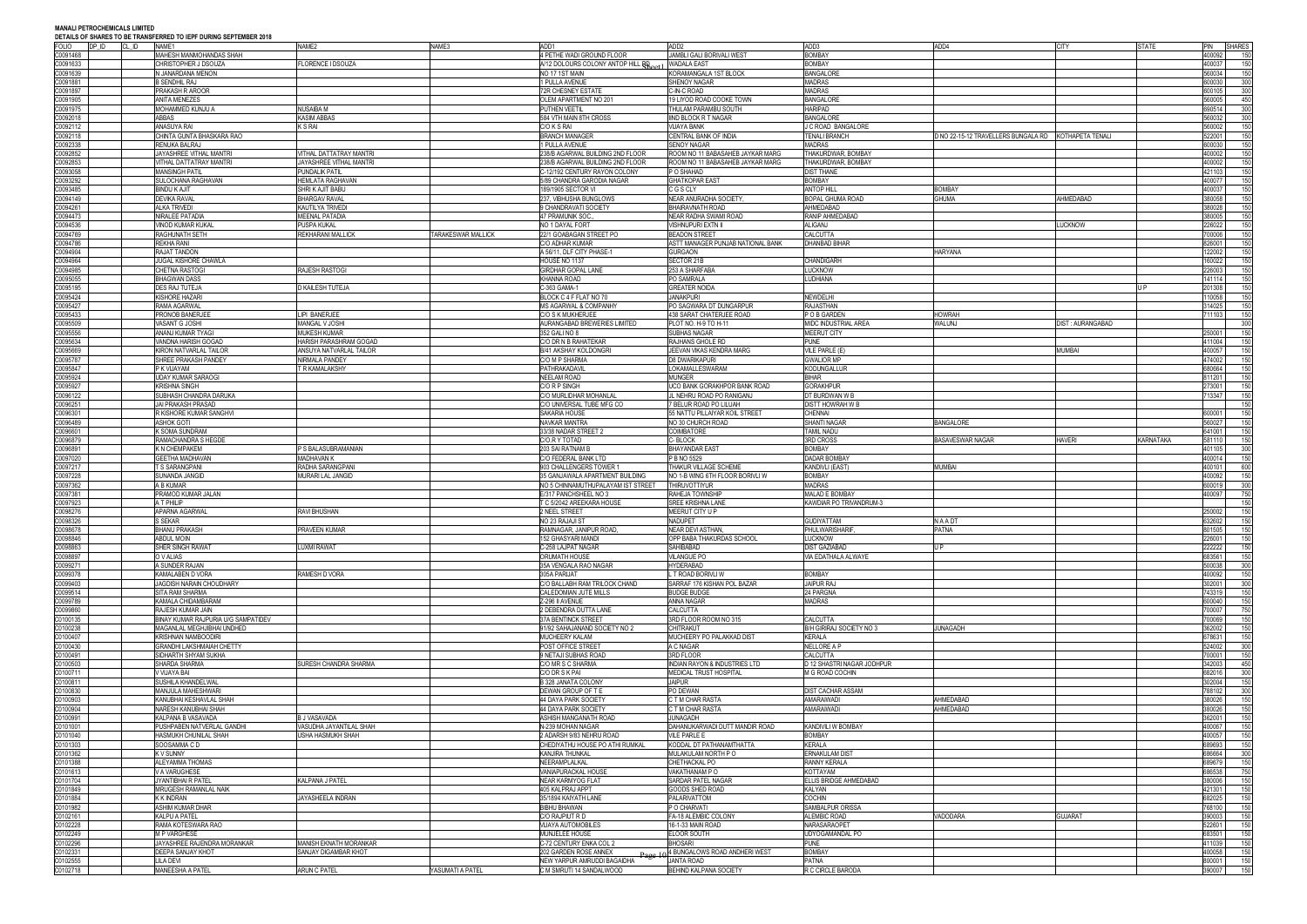|              |                | $\sim$ . The contract the contract of the contract of the contract of the contract $\sim$<br>NAME1 | NAME2                          | NAME3              | ADD1                               | ADD <sub>2</sub>                         | ADD3                       | ADD4                                                | <b>CITY</b>      | STATE     |            |     |
|--------------|----------------|----------------------------------------------------------------------------------------------------|--------------------------------|--------------------|------------------------------------|------------------------------------------|----------------------------|-----------------------------------------------------|------------------|-----------|------------|-----|
| <b>FOLIO</b> | DP ID<br>CL ID |                                                                                                    |                                |                    |                                    |                                          |                            |                                                     |                  |           | PIN SHARES |     |
| C0091468     |                | MAHESH MANMOHANDAS SHAH                                                                            |                                |                    | 4 PETHE WADI GROUND FLOOR          | JAMBLI GALI BORIVALI WEST                | <b>BOMBAY</b>              |                                                     |                  |           | 100092     | 150 |
| C0091633     |                | CHRISTOPHER J DSOUZA                                                                               | FLORENCE I DSOUZA              |                    | A/12 DOLOURS COLONY ANTOP HILL RE  | <b>WADALA EAST</b>                       | <b>BOMBAY</b>              |                                                     |                  |           | 100037     | 150 |
| C0091639     |                | N JANARDANA MENON                                                                                  |                                |                    | NO 17 1ST MAIN                     | KORAMANGALA 1ST BLOCK                    | <b>BANGALORI</b>           |                                                     |                  |           | 560034     | 150 |
| 00091881     |                | B SENDHIL RAJ                                                                                      |                                |                    | 1 PULLA AVENUE                     | SHENOY NAGAR                             | <b>MADRAS</b>              |                                                     |                  |           | 600030     | 300 |
| 00091897     |                | PRAKASH R AROOR                                                                                    |                                |                    | 72R CHESNEY ESTATE                 | C-IN-C ROAD                              | <b>MADRAS</b>              |                                                     |                  |           | 600105     | 300 |
|              |                |                                                                                                    |                                |                    |                                    |                                          |                            |                                                     |                  |           |            |     |
| 00091905     |                | <b>ANITA MENEZES</b>                                                                               |                                |                    | OLEM APARTMENT NO 201              | 19 LIYOD ROAD COOKE TOWN                 | <b>BANGALORE</b>           |                                                     |                  |           | 60005      | 450 |
| C0091975     |                | MOHAMMED KUNJU A                                                                                   | NUSAIBA M                      |                    | PUTHEN VEETIL                      | THULAM PARAMBU SOUTH                     | <b>HARIPAD</b>             |                                                     |                  |           | 690514     | 300 |
| 00092018     |                | ABBAS                                                                                              | <b>KASIM ABBAS</b>             |                    | 584 VTH MAIN 8TH CROSS             | <b>IIND BLOCK R T NAGAR</b>              | <b>BANGALORE</b>           |                                                     |                  |           | 60032      | 300 |
| C0092112     |                | ANASUYA RAI                                                                                        | K S RAI                        |                    | C/O K S RAI                        | <b>VIJAYA BANK</b>                       | J C ROAD BANGALORE         |                                                     |                  |           | 60002      | 150 |
|              |                | CHINTA GUNTA BHASKARA RAO                                                                          |                                |                    |                                    | CENTRAL BANK OF INDIA                    | <b>TENALI BRANCH</b>       |                                                     |                  |           |            | 150 |
| 00092118     |                |                                                                                                    |                                |                    | <b>BRANCH MANAGER</b>              |                                          |                            | ONO 22-15-12 TRAVELLERS BUNGALA RD KOTHAPETA TENALI |                  |           | 522001     |     |
| 0092338      |                | RENUKA BALRAJ                                                                                      |                                |                    | 1 PULLA AVENUE                     | <b>SENOY NAGAR</b>                       | MADRAS                     |                                                     |                  |           | 600030     | 150 |
| 0092852      |                | JAYASHREE VITHAL MANTRI                                                                            | <b>VITHAL DATTATRAY MANTRI</b> |                    | 238/B AGARWAL BUILDING 2ND FLOOR   | ROOM NO 11 BABASAHEB JAYKAR MARG         | THAKURDWAR, BOMBAY         |                                                     |                  |           | 100002     | 150 |
| C0092853     |                | VITHAL DATTATRAY MANTRI                                                                            | JAYASHREE VITHAL MANTRI        |                    | 238/B AGARWAL BUILDING 2ND FLOOR   | ROOM NO 11 BABASAHEB JAYKAR MARG         | THAKURDWAR, BOMBAY         |                                                     |                  |           | 100002     | 150 |
| C0093058     |                | <b>MANSINGH PATIL</b>                                                                              | <b>PUNDALIK PATIL</b>          |                    | C-12/192 CENTURY RAYON COLONY      | P O SHAHAD                               | <b>DIST THANE</b>          |                                                     |                  |           | 421103     | 150 |
|              |                |                                                                                                    |                                |                    | 5/89 CHANDRA GARODIA NAGAR         |                                          | <b>BOMBAY</b>              |                                                     |                  |           |            |     |
| C0093292     |                | SULOCHANA RAGHAVAN                                                                                 | <b>HEMLATA RAGHAVAN</b>        |                    |                                    | <b>GHATKOPAR EAST</b>                    |                            |                                                     |                  |           | 100077     | 150 |
| C0093485     |                | <b>BINDU K AJIT</b>                                                                                | SHRIK AJIT BABU                |                    | 189/1905 SECTOR VI                 | C G S CLY                                | <b>ANTOP HILL</b>          | <b>BOMBAY</b>                                       |                  |           | 400037     | 150 |
| C0094149     |                | <b>DEVIKA RAVAI</b>                                                                                | <b>BHARGAV RAVA</b>            |                    | 237, VIBHUSHA BUNGLOWS             | <b>NEAR ANURADHA SOCIETY</b>             | BOPAL GHUMA ROAD           | <b>GHUMA</b>                                        | AHMEDABAD        |           | 380058     | 150 |
| C0094261     |                | <b>ALKA TRIVEDI</b>                                                                                | KAUTILYA TRIVEDI               |                    | 9 CHANDRAVATI SOCIETY              | <b>BHAIRAVNATH ROAD</b>                  | AHMEDABAD                  |                                                     |                  |           | 380028     | 150 |
| 00094473     |                | <b>NIRALEE PATADIA</b>                                                                             | <b>MEENAL PATADIA</b>          |                    | 47 PRAMUNIK SOC                    | <b>NEAR RADHA SWAMI ROAD</b>             | RANIP AHMEDABAD            |                                                     |                  |           | 380005     | 150 |
|              |                |                                                                                                    |                                |                    |                                    |                                          |                            |                                                     |                  |           |            |     |
| C0094536     |                | <b>VINOD KUMAR KUKAL</b>                                                                           | PUSPA KUKAL                    |                    | NO 1 DAYAL FORT                    | VISHNUPURI EXTN II                       | ALIGANJ                    |                                                     | LUCKNOW          |           | 226022     | 150 |
| C0094769     |                | <b>RAGHUNATH SETH</b>                                                                              | REKHARANI MALLICK              | TARAKESWAR MALLICK | 22/1 GOABAGAN STREET PO            | <b>BEADON STREET</b>                     | CALCUTTA                   |                                                     |                  |           | 700006     | 150 |
| C0094786     |                | <b>REKHA RANI</b>                                                                                  |                                |                    | C/O ADHAR KUMAR                    | ASTT MANAGER PUNJAB NATIONAL BANK        | <b>DHANBAD BIHAR</b>       |                                                     |                  |           | 326001     | 150 |
| C0094904     |                | RAJAT TANDON                                                                                       |                                |                    | A 56/11, DLF CITY PHASE-1          | <b>GURGAON</b>                           |                            | HARYANA                                             |                  |           | 22002      | 150 |
|              |                |                                                                                                    |                                |                    |                                    |                                          |                            |                                                     |                  |           |            |     |
| 0094964      |                | JUGAL KISHORE CHAWLA                                                                               |                                |                    | HOUSE NO 1137                      | SECTOR 21B                               | CHANDIGARH                 |                                                     |                  |           | 60022      | 150 |
| C0094985     |                | CHETNA RASTOGI                                                                                     | <b>RAJESH RASTOGI</b>          |                    | <b>GIRDHAR GOPAL LANE</b>          | 253 A SHARFABA                           | <b>LUCKNOW</b>             |                                                     |                  |           | 226003     | 150 |
| 0095055      |                | <b>BHAGWAN DASS</b>                                                                                |                                |                    | KHANNA ROAD                        | PO SAMRALA                               | LUDHIANA                   |                                                     |                  |           | 141114     | 150 |
| 00095195     |                | <b>DES RAJ TUTEJA</b>                                                                              | D KAILESH TUTEJA               |                    | C-363 GAMA-1                       | <b>GREATER NOIDA</b>                     |                            |                                                     |                  |           | 01308      | 150 |
|              |                |                                                                                                    |                                |                    |                                    |                                          |                            |                                                     |                  |           |            |     |
| 00095424     |                | KISHORE HAZARI                                                                                     |                                |                    | BLOCK C 4 F FLAT NO 70             | <b>JANAKPURI</b>                         | NEWDELHI                   |                                                     |                  |           | 10058      | 150 |
| 00095427     |                | RAMA AGARWAL                                                                                       |                                |                    | MS AGARWAL & COMPANHY              | PO SAGWARA DT DUNGARPUR                  | <b>RAJASTHAN</b>           |                                                     |                  |           | 14025      | 150 |
| 00095433     |                | PRONOB BANERJEE                                                                                    | <b>IPI BANERJEE</b>            |                    | C/O S K MUKHERJEE                  | 438 SARAT CHATERJEE ROAD                 | POB GARDEN                 | HOWRAH                                              |                  |           | 11103      | 150 |
| 20095509     |                | VASANT G JOSHI                                                                                     | MANGAL V JOSHI                 |                    | AURANGABAD BREWERIES LIMITED       | PLOT NO. H-9 TO H-11                     | MIDC INDUSTRIAL AREA       | WALUNJ                                              | DIST: AURANGABAD |           |            | 300 |
|              |                |                                                                                                    |                                |                    |                                    |                                          |                            |                                                     |                  |           |            |     |
| 0095556      |                | ANANJ KUMAR TYAGI                                                                                  | <b>MUKESH KUMAR</b>            |                    | 352 GALI NO 8                      | <b>SUBHAS NAGAR</b>                      | <b>MEERUT CITY</b>         |                                                     |                  |           | 250001     | 150 |
| 00095634     |                | VANDNA HARISH GOGAD                                                                                | HARISH PARASHRAM GOGAD         |                    | C/O DR N B RAHATEKAR               | RAJHANS GHOLE RD                         | <b>PUNE</b>                |                                                     |                  |           | 11004      | 150 |
| 20095669     |                | KIRON NATVARLAL TAILOR                                                                             | ANSUYA NATVARLAL TAILOR        |                    | B/41 AKSHAY KOLDONGR               | JEEVAN VIKAS KENDRA MARG                 | VILE PARLE (E)             |                                                     | <b>MUMBA</b>     |           | 100057     | 150 |
| 0095787      |                | SHREE PRAKASH PANDEY                                                                               | NIRMALA PANDEY                 |                    | C/O M P SHARMA                     | D8 DWARIKAPURI                           | <b>GWALIOR MP</b>          |                                                     |                  |           | 174002     | 150 |
| C0095847     |                |                                                                                                    |                                |                    |                                    |                                          |                            |                                                     |                  |           |            |     |
|              |                | P K VIJAYAM                                                                                        | T R KAMALAKSHY                 |                    | PATHRAKADAVIL                      | LOKAMALLESWARAM                          | <b>KODUNGALLUR</b>         |                                                     |                  |           | 680664     | 150 |
| 0095924      |                | UDAY KUMAR SARAOGI                                                                                 |                                |                    | NEELAM ROAD                        | <b>MUNGER</b>                            | <b>BIHAR</b>               |                                                     |                  |           | 11201      | 150 |
| C0095927     |                | KRISHNA SINGH                                                                                      |                                |                    | C/O R P SINGH                      | UCO BANK GORAKHPOR BANK ROAD             | <b>GORAKHPUR</b>           |                                                     |                  |           | 273001     | 150 |
| C0096122     |                | SUBHASH CHANDRA DARUKA                                                                             |                                |                    | C/O MURLIDHAR MOHANLAL             | JL NEHRU ROAD PO RANIGANJ                | DT BURDWAN W B             |                                                     |                  |           | 713347     | 150 |
|              |                |                                                                                                    |                                |                    |                                    |                                          |                            |                                                     |                  |           |            |     |
| 00096251     |                | JAI PRAKASH PRASAD                                                                                 |                                |                    | C/O UNIVERSAL TUBE MFG CO          | 7 BELUR ROAD PO LILUAH                   | DISTT HOWRAH W             |                                                     |                  |           |            | 150 |
| 00096301     |                | R KISHORE KUMAR SANGHVI                                                                            |                                |                    | SAKARIA HOUSE                      | 55 NATTU PILLAIYAR KOIL STREET           | CHENNAI                    |                                                     |                  |           | 600001     | 150 |
| C0096489     |                | ASHOK GOTI                                                                                         |                                |                    | NAVKAR MANTRA                      | NO 30 CHURCH ROAD                        | <b>SHANTI NAGAR</b>        | <b>BANGALORE</b>                                    |                  |           | 560027     | 150 |
| C0096601     |                | K SOMA SUNDRAM                                                                                     |                                |                    | 33/38 NADAR STREET 2               | <b>COIMBATORE</b>                        | <b>TAMIL NADU</b>          |                                                     |                  |           | 641001     | 150 |
| 0096879      |                | RAMACHANDRA S HEGDE                                                                                |                                |                    | C/O.R Y TOTAD                      | C-BLOCK                                  | 3RD CROSS                  | <b>BASAVESWAR NAGAR</b>                             | HAVERI           | KARNATAKA | 581110     | 150 |
|              |                |                                                                                                    |                                |                    |                                    |                                          |                            |                                                     |                  |           |            |     |
| 20096891     |                | K N CHEMPAKEM                                                                                      | P S BALASUBRAMANIAN            |                    | 203 SAI RATNAM B                   | <b>BHAYANDAR EAST</b>                    | <b>BOMBAY</b>              |                                                     |                  |           | 401105     | 300 |
| C0097020     |                | <b>GEETHA MADHAVAN</b>                                                                             | <b>MADHAVAN K</b>              |                    | C/O FEDERAL BANK LTD               | <b>P B NO 5529</b>                       | <b>DADAR BOMBAY</b>        |                                                     |                  |           | 400014     | 150 |
| C0097217     |                | T S SARANGPANI                                                                                     | RADHA SARANGPANI               |                    | 903 CHALLENGERS TOWER 1            | THAKUR VILLAGE SCHEME                    | <b>KANDIVLI (EAST)</b>     | MUMBAI                                              |                  |           | 400101     | 600 |
| C0097228     |                | SUNANDA JANGID                                                                                     | MURARI LAL JANGID              |                    | 35 GANJAWALA APARTMENT BUILDING    | NO 1-B WING 6TH FLOOR BORIVLI W          | <b>BOMBAY</b>              |                                                     |                  |           | 100092     | 150 |
| C0097362     |                | A B KUMAR                                                                                          |                                |                    |                                    | <b>THIRUVOTTIYUR</b>                     | <b>MADRAS</b>              |                                                     |                  |           | 600019     | 300 |
|              |                |                                                                                                    |                                |                    | NO 5 CHINNAMUTHUPALAYAM IST STREET |                                          |                            |                                                     |                  |           |            |     |
| C0097381     |                | PRAMOD KUMAR JALAN                                                                                 |                                |                    | E/317 PANCHSHEEL NO 3              | RAHEJA TOWNSHIP                          | <b>MALAD E BOMBAY</b>      |                                                     |                  |           | 400097     | 750 |
| 0097923      |                | A T PHILIP                                                                                         |                                |                    | T C 5/2042 AREEKARA HOUSE          | <b>SREE KRISHNA LANE</b>                 | KAWDIAR PO TRIVANDRUM-3    |                                                     |                  |           |            | 150 |
| 0098276      |                | APARNA AGARWAL                                                                                     | <b>RAVI BHUSHAN</b>            |                    | <b>NEEL STREET</b>                 | MEERUT CITY U P                          |                            |                                                     |                  |           | 250002     | 150 |
| 0098326      |                | S SEKAR                                                                                            |                                |                    | NO 23 RAJAJI ST                    | <b>NADUPET</b>                           | <b>GUDIYATTAM</b>          | NAADT                                               |                  |           | 32602      | 150 |
|              |                |                                                                                                    |                                |                    |                                    |                                          |                            |                                                     |                  |           |            |     |
| C0098678     |                | <b>BHANU PRAKASH</b>                                                                               | PRAVEEN KUMAR                  |                    | RAMNAGAR, JANIPUR ROAD.            | NFAR DFVI ASTHAN                         | PHULWARISHARIF.            | PATNA                                               |                  |           | 1505       | 150 |
| 20098846     |                | <b>ABDUL MOIN</b>                                                                                  |                                |                    | <b>152 GHASYARI MANDI</b>          | OPP BABA THAKURDAS SCHOOL                | <b>LUCKNOW</b>             |                                                     |                  |           | 26001      | 150 |
| C0098863     |                | SHER SINGH RAWAT                                                                                   | <b>UXMI RAWAT</b>              |                    | C-258 LAJPAT NAGAR                 | SAHIBABAD                                | <b>DIST GAZIABAD</b>       |                                                     |                  |           | 222222     | 150 |
| 0098897      |                | O V ALIAS                                                                                          |                                |                    | ORUMATH HOUSE                      | <b>VILANGUE PO</b>                       | VIA EDATHALA ALWAYE        |                                                     |                  |           | 683561     | 150 |
|              |                |                                                                                                    |                                |                    |                                    |                                          |                            |                                                     |                  |           |            |     |
| C0099271     |                | A SUNDER RAJAN                                                                                     |                                |                    | 35A VENGALA RAO NAGAR              | <b>HYDERABAD</b>                         |                            |                                                     |                  |           | 500038     | 300 |
| C0099378     |                | KAMALABEN D VORA                                                                                   | RAMESH D VORA                  |                    | 305A PARIJAT                       | L T ROAD BORIVLI W                       | <b>BOMBAY</b>              |                                                     |                  |           | 100092     | 150 |
| C0099403     |                | JAGDISH NARAIN CHOUDHARY                                                                           |                                |                    | C/O BALLABH RAM TRILOCK CHAND      | SARRAF 176 KISHAN POL BAZAR              | <b>JAIPUR RAJ</b>          |                                                     |                  |           | 302001     | 300 |
| C0099514     |                | SITA RAM SHARMA                                                                                    |                                |                    | CALEDOMIAN JUTE MILLS              | <b>BUDGE BUDGE</b>                       | 24 PARGNA                  |                                                     |                  |           | 743319     | 150 |
|              |                |                                                                                                    |                                |                    |                                    |                                          |                            |                                                     |                  |           |            |     |
| C0099789     |                | KAMALA CHIDAMBARAM                                                                                 |                                |                    | Z-296 II AVENUE                    | ANNA NAGAR                               | <b>MADRAS</b>              |                                                     |                  |           | 600040     | 150 |
| 0099860      |                | RAJESH KUMAR JAIN                                                                                  |                                |                    | 2 DEBENDRA DUTTA LANE              | CALCUTTA                                 |                            |                                                     |                  |           | 00007      | 750 |
| C0100135     |                | BINAY KUMAR RAJPURIA U/G SAMPATIDEV                                                                |                                |                    | <b>37A BENTINCK STREET</b>         | 3RD FLOOR ROOM NO 315                    | CALCUTTA                   |                                                     |                  |           | 700069     | 150 |
| C0100238     |                | MAGANLAL MEGHJIBHAI UNDHED                                                                         |                                |                    | 91/92 SAHAJANAND SOCIETY NO 2      | <b>CHITRAKUT</b>                         | B/H GIRIRAJ SOCIETY NO 3   | <b>JUNAGADH</b>                                     |                  |           | 862002     | 150 |
| 20100407     |                | KRISHNAN NAMBOODIRI                                                                                |                                |                    | MUCHEERY KALAM                     | MUCHEERY PO PALAKKAD DIST                | KERALA                     |                                                     |                  |           | 378631     | 150 |
|              |                |                                                                                                    |                                |                    |                                    |                                          |                            |                                                     |                  |           |            |     |
| 00100430     |                | <b>GRANDHI LAKSHMAIAH CHETTY</b>                                                                   |                                |                    | POST OFFICE STREET                 | A C NAGAR                                | NELLORE A P                |                                                     |                  |           | 524002     | 300 |
| C0100491     |                | SIDHARTH SHYAM SUKHA                                                                               |                                |                    | 9 NETAJI SUBHAS ROAD               | 3RD FLOOR                                | <b>CALCUTTA</b>            |                                                     |                  |           | 700001     | 150 |
| 00100503     |                | SHARDA SHARMA                                                                                      | <b>SURESH CHANDRA SHARMA</b>   |                    | C/O MR S C SHARMA                  | <b>INDIAN RAYON &amp; INDUSTRIES LTD</b> | D 12 SHASTRI NAGAR JODHPUR |                                                     |                  |           | 342003     | 450 |
| C0100711     |                | V VIJAYA BAI                                                                                       |                                |                    | C/O DR S K PAI                     | MEDICAL TRUST HOSPITAL                   | M G ROAD COCHIN            |                                                     |                  |           | 682016     | 300 |
|              |                |                                                                                                    |                                |                    |                                    |                                          |                            |                                                     |                  |           |            |     |
| 00100811     |                | SUSHILA KHANDELWAL                                                                                 |                                |                    | B 328 JANATA COLONY                | <b>JAIPUR</b>                            |                            |                                                     |                  |           | 302004     | 150 |
| 0100830      |                | MANJULA MAHESHWARI                                                                                 |                                |                    | DEWAN GROUP OF TE                  | PO DEWAN                                 | <b>DIST CACHAR ASSAM</b>   |                                                     |                  |           | 788102     | 300 |
| 20100903     |                | KANUBHAI KESHAVLAL SHAH                                                                            |                                |                    | <b>44 DAYA PARK SOCIETY</b>        | C T M CHAR RASTA                         | AMARAIWADI                 | AHMEDABAD                                           |                  |           | 80026      | 150 |
| 00100904     |                | NARESH KANUBHAI SHAH                                                                               |                                |                    | 44 DAYA PARK SOCIETY               | C T M CHAR RASTA                         | AMARAIWADI                 | AHMEDABAD                                           |                  |           | 380026     | 150 |
|              |                |                                                                                                    |                                |                    |                                    | <b>JUNAGADH</b>                          |                            |                                                     |                  |           |            |     |
| C0100991     |                | KALPANA B VASAVADA                                                                                 | B J VASAVADA                   |                    | ASHISH MANGANATH ROAD              |                                          |                            |                                                     |                  |           | 362001     | 150 |
| C0101001     |                | PUSHPABEN NATVERLAL GANDHI                                                                         | VASUDHA JAYANTILAL SHAH        |                    | N-239 MOHAN NAGAR                  | DAHANUKARWADI DUTT MANDIR ROAD           | KANDIVILI W BOMBAY         |                                                     |                  |           | 100067     | 150 |
| C0101040     |                | HASMUKH CHUNILAL SHAH                                                                              | USHA HASMUKH SHAH              |                    | 2 ADARSH 9/83 NEHRU ROAD           | <b>VILE PARLE E</b>                      | <b>BOMBAY</b>              |                                                     |                  |           | 00057      | 150 |
| 00101303     |                | SOOSAMMA CD                                                                                        |                                |                    | CHEDIYATHU HOUSE PO ATHI RUMKAL    | KODDAL DT PATHANAMTHATTA                 | <b>KERALA</b>              |                                                     |                  |           | 689693     | 150 |
| C0101362     |                | <b>KV SUNNY</b>                                                                                    |                                |                    | KANJIRA THUNKAL                    | MULAKULAM NORTH P O                      | <b>ERNAKULAM DIST</b>      |                                                     |                  |           | 86664      | 300 |
| C0101388     |                | ALEYAMMA THOMAS                                                                                    |                                |                    | NEERAMPLALKAL                      | CHETHACKAL PO                            | RANNY KERALA               |                                                     |                  |           | 89679      | 150 |
|              |                |                                                                                                    |                                |                    |                                    |                                          |                            |                                                     |                  |           |            |     |
| C0101613     |                | V A VARUGHESE                                                                                      |                                |                    | VANIAPURACKAL HOUSE                | VAKATHANAM P O                           | KOTTAYAM                   |                                                     |                  |           | 686538     | 750 |
| C0101704     |                | JYANTIBHAI R PATEL                                                                                 | <b>KALPANA J PATEL</b>         |                    | <b>NEAR KARMYOG FLAT</b>           | SARDAR PATEL NAGAR                       | ELLIS BRIDGE AHMEDABAD     |                                                     |                  |           | 380006     | 150 |
| C0101849     |                | MRUGESH RAMANLAL NAIK                                                                              |                                |                    | 405 KALPRAJ APPT                   | GOODS SHED ROAD                          | KALYAN                     |                                                     |                  |           | 21301      | 150 |
| C0101884     |                | K K INDRAN                                                                                         | JAYASHEELA INDRAN              |                    | 35/1894 KAIYATH LANE               | PALARIVATTOM                             | <b>COCHIN</b>              |                                                     |                  |           | 82025      | 150 |
| C0101982     |                | ASHIM KUMAR DHAR                                                                                   |                                |                    |                                    | P O CHARVATI                             | SAMBALPUR ORISSA           |                                                     |                  |           | 768100     | 150 |
|              |                |                                                                                                    |                                |                    | <b>BIBHU BHAWAN</b>                |                                          |                            |                                                     |                  |           |            |     |
| 00102161     |                | KALPU A PATEL                                                                                      |                                |                    | C/O RAJPIUT R D                    | FA-18 ALEMBIC COLONY                     | <b>ALEMBIC ROAD</b>        | VADODARA                                            | <b>GUJARAT</b>   |           | 390003     | 150 |
| 00102228     |                | RAMA KOTESWARA RAO                                                                                 |                                |                    | <b>VIJAYA AUTOMOBILES</b>          | 16-1-33 MAIN ROAD                        | NARASARAOPET               |                                                     |                  |           | 22601      | 150 |
| C0102249     |                | <b>M P VARGHESE</b>                                                                                |                                |                    | <b>MUNJELEE HOUSE</b>              | <b>ELOOR SOUTH</b>                       | <b>UDYOGAMANDAL PO</b>     |                                                     |                  |           | 683501     | 150 |
| C0102296     |                | JAYASHREE RAJENDRA MORANKAR                                                                        | MANISH EKNATH MORANKAR         |                    | C-72 CENTURY ENKA COL 2            | <b>BHOSARI</b>                           | <b>PUNE</b>                |                                                     |                  |           | 11039      | 150 |
| C0102331     |                | DEEPA SANJAY KHOT                                                                                  | SANJAY DIGAMBAR KHOT           |                    | 202 GARDEN ROSE ANNEX              | 4 BUNGALOWS ROAD ANDHERI WEST            | <b>BOMBAY</b>              |                                                     |                  |           | 00058      | 150 |
|              |                |                                                                                                    |                                |                    |                                    |                                          |                            |                                                     |                  |           |            |     |
| 0102555      |                | <b>LILA DEVI</b>                                                                                   |                                |                    | NEW YARPUR AMRUDDI BAGAIDHA        | JANTA ROAD                               | PATNA                      |                                                     |                  |           | 800001     | 150 |
|              |                | MANEESHA A PATEL                                                                                   | <b>ARUN C PATEL</b>            | YASUMATI A PATEL   | C M SMRUTI 14 SANDALWOOD           | <b>BEHIND KALPANA SOCIETY</b>            | R C CIRCLE BARODA          |                                                     |                  |           | 390007     | 150 |
| C0102718     |                |                                                                                                    |                                |                    |                                    |                                          |                            |                                                     |                  |           |            |     |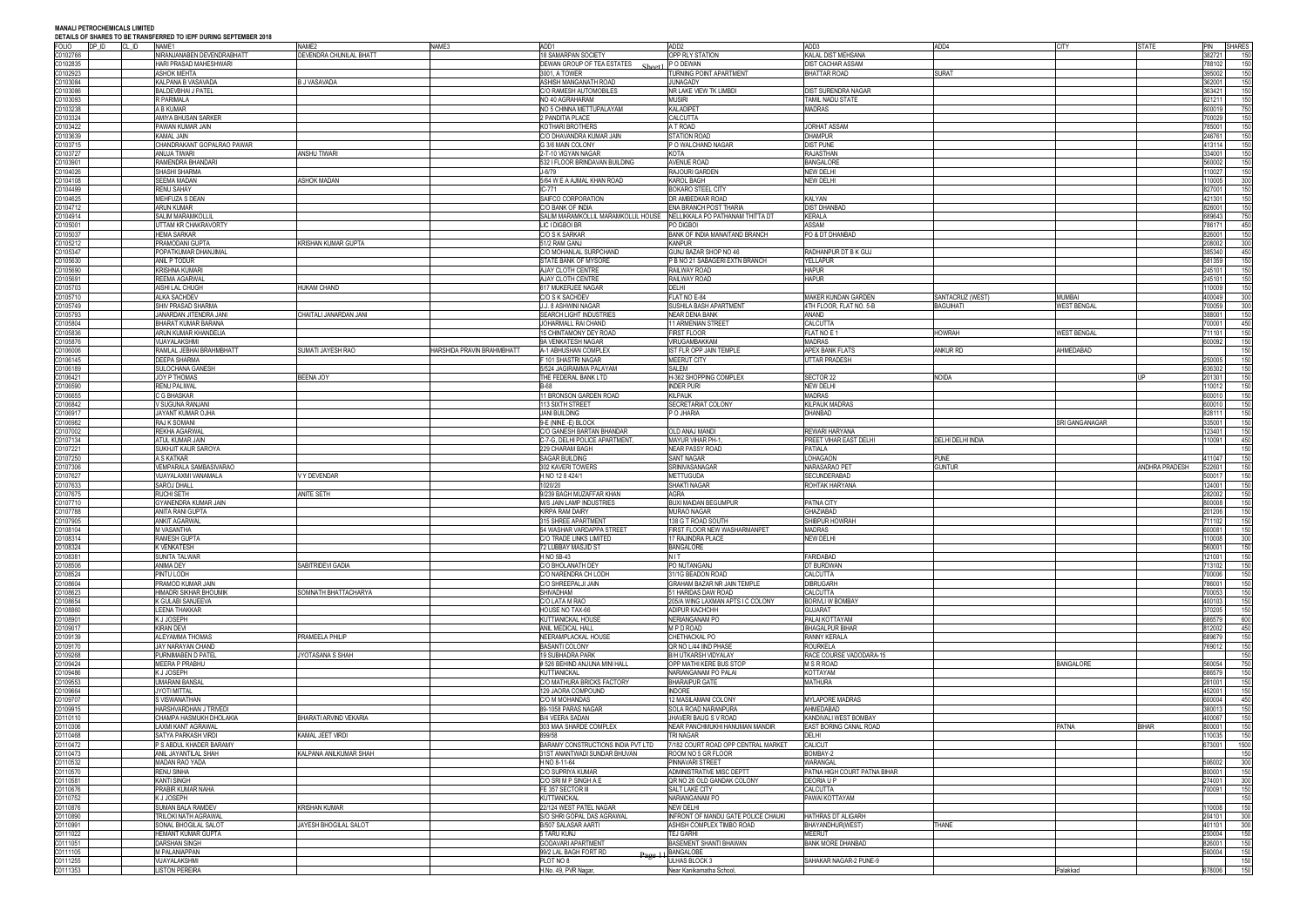### **MANALI PETROCHEMICALS LIMITED DEN TA IEDE NIJBING SEDTEMBER 2019**

| <b>FOLIO</b><br>DP ID | DETAILS OF SHAKES TO BE TRANSFERRED TO IEPF DURING SEPTEMBER 2010<br>CL ID<br>NAME1 | NAME2                         | NAME3                      | ADD1                                        | ADD <sub>2</sub>                                 | ADD3                         | ADD4                     | <b>CITY</b>        | <b>STATE</b>   | PIN SHARES              |     |
|-----------------------|-------------------------------------------------------------------------------------|-------------------------------|----------------------------|---------------------------------------------|--------------------------------------------------|------------------------------|--------------------------|--------------------|----------------|-------------------------|-----|
| C0102766              | NIRANJANABEN DEVENDRABHATT                                                          | DEVENDRA CHUNILAL BHATT       |                            | 18 SAMARPAN SOCIETY                         | OPP RLY STATION                                  | KALAL DIST MEHSANA           |                          |                    |                | 382721<br>150           |     |
| 0102835               | HARI PRASAD MAHESHWARI                                                              |                               |                            | DEWAN GROUP OF TEA ESTATES                  | P O DEWAN                                        | <b>DIST CACHAR ASSAM</b>     |                          |                    |                | 788102                  | 150 |
| 0102923               | ASHOK MEHTA                                                                         |                               |                            | 3001, A TOWER                               | TURNING POINT APARTMENT                          | <b>BHATTAR ROAD</b>          | <b>SURAT</b>             |                    |                | 395002                  | 150 |
| 0103084               | KALPANA B VASAVADA                                                                  | <b>B J VASAVADA</b>           |                            | ASHISH MANGANATH ROAD                       | <b>JUNAGADY</b>                                  |                              |                          |                    |                | 362001<br>150           |     |
| 0103086               | BALDEVBHAI J PATEL                                                                  |                               |                            | C/O RAMESH AUTOMOBILES                      | NR LAKE VIEW TK LIMBDI                           | DIST SURENDRA NAGAR          |                          |                    |                | 363421                  | 150 |
| 0103093               | R PARIMALA                                                                          |                               |                            | NO 40 AGRAHARAM                             | <b>MUSIRI</b>                                    | TAMIL NADU STATE             |                          |                    |                | 321211                  | 150 |
| 00103238              | A B KUMAR                                                                           |                               |                            | NO 5 CHINNA METTUPALAYAM                    | <b>KALADIPET</b>                                 | <b>MADRAS</b>                |                          |                    |                | 600019                  | 750 |
| C0103324              | AMIYA BHUSAN SARKER                                                                 |                               |                            | 2 PANDITIA PLACE                            | CALCUTTA                                         |                              |                          |                    |                | 700029                  | 150 |
| 0103422               | PAWAN KUMAR JAIN                                                                    |                               |                            | <b>KOTHARI BROTHERS</b>                     | A T ROAD                                         | <b>JORHAT ASSAM</b>          |                          |                    |                | 85001                   | 150 |
| 0103639               | Kamal Jain                                                                          |                               |                            | C/O DHAVANDRA KUMAR JAIN                    | <b>STATION ROAD</b>                              | <b>DHAMPUR</b>               |                          |                    |                | 246761                  | 150 |
| 00103715              | CHANDRAKANT GOPALRAO PAWAR                                                          |                               |                            | G 3/6 MAIN COLONY                           | P O WALCHAND NAGAR                               | <b>DIST PUNE</b>             |                          |                    |                | 413114                  | 150 |
|                       | ANUJA TIWARI                                                                        | ANSHU TIWARI                  |                            | 2-T-10 VIGYAN NAGAR                         | KOTA                                             | RAJASTHAN                    |                          |                    |                | 334001                  |     |
| 0103727               |                                                                                     |                               |                            |                                             |                                                  |                              |                          |                    |                |                         | 150 |
| 0103901               | RAMENDRA BHANDARI                                                                   |                               |                            | 532 I FLOOR BRINDAVAN BUILDING              | <b>AVENUE ROAD</b>                               | <b>BANGALORE</b>             |                          |                    |                | 60002                   | 150 |
| 0104026               | SHASHI SHARMA                                                                       |                               |                            | J-6/79                                      | RAJOURI GARDEN                                   | NEW DELHI                    |                          |                    |                | 10027                   | 150 |
| 0104108               | SEEMA MADAN                                                                         | <b>ASHOK MADAN</b>            |                            | 5/64 W E A AJMAL KHAN ROAD                  | KAROL BAGH                                       | NEW DELHI                    |                          |                    |                | 10005<br>300            |     |
| 0104499               | <b>RENU SAHAY</b>                                                                   |                               |                            | C-771                                       | <b>BOKARO STEEL CITY</b>                         |                              |                          |                    |                | 827001                  | 150 |
| 0104625               | MEHFUZA S DEAN                                                                      |                               |                            | SAIFCO CORPORATION                          | DR AMBEDKAR ROAD                                 | KALYAN                       |                          |                    |                | 121301                  | 150 |
| 0104712               | <b>ARUN KUMAR</b>                                                                   |                               |                            | C/O BANK OF INDIA                           | ENA BRANCH POST THARIA                           | DIST DHANBAD                 |                          |                    |                | 150<br>326001           |     |
| 0104914               | SALIM MARAMKOLLIL                                                                   |                               |                            | SALIM MARAMKOLLIL MARAMKOLLIL HOUSE         | NELLIKKALA PO PATHANAM THITTA DT                 | KERALA                       |                          |                    |                | 689643<br>750           |     |
| 0105001               | JTTAM KR CHAKRAVORTY                                                                |                               |                            | LIC I DIGBOI BR                             | PO DIGBOI                                        | ASSAM                        |                          |                    |                | 450<br>786171           |     |
| 0105037               | <b>HEMA SARKAR</b>                                                                  |                               |                            | C/O S K SARKAR                              | BANK OF INDIA MANAITAND BRANCH                   | PO & DT DHANBAD              |                          |                    |                | 826001                  | 150 |
| 0105212               | PRAMODANI GUPTA                                                                     | KRISHAN KUMAR GUPTA           |                            | 51/2 RAM GANJ                               | <b>KANPUR</b>                                    |                              |                          |                    |                | 208002<br>300           |     |
| 0105347               | POPATKUMAR DHANJIMAL                                                                |                               |                            | C/O MOHANLAL SURPCHAND                      | GUNJ BAZAR SHOP NO 46                            | RADHANPUR DT B K GUJ         |                          |                    |                | 385340<br>450           |     |
| 0105630               | ANIL P TODUR                                                                        |                               |                            | STATE BANK OF MYSORE                        | P B NO 21 SABAGERI EXTN BRANCH                   | <b>YELLAPUR</b>              |                          |                    |                | 581359                  | 150 |
| 0105690               | <b>KRISHNA KUMARI</b>                                                               |                               |                            | AJAY CLOTH CENTRE                           | RAILWAY ROAD                                     | <b>HAPUR</b>                 |                          |                    |                | 245101                  | 150 |
| 0105691               | REEMA AGARWAL                                                                       |                               |                            | AJAY CLOTH CENTRE                           | RAILWAY ROAD                                     | <b>HAPUR</b>                 |                          |                    |                | 245101<br>150           |     |
| 0105703               | AISHI LAL CHUGH                                                                     | HUKAM CHAND                   |                            | 17 MUKERJEE NAGAR                           | DELHI                                            |                              |                          |                    |                | 10009                   | 150 |
| 0105710               | <b>ILKA SACHDEV</b>                                                                 |                               |                            | C/O S K SACHDEV                             | FLAT NO E-84                                     | <b>MAKER KUNDAN GARDEN</b>   | SANTACRUZ (WEST)         | <b>MUMBAI</b>      |                | 100049                  | 300 |
| 0105749               | SHIV PRASAD SHARMA                                                                  |                               |                            | J.J. 8 ASHWINI NAGAR                        | SUSHILA BASH APARTMENT                           | 4TH FLOOR, FLAT NO. 5-B      | <b>BAGUIHATI</b>         | <b>WEST BENGAL</b> |                | 700059<br>300           |     |
| 00105793              | <b>JANARDAN JITENDRA JANI</b>                                                       | CHAITALI JANARDAN JANI        |                            | SEARCH LIGHT INDUSTRIES                     | <b>NEAR DENA BANK</b>                            | ANAND                        |                          |                    |                | 388001<br>150           |     |
| 0105804               | <b>BHARAT KUMAR BARANA</b>                                                          |                               |                            | JOHARMALL RAI CHAND                         | 11 ARMENIAN STREET                               | CALCUTTA                     |                          |                    |                | 00001                   | 450 |
| 0105836               | ARUN KUMAR KHANDELIA                                                                |                               |                            | 15 CHINTAMONY DEY ROAD                      | <b>FIRST FLOOR</b>                               | FLAT NO E 1                  | <b>HOWRAH</b>            | WEST BENGAL        |                | 11101                   | 150 |
| 00105876              | VIJAYALAKSHMI                                                                       |                               |                            | 9A VENKATESH NAGAR                          | VIRUGAMBAKKAM                                    | MADRAS                       |                          |                    |                | 600092                  | 150 |
| 0106006               | RAMLAL JEBHAI BRAHMBHATT                                                            | SUMATI JAYESH RAO             | HARSHIDA PRAVIN BRAHMBHATT | A-1 ABHUSHAN COMPLEX                        | IST FLR OPP JAIN TEMPLE                          | APEX BANK FLATS              | ANKUR RD                 | AHMEDABAD          |                |                         | 150 |
| 0106145               | DEEPA SHARMA                                                                        |                               |                            | 101 SHASTRI NAGAR                           | <b>MEERUT CITY</b>                               | UTTAR PRADESH                |                          |                    |                | 250005                  | 150 |
| 00106189              | SULOCHANA GANESH                                                                    |                               |                            | 5/524 JAGIRAMMA PALAYAM                     | SALEM                                            |                              |                          |                    |                | 36302                   | 150 |
| 0106421               | JOY P THOMAS                                                                        | <b>BEENA JOY</b>              |                            | THE FEDERAL BANK LTD                        | H-362 SHOPPING COMPLEX                           | SECTOR 22                    | <b>NOIDA</b>             |                    |                | 201301                  | 150 |
| 0106590               | <b>RENU PALIWAL</b>                                                                 |                               |                            | 3-68                                        | <b>INDER PURI</b>                                | NEW DELHI                    |                          |                    |                | 10012                   | 150 |
| 0106655               | <b>G BHASKAR</b>                                                                    |                               |                            | 11 BRONSON GARDEN ROAD                      | <b>KILPAUK</b>                                   | <b>MADRAS</b>                |                          |                    |                | 600010                  | 150 |
| 0106842               | / SUGUNA RANJANI                                                                    |                               |                            | 113 SIXTH STREET                            | SECRETARIAT COLONY                               | KILPAUK MADRAS               |                          |                    |                | 600010                  | 150 |
| 0106917               | JAYANT KUMAR OJHA                                                                   |                               |                            | <b>JANI BUILDING</b>                        | P O JHARIA                                       | DHANBAD                      |                          |                    |                | 828111                  | 150 |
| 0106982               | RAJ K SOMANI                                                                        |                               |                            | 9-E (NINE -E) BLOCK                         |                                                  |                              |                          | SRI GANGANAGAR     |                | 35001                   | 150 |
| 0107002               | REKHA AGARWAL                                                                       |                               |                            | C/O GANESH BARTAN BHANDAR                   | OLD ANAJ MANDI                                   | REWARI HARYANA               |                          |                    |                | 23401                   | 150 |
| 00107134              | ATUL KUMAR JAIN                                                                     |                               |                            | C-7-G, DELHI POLICE APARTMENT               | <b>MAYUR VIHAR PH-1</b>                          | PREET VIHAR EAST DELHI       | <b>DELHI DELHI INDIA</b> |                    |                | 10091<br>450            |     |
| 0107221               | SUKHJIT KAUR SAROYA                                                                 |                               |                            | 229 CHARAM BAGH                             | <b>NEAR PASSY ROAD</b>                           | PATIALA                      |                          |                    |                |                         | 150 |
| 0107250               | A S KATKAR                                                                          |                               |                            | SAGAR BUILDING                              | SANT NAGAR                                       | LOHAGAON                     | <b>PUNE</b>              |                    |                | 11047                   | 150 |
| 0107306               | VEMPARALA SAMBASIVARAO                                                              |                               |                            | 302 KAVERI TOWERS                           | SRINIVASANAGAR                                   | NARASARAO PET                | <b>GUNTUR</b>            |                    | ANDHRA PRADESH | 522601                  | 150 |
| 0107627               | VIJAYALAXMI VANAMALA                                                                | / Y DEVENDAR                  |                            | H NO 12 8 424/1                             | <b>METTUGUDA</b>                                 | SECUNDERABAD                 |                          |                    |                | 500017<br>150           |     |
| 107633                | SAROJ DHALL                                                                         |                               |                            | 1020/20                                     | <b>SHAKTI NAGAR</b>                              | ROHTAK HARYANA               |                          |                    |                | 24001                   | 150 |
| 0107675               | RUCHI SETH                                                                          | ANITE SETH                    |                            | 9/239 BAGH MUZAFFAR KHAN                    | AGRA                                             |                              |                          |                    |                | 282002                  | 150 |
| 0107710               | GYANENDRA KUMAR JAIN                                                                |                               |                            | M/S JAIN LAMP INDUSTRIES                    | <b>BUXI MAIDAN BEGUMPUR</b>                      | PATNA CITY                   |                          |                    |                | 150<br>800008           |     |
| 0107788               | ANITA RANI GUPTA                                                                    |                               |                            | <b>KIRPA RAM DAIRY</b>                      | MURAO NAGAR                                      | GHAZIABAD                    |                          |                    |                | 201206<br>150           |     |
| 0107905               | ANKIT AGARWAL                                                                       |                               |                            | <b>315 SHREE APARTMENT</b>                  | 138 G T ROAD SOUTH                               | SHIBPUR HOWRAH               |                          |                    |                | 11102                   | 150 |
| 00108104              |                                                                                     |                               |                            | 54 WASHAR VARDAPPA STREET                   | FIRST FLOOR NEW WASHARMANPET                     | MADRAS                       |                          |                    |                | 00081                   | 150 |
| 00108314              |                                                                                     |                               |                            |                                             |                                                  |                              |                          |                    |                | 10008<br>300            |     |
|                       | M VASANTHA                                                                          |                               |                            |                                             |                                                  |                              |                          |                    |                |                         |     |
|                       | RAMESH GUPTA                                                                        |                               |                            | C/O TRADE LINKS LIMITED                     | 17 RAJINDRA PLACE                                | NEW DELHI                    |                          |                    |                |                         |     |
| 0108324               | <b>VENKATESH</b>                                                                    |                               |                            | 72 LUBBAY MASJID ST                         | BANGALORE                                        |                              |                          |                    |                | 60001<br>150            |     |
| 0108381               | <b>SUNITA TALWAR</b>                                                                |                               |                            | H NO 5B-43                                  | NIT                                              | FARIDABAD                    |                          |                    |                | 150<br>21001            |     |
| 0108506               | ANIMA DEY                                                                           | SABITRIDEVI GADIA             |                            | C/O BHOLANATH DEY                           | PO NUTANGANJ                                     | DT BURDWAN                   |                          |                    |                | 713102<br>150           |     |
| 0108524<br>0108604    | PINTU LODH<br>PRAMOD KUMAR JAIN                                                     |                               |                            | C/O NARENDRA CH LODH<br>C/O SHREEPALJI JAIN | 31/1G BEADON ROAD<br>GRAHAM BAZAR NR JAIN TEMPLE | CALCUTTA<br><b>DIBRUGARH</b> |                          |                    |                | 700006<br>150<br>'86001 |     |
|                       |                                                                                     |                               |                            |                                             |                                                  |                              |                          |                    |                |                         | 150 |
| 00108623              | <b>HIMADRI SIKHAR BHOUMIK</b>                                                       | SOMNATH BHATTACHARYA          |                            | SHIVADHAM                                   | 51 HARIDAS DAW ROAD                              | CALCUTTA                     |                          |                    |                | 700053<br>150           |     |
| 0108654               | K GULABI SANJEEVA                                                                   |                               |                            | C/O LATA M RAO                              | 205/A WING LAXMAN APTS I C COLONY                | <b>BORIVLI W BOMBAY</b>      |                          |                    |                | 400103<br>150           |     |
| 0108860               | LEENA THAKKAR                                                                       |                               |                            | HOUSE NO TAX-66                             | ADIPUR KACHCHH                                   | <b>GUJARAT</b>               |                          |                    |                | 70205                   | 150 |
| 0108901               | (JJOSEPH                                                                            |                               |                            | KUTTIANICKAL HOUSE                          | NERIANGANAM PO                                   | PALAI KOTTAYAM               |                          |                    |                | 686579                  | 600 |
| 00109017              | KIRAN DEVI                                                                          |                               |                            | ANIL MEDICAL HALL                           | MPD ROAD                                         | <b>BHAGALPUR BIHAR</b>       |                          |                    |                | 312002<br>450           |     |
| 0109139               | <b>LEYAMMA THOMAS</b>                                                               | PRAMEELA PHILIP               |                            | NEERAMPLACKAL HOUSE                         | CHETHACKAL PO                                    | RANNY KERALA                 |                          |                    |                | 689679<br>150           |     |
| 0109170               | JAY NARAYAN CHAND                                                                   |                               |                            | <b>BASANTI COLONY</b>                       | QR NO L/44 IIND PHASE                            | ROURKELA                     |                          |                    |                | '69012                  | 150 |
| 0109268               | PURNIMABEN D PATEL                                                                  | JYOTASANA S SHAH              |                            | <b>19 SUBHADRA PARK</b>                     | <b>B/H UTKARSH VIDYALAY</b>                      | RACE COURSE VADODARA-15      |                          |                    |                | 150                     |     |
| 00109424              | MEERA P PRABHU                                                                      |                               |                            | # 526 BEHIND ANJUNA MINI HALL               | OPP MATHI KERE BUS STOF                          | <b>M S R ROAD</b>            |                          | <b>BANGALORE</b>   |                | 560054<br>750           |     |
| 0109486               | (JJOSEPH                                                                            |                               |                            | <b>KUTTIANICKAL</b>                         | NARIANGANAM PO PALAI                             | KOTTAYAM                     |                          |                    |                | 86579<br>150            |     |
| 0109553               | <b>JMARANI BANSAL</b>                                                               |                               |                            | C/O MATHURA BRICKS FACTORY                  | <b>BHARAIPUR GATE</b>                            | <b>MATHURA</b>               |                          |                    |                | 150<br>281001           |     |
| 0109664               | JYOTI MITTAL                                                                        |                               |                            | 129 JAORA COMPOUND                          | <b>INDORE</b>                                    |                              |                          |                    |                | 452001<br>150           |     |
| 0109707               | S VISWANATHAN                                                                       |                               |                            | C/O M MOHANDAS                              | 12 MASILAMANI COLONY                             | MYLAPORE MADRAS              |                          |                    |                | 600004<br>450           |     |
| 0109915               | <b>HARSHVARDHAN J TRIVEDI</b>                                                       |                               |                            | 89-1058 PARAS NAGAR                         | SOLA ROAD NARANPURA                              | AHMEDABAD                    |                          |                    |                | 380013                  | 150 |
| C0110110              | CHAMPA HASMUKH DHOLAKIA                                                             | <b>BHARATI ARVIND VEKARIA</b> |                            | <b>B/4 VEERA SADAN</b>                      | JHAVERI BAUG S V ROAD                            | KANDIVALI WEST BOMBAY        |                          |                    |                | 400067<br>150           |     |
| 00110306              | LAXMI KANT AGRAWAL                                                                  |                               |                            | 303 MAA SHARDE COMPLEX                      | NEAR PANCHMUKHI HANUMAN MANDIR                   | EAST BORING CANAL ROAD       |                          | PATNA              | BIHAR          | 150<br>800001           |     |
| 00110468              | SATYA PARKASH VIRDI                                                                 | KAMAL JEET VIRDI              |                            | 899/58                                      | TRI NAGAR                                        | DELHI                        |                          |                    |                | 10035<br>150            |     |
| 20110472              | <b>S ABDUL KHADER BARAMY</b>                                                        |                               |                            | BARAMY CONSTRUCTIONS INDIA PVT LTD          | 7/182 COURT ROAD OPP CENTRAL MARKET              | <b>CALICUT</b>               |                          |                    |                | 1500<br>373001          |     |
| 0110473               | ANIL JAYANTILAL SHAH                                                                | KALPANA ANILKUMAR SHAH        |                            | 1ST ANANTWADI SUNDAR BHUVAN                 | ROOM NO 5 GR FLOOR                               | BOMBAY-2                     |                          |                    |                | 150                     |     |
| 00110532              | MADAN RAO YADA                                                                      |                               |                            | H NO 8-11-64                                | PINNAVARI STREET                                 | WARANGAL                     |                          |                    |                | 506002<br>300           |     |
| 0110570               | RENU SINHA                                                                          |                               |                            | C/O SUPRIYA KUMAR                           | ADMINISTRATIVE MISC DEPTT                        | PATNA HIGH COURT PATNA BIHAR |                          |                    |                | 800001                  | 150 |
| 0110581               | <b>KANTI SINGH</b>                                                                  |                               |                            | C/O SRI M P SINGH A E                       | QR NO 26 OLD GANDAK COLONY                       | DEORIA U P                   |                          |                    |                | 300<br>274001           |     |
| 0110676               | PRABIR KUMAR NAHA                                                                   |                               |                            | FE 357 SECTOR III                           | SALT LAKE CITY                                   | CALCUTTA                     |                          |                    |                | 700091<br>150           |     |
| 0110752               | (JJOSEPH                                                                            |                               |                            | KUTTIANICKAL                                | NARIANGANAM PO                                   | PAWAI KOTTAYAM               |                          |                    |                | 150                     |     |
| 0110876               | SUMAN BALA RAMDEV                                                                   | <b>KRISHAN KUMAR</b>          |                            | 22/124 WEST PATEL NAGAR                     | NEW DELHI                                        |                              |                          |                    |                | 10008                   | 150 |
| C0110890              | TRILOKI NATH AGRAWAL                                                                |                               |                            | S/O SHRI GOPAL DAS AGRAWAL                  | INFRONT OF MANDU GATE POLICE CHAUKI              | HATHRAS DT ALIGARH           |                          |                    |                | 204101<br>300           |     |
| 00110991              | SONAL BHOGILAL SALOT                                                                | JAYESH BHOGILAL SALOT         |                            | <b>B/507 SALASAR AARTI</b>                  | ASHISH COMPLEX TIMBO ROAD                        | BHAYANDHUR(WEST)             | <b>THANE</b>             |                    |                | 300<br>101101           |     |
| 00111022              | <b>HEMANT KUMAR GUPTA</b>                                                           |                               |                            | TARU KUNJ                                   | TEJ GARHI                                        | MEERUT                       |                          |                    |                | 250004<br>150           |     |
| C0111051              | <b>DARSHAN SINGH</b>                                                                |                               |                            | <b>GODAVARI APARTMENT</b>                   | BASEMENT SHANTI BHAWAN                           | <b>BANK MORE DHANBAD</b>     |                          |                    |                | 326001                  | 150 |
| C0111105              | M PALANIAPPAN                                                                       |                               |                            | 99/2 LAL BAGH FORT RD<br>$D_{0}$            | <b>BANGALOBE</b>                                 |                              |                          |                    |                | 560004<br>150           |     |
| C0111255<br>C0111353  | <b>JIJAYALAKSHMI</b><br><b>ISTON PEREIRA</b>                                        |                               |                            | PLOT NO 8<br>H.No. 49, PVR Nagar,           | ULHAS BLOCK 3<br>Near Kanikamatha School,        | SAHAKAR NAGAR-2 PUNE-9       |                          | Palakkad           |                | 150<br>150<br>678006    |     |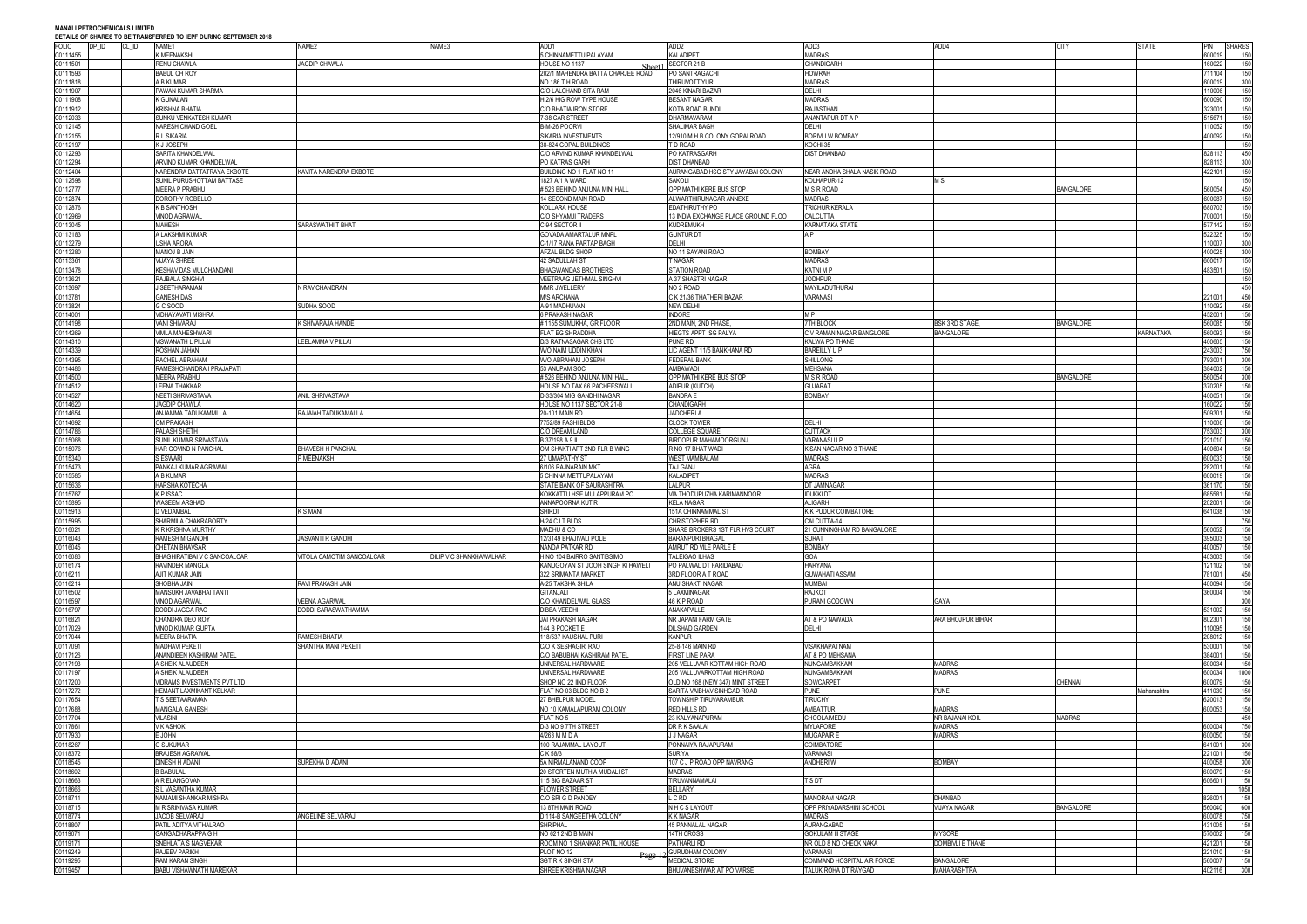### **MANALI PETROCHEMICALS LIMITED DEN TO IEDE NURING SERTEMBER 2019**

|              |       | <u>DETAILS OF SHARES TO BE TRANSFERRED TO IEPF DURING SEPTEMBER 2010</u> |                           |                         |                                   |                                     |                             |                      |                  |              |            |                   |
|--------------|-------|--------------------------------------------------------------------------|---------------------------|-------------------------|-----------------------------------|-------------------------------------|-----------------------------|----------------------|------------------|--------------|------------|-------------------|
| <b>FOLIO</b> | DP ID | CL ID<br>NAME1                                                           | NAME2                     | NAME3                   | ADD1                              | ADD <sub>2</sub>                    | ADD3                        | ADD4                 | <b>CITY</b>      | <b>STATE</b> | PIN SHARES |                   |
| C0111455     |       | K MEENAKSHI                                                              |                           |                         | 5 CHINNAMETTU PALAYAM             | KALADIPET                           | <b>MADRAS</b>               |                      |                  |              | 600019     | 150               |
| C0111501     |       | RENU CHAWLA                                                              | <b>AGDIP CHAWLA</b>       |                         | HOUSE NO 1137                     | SECTOR 21 B                         | CHANDIGARH                  |                      |                  |              | 160022     | 150               |
| C0111593     |       | BABUL CH ROY                                                             |                           |                         | 202/1 MAHENDRA BATTA CHARJEE ROAD | PO SANTRAGACH                       | <b>HOWRAH</b>               |                      |                  |              | 11104      | 150               |
| C0111818     |       | A B KUMAR                                                                |                           |                         | NO 186 TH ROAD                    | <b>THIRUVOTTIYUR</b>                | <b>MADRAS</b>               |                      |                  |              | 600019     | 300               |
| C0111907     |       | PAWAN KUMAR SHARMA                                                       |                           |                         | C/O LALCHAND SITA RAM             | 2046 KINARI BAZAR                   | DELHI                       |                      |                  |              | 10006      | 150               |
| C0111908     |       | (GUNALAN                                                                 |                           |                         | H 2/6 HIG ROW TYPE HOUSE          | <b>BESANT NAGAR</b>                 | <b>MADRAS</b>               |                      |                  |              | 600090     | 150               |
|              |       |                                                                          |                           |                         |                                   |                                     |                             |                      |                  |              |            |                   |
| 00111912     |       | <b>KRISHNA BHATIA</b>                                                    |                           |                         | C/O BHATIA IRON STORE             | KOTA ROAD BUND                      | <b>RAJASTHAN</b>            |                      |                  |              | 323001     | 150               |
| C0112033     |       | SUNKU VENKATESH KUMAR                                                    |                           |                         | 7-38 CAR STREET                   | <b>DHARMAVARAM</b>                  | ANANTAPUR DT A P            |                      |                  |              | 515671     | 150               |
| C0112145     |       | <b>VARESH CHAND GOEL</b>                                                 |                           |                         | B-M-26 POORVI                     | SHALIMAR BAGH                       | DELHI                       |                      |                  |              | 10052      | 150               |
| C0112155     |       | R L SIKARIA                                                              |                           |                         | SIKARIA INVESTMENTS               | 12/910 M H B COLONY GORAI ROAD      | BORIVLI W BOMBAY            |                      |                  |              | 100092     | 150               |
| C0112197     |       | <b>(JJOSEPH</b>                                                          |                           |                         | 38-824 GOPAL BUILDINGS            | T D ROAD                            | KOCHI-35                    |                      |                  |              |            | 150               |
| 00112293     |       | SARITA KHANDELWAL                                                        |                           |                         | C/O ARVIND KUMAR KHANDELWAL       | PO KATRASGARH                       | <b>DIST DHANBAD</b>         |                      |                  |              | 828113     | 450               |
|              |       |                                                                          |                           |                         |                                   |                                     |                             |                      |                  |              |            |                   |
| C0112294     |       | ARVIND KUMAR KHANDELWAL                                                  |                           |                         | PO KATRAS GARH                    | <b>DIST DHANBAD</b>                 |                             |                      |                  |              | 828113     | 300               |
| 00112404     |       | NARENDRA DATTATRAYA EKBOTE                                               | KAVITA NARENDRA EKBOTE    |                         | BUILDING NO 1 FLAT NO 11          | AURANGABAD HSG STY JAYABAI COLONY   | NEAR ANDHA SHALA NASIK ROAD |                      |                  |              | 422101     | 150               |
| 0112598      |       | SUNIL PURUSHOTTAM BATTASE                                                |                           |                         | 1827 A/1 A WARD                   | SAKOLI                              | KOLHAPUR-12                 | M S                  |                  |              |            | 150               |
| 00112777     |       | MEERA P PRABHU                                                           |                           |                         | # 526 BEHIND ANJUNA MINI HALL     | OPP MATHI KERE BUS STOP             | <b>M S R ROAD</b>           |                      | BANGALORE        |              | 560054     | 450               |
| C0112874     |       | <b>DOROTHY ROBELLO</b>                                                   |                           |                         | 14 SECOND MAIN ROAD               | ALWARTHIRUNAGAR ANNEXE              | <b>MADRAS</b>               |                      |                  |              | 600087     | 150               |
|              |       |                                                                          |                           |                         |                                   |                                     |                             |                      |                  |              | 80703      | 150               |
| 0112876      |       | <b>B SANTHOSH</b>                                                        |                           |                         | KOLLARA HOUSE                     | <b>EDATHIRUTHY PO</b>               | TRICHUR KERALA              |                      |                  |              |            |                   |
| 00112969     |       | <b>VINOD AGRAWAL</b>                                                     |                           |                         | C/O SHYAMJI TRADERS               | 13 INDIA EXCHANGE PLACE GROUND FLOO | CALCUTTA                    |                      |                  |              | 700001     | 150               |
| 00113045     |       | MAHESH                                                                   | SARASWATHI T BHAT         |                         | C-94 SECTOR II                    | <b>KUDREMUKH</b>                    | KARNATAKA STATE             |                      |                  |              | 577142     | 150               |
| C0113183     |       | A LAKSHMI KUMAR                                                          |                           |                         | GOVADA AMARTALUR MNPL             | <b>GUNTUR DT</b>                    | A P                         |                      |                  |              | 522325     | 150               |
| C0113279     |       | USHA ARORA                                                               |                           |                         | C-1/17 RANA PARTAP BAGH           | DELHI                               |                             |                      |                  |              | 10007      | 300               |
| 00113280     |       | MANOJ B JAIN                                                             |                           |                         | AFZAL BLDG SHOP                   | NO 11 SAYANI ROAD                   | <b>BOMBAY</b>               |                      |                  |              | 400025     | 300               |
|              |       |                                                                          |                           |                         |                                   |                                     |                             |                      |                  |              |            |                   |
| 00113361     |       | <b>JIJAYA SHREE</b>                                                      |                           |                         | 42 SADULLAH ST                    | T NAGAR                             | <b>MADRAS</b>               |                      |                  |              | 600017     | 150               |
| C0113478     |       | KESHAV DAS MULCHANDANI                                                   |                           |                         | <b>BHAGWANDAS BROTHERS</b>        | <b>STATION ROAD</b>                 | <b>KATNIMP</b>              |                      |                  |              | 483501     | 150               |
| 00113621     |       | RAJBALA SINGHVI                                                          |                           |                         | VEETRAAG JETHMAL SINGHVI          | A 37 SHASTRI NAGAR                  | <b>JODHPUR</b>              |                      |                  |              |            | 150               |
| 00113697     |       | SEETHARAMAN                                                              | <b>V RAVICHANDRAN</b>     |                         | MMR JWELLERY                      | NO 2 ROAD                           | <b>MAYILADUTHURAI</b>       |                      |                  |              |            | 450               |
| 00113781     |       | GANESH DAS                                                               |                           |                         | <b>M/S ARCHANA</b>                | C K 21/36 THATHERI BAZAR            | VARANASI                    |                      |                  |              | 221001     | 450               |
| 00113824     |       | G SOOD                                                                   | SUDHA SOOD                |                         | A-91 MADHUVAN                     | <b>NEW DELHI</b>                    |                             |                      |                  |              | 10092      | 450               |
|              |       |                                                                          |                           |                         |                                   |                                     |                             |                      |                  |              |            |                   |
| C0114001     |       | VIDHAYAVATI MISHRA                                                       |                           |                         | 6 PRAKASH NAGAR                   | <b>INDORE</b>                       | M P                         |                      |                  |              | 452001     | 150               |
| C0114198     |       | VANI SHIVARAJ                                                            | <b>SHIVARAJA HANDE</b>    |                         | #1155 SUMUKHA, GR FLOOR           | 2ND MAIN, 2ND PHASE,                | 7TH BLOCK                   | <b>BSK 3RD STAGE</b> | BANGALORE        |              | 60085      | 150               |
| 00114269     |       | <b>VIMLA MAHESHWARI</b>                                                  |                           |                         | FLAT EG SHRADDHA                  | HIEGTS APPT SG PALYA                | C V RAMAN NAGAR BANGLORE    | <b>BANGALORE</b>     |                  | KARNATAKA    | 60093      | 150               |
| C0114310     |       | VISWANATH L PILLAI                                                       | _EELAMMA V PILLAI         |                         | D/3 RATNASAGAR CHS LTD            | <b>PUNE RD</b>                      | KALWA PO THANE              |                      |                  |              | 400605     | 150               |
| 00114339     |       | ROSHAN JAHAN                                                             |                           |                         | W/O NAIM UDDIN KHAN               | LIC AGENT 11/5 BANKHANA RD          | <b>BAREILLY UF</b>          |                      |                  |              | 243003     | 750               |
|              |       |                                                                          |                           |                         |                                   |                                     |                             |                      |                  |              |            |                   |
| 00114395     |       | RACHEL ABRAHAM                                                           |                           |                         | W/O ABRAHAM JOSEPH                | FEDERAL BANK                        | SHILLONG                    |                      |                  |              | '93001     | 300               |
| C0114486     |       | RAMESHCHANDRA I PRAJAPATI                                                |                           |                         | 53 ANUPAM SOC                     | <b>AMBAWADI</b>                     | <b>MEHSANA</b>              |                      |                  |              | 884002     | 150               |
| C0114500     |       | MEERA PRABHU                                                             |                           |                         | # 526 BEHIND ANJUNA MINI HALL     | OPP MATHI KERE BUS STOP             | <b>M S R ROAD</b>           |                      | BANGALORE        |              | 560054     | 300               |
| C0114512     |       | <b>LEENA THAKKAR</b>                                                     |                           |                         | HOUSE NO TAX 66 PACHEESWALI       | <b>ADIPUR (KUTCH)</b>               | <b>GUJARAT</b>              |                      |                  |              | 70205      | 150               |
| 00114527     |       | NEETI SHRIVASTAVA                                                        | ANIL SHRIVASTAVA          |                         | D-33/304 MIG GANDHI NAGAR         | <b>BANDRA E</b>                     | <b>BOMBAY</b>               |                      |                  |              | 100051     | 150               |
|              |       |                                                                          |                           |                         |                                   |                                     |                             |                      |                  |              |            |                   |
| 0114620      |       | <b>JAGDIP CHAWLA</b>                                                     |                           |                         | HOUSE NO 1137 SECTOR 21-B         | CHANDIGARH                          |                             |                      |                  |              | 60022      | 150               |
| 00114654     |       | ANJAMMA TADUKAMMLLA                                                      | RAJAIAH TADUKAMALLA       |                         | 20-101 MAIN RD                    | <b>JADCHERLA</b>                    |                             |                      |                  |              | 509301     | 150               |
| 0114692      |       | OM PRAKASH                                                               |                           |                         | 7752/89 FASHI BLDG                | <b>CLOCK TOWER</b>                  | DELHI                       |                      |                  |              | 10006      | 150               |
| 0114786      |       | PALASH SHETH                                                             |                           |                         | C/O DREAM LAND                    | COLLEGE SQUARE                      | <b>CUTTACK</b>              |                      |                  |              | 53003      | 300               |
| 00115068     |       | SUNIL KUMAR SRIVASTAVA                                                   |                           |                         | B 37/198 A 9 II                   | BIRDOPUR MAHAMOORGUNJ               | VARANASI U P                |                      |                  |              | 221010     | 150               |
| 00115076     |       | HAR GOVIND N PANCHAL                                                     |                           |                         | OM SHAKTI APT 2ND FLR B WING      | R NO 17 BHAT WADI                   | KISAN NAGAR NO 3 THANE      |                      |                  |              | 100604     | 150               |
|              |       |                                                                          | BHAVESH H PANCHAL         |                         |                                   |                                     |                             |                      |                  |              |            |                   |
| 00115340     |       | S ESWARI                                                                 | P MEENAKSHI               |                         | 27 UMAPATHY ST                    | <b>WEST MAMBALAM</b>                | <b>MADRAS</b>               |                      |                  |              | 600033     | 150               |
| 00115473     |       | PANKAJ KUMAR AGRAWAL                                                     |                           |                         | 6/106 RAJNARAIN MKT               | TAJ GANJ                            | AGRA                        |                      |                  |              | 282001     | 150               |
| 20115585     |       | A B KUMAR                                                                |                           |                         | 5 CHINNA METTUPALAYAM             | <b>KALADIPET</b>                    | <b>MADRAS</b>               |                      |                  |              | 600019     | 150               |
| 00115636     |       | HARSHA KOTECHA                                                           |                           |                         | STATE BANK OF SAURASHTRA          | LALPUR                              | DT JAMNAGAR                 |                      |                  |              | 361170     | 150               |
| 20115767     |       | <b>CPISSAC</b>                                                           |                           |                         | KOKKATTU HSE MULAPPURAM PO        | VIA THODUPUZHA KARIMANNOOR          | <b>IDUKKI DT</b>            |                      |                  |              | 685581     | 150               |
|              |       |                                                                          |                           |                         |                                   |                                     |                             |                      |                  |              |            |                   |
| 0115895      |       | WASEEM ARSHAD                                                            |                           |                         | ANNAPOORNA KUTIR                  | <b>KELA NAGAR</b>                   | <b>ALIGARH</b>              |                      |                  |              | 02001      | 150               |
| 00115913     |       | VEDAMBAL                                                                 | S MANI                    |                         | Shirdi                            | 151A CHINNAMMAL ST                  | K K PUDUR COIMBATORE        |                      |                  |              | 641038     | 150               |
| 00115995     |       | SHARMILA CHAKRABORTY                                                     |                           |                         | H/24 C I T BLDS                   | CHRISTOPHER RD                      | CALCUTTA-14                 |                      |                  |              |            | 750               |
| C0116021     |       | K R KRISHNA MURTHY                                                       |                           |                         | MADHU & CO                        | SHARE BROKERS 1ST FLR HVS COURT     | 21 CUNNINGHAM RD BANGALORE  |                      |                  |              | 60052      | 150               |
| C0116043     |       | RAMESH M GANDHI                                                          | JASVANTI R GANDHI         |                         | 12/3149 BHAJIVALI POLE            | <b>BARANPURI BHAGAL</b>             | SURAT                       |                      |                  |              | 395003     | 150               |
| C0116045     |       | CHETAN BHAVSAR                                                           |                           |                         | NANDA PATKAR RD                   | AMRUT RD VILE PARLE E               | <b>BOMBAY</b>               |                      |                  |              | 400057     | 150               |
|              |       |                                                                          |                           |                         |                                   |                                     |                             |                      |                  |              |            |                   |
| 00116086     |       | BHAGHIRATIBAI V C SANCOALCAR                                             | VITOLA CAMOTIM SANCOALCAR | DILIP V C SHANKHAWALKAR | H NO 104 BAIRRO SANTISSIMO        | <b>TALEIGAO ILHAS</b>               | GOA                         |                      |                  |              | 103003     | 150               |
| C0116174     |       | RAVINDER MANGLA                                                          |                           |                         | KANUGOYAN ST JOOH SINGH KI HAWELI | PO PALWAL DT FARIDABAD              | <b>HARYANA</b>              |                      |                  |              | 121102     | 150               |
| 00116211     |       | AJIT KUMAR JAIN                                                          |                           |                         | 322 SRIMANTA MARKET               | 3RD FLOOR A T ROAD                  | <b>GUWAHATI ASSAM</b>       |                      |                  |              | 781001     | 450               |
| 00116214     |       | SHOBHA JAIN                                                              | RAVI PRAKASH JAIN         |                         | A-25 TAKSHA SHILA                 | ANU SHAKTI NAGAR                    | <b>MUMBAI</b>               |                      |                  |              | 400094     | 150               |
| C0116502     |       | MANSUKH JAVABHAI TANTI                                                   |                           |                         | <b>GITANJALI</b>                  | 5 LAXMINAGAR                        | <b>RAJKOT</b>               |                      |                  |              | 360004     | 150               |
| C0116597     |       | <b>VINOD AGARWAL</b>                                                     | <b>VEENA AGARWAL</b>      |                         | C/O KHANDELWAL GLASS              | 46 K P ROAD                         | PURANI GODOWN               | GAYA                 |                  |              |            | 300               |
|              |       |                                                                          |                           |                         |                                   |                                     |                             |                      |                  |              |            |                   |
| C0116797     |       | OODDI JAGGA RAO                                                          | DODDI SARASWATHAMMA       |                         | DIBBA VEEDHI                      | ANAKAPALLE                          |                             |                      |                  |              | 31002      | 150               |
| C0116821     |       | CHANDRA DEO ROY                                                          |                           |                         | JAI PRAKASH NAGAR                 | NR JAPANI FARM GATE                 | AT & PO NAWADA              | ARA BHOJPUR BIHAR    |                  |              | 302301     | 150               |
| 00117029     |       | VINOD KUMAR GUPTA                                                        |                           |                         | 144 B POCKET E                    | <b>DILSHAD GARDEN</b>               | DELHI                       |                      |                  |              | 10095      | 150               |
| C0117044     |       | MEERA BHATIA                                                             | RAMESH BHATIA             |                         | 118/537 KAUSHAL PURI              | <b>KANPUR</b>                       |                             |                      |                  |              | 208012     | 150               |
| 00117091     |       | <b>MADHAVI PEKETI</b>                                                    | SHANTHA MANI PEKETI       |                         | C/O K SESHAGIRI RAO               | 25-8-146 MAIN RD                    | VISAKHAPATNAM               |                      |                  |              | 30001      | 150               |
| 00117126     |       | ANANDIBEN KASHIRAM PATEL                                                 |                           |                         | C/O BABUBHAI KASHIRAM PATEL       | <b>FIRST LINE PARA</b>              | AT & PO MEHSANA             |                      |                  |              | 384001     | 150               |
| 00117193     |       | A SHEIK ALAUDEEN                                                         |                           |                         | UNIVERSAL HARDWARE                | 205 VELLUVAR KOTTAM HIGH ROAD       | NUNGAMBAKKAM                | <b>MADRAS</b>        |                  |              | 600034     | 150               |
| 00117197     |       | <b>SHEIK ALAUDEEN</b>                                                    |                           |                         | UNIVERSAL HARDWARE                | 205 VALLUVARKOTTAM HIGH ROAD        | NUNGAMBAKKAM                | <b>MADRAS</b>        |                  |              | 00034      | 1800              |
|              |       |                                                                          |                           |                         |                                   |                                     |                             |                      |                  |              |            |                   |
| 00117200     |       | <b>/IDRAMS INVESTMENTS PVT LTD</b>                                       |                           |                         | SHOP NO 22 IIND FLOOR             | OLD NO 168 (NEW 347) MINT STREET    | SOWCARPET                   |                      | CHENNAI          |              | 600079     | 150               |
| C0117272     |       | HEMANT LAXMIKANT KELKAR                                                  |                           |                         | FLAT NO 03 BLDG NO B 2            | SARITA VAIBHAV SINHGAD ROAD         | PUNE                        | <b>PUNE</b>          |                  | Maharashtra  | 11030      | 150               |
| C0117654     |       | S SEETAARAMAN                                                            |                           |                         | 27 BHELPUR MODEL                  | TOWNSHIP TIRUVARAMBUR               | <b>TIRUCHY</b>              |                      |                  |              | 620013     | 150               |
| C0117688     |       | MANGALA GANESH                                                           |                           |                         | NO 10 KAMALAPURAM COLONY          | RED HILLS RD                        | AMBATTUR                    | <b>MADRAS</b>        |                  |              | 600053     | 150               |
| C0117704     |       | VILASINI                                                                 |                           |                         | FLAT NO 5                         | 23 KALYANAPURAM                     | CHOOLAIMEDU                 | NR BAJANAI KOIL      | <b>MADRAS</b>    |              |            | 450               |
|              |       |                                                                          |                           |                         |                                   |                                     |                             |                      |                  |              |            |                   |
| 00117861     |       | V K ASHOK                                                                |                           |                         | D-3 NO 9 7TH STREET               | DR R K SAALAI                       | <b>MYLAPORE</b>             | <b>MADRAS</b>        |                  |              | 600004     | 750               |
| C0117930     |       | John                                                                     |                           |                         | 4/263 M M D A                     | J J NAGAR                           | <b>MUGAPAIRE</b>            | <b>MADRAS</b>        |                  |              | 600050     | 150               |
| 00118267     |       | <b>G SUKUMAR</b>                                                         |                           |                         | 100 RAJAMMAL LAYOUT               | PONNAIYA RAJAPURAM                  | COIMBATORE                  |                      |                  |              | 641001     | 300               |
| 0118372      |       | <b>BRAJESH AGRAWAL</b>                                                   |                           |                         | C K 58/3                          | <b>SURIYA</b>                       | VARANASI                    |                      |                  |              | 21001      | 150               |
| 00118545     |       | DINESH H ADANI                                                           | SUREKHA D ADANI           |                         | 5A NIRMALANAND COOP               | 107 C J P ROAD OPP NAVRANG          | <b>ANDHERIW</b>             | <b>BOMBAY</b>        |                  |              | 400058     | 300               |
| 00118602     |       | <b>BABULAL</b>                                                           |                           |                         | 20 STORTEN MUTHIA MUDALI ST       | <b>MADRAS</b>                       |                             |                      |                  |              | 600079     | 150               |
|              |       |                                                                          |                           |                         |                                   |                                     |                             |                      |                  |              |            |                   |
| 00118663     |       | A R ELANGOVAN                                                            |                           |                         | 115 BIG BAZAAR ST                 | TIRUVANNAMALAI                      | T S DT                      |                      |                  |              | 606601     | 150               |
| 00118666     |       | <b>SL VASANTHA KUMAR</b>                                                 |                           |                         | <b>FLOWER STREET</b>              | <b>BELLARY</b>                      |                             |                      |                  |              |            | 1050              |
| 20118711     |       | NAMAMI SHANKAR MISHRA                                                    |                           |                         | C/O SRI G D PANDEY                | L C RD                              | <b>MANORAM NAGAR</b>        | <b>DHANBAD</b>       |                  |              | 326001     | 150               |
| 0118715      |       | M R SRINIVASA KUMAR                                                      |                           |                         | 13 8TH MAIN ROAD                  | N H C S LAYOUT                      | OPP PRIYADARSHINI SCHOOL    | <b>VIJAYA NAGAR</b>  | <b>BANGALORE</b> |              | 560040     | 600               |
| C0118774     |       | JACOB SELVARAJ                                                           | ANGELINE SELVARAJ         |                         | D 114-B SANGEETHA COLONY          | <b>K K NAGAR</b>                    | <b>MADRAS</b>               |                      |                  |              | 600078     | 750               |
|              |       |                                                                          |                           |                         | <b>SHRIPHAL</b>                   |                                     | AURANGABAD                  |                      |                  |              |            |                   |
| 00118807     |       | PATIL ADITYA VITHALRAO                                                   |                           |                         |                                   | 45 PANNALAL NAGAR                   |                             |                      |                  |              | 31005      | 150               |
| C0119071     |       | <b>GANGADHARAPPA G H</b>                                                 |                           |                         | NO 621 2ND B MAIN                 | 14TH CROSS                          | <b>GOKULAM III STAGE</b>    | <b>MYSORE</b>        |                  |              | 70002      | 150               |
| C0119171     |       | SNEHLATA S NAGVEKAR                                                      |                           |                         | ROOM NO 1 SHANKAR PATIL HOUSE     | PATHARLI RD                         | NR OLD 8 NO CHECK NAKA      | DOMBIVLI E THANE     |                  |              | 21201      | 150               |
| 00119249     |       | RAJEEV PARIKH                                                            |                           |                         | PLOT NO 12                        | 12 GURUDHAM COLONY                  | VARANASI                    |                      |                  |              | 21010      | 150               |
| C0119295     |       | RAM KARAN SINGH                                                          |                           |                         | <b>SGT RK SINGH STA</b>           | <b>MEDICAL STORE</b>                | COMMAND HOSPITAL AIR FORCE  | <b>BANGALORE</b>     |                  |              | 560007     |                   |
| C0119457     |       | BABU VISHAWNATH MAREKAR                                                  |                           |                         | SHREE KRISHNA NAGAR               | BHUVANESHWAR AT PO VARSE            | TALUK ROHA DT RAYGAD        | MAHARASHTRA          |                  |              | 402116     | $\frac{150}{300}$ |
|              |       |                                                                          |                           |                         |                                   |                                     |                             |                      |                  |              |            |                   |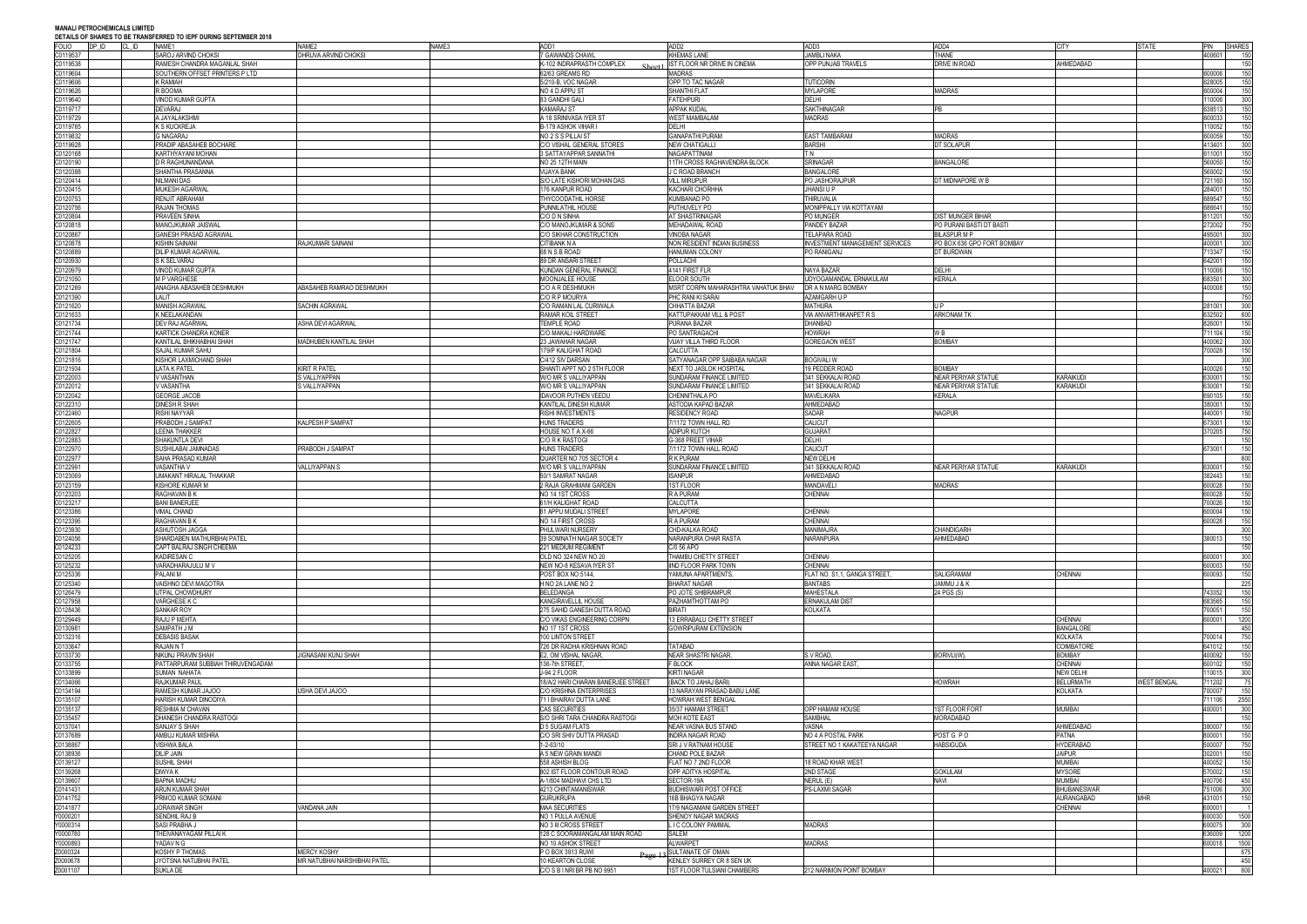| <b>FOLIO</b>         | DP ID | <u>DETAILS OF SHARLS TO DE HANNS LIVILD TO ILFT DUNNS SEFTEMBLIX ZUTO</u><br>CL ID<br>NAME1 | NAME3<br>NAME <sub>2</sub>   | ADD1                                                | ADD <sub>2</sub>                                         | ADD3                                          | ADD4                          | <b>CITY</b>                        | <b>STATE</b>       | PIN              | <b>SHARES</b> |
|----------------------|-------|---------------------------------------------------------------------------------------------|------------------------------|-----------------------------------------------------|----------------------------------------------------------|-----------------------------------------------|-------------------------------|------------------------------------|--------------------|------------------|---------------|
| C0119537             |       | SAROJ ARVIND CHOKSI                                                                         | DHRUVA ARVIND CHOKSI         | <b>7 GAWANDS CHAWL</b>                              | <b>KHEMAS LANE</b>                                       | <b>JAMBLI NAKA</b>                            | <b>THANE</b>                  |                                    |                    | 400601           | 150           |
| 00119538<br>00119604 |       | RAMESH CHANDRA MAGANLAL SHAH<br>SOUTHERN OFFSET PRINTERS P LTD                              |                              | K-102 INDRAPRASTH COMPLEX<br>62/63 GREAMS RD        | IST FLOOR NR DRIVE IN CINEMA<br><b>MADRAS</b>            | OPP PUNJAB TRAVELS                            | DRIVE IN ROAD                 | AHMEDABAD                          |                    | 600006           | 150<br>150    |
| 00119606             |       | K RAMIAH .                                                                                  |                              | 5/210-B, VOC NAGAR                                  | OPP.TO TAC NAGAR                                         | <b>TUTICORIN</b>                              |                               |                                    |                    | 628005           | 150           |
| 00119626             |       | R BOOMA                                                                                     |                              | NO 4 D APPU ST                                      | SHANTHI FLAT                                             | <b>MYLAPORE</b>                               | <b>MADRAS</b>                 |                                    |                    | 600004           | 150           |
| 20119640             |       | /INOD KUMAR GUPTA                                                                           |                              | 83 GANDHI GALI                                      | <b>FATEHPURI</b>                                         | <b>DELHI</b>                                  |                               |                                    |                    | 110006           | 300           |
| 00119717<br>00119729 |       | DEVARAJ<br><b>JAYALAKSHM</b>                                                                |                              | <b>KAMARAJ ST</b><br>A 18 SRINIVASA IYER ST         | <b>APPAK KUDAL</b><br><b>WEST MAMBALAM</b>               | SAKTHINAGAR<br><b>MADRAS</b>                  | <b>IPB</b>                    |                                    |                    | 638513<br>600033 | 150<br>150    |
| 00119765             |       | <b>S KUCKREJA</b>                                                                           |                              | B-179 ASHOK VIHAR                                   | <b>DELHI</b>                                             |                                               |                               |                                    |                    | 10052            | 150           |
| 00119832             |       | <b>G NAGARAJ</b>                                                                            |                              | NO 2 S S PILLAI ST                                  | <b>GANAPATHI PURAM</b>                                   | <b>EAST TAMBARAM</b>                          | <b>MADRAS</b>                 |                                    |                    | 600059           | 150           |
| 00119928             |       | PRADIP ABASAHEB BOCHARE                                                                     |                              | C/O VISHAL GENERAL STORES                           | <b>NEW CHATIGALLI</b>                                    | <b>BARSHI</b>                                 | DT SOLAPUR                    |                                    |                    | 413401           | 300           |
| 0120168              |       | KARTHYAYANI MOHAN                                                                           |                              | 3 SATTAYAPPAR SANNATHI                              | NAGAPATTINAM                                             | T N                                           |                               |                                    |                    | 611001           | 150           |
| 0120190<br>00120388  |       | D R RAGHUNANDANA<br>SHANTHA PRASANNA                                                        |                              | NO 25 12TH MAIN<br><b>VIJAYA BANK</b>               | 11TH CROSS RAGHAVENDRA BLOCK<br>J C ROAD BRANCH          | <b>SRINAGAR</b><br><b>BANGALORE</b>           | <b>BANGALORE</b>              |                                    |                    | 560050<br>560002 | 150<br>150    |
| 0120414              |       | NILMANI DAS                                                                                 |                              | S/O LATE KISHORI MOHAN DAS                          | <b>VILL MIRUPUR</b>                                      | PO JASHORAJPUR                                | DT MIDNAPORE W B              |                                    |                    | 721160           | 150           |
| 0120415              |       | MUKESH AGARWA                                                                               |                              | 176 KANPUR ROAD                                     | <b>KACHARI CHORHHA</b>                                   | JHANSI U F                                    |                               |                                    |                    | 284001           | 150           |
| 00120753             |       | <b>RENJIT ABRAHAM</b>                                                                       |                              | THYCOODATHIL HORSE                                  | <b>KUMBANAD PO</b>                                       | THIRUVALIA                                    |                               |                                    |                    | 689547           | 150           |
| 0120756<br>0120804   |       | RAJAN THOMAS<br>PRAVEEN SINHA                                                               |                              | PUNNILATHIL HOUS<br>C/O D N SINHA                   | PUTHUVELY PO<br>AT SHASTRINAGAR                          | MONIPPALLY VIA KOTTAYAM<br>PO MUNGER          | <b>DIST MUNGER BIHAR</b>      |                                    |                    | 686641<br>311201 | 150<br>150    |
| 0120818              |       | MANOJKUMAR JAISWAL                                                                          |                              | C/O MANOJKUMAR & SONS                               | <b>MEHADAWAL ROAD</b>                                    | PANDEY BAZAR                                  | PO PURANI BASTI DT BASTI      |                                    |                    | 272002           | 750           |
| 0120867              |       | <b>GANESH PRASAD AGRAWAL</b>                                                                |                              | C/O SIKHAR CONSTRUCTION                             | <b>VINOBA NAGAR</b>                                      | <b>TELAPARA ROAD</b>                          | <b>BILASPURMP</b>             |                                    |                    | 495001           | 300           |
| 0120878              |       | KISHIN SAINANI                                                                              | RAJKUMARI SAINANI            | CITIBANK N A                                        | NON RESIDENT INDIAN BUSINESS                             | <b>INVESTMENT MANAGEMENT SERVICES</b>         | PO BOX 636 GPO FORT BOMBAY    |                                    |                    | 400001           | 300           |
| 0120889<br>0120930   |       | <b>DILIP KUMAR AGARWAL</b><br>S K SELVARAJ                                                  |                              | 68 N S B ROAD<br><b>39 DR ANSARI STREET</b>         | <b>HANUMAN COLONY</b><br>POLLACHI                        | PO RANIGANJ                                   | DT BURDWAN                    |                                    |                    | 713347<br>642001 | 150<br>150    |
| 0120979              |       | VINOD KUMAR GUPTA                                                                           |                              | KUNDAN GENERAL FINANCE                              | 4141 FIRST FLR                                           | NAYA BAZAR                                    | DELHI                         |                                    |                    | 110006           | 150           |
| 0121050              |       | <b>I P VARGHESE</b>                                                                         |                              | MOONJALEE HOUSE                                     | ELOOR SOUTH                                              | UDYOGAMANDAL ERNAKULAM                        | <b>KERALA</b>                 |                                    |                    | 683501           | 300           |
| 0121269              |       | ANAGHA ABASAHEB DESHMUKH                                                                    | ABASAHEB RAMRAO DESHMUKH     | C/O A R DESHMUKH                                    | MSRT CORPN MAHARASHTRA VAHATUK BHAV                      | DR A N MARG BOMBAY                            |                               |                                    |                    | 400008           | 150           |
| 00121390<br>0121620  |       | ALIT<br>MANISH AGRAWAL                                                                      | SACHIN AGRAWAL               | C/O R P MOURYA<br>C/O RAMAN LAL CURIWALA            | PHC RANI KI SARAI<br>CHHATTA BAZAR                       | AZAMGARH U P<br><b>MATHURA</b>                |                               |                                    |                    | 281001           | 750<br>300    |
| 0121633              |       | <b>NEELAKANDAN</b>                                                                          |                              | RAMAR KOIL STREET                                   | KATTUPAKKAM VILL & POST                                  | VIA ANVARTHIKANPET R S                        | <b>ARKONAM TK</b>             |                                    |                    | 632502           | 600           |
| 00121734             |       | DEV RAJ AGARWAL                                                                             | ASHA DEVI AGARWAL            | TEMPLE ROAD                                         | PURANA BAZAR                                             | DHANBAD                                       |                               |                                    |                    | 826001           | 150           |
| 0121744              |       | KARTICK CHANDRA KONER                                                                       |                              | C/O MAKALI HARDWARE                                 | PO SANTRAGACHI                                           | <b>HOWRAH</b>                                 | W B                           |                                    |                    | 711104           | 150           |
| 00121747<br>0121804  |       | KANTILAL BHIKHABHAI SHAH<br>SAJAL KUMAR SAHU                                                | MADHUBEN KANTILAL SHAH       | 23 JAWAHAR NAGAR<br>179/P KALIGHAT ROAD             | VIJAY VILLA THIRD FLOOR<br>CALCUTTA                      | <b>GOREGAON WEST</b>                          | <b>BOMBAY</b>                 |                                    |                    | 400062<br>700026 | 300<br>150    |
| 0121816              |       | KISHOR LAXMICHAND SHAH                                                                      |                              | C/412 SIV DARSAN                                    | SATYANAGAR OPP SAIBABA NAGAR                             | <b>BOGIVALI W</b>                             |                               |                                    |                    |                  | 300           |
| 00121934             |       | LATA K PATEL                                                                                | KIRIT R PATEL                | SHANTI APPT NO 2 5TH FLOOR                          | <b>NEXT TO JASLOK HOSPITAL</b>                           | 19 PEDDER ROAD                                | <b>BOMBAY</b>                 |                                    |                    | 400026           | 150           |
| 0122003              |       | VASANTHAN                                                                                   | <b>VALLIYAPPAN</b>           | W/O MR S VALLIYAPPAN                                | SUNDARAM FINANCE LIMITED                                 | 341 SEKKALAI ROAD                             | NEAR PERIYAR STATUE           | <b>KARAIKUDI</b>                   |                    | 30001            | 150           |
| 0122012<br>00122042  |       | VASANTHA<br><b>GEORGE JACOE</b>                                                             | VALLIYAPPAN                  | W/O MR S VALLIYAPPAN<br><b>IDAVOOR PUTHEN VEEDU</b> | SUNDARAM FINANCE LIMITED<br>CHENNITHALA PO               | 341 SEKKALAI ROAD<br><b>MAVELIKARA</b>        | NEAR PERIYAR STATUE<br>KERALA | KARAIKUDI                          |                    | 30001<br>690105  | 150<br>150    |
| 0122310              |       | DINESH R SHAH                                                                               |                              | KANTILAL DINESH KUMAR                               | ASTODIA KAPAD BAZAR                                      | AHMEDABAD                                     |                               |                                    |                    | 380001           | 150           |
| 0122460              |       | RISHI NAYYAR                                                                                |                              | <b>RISHI INVESTMENTS</b>                            | <b>RESIDENCY ROAD</b>                                    | SADAR                                         | NAGPUR                        |                                    |                    | 440001           | 150           |
| 00122605             |       | <b>PRABODH J SAMPAT</b>                                                                     | KALPESH P SAMPAT             | <b>HUNS TRADERS</b>                                 | 7/1172 TOWN HALL RD                                      | CALICUT                                       |                               |                                    |                    | 673001           | 150           |
| 0122827              |       | LEENA THAKKER<br>SHAKUNTLA DEVI                                                             |                              | HOUSE NO T A X-66<br>C/O R K RASTOGI                | <b>ADIPUR KUTCH</b><br>G-368 PREET VIHAR                 | <b>GUJARAT</b><br>DELHI                       |                               |                                    |                    | 370205           | 750<br>150    |
| 0122883<br>0122970   |       | SUSHILABAI JAMNADAS                                                                         | PRABODH J SAMPAT             | HUNS TRADERS                                        | 7/1172 TOWN HALL ROAD                                    | CALICUT                                       |                               |                                    |                    | 373001           | 150           |
| 0122977              |       | SAHA PRASAD KUMAR                                                                           |                              | QUARTER NO 705 SECTOR 4                             | R K PURAM                                                | <b>NEW DELHI</b>                              |                               |                                    |                    |                  | 600           |
| 0122991              |       | VASANTHA V                                                                                  | /ALLIYAPPAN S                | W/O MR S VALLIYAPPAN                                | SUNDARAM FINANCE LIMITED                                 | 341 SEKKALAI ROAD                             | NEAR PERIYAR STATUE           | <b>KARAIKUDI</b>                   |                    | 630001           | 150           |
| 0123069              |       | <b>JMAKANT HIRALAL THAKKAR</b><br>KISHORE KUMAR M                                           |                              | 50/1 SAMRAT NAGAR                                   | <b>ISANPUR</b>                                           | AHMEDABAD                                     |                               |                                    |                    | 382443           | 150           |
| 0123159<br>0123203   |       | RAGHAVAN B K                                                                                |                              | 2 RAJA GRAHMANI GARDEN<br>NO 14 1ST CROSS           | <b>1ST FLOOR</b><br>R A PURAM                            | <b>MANDAVELI</b><br>CHENNAI                   | MADRAS                        |                                    |                    | 600028<br>600028 | 150<br>150    |
| 0123217              |       | <b>BANI BANERJEE</b>                                                                        |                              | <b>61/H KALIGHAT ROAD</b>                           | CALCUTTA                                                 |                                               |                               |                                    |                    | 700026           | 150           |
| 0123386              |       | /IMAL CHAND                                                                                 |                              | <b>31 APPU MUDALI STREET</b>                        | <b>MYLAPORE</b>                                          | <b>CHENNAI</b>                                |                               |                                    |                    | 600004           | 150           |
| 0123395<br>20123930  |       | RAGHAVAN B K<br>ASHUTOSH JAGGA                                                              |                              | NO 14 FIRST CROSS<br>PHIJI WARI NURSERY             | R A PURAM                                                | <b>CHENNAI</b>                                | CHANDIGARH                    |                                    |                    | 600028           | 150<br>300    |
| 0124056              |       | SHARDABEN MATHURBHAI PATEL                                                                  |                              | 39 SOMNATH NAGAR SOCIETY                            | CHD-KALKA ROAD<br>NARANPURA CHAR RASTA                   | MANIMAJRA<br>NARANPURA                        | AHMEDABAD                     |                                    |                    | 380013           | 150           |
| 0124233              |       | CAPT BALRAJ SINGH CHEEMA                                                                    |                              | 221 MEDIUM REGIMENT                                 | C/0 56 APO                                               |                                               |                               |                                    |                    |                  | 150           |
| 0125205              |       | KADIRESAN C                                                                                 |                              | OLD NO 324 NEW NO 20                                | THAMBU CHETTY STREET                                     | <b>CHENNAI</b>                                |                               |                                    |                    | 600001           | 300           |
| 0125232              |       | VARADHARAJULU M V                                                                           |                              | <b>NEW NO-8 KESAVA IYER ST</b>                      | <b>IIND FLOOR PARK TOWN</b>                              | <b>CHENNAI</b>                                |                               |                                    |                    | 600003           | 150           |
| 0125336<br>0125340   |       | PALANI M<br>VAISHNO DEVI MAGOTRA                                                            |                              | POST BOX NO.5144.<br>H NO 2A LANE NO 2              | YAMUNA APARTMENTS,<br><b>BHARAT NAGAR</b>                | FLAT NO. S1,1, GANGA STREET<br><b>BANTABS</b> | SALIGRAMAM<br>JAMMU J & K     | <b>CHENNAI</b>                     |                    | 600093           | 150<br>225    |
| 0126479              |       | JTPAL CHOWDHURY                                                                             |                              | BELEDANGA                                           | PO JOTE SHIBRAMPUR                                       | <b>MAHESTALA</b>                              | 24 PGS (S)                    |                                    |                    | 743352           | 150           |
| 0127958              |       | <b>VARGHESE K C</b>                                                                         |                              | KANGIRAVELLIL HOUSE                                 | PAZHAMTHOTTAM PO                                         | <b>ERNAKULAM DIST</b>                         |                               |                                    |                    | 683565           | 150           |
| 0128436              |       | SANKAR ROY                                                                                  |                              | 275 SAHID GANESH DUTTA ROAD                         | BIRATI                                                   | <b>KOLKATA</b>                                |                               |                                    |                    | 700051           | 150           |
| 0129449<br>0130981   |       | RAJU P MEHTA<br>SAMPATH J M                                                                 |                              | C/O VIKAS ENGINEERING CORPN<br>NO 17 1ST CROSS      | 13 ERRABALU CHETTY STREET<br><b>GOWRIPURAM EXTENSION</b> |                                               |                               | <b>CHENNAI</b><br><b>BANGALORE</b> |                    | 600001           | 1200<br>450   |
| 0132316              |       | <b>DEBASIS BASAK</b>                                                                        |                              | 100 LINTON STREET                                   |                                                          |                                               |                               | KOLKATA                            |                    | 700014           | 750           |
| 20133647             |       | T N NALAS                                                                                   |                              | 726 DR RADHA KRISHNAN ROAD                          | <b>TATABAD</b>                                           |                                               |                               | COIMBATORE                         |                    | 641012           | 150           |
| 0133730<br>0133755   |       | NIKUNJ PRAVIN SHAH<br>PATTARPURAM SUBBIAH THIRUVENGADAM                                     | JIGNASANI KUNJ SHAH          | E2, OM VISHAL NAGAR<br>136-7th STREET.              | <b>NEAR SHASTRI NAGAR,</b><br>F BLOCK                    | S.V ROAD.<br>ANNA NAGAR EAST.                 | Borivli(W),                   | <b>BOMBAY</b><br><b>CHENNAI</b>    |                    | 400092<br>600102 | 150<br>150    |
| 20133899             |       | SUMAN NAHATA                                                                                |                              | J-94 2 FLOOR                                        | <b>KIRTI NAGAR</b>                                       |                                               |                               | <b>NEW DELH</b>                    |                    | 10015            | 300           |
| 0134066              |       | RAJKUMAR PAUL                                                                               |                              | 18/A/2 HARI CHARAN BANERJEE STREET                  | (BACK TO JAHAJ BARI)                                     |                                               | <b>HOWRAH</b>                 | <b>BELURMATH</b>                   | <b>WEST BENGAL</b> | 11202            | 75            |
| C0134194             |       | RAMESH KUMAR JAJOO                                                                          | JSHA DEVI JAJOO              | C/O KRISHNA ENTERPRISES                             | 13 NARAYAN PRASAD BABU LANE                              |                                               |                               | <b>KOLKATA</b>                     |                    | 700007           | 150           |
| 00135107<br>00135137 |       | <b>HARISH KUMAR DINODIYA</b><br><b>RESHMA M CHAVAN</b>                                      |                              | 71 I BHAIRAV DUTTA LANE<br><b>CAS SECURITIES</b>    | <b>HOWRAH WEST BENGAL</b><br>35/37 HAMAM STREET          | <b>OPP HAMAM HOUSE</b>                        | <b>1ST FLOOR FORT</b>         | <b>MUMBAI</b>                      |                    | 11106<br>400001  | 2550<br>300   |
| C0135457             |       | <b>DHANESH CHANDRA RASTOGI</b>                                                              |                              | S/O SHRI TARA CHANDRA RASTOGI                       | MOH KOTE EAST                                            | SAMBHAL                                       | MORADABAD                     |                                    |                    |                  | 150           |
| 0137041              |       | SANJAY S SHAH                                                                               |                              | <b>D 5 SUGAM FLATS</b>                              | NEAR VASNA BUS STAND                                     | VASNA                                         |                               | AHMEDABAD                          |                    | 380007           | 150           |
| 0137689              |       | AMBUJ KUMAR MISHRA                                                                          |                              | C/O SRI SHIV DUTTA PRASAD                           | <b>INDIRA NAGAR ROAD</b>                                 | NO 4 A POSTAL PARK                            | POST G P O                    | PATNA                              |                    | 800001           | 150           |
| 0138867              |       | <b>JISHWA BALA</b><br>dilip Jain                                                            |                              | 1-2-63/10<br>A 5 NEW GRAIN MANDI                    | SRI J V RATNAM HOUSE<br>CHAND POLE BAZAR                 | STREET NO 1 KAKATEEYA NAGAR                   | <b>HABSIGUDA</b>              | <b>HYDERABAD</b><br><b>JAIPUR</b>  |                    | 500007<br>302001 | 750<br>150    |
| 0138936<br>0139127   |       | SUSHIL SHAH                                                                                 |                              | 558 ASHISH BLOG                                     | FLAT NO 7 2ND FLOOR                                      | 18 ROAD KHAR WEST                             |                               | <b>MUMBAI</b>                      |                    | 400052           | 150           |
| 0139268              |       | DIWYA K                                                                                     |                              | 802 IST FLOOR CONTOUR ROAD                          | OPP ADITYA HOSPITAL                                      | 2ND STAGE                                     | <b>GOKULAM</b>                | <b>MYSORE</b>                      |                    | 570002           | 150           |
| 0139607              |       | BAPNA MADHU                                                                                 |                              | A-1/604 MADHAVI CHS LTD                             | SECTOR-19A                                               | NERUL (E)                                     | Navi                          | MUMBAI                             |                    | 400706           | 450           |
| 0141431              |       | ARUN KUMAR SHAH                                                                             |                              | 4213 CHINTAMANISWAR                                 | <b>BUDHISWARI POST OFFICE</b>                            | <b>PS-LAXMI SAGAR</b>                         |                               | <b>BHUBANESWAR</b>                 |                    | 751006           | 300           |
| 0141752<br>0141877   |       | PRMOD KUMAR SOMANI<br>JORAWAR SINGH                                                         | VANDANA JAIN                 | <b>GURUKRUPA</b><br><b>MAA SECURITIES</b>           | 16B BHAGYA NAGAR<br>17/9 NAGAMANI GARDEN STREET          |                                               |                               | AURANGABAD<br><b>CHENNAI</b>       | <b>MHR</b>         | 431001<br>600001 | 150           |
| 0000201              |       | SENDHIL RAJ B                                                                               |                              | NO 1 PULLA AVENUE                                   | SHENOY NAGAR MADRAS                                      |                                               |                               |                                    |                    | 600030           | 1500          |
| 0000314              |       | SASI PRABHA J                                                                               |                              | NO 3 III CROSS STREET                               | L I C COLONY PAMMAL                                      | MADRAS                                        |                               |                                    |                    | 600075           | 300           |
| 70000780<br>Y0000893 |       | THEIVANAYAGAM PILLAI K<br>YADAV N G                                                         |                              | 128 C SOORAMANGALAM MAIN ROAD                       | SALEM                                                    |                                               |                               |                                    |                    | 636009<br>600018 | 1200          |
| Z0000324             |       | <b>KOSHY P THOMAS</b>                                                                       | <b>MERCY KOSHY</b>           | NO 10 ASHOK STREET<br>P O BOX 3913 RUWI             | <b>ALWARPET</b><br>$R_{200}$ 12 SULTANATE OF OMAN        | <b>MADRAS</b>                                 |                               |                                    |                    |                  | 1500<br>675   |
| 20000678             |       | <b>YOTSNA NATUBHAI PATEL</b>                                                                | MR NATUBHAI NARSHIBHAI PATEL | 10 KEARTON CLOSE                                    | KENLEY SURREY CR 8 SEN UK                                |                                               |                               |                                    |                    |                  | 450           |
| Z0001107             |       | SUKLA DE                                                                                    |                              | C/O S B I NRI BR PB NO 9951                         | 1ST FLOOR TULSIANI CHAMBERS                              | 212 NARIMON POINT BOMBAY                      |                               |                                    |                    | 400021           | 600           |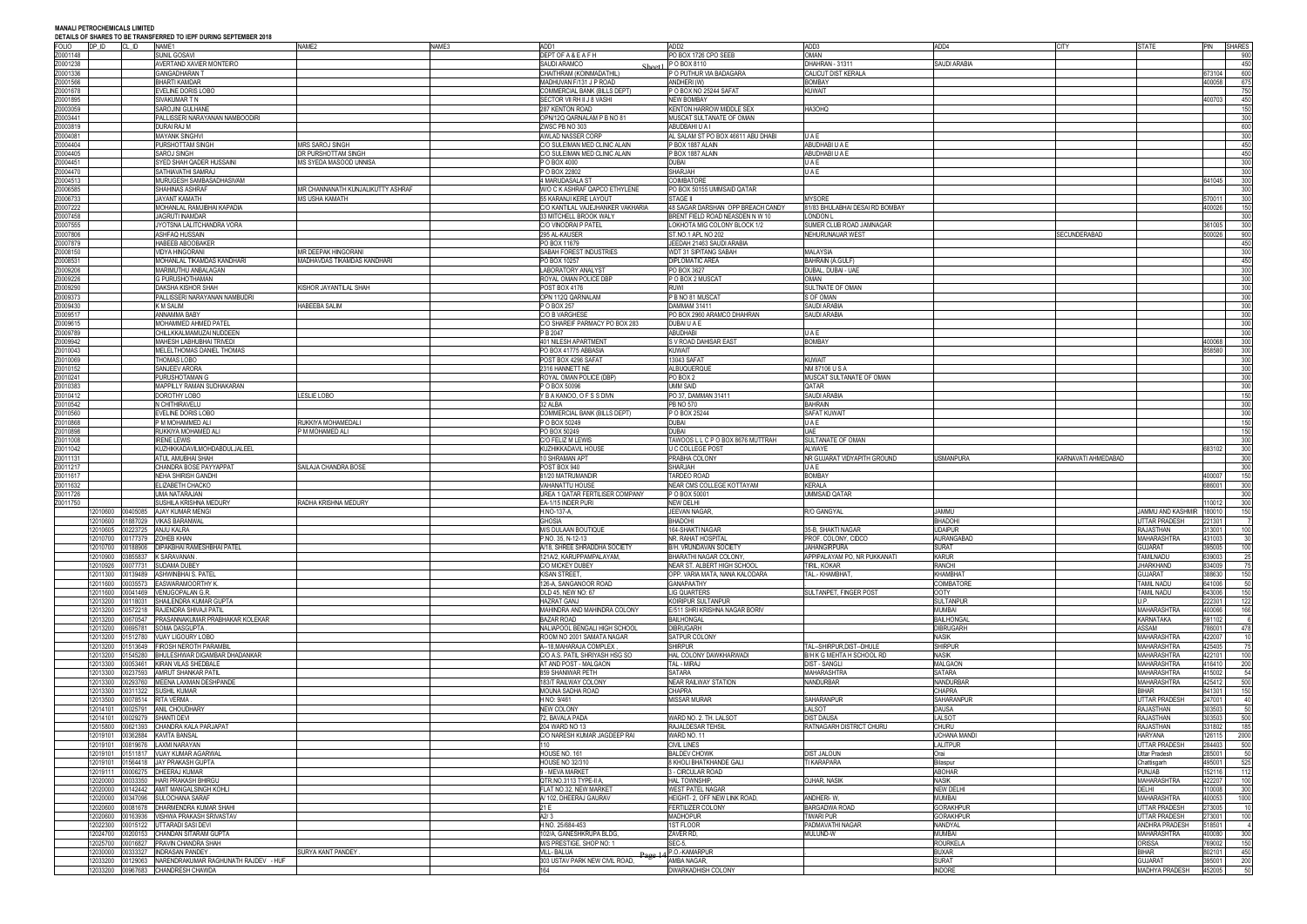| DETAILS OF SHAKES TO BE TRANSFERRED TO IEPP DURING SEPTEMBER 2010<br>FOLIO | DP ID    |          |                                      |                                    | NAME3 | ADD1                                | ADD <sub>2</sub>                   | ADD3                            | ADD4                | <b>CITY</b>         | STATE                    | PIN    |                                                                                                               |
|----------------------------------------------------------------------------|----------|----------|--------------------------------------|------------------------------------|-------|-------------------------------------|------------------------------------|---------------------------------|---------------------|---------------------|--------------------------|--------|---------------------------------------------------------------------------------------------------------------|
|                                                                            |          | CL ID    | NAME1                                | NAME <sub>2</sub>                  |       |                                     |                                    |                                 |                     |                     |                          |        | <b>SHARES</b>                                                                                                 |
| Z0001148                                                                   |          |          | SUNIL GOSAVI                         |                                    |       | DEPT OF A & E A F H                 | PO BOX 1726 CPO SEEB               | <b>OMAN</b>                     |                     |                     |                          |        | 900                                                                                                           |
| Z0001238                                                                   |          |          | AVERTAND XAVIER MONTEIRO             |                                    |       | SAUDI ARAMCO<br>Sheet <sup>1</sup>  | P O BOX 8110                       | DHAHRAN - 31311                 | SAUDI ARABIA        |                     |                          |        | 450                                                                                                           |
| Z0001336                                                                   |          |          | <b>GANGADHARAN T</b>                 |                                    |       | CHAITHRAM (KOINMADATHIL)            | P O PUTHUR VIA BADAGARA            | CALICUT DIST KERALA             |                     |                     |                          | 673104 | 600                                                                                                           |
| Z0001566                                                                   |          |          | <b>BHARTI KAMDAR</b>                 |                                    |       | MADHUVAN F/131 J P ROAD             | ANDHERI (W)                        | <b>BOMBAY</b>                   |                     |                     |                          | 400058 | 675                                                                                                           |
| Z0001678                                                                   |          |          | EVELINE DORIS LOBO                   |                                    |       | COMMERCIAL BANK (BILLS DEPT)        | PO BOX NO 25244 SAFAT              | <b>KUWAIT</b>                   |                     |                     |                          |        | 750                                                                                                           |
|                                                                            |          |          |                                      |                                    |       |                                     |                                    |                                 |                     |                     |                          |        |                                                                                                               |
| Z0001895                                                                   |          |          | SIVAKUMAR T N                        |                                    |       | SECTOR VII RH II J 8 VASHI          | <b>NEW BOMBAY</b>                  |                                 |                     |                     |                          | 400703 | 450                                                                                                           |
| Z0003059                                                                   |          |          | SAROJINI GULHANE                     |                                    |       | 287 KENTON ROAD                     | KENTON HARROW MIDDLE SEX           | HA3OHQ                          |                     |                     |                          |        | 150                                                                                                           |
| Z0003441                                                                   |          |          | PALLISSERI NARAYANAN NAMBOODIRI      |                                    |       | OPN/12Q QARNALAM P B NO 81          | MUSCAT SULTANATE OF OMAN           |                                 |                     |                     |                          |        | 300                                                                                                           |
| Z0003819                                                                   |          |          | DURAI RAJ M                          |                                    |       | ZWSC PB NO 303                      | ABUDBAHI U A I                     |                                 |                     |                     |                          |        | 600                                                                                                           |
| Z0004081                                                                   |          |          | <b>MAYANK SINGHVI</b>                |                                    |       | AWLAD NASSER CORP                   | AL SALAM ST PO BOX 46611 ABU DHABI | UAE                             |                     |                     |                          |        | 300                                                                                                           |
|                                                                            |          |          |                                      |                                    |       |                                     |                                    |                                 |                     |                     |                          |        |                                                                                                               |
| Z0004404                                                                   |          |          | PURSHOTTAM SINGH                     | MRS SAROJ SINGH                    |       | C/O SULEIMAN MED CLINIC ALAIN       | P BOX 1887 ALAIN                   | ABUDHABI U A E                  |                     |                     |                          |        | 450                                                                                                           |
| Z0004405                                                                   |          |          | SAROJ SINGH                          | DR PURSHOTTAM SINGH                |       | C/O SULEIMAN MED CLINIC ALAIN       | P BOX 1887 ALAIN                   | ABUDHABI U A E                  |                     |                     |                          |        | 450                                                                                                           |
| Z0004451                                                                   |          |          | SYED SHAH QADER HUSSAINI             | <b>MS SYEDA MASOOD UNNISA</b>      |       | P O BOX 4000                        | <b>DUBAI</b>                       | UAE                             |                     |                     |                          |        | 300                                                                                                           |
| Z0004470                                                                   |          |          | SATHIAVATHI SAMRAJ                   |                                    |       | P O BOX 22802                       | <b>SHARJAH</b>                     | UAE                             |                     |                     |                          |        | 300                                                                                                           |
|                                                                            |          |          |                                      |                                    |       |                                     |                                    |                                 |                     |                     |                          |        |                                                                                                               |
| Z0004513                                                                   |          |          | MURUGESH SAMBASADHASIVAM             |                                    |       | 4 MARUDASALA ST                     | <b>COIMBATORE</b>                  |                                 |                     |                     |                          | 641045 | 300                                                                                                           |
| Z0006585                                                                   |          |          | SHAHINAS ASHRAF                      | MR CHANNANATH KUNJALIKUTTY ASHRAF  |       | W/O C K ASHRAF QAPCO ETHYLENE       | PO BOX 50155 UMMSAID QATAR         |                                 |                     |                     |                          |        | 300                                                                                                           |
| Z0006733                                                                   |          |          | JAYANT KAMATH                        | MS USHA KAMATH                     |       | 55 KARANJI KERE LAYOUT              | <b>STAGE II</b>                    | <b>MYSORE</b>                   |                     |                     |                          | 570011 | 300                                                                                                           |
| Z0007222                                                                   |          |          | MOHANLAL RAMJIBHAI KAPADIA           |                                    |       | C/O KANTILAL VAJEJHANKER VAKHARIA   | 48 SAGAR DARSHAN OPP BREACH CANDY  | 81/83 BHULABHAI DESAI RD BOMBAY |                     |                     |                          | 400026 | 150                                                                                                           |
| Z0007458                                                                   |          |          | JAGRUTI INAMDAR                      |                                    |       | 33 MITCHELL BROOK WALY              | BRENT FIELD ROAD NEASDEN N W 10    | LONDON L                        |                     |                     |                          |        | 300                                                                                                           |
|                                                                            |          |          |                                      |                                    |       |                                     |                                    |                                 |                     |                     |                          |        |                                                                                                               |
| Z0007555                                                                   |          |          | JYOTSNA LALITCHANDRA VORA            |                                    |       | C/O VINODRAI P PATEL                | LOKHOTA MIG COLONY BLOCK 1/2       | SUMER CLUB ROAD JAMNAGAR        |                     |                     |                          | 361005 | 300                                                                                                           |
| Z0007806                                                                   |          |          | ASHFAQ HUSSAIN                       |                                    |       | 295 AL-KAUSER                       | ST.NO.1 APL NO 202                 | NEHURUNAUAR WEST                |                     | SECUNDERABAD        |                          | 500026 | 900                                                                                                           |
| Z0007879                                                                   |          |          | <b>HABEEB ABOOBAKEF</b>              |                                    |       | PO BOX 11679                        | JEEDAH 21463 SAUDI ARABIA          |                                 |                     |                     |                          |        | 450                                                                                                           |
| Z0008150                                                                   |          |          | <b>VIDYA HINGORANI</b>               | <b>MR DEEPAK HINGORANI</b>         |       | SABAH FOREST INDUSTRIES             | <b>WDT 31 SIPITANG SABAH</b>       | MALAYSIA                        |                     |                     |                          |        | 300                                                                                                           |
| Z0008531                                                                   |          |          | MOHANLAL TIKAMDAS KANDHARI           | <b>IADHAVDAS TIKAMDAS KANDHARI</b> |       |                                     | <b>DIPLOMATIC AREA</b>             | <b>BAHRAIN (A.GULF)</b>         |                     |                     |                          |        | 450                                                                                                           |
|                                                                            |          |          |                                      |                                    |       | PO BOX 10257                        |                                    |                                 |                     |                     |                          |        |                                                                                                               |
| Z0009206                                                                   |          |          | MARIMUTHU ANBALAGAN                  |                                    |       | LABORATORY ANALYST                  | PO BOX 3627                        | DUBAL, DUBAI - UAE              |                     |                     |                          |        | 300                                                                                                           |
| Z0009226                                                                   |          |          | G PURUSHOTHAMAN                      |                                    |       | ROYAL OMAN POLICE DBP               | P O BOX 2 MUSCAT                   | OMAN                            |                     |                     |                          |        | 300                                                                                                           |
| Z0009290                                                                   |          |          | DAKSHA KISHOR SHAH                   | (ISHOR JAYANTILAL SHAH             |       | <b>POST BOX 4176</b>                | iwus                               | SULTNATE OF OMAN                |                     |                     |                          |        | 300                                                                                                           |
| Z0009373                                                                   |          |          | PALLISSERI NARAYANAN NAMBUDRI        |                                    |       | OPN 112Q QARNALAM                   | P B NO 81 MUSCAT                   | S OF OMAN                       |                     |                     |                          |        | 300                                                                                                           |
|                                                                            |          |          |                                      |                                    |       |                                     |                                    |                                 |                     |                     |                          |        |                                                                                                               |
| Z0009430                                                                   |          |          | K M SALIM                            | HABEEBA SALIM                      |       | P O BOX 257                         | DAMMAM 31411                       | <b>SAUDI ARABIA</b>             |                     |                     |                          |        | 300                                                                                                           |
| Z0009517                                                                   |          |          | ANNAMMA BABY                         |                                    |       | <b>C/O B VARGHESE</b>               | PO BOX 2960 ARAMCO DHAHRAN         | <b>SAUDI ARABIA</b>             |                     |                     |                          |        | 300                                                                                                           |
| Z0009615                                                                   |          |          | MOHAMMED AHMED PATEL                 |                                    |       | C/O SHAREIF PARMACY PO BOX 283      | DUBAI U A E                        |                                 |                     |                     |                          |        | 300                                                                                                           |
| Z0009789                                                                   |          |          | CHILLKKALMAMUZAI NUDDEEN             |                                    |       | P B 2047                            | <b>ABUDHABI</b>                    | UAE                             |                     |                     |                          |        | 300                                                                                                           |
| Z0009942                                                                   |          |          | MAHESH LABHUBHAI TRIVEDI             |                                    |       | 401 NILESH APARTMENT                | S V ROAD DAHISAR EAST              | <b>BOMBAY</b>                   |                     |                     |                          | 400068 | 300                                                                                                           |
|                                                                            |          |          |                                      |                                    |       |                                     |                                    |                                 |                     |                     |                          |        |                                                                                                               |
| Z0010043                                                                   |          |          | MELELTHOMAS DANIEL THOMAS            |                                    |       | PO BOX 41775 ABBASIA                | <b>KUWAIT</b>                      |                                 |                     |                     |                          | 858580 | 300                                                                                                           |
| Z0010069                                                                   |          |          | THOMAS LOBO                          |                                    |       | POST BOX 4296 SAFAT                 | 13043 SAFAT                        | <b>KUWAIT</b>                   |                     |                     |                          |        | 300                                                                                                           |
| Z0010152                                                                   |          |          | SANJEEV ARORA                        |                                    |       | 2316 HANNETT NE                     | ALBUQUERQUE                        | NM 87106 USA                    |                     |                     |                          |        | 300                                                                                                           |
| Z0010241                                                                   |          |          | PURUSHOTAMAN G                       |                                    |       | ROYAL OMAN POLICE (DBP)             | PO BOX 2                           | MUSCAT SULTANATE OF OMAN        |                     |                     |                          |        | 300                                                                                                           |
| Z0010383                                                                   |          |          |                                      |                                    |       |                                     | <b>UMM SAID</b>                    | QATAR                           |                     |                     |                          |        |                                                                                                               |
|                                                                            |          |          | MAPPILLY RAMAN SUDHAKARAN            |                                    |       | P O BOX 50096                       |                                    |                                 |                     |                     |                          |        | 300                                                                                                           |
| Z0010412                                                                   |          |          | DOROTHY LOBO                         | LESLIE LOBO                        |       | Y B A KANOO, O F S S DIVN           | PO 37, DAMMAN 31411                | SAUDI ARABIA                    |                     |                     |                          |        | 150                                                                                                           |
| Z0010542                                                                   |          |          | N CHITHIRAVELU                       |                                    |       | 32 ALBA                             | <b>PB NO 570</b>                   | <b>BAHRAIN</b>                  |                     |                     |                          |        | 300                                                                                                           |
| Z0010560                                                                   |          |          | EVELINE DORIS LOBO                   |                                    |       | <b>COMMERCIAL BANK (BILLS DEPT)</b> | P O BOX 25244                      | <b>SAFAT KUWAIT</b>             |                     |                     |                          |        | 300                                                                                                           |
| Z0010868                                                                   |          |          | P M MOHAMMED ALI                     | RUKKIYA MOHAMEDALI                 |       | P O BOX 50249                       | <b>DUBAI</b>                       | UAE                             |                     |                     |                          |        | 150                                                                                                           |
|                                                                            |          |          |                                      |                                    |       |                                     |                                    | UAF                             |                     |                     |                          |        |                                                                                                               |
| Z0010898                                                                   |          |          | RUKKIYA MOHAMED ALI                  | P M MOHAMED ALI                    |       | PO BOX 50249                        | <b>DUBAI</b>                       |                                 |                     |                     |                          |        | 150                                                                                                           |
| Z0011008                                                                   |          |          | <b>IRENE LEWIS</b>                   |                                    |       | C/O FELIZ M LEWIS                   | TAWOOS L L C P O BOX 8676 MUTTRAH  | SULTANATE OF OMAN               |                     |                     |                          |        | 300                                                                                                           |
| Z0011042                                                                   |          |          | KUZHIKKADAVILMOHDABDULJALEEL         |                                    |       | KUZHIKKADAVIL HOUSE                 | J C COLLEGE POST                   | ALWAYE                          |                     |                     |                          | 683102 | 300                                                                                                           |
|                                                                            |          |          | ATUL AMUBHAI SHAH                    |                                    |       | 10 SHRAMAN APT                      | <b>PRABHA COLONY</b>               | NR GUJARAT VIDYAPITH GROUND     | <b>JSMANPURA</b>    | KARNAVATI AHMEDABAD |                          |        | 300                                                                                                           |
|                                                                            |          |          |                                      |                                    |       |                                     |                                    |                                 |                     |                     |                          |        |                                                                                                               |
| Z0011131                                                                   |          |          |                                      |                                    |       |                                     |                                    |                                 |                     |                     |                          |        |                                                                                                               |
| Z0011217                                                                   |          |          | CHANDRA BOSE PAYYAPPAT               | SAILAJA CHANDRA BOSE               |       | POST BOX 940                        | SHARJAH                            | UAE                             |                     |                     |                          |        |                                                                                                               |
| Z0011617                                                                   |          |          | <b>NEHA SHIRISH GANDHI</b>           |                                    |       | 81/20 MATRUMANDIR                   | TARDEO ROAD                        | <b>BOMBAY</b>                   |                     |                     |                          | 400007 |                                                                                                               |
| Z0011632                                                                   |          |          | ELIZABETH CHACKO                     |                                    |       | <b>VAHANATTU HOUSE</b>              | NEAR CMS COLLEGE KOTTAYAM          | KERALA                          |                     |                     |                          | 686001 |                                                                                                               |
|                                                                            |          |          |                                      |                                    |       |                                     |                                    |                                 |                     |                     |                          |        |                                                                                                               |
| Z0011726                                                                   |          |          | UMA NATARAJAN                        |                                    |       | UREA 1 QATAR FERTILISER COMPANY     | P O BOX 50001                      | <b>UMMSAID QATAR</b>            |                     |                     |                          |        |                                                                                                               |
| Z0011750                                                                   |          |          | SUSHILA KRISHNA MEDURY               | RADHA KRISHNA MEDURY               |       | EA-1/15 INDER PURI                  | NEW DELHI                          |                                 |                     |                     |                          | 110012 |                                                                                                               |
|                                                                            | 2010600  | 00405085 | AJAY KUMAR MENGI                     |                                    |       | H.NO-137-A,                         | <b>JEEVAN NAGAR,</b>               | R/O GANGYAL                     | Jammu               |                     | <b>JAMMU AND KASHMIR</b> | 180010 |                                                                                                               |
|                                                                            | 2010600  | 01887029 | <b>VIKAS BARANWAL</b>                |                                    |       | <b>GHOSIA</b>                       | <b>BHADOHI</b>                     |                                 | <b>BHADOH</b>       |                     | <b>JTTAR PRADESH</b>     | 221301 |                                                                                                               |
|                                                                            | 12010605 |          | 00223725 ANJU KALRA                  |                                    |       | M/S DULAAN BOUTIQUE                 | 164-SHAKTI NAGAR                   | 35-B, SHAKTI NAGAR              | <b>UDAIPUR</b>      |                     | RAJASTHAN                | 313001 |                                                                                                               |
|                                                                            |          |          | 00177379 ZOHEB KHAN                  |                                    |       |                                     |                                    |                                 |                     |                     |                          |        |                                                                                                               |
|                                                                            | 12010700 |          |                                      |                                    |       | P.NO. 35, N-12-13                   | NR. RAHAT HOSPITAL                 | PROF. COLONY, CIDCO             | AURANGABAD          |                     | MAHARASHTRA              | 431003 |                                                                                                               |
|                                                                            | 12010700 | 0188906  | <b>DIPAKBHAI RAMESHBHAI PATEL</b>    |                                    |       | A/18, SHREE SHRADDHA SOCIETY        | B/H. VRUNDAVAN SOCIETY             | <b>JAHANGIRPURA</b>             | <b>SURAT</b>        |                     | <b>GUJARAT</b>           | 395005 |                                                                                                               |
|                                                                            | 12010900 | 3855837  | K SARAVANAN                          |                                    |       | 121A/2, KARUPPAMPALAYAM,            | BHARATHI NAGAR COLONY.             | APPIPALAYAM PO. NR PUKKANATI    | <b>KARUR</b>        |                     | <b>TAMILNADU</b>         | 639003 |                                                                                                               |
|                                                                            | 12010926 | 00077731 | <b>SUDAMA DUBEY</b>                  |                                    |       | C/O MICKEY DUBEY                    | NEAR ST. ALBERT HIGH SCHOOL        | <b>TIRIL, KOKAR</b>             | <b>RANCHI</b>       |                     | <b>JHARKHAND</b>         | 834009 |                                                                                                               |
|                                                                            | 12011300 | 00139489 | ASHWINBHAI S. PATEL                  |                                    |       | KISAN STREET,                       | OPP. VARIA MATA, NANA KALODARA     | TAL.- KHAMBHAT                  | KHAMBHAT            |                     | GUJARAT                  | 388630 |                                                                                                               |
|                                                                            | 12011600 | 00035573 | <b>EASWARAMOORTHY K</b>              |                                    |       |                                     | <b>GANAPAATHY</b>                  |                                 | <b>COIMBATORE</b>   |                     | TAMIL NADU               | 641006 |                                                                                                               |
|                                                                            |          |          |                                      |                                    |       | 126-A. SANGANOOR ROAD               |                                    |                                 |                     |                     |                          |        |                                                                                                               |
|                                                                            | 12011600 | 00041469 | <b>VENUGOPALAN G.R</b>               |                                    |       | OLD 45, NEW NO: 67                  | <b>LIG QUARTERS</b>                | SULTANPET, FINGER POST          | <b>OOTY</b>         |                     | TAMIL NADU               | 643006 |                                                                                                               |
|                                                                            | 12013200 | 00118031 | SHAILENDRA KUMAR GUPTA               |                                    |       | <b>HAZRAT GANJ</b>                  | KOIRIPUR SULTANPUR                 |                                 | <b>SULTANPUR</b>    |                     | IP.                      | 222301 |                                                                                                               |
|                                                                            | 12013200 |          | 00572218 RAJENDRA SHIVAJI PATIL      |                                    |       | MAHINDRA AND MAHINDRA COLONY        | E/511 SHRI KRISHNA NAGAR BORIV     |                                 | <b>MUMRAL</b>       |                     | <b>MAHARASHTRA</b>       | 400066 |                                                                                                               |
|                                                                            | 12013200 | 00670547 | PRASANNAKUMAR PRABHAKAR KOLEKAR      |                                    |       | <b>BAZAR ROAD</b>                   | <b>BAILHONGAL</b>                  |                                 | <b>BAILHONGAL</b>   |                     | KARNATAKA                | 591102 |                                                                                                               |
|                                                                            | 12013200 | 00695781 | SOMA DASGUPTA                        |                                    |       | NALIAPOOL BENGALI HIGH SCHOOL       | <b>DIBRUGARH</b>                   |                                 | <b>DIBRUGARH</b>    |                     | ASSAM                    | 786001 |                                                                                                               |
|                                                                            |          |          |                                      |                                    |       |                                     |                                    |                                 |                     |                     |                          |        | 300<br>150<br>300<br>300<br>300<br>150<br>100<br>- 30<br>100<br>- 75<br>150<br>50<br>150<br>122<br>166<br>478 |
|                                                                            | 12013200 |          | 01512780 VIJAY LIGOURY LOBO          |                                    |       | ROOM NO 2001 SAMATA NAGAR           | SATPUR COLONY                      |                                 | <b>NASIK</b>        |                     | MAHARASHTRA              | 422007 |                                                                                                               |
|                                                                            | 12013200 |          | 1513649 FIROSH NEROTH PARAMBIL       |                                    |       | A--18.MAHARAJA COMPLEX              | <b>SHIRPUR</b>                     | TAL--SHIRPUR.DIST--DHULE        | <b>SHIRPUR</b>      |                     | MAHARASHTRA              | 425405 |                                                                                                               |
|                                                                            | 12013200 | 1545280  | BHULESHWAR DIGAMBAR DHADANKAR        |                                    |       | C/O A.S. PATIL SHRIYASH HSG SO      | HAL COLONY DAWKHARWADI             | B/H K G MEHTA H SCHOOL RD       | <b>NASIK</b>        |                     | <b>MAHARASHTRA</b>       | 422101 |                                                                                                               |
|                                                                            | 12013300 | 00053461 | KIRAN VILAS SHEDBALE                 |                                    |       | AT AND POST - MALGAON               | TAL - MIRAJ                        | <b>DIST - SANGLI</b>            | <b>MALGAON</b>      |                     | MAHARASHTRA              | 416410 |                                                                                                               |
|                                                                            |          |          |                                      |                                    |       |                                     |                                    |                                 |                     |                     |                          |        | 10<br>- 75<br>100<br>200                                                                                      |
|                                                                            | 12013300 |          | 00237593 AMRUT SHANKAR PATIL         |                                    |       | 859 SHANIWAR PETH                   | SATARA                             | <b>MAHARASHTRA</b>              | <b>SATARA</b>       |                     | MAHARASHTRA              | 415002 |                                                                                                               |
|                                                                            | 12013300 | 0293760  | MEENA LAXMAN DESHPANDE               |                                    |       | 183/T RAILWAY COLONY                | NEAR RAILWAY STATION               | <b>NANDURBAR</b>                | <b>NANDURBAR</b>    |                     | <b>MAHARASHTRA</b>       | 425412 | 54<br>500                                                                                                     |
|                                                                            | 12013300 | 00311322 | <b>SUSHIL KUMAR</b>                  |                                    |       | MOUNA SADHA ROAD                    | <b>CHAPRA</b>                      |                                 | <b>CHAPRA</b>       |                     | <b>BIHAR</b>             | 841301 | 150                                                                                                           |
|                                                                            | 12013500 | 00078514 | <b>RITA VERMA</b>                    |                                    |       | H NO: 9/461                         | <b>MISSAR MURAR</b>                | <b>SAHARANPUR</b>               | SAHARANPUR          |                     | UTTAR PRADESH            | 247001 | 40                                                                                                            |
|                                                                            | 12014101 | 00025791 | <b>ANIL CHOUDHARY</b>                |                                    |       | <b>NEW COLONY</b>                   |                                    | LALSOT                          | <b>DAUSA</b>        |                     | RAJASTHAN                | 303503 | 50                                                                                                            |
|                                                                            |          |          |                                      |                                    |       |                                     |                                    |                                 |                     |                     |                          |        |                                                                                                               |
|                                                                            | 12014101 | 0029279  | <b>SHANTI DEVI</b>                   |                                    |       | 72, BAVALA PADA                     | WARD NO. 2. TH. LALSOT             | <b>DIST DAUSA</b>               | LALSOT              |                     | <b>RAJASTHAN</b>         | 303503 | 500                                                                                                           |
|                                                                            | 12015800 | 00621393 | CHANDRA KALA PARJAPAT                |                                    |       | 204 WARD NO 13                      | RAJALDESAR TEHSIL                  | RATNAGARH DISTRICT CHURU        | <b>CHURU</b>        |                     | <b>RAJASTHAN</b>         | 331802 | 185                                                                                                           |
|                                                                            | 12019101 | 0362884  | <b>KAVITA BANSAL</b>                 |                                    |       | C/O NARESH KUMAR JAGDEEP RAI        | WARD NO. 11                        |                                 | <b>UCHANA MANDI</b> |                     | HARYANA                  | 126115 | 2000                                                                                                          |
|                                                                            | 12019101 | 0819676  | LAXMI NARAYAN                        |                                    |       | 110                                 | <b>CIVIL LINES</b>                 |                                 | <b>LALITPUR</b>     |                     | <b>JTTAR PRADESH</b>     | 284403 | 500                                                                                                           |
|                                                                            |          |          |                                      |                                    |       |                                     |                                    |                                 |                     |                     |                          |        |                                                                                                               |
|                                                                            | 12019101 | 1511817  | <b>VIJAY KUMAR AGARWAL</b>           |                                    |       | HOUSE NO. 161                       | <b>BALDEV CHOWK</b>                | <b>DIST JALOUN</b>              | Orai                |                     | Uttar Pradesh            | 285001 | 50                                                                                                            |
|                                                                            | 12019101 | 1564418  | <b>JAY PRAKASH GUPTA</b>             |                                    |       | <b>HOUSE NO 32/310</b>              | <b>KHOLI BHATKHANDE GALI</b>       | <b>I KARAPARA</b>               | Bilaspur            |                     | Chattisgarh              | 495001 | 525                                                                                                           |
|                                                                            | 12019111 | 0006275  | DHEERAJ KUMAR                        |                                    |       | 9 - MEVA MARKET                     | - CIRCULAR ROAD                    |                                 | <b>ABOHAR</b>       |                     | PUNJAB                   | 152116 | 112                                                                                                           |
|                                                                            | 12020000 | 0033350  | <b>HARI PRAKASH BHIRGU</b>           |                                    |       | QTR.NO.3113 TYPE-II A,              | <b>HAL TOWNSHIP</b>                | OJHAR, NASIK                    | <b>NASIK</b>        |                     | MAHARASHTRA              | 422207 | 100                                                                                                           |
|                                                                            | 12020000 |          | 0142442 AMIT MANGALSINGH KOHLI       |                                    |       | FLAT NO.32, NEW MARKET              | <b>WEST PATEL NAGAR</b>            |                                 | <b>NEW DELHI</b>    |                     | DELHI                    | 110008 | 300                                                                                                           |
|                                                                            |          |          |                                      |                                    |       |                                     |                                    |                                 |                     |                     |                          |        |                                                                                                               |
|                                                                            | 2020000  | 0347096  | SULOCHANA SARAF                      |                                    |       | A/ 102, DHEERAJ GAURAV              | HEIGHT- 2, OFF NEW LINK ROAD,      | ANDHERI-W,                      | MUMBAI              |                     | MAHARASHTRA              | 400053 | 1000                                                                                                          |
|                                                                            | 12020600 | 00081678 | DHARMENDRA KUMAR SHAHI               |                                    |       | 21 E                                | <b>FERTILIZER COLONY</b>           | <b>BARGADWA ROAD</b>            | <b>GORAKHPUR</b>    |                     | UTTAR PRADESH            | 273005 |                                                                                                               |
|                                                                            | 12020600 | 0163936  | <b>VISHWA PRAKASH SRIVASTAV</b>      |                                    |       | A2/3                                | <b>MADHOPUR</b>                    | <b>TIWARI PUR</b>               | <b>GORAKHPUR</b>    |                     | UTTAR PRADESH            | 273001 |                                                                                                               |
|                                                                            | 12022300 | 00015122 | UTTARADI SASI DEVI                   |                                    |       | H NO. 25/684-453                    | <b>1ST FLOOR</b>                   | PADMAVATHI NAGAR                | NANDYAL             |                     | <b>ANDHRA PRADESH</b>    | 518501 |                                                                                                               |
|                                                                            |          |          |                                      |                                    |       |                                     |                                    |                                 |                     |                     |                          |        |                                                                                                               |
|                                                                            | 12024700 |          | 00200153 CHANDAN SITARAM GUPTA       |                                    |       | 102/A. GANESHKRUPA BLDG.            | ZAVER RD.                          | Mulund-W                        | <b>MUMBAI</b>       |                     | <b>MAHARASHTRA</b>       | 400080 |                                                                                                               |
|                                                                            | 12025700 | 0016827  | PRAVIN CHANDRA SHAH                  |                                    |       | M/S PRESTIGE, SHOP NO: 1            | <b>SEC-5.</b>                      |                                 | <b>ROURKELA</b>     |                     | ORISSA                   | 769002 |                                                                                                               |
|                                                                            | 12030000 | 0333327  | <b>INDRASAN PANDEY</b>               | SURYA KANT PANDEY .                |       | <b>VILL-BALUA</b>                   | P.O.-KAMARPUR                      |                                 | <b>BUXAR</b>        |                     | <b>BIHAR</b>             | 802101 |                                                                                                               |
|                                                                            | 12033200 | 00129063 | NARENDRAKUMAR RAGHUNATH RAJDEV - HUF |                                    |       | 303 USTAV PARK NEW CIVIL ROAD,      | AMBA NAGAR,                        |                                 | <b>SURAT</b>        |                     | <b>GUJARAT</b>           | 395001 |                                                                                                               |
|                                                                            |          |          | 12033200 00967683 CHANDRESH CHAWDA   |                                    |       | 164                                 | DWARKADHISH COLONY                 |                                 | <b>INDORE</b>       |                     | MADHYA PRADESH           | 452005 | 10<br>100<br>300<br>150<br>450<br>200<br>- 50                                                                 |

|                       | ADD3                            | ADD4                          | <b>CITY</b>         | <b>STATE</b>                            | PIN              | <b>SHARES</b>   |
|-----------------------|---------------------------------|-------------------------------|---------------------|-----------------------------------------|------------------|-----------------|
| EEB                   | OMAN                            |                               |                     |                                         |                  | 900             |
|                       | DHAHRAN - 31311                 | SAUDI ARABIA                  |                     |                                         |                  | 450             |
| AGARA                 | CALICUT DIST KERALA             |                               |                     |                                         | 673104           | 600             |
|                       | <b>BOMBAY</b>                   |                               |                     |                                         | 400058           | 675             |
| AFAT                  | KUWAIT                          |                               |                     |                                         |                  | 750             |
|                       |                                 |                               |                     |                                         | 400703           | 450             |
| <b>IDDLE SEX</b>      | HA3OHQ                          |                               |                     |                                         |                  | 150             |
| OF OMAN               |                                 |                               |                     |                                         |                  | 300             |
|                       |                                 |                               |                     |                                         |                  | 600             |
| K 46611 ABU DHABI     | UAE                             |                               |                     |                                         |                  | 300             |
|                       |                                 |                               |                     |                                         |                  |                 |
|                       | ABUDHABI U A E                  |                               |                     |                                         |                  | 450             |
|                       | ABUDHABI U A E                  |                               |                     |                                         |                  | 450             |
|                       | UAE                             |                               |                     |                                         |                  | 300             |
|                       | UAE                             |                               |                     |                                         |                  | 300             |
|                       |                                 |                               |                     |                                         | 641045           | 300             |
| AID QATAR             |                                 |                               |                     |                                         |                  | 300             |
|                       | <b>MYSORE</b>                   |                               |                     |                                         | 570011           | 300             |
| OPP BREACH CANDY      | 81/83 BHULABHAI DESAI RD BOMBAY |                               |                     |                                         | 400026           | 150             |
| <b>JEASDEN N W 10</b> | LONDON L                        |                               |                     |                                         |                  | 300             |
| NY BLOCK 1/2          | SUMER CLUB ROAD JAMNAGAR        |                               |                     |                                         | 361005           | 300             |
|                       | NEHURUNAUAR WEST                |                               | SECUNDERABAD        |                                         | 500026           | 900             |
|                       |                                 |                               |                     |                                         |                  |                 |
| <b>ARABIA</b>         |                                 |                               |                     |                                         |                  | 450             |
| BAH                   | MALAYSIA                        |                               |                     |                                         |                  | 300             |
|                       | <b>BAHRAIN (A.GULF)</b>         |                               |                     |                                         |                  | 450             |
|                       | DUBAL, DUBAI - UAE              |                               |                     |                                         |                  | 300             |
|                       | OMAN                            |                               |                     |                                         |                  | 300             |
|                       | SULTNATE OF OMAN                |                               |                     |                                         |                  | 300             |
|                       | S OF OMAN                       |                               |                     |                                         |                  | 300             |
|                       | SAUDI ARABIA                    |                               |                     |                                         |                  | 300             |
| O DHAHRAN             | SAUDI ARABIA                    |                               |                     |                                         |                  | 300             |
|                       |                                 |                               |                     |                                         |                  | 300             |
|                       | UAE                             |                               |                     |                                         |                  | 300             |
|                       | <b>BOMBAY</b>                   |                               |                     |                                         |                  |                 |
| AST                   |                                 |                               |                     |                                         | 400068           | 300             |
|                       |                                 |                               |                     |                                         | 858580           | 300             |
|                       | <b>KUWAIT</b>                   |                               |                     |                                         |                  | 300             |
|                       | NM 87106 USA                    |                               |                     |                                         |                  | 300             |
|                       | MUSCAT SULTANATE OF OMAN        |                               |                     |                                         |                  | 300             |
|                       | QATAR                           |                               |                     |                                         |                  | 300             |
| $\vert$ 1             | SAUDI ARABIA                    |                               |                     |                                         |                  | 150             |
|                       | <b>BAHRAIN</b>                  |                               |                     |                                         |                  | 300             |
|                       | SAFAT KUWAIT                    |                               |                     |                                         |                  | 300             |
|                       | UAE                             |                               |                     |                                         |                  | 150             |
|                       | <b>UAE</b>                      |                               |                     |                                         |                  | 150             |
|                       |                                 |                               |                     |                                         |                  |                 |
| OX 8676 MUTTRAH       | SULTANATE OF OMAN               |                               |                     |                                         |                  | 300             |
|                       | <b>ALWAYE</b>                   |                               |                     |                                         | 683102           | 300             |
|                       | NR GUJARAT VIDYAPITH GROUND     | <b>USMANPURA</b>              | KARNAVATI AHMEDABAD |                                         |                  | 300             |
|                       | UAE                             |                               |                     |                                         |                  | 300             |
|                       | <b>BOMBAY</b>                   |                               |                     |                                         | 400007           | 150             |
| KOTTAYAM              | <b>KERALA</b>                   |                               |                     |                                         | 686001           | 300             |
|                       | UMMSAID QATAR                   |                               |                     |                                         |                  | 300             |
|                       |                                 |                               |                     |                                         | 110012           | 300             |
|                       | R/O GANGYAL                     | <b>JAMMU</b>                  |                     | JAMMU AND KASHMIR                       | 180010           | 150             |
|                       |                                 | <b>BHADOHI</b>                |                     | UTTAR PRADESH                           | 221301           | $\overline{7}$  |
|                       | 35-B, SHAKTI NAGAR              | <b>UDAIPUR</b>                |                     | <b>RAJASTHAN</b>                        | 313001           | 100             |
|                       | PROF. COLONY, CIDCO             | AURANGABAD                    |                     | <b>MAHARASHTRA</b>                      | 431003           | 30              |
| CIETY                 |                                 | <b>SURAT</b>                  |                     |                                         | 395005           |                 |
|                       | <b>JAHANGIRPURA</b>             |                               |                     | <b>GUJARAT</b>                          |                  | 100             |
| LONY,                 | APPIPALAYAM PO, NR PUKKANATI    | KARUR                         |                     | <b>TAMILNADU</b>                        | 639003           | 25              |
| <b>GH SCHOOL</b>      | TIRIL, KOKAR                    | RANCHI                        |                     | <b>JHARKHAND</b>                        | 834009           | 75              |
| <b>INA KALODARA</b>   | TAL.- KHAMBHAT,                 | KHAMBHAT                      |                     | <b>GUJARAT</b>                          | 388630           | 150             |
|                       |                                 | COIMBATORE                    |                     |                                         |                  | 50              |
|                       | SULTANPET, FINGER POST          |                               |                     | TAMIL NADU                              | 641006           |                 |
|                       |                                 | 00TY                          |                     | TAMIL NADU                              | 643006           | 150             |
| R                     |                                 | <b>SULTANPUR</b>              |                     | J.P.                                    | 222301           | 122             |
| NAGAR BORIV           |                                 | MUMBAI                        |                     | MAHARASHTRA                             |                  |                 |
|                       |                                 |                               |                     |                                         | 400066           | 166             |
|                       |                                 | <b>BAILHONGAL</b>             |                     | KARNATAKA                               | 591102           | $6\phantom{1}6$ |
|                       |                                 | <b>DIBRUGARH</b>              |                     | <b>ASSAM</b>                            | 786001           | 478             |
|                       |                                 | <b>NASIK</b>                  |                     | MAHARASHTRA                             | 422007           | 10              |
|                       | TAL--SHIRPUR, DIST--DHULE       | <b>SHIRPUR</b>                |                     | MAHARASHTRA                             | 425405           | 75              |
| <b>IARWADI</b>        | B/H K G MEHTA H SCHOOL RD       | NASIK                         |                     | <b>MAHARASHTRA</b>                      | 422101           | 100             |
|                       | <b>DIST - SANGLI</b>            | MALGAON                       |                     | MAHARASHTRA                             | 416410           | 200             |
|                       | MAHARASHTRA                     | SATARA                        |                     | MAHARASHTRA                             | 415002           | 54              |
| ion                   | NANDURBAR                       | NANDURBAR                     |                     | <b>MAHARASHTRA</b>                      | 425412           | 500             |
|                       |                                 | CHAPRA                        |                     | <b>BIHAR</b>                            | 841301           | 150             |
|                       | SAHARANPUR                      | SAHARANPUR                    |                     | UTTAR PRADESH                           | 247001           | 40              |
|                       | <b>ALSOT</b>                    | <b>DAUSA</b>                  |                     | RAJASTHAN                               | 303503           | 50              |
| SOT                   | <b>DIST DAUSA</b>               | LALSOT                        |                     | RAJASTHAN                               | 303503           | 500             |
|                       |                                 | <b>CHURU</b>                  |                     |                                         | 331802           |                 |
|                       | RATNAGARH DISTRICT CHURU        |                               |                     | <b>RAJASTHAN</b>                        |                  | 185             |
|                       |                                 | UCHANA MANDI                  |                     | <b>HARYANA</b>                          | 126115           | 2000            |
|                       |                                 | LALITPUR                      |                     | UTTAR PRADESH                           | 284403           | 500             |
|                       | DIST JALOUN                     | Orai                          |                     | <b>Uttar Pradesh</b>                    | 285001           | 50              |
|                       | TI KARAPARA                     | Bilaspur                      |                     | Chattisgarh                             | 495001           | 525             |
|                       |                                 | ABOHAR                        |                     | <b>PUNJAB</b>                           | 152116           | 112             |
|                       | OJHAR, NASIK                    | <b>NASIK</b>                  |                     | MAHARASHTRA                             | 422207           | 100             |
|                       |                                 | NEW DELHI                     |                     | DELHI                                   | 110008           | 300             |
|                       | ANDHERI-W,                      | MUMBAI                        |                     | MAHARASHTRA                             | 400053           | 1000            |
|                       | <b>BARGADWA ROAD</b>            | <b>GORAKHPUR</b>              |                     | UTTAR PRADESH                           | 273005           | 10              |
|                       | TIWARI PUR                      | <b>GORAKHPUR</b>              |                     | UTTAR PRADESH                           | 273001           | 100             |
|                       |                                 |                               |                     |                                         |                  | $\sqrt{4}$      |
|                       | PADMAVATHI NAGAR                | NANDYAL                       |                     | ANDHRA PRADESH                          | 518501           |                 |
| E GALI<br>LINK ROAD,  | MULUND-W                        | MUMBAI                        |                     | <b>MAHARASHTRA</b>                      | 400080           | 300             |
|                       |                                 | <b>ROURKELA</b>               |                     | <b>ORISSA</b>                           | 769002           | 150             |
|                       |                                 | <b>BUXAR</b>                  |                     | <b>BIHAR</b>                            | 802101           | 450             |
| )NY                   |                                 | <b>SURAT</b><br><b>INDORE</b> |                     | <b>GUJARAT</b><br><b>MADHYA PRADESH</b> | 395001<br>452005 | 200<br>50       |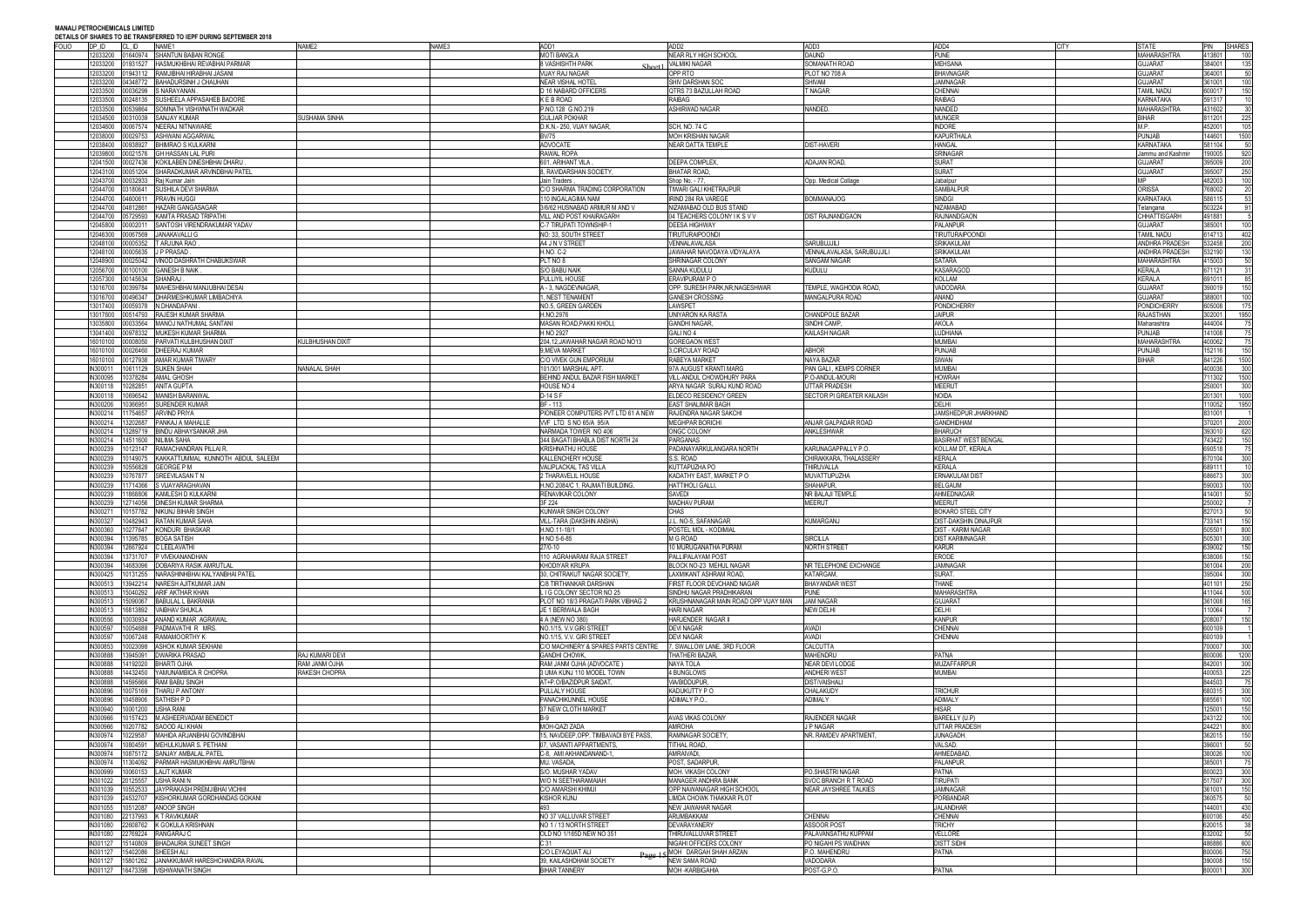| <b>FOLIO</b><br>DP ID | CL ID              | <u>DETAILS OF SHARES TO DE TRANSI ERRED TO IEFT DURING SEFTEMBER ZVT0</u><br>NAME1 | NAME2               | NAME3 | ADD1                                      | ADD <sub>2</sub>                     | ADD3                            | ADD4<br><b>CITY</b>                         | <b>STATE</b>          | <b>SHARES</b><br><b>PIN</b>    |
|-----------------------|--------------------|------------------------------------------------------------------------------------|---------------------|-------|-------------------------------------------|--------------------------------------|---------------------------------|---------------------------------------------|-----------------------|--------------------------------|
| 2033200               |                    | 01640974 SHANTUN BABAN RONGE                                                       |                     |       | <b>MOTI BANGLA</b>                        | <b>NEAR RLY HIGH SCHOOL</b>          | <b>DAUND</b>                    | <b>PUNE</b>                                 | <b>MAHARASHTRA</b>    | 413801<br>100                  |
| 2033200               |                    | 01931527 HASMUKHBHAI REVABHAI PARMAR                                               |                     |       | <b>8 VASHISHTH PARK</b>                   | <b>VALMIKI NAGAR</b>                 | SOMANATH ROAD                   | <b>MEHSANA</b>                              | <b>GUJARAT</b>        | 384001<br>135                  |
| 2033200               |                    | 01943112 RAMJIBHAI HIRABHAI JASANI                                                 |                     |       | <b>VIJAY RAJ NAGAR</b>                    | OPP RTO                              | PLOT NO 708 A                   | <b>BHAVNAGAR</b>                            | <b>GUJARAT</b>        | 364001<br>50                   |
| 2033200               |                    | 04348772 BAHADURSINH J CHAUHAN                                                     |                     |       | <b>NEAR VISHAL HOTEL</b>                  | SHIV DARSHAN SOC                     | <b>SHIVAM</b>                   | <b>JAMNAGAR</b>                             | <b>GUJARAT</b>        | 361001<br>100                  |
| 2033500               | 00036299           | S NARAYANAN                                                                        |                     |       | D 16 NABARD OFFICERS                      | QTRS 73 BAZULLAH ROAD                | <b>NAGAR</b>                    | CHENNAI                                     | TAMIL NADU            | 600017<br>150                  |
| 2033500               | 0248135            | SUSHEELA APPASAHEB BADORE                                                          |                     |       | <b>KEBROAD</b>                            | <b>RAIBAG</b>                        |                                 | <b>RAIBAG</b>                               | <b>KARNATAKA</b>      | 591317                         |
| 2033500               | 0539864            | SOMNATH VISHWNATH WADKAR                                                           |                     |       | P.NO.128 G.NO.219                         | <b>ASHIRWAD NAGAR</b>                | NANDED.                         | <b>NANDED</b>                               | <b>MAHARASHTRA</b>    | 431602<br>30                   |
| 2034500               | 00310039           | <b>SANJAY KUMAR</b>                                                                | <b>USHAMA SINHA</b> |       | <b>GULJAR POKHAR</b>                      |                                      |                                 | MUNGER                                      | <b>BIHAR</b>          | 811201<br>225                  |
| 034600                | 00067574           | NEERAJ NITNAWARE                                                                   |                     |       | D.K.N.- 250, VIJAY NAGAR                  | SCH, NO. 74 C                        |                                 | <b>NDORE</b>                                | M.P.                  | 452001<br>105                  |
| 2038000               | 0029753            | ASHWANI AGGARWAI                                                                   |                     |       | <b>BV/75</b>                              | <b>MOH KRISHAN NAGAR</b>             |                                 | <b>KAPURTHAL/</b>                           | <b>PUNJAB</b>         | 144601<br>1500                 |
| 2038400               | 00938927           | <b>BHIMRAO S KULKARNI</b>                                                          |                     |       | <b>ADVOCATE</b>                           | <b>NEAR DATTA TEMPLE</b>             | <b>DIST-HAVERI</b>              | <b>HANGAL</b>                               | <b>KARNATAKA</b>      | 581104<br>-50                  |
| 2039800               | 00021576           | <b>GH HASSAN LAL PURI</b>                                                          |                     |       | <b>RAWAL ROPA</b>                         |                                      |                                 | <b>SRINAGAR</b>                             | Jammu and Kashmir     | 190005<br>920                  |
| 2041500               | 00027436           | KOKILABEN DINESHBHAI DHARU                                                         |                     |       | 601. ARIHANT VILA                         | DEEPA COMPLEX                        | ADAJAN ROAD.                    | <b>SURAT</b>                                | <b>GUJARAT</b>        | 200<br>395009                  |
| 12043100              | 00051204           | SHARADKUMAR ARVINDBHAI PATEL                                                       |                     |       | 8, RAVIDARSHAN SOCIETY,                   | <b>BHATAR ROAD</b>                   |                                 | <b>SURAT</b>                                | <b>GUJARAT</b>        | 395007<br>250                  |
| 2043700               | 0032933            | Raj Kumar Jain                                                                     |                     |       | Jain Traders,                             | Shop No. - 77,                       | Opp. Medical Collage            | Jabalpur                                    | MР                    | 482003<br>100                  |
| 2044700               | 03180641           | SUSHILA DEVI SHARMA                                                                |                     |       | C/O SHARMA TRADING CORPORATION            | <b>TIWARI GALI KHETRAJPUR</b>        |                                 | SAMBALPUF                                   | ORISSA                | 768002<br>20                   |
| 2044700               | 04600611           | PRAVIN HUGGI                                                                       |                     |       | 10 INGALAGIMA NAM                         | <b>IRIND 284 RA VAREGE</b>           | <b>BOMMANAJOG</b>               | <b>SINDGI</b>                               | KARNATAKA             | 586115<br>53                   |
| 12044700              | 04812861           | <b>HAZARI GANGASAGAR</b>                                                           |                     |       | 3/6/62 HUSNABAD ARMUR M AND V             | NIZAMABAD OLD BUS STAND              |                                 | NIZAMABAD                                   | Telangana             | 503224<br>91                   |
| 2044700               | 05729593           | KAMTA PRASAD TRIPATHI                                                              |                     |       | VILL AND POST KHAIRAGARH                  | 04 TEACHERS COLONY I K S V V         | <b>DIST RAJNANDGAON</b>         | RAJNANDGAON                                 | <b>CHHATTISGARH</b>   | 491881                         |
| 2045800               | 00002011           | SANTOSH VIRENDRAKUMAR YADAV                                                        |                     |       | C-7 TIRUPATI TOWNSHIP-1                   | <b>DEESA HIGHWAY</b>                 |                                 | PALANPUR                                    | <b>GUJARAT</b>        | 385001<br>100                  |
| 12046300              | 00067569           | <b>JANAKAVALLI G</b>                                                               |                     |       | NO: 33, SOUTH STREET                      | <b>TIRUTURAIPOONDI</b>               |                                 | <b>TIRUTURAIPOONDI</b>                      | <b>TAMIL NADU</b>     | 614713<br>402                  |
| 12048100              | 00005352           | <b>TARJUNA RAO</b>                                                                 |                     |       | A4 J N V STREET                           | VENNALAVALASA                        | <b>SARUBUJJILI</b>              | <b>SRIKAKULAM</b>                           | <b>ANDHRA PRADESH</b> | 532458<br>200                  |
| 2048100               | 00005635           | J P PRASAD                                                                         |                     |       | <b>H.NO. C-2</b>                          | JAWAHAR NAVODAYA VIDYALAYA           | VENNALAVALASA, SARUBUJJILI      | <b>SRIKAKULAM</b>                           | <b>ANDHRA PRADESH</b> | 532190<br>130                  |
| 2048900               | 0025042            | <b>INOD DASHRATH CHABUKSWAR</b>                                                    |                     |       | PLT NO 8                                  | SHRINAGAR COLONY                     | <b>SANGAM NAGAR</b>             | <b>SATARA</b>                               | <b>MAHARASHTRA</b>    | 415003<br>50                   |
| 12056700              | 00100100           | <b>GANESH B NAIK</b>                                                               |                     |       | S/O BABU NAIK                             | <b>SANNA KUDULL</b>                  | <b>KUDULU</b>                   | <b>KASARAGOL</b>                            | <b>KERALA</b>         | 671121<br>31                   |
| 2057300               | 00145634           | SHANRAJ                                                                            |                     |       | PULLIYIL HOUSE                            | ERAVIPURAM P O                       |                                 | KOLLAM                                      | <b>KERALA</b>         | 691011<br>85                   |
|                       | 00399784           | MAHESHBHAI MANJUBHAI DESAI                                                         |                     |       | A - 3, NAGDEVNAGAR                        | OPP. SURESH PARK, NR, NAGESHWAR      | TEMPLE. WAGHODIA ROAD.          | VADODARA                                    | <b>GUJARAT</b>        | 150<br>390019                  |
| 13016700              | 00496347           | <b>DHARMESHKUMAR LIMBACHIYA</b>                                                    |                     |       | , NEST TENAMENT                           | <b>GANESH CROSSING</b>               | MANGALPURA ROAD                 | ANAND                                       | <b>GUJARAT</b>        | 388001<br>100                  |
| 13017400              | 00059378           | N.DHANDAPANI                                                                       |                     |       | NO.5, GREEN GARDEN                        | LAWSPET                              |                                 | <b>PONDICHERRY</b>                          | PONDICHERR'           | 605008<br>175                  |
| 3017600               | 00514793           | RAJESH KUMAR SHARMA                                                                |                     |       | H.NO.2976                                 | UNIYARON KA RASTA                    | <b>CHANDPOLE BAZAR</b>          | <b>JAIPUR</b>                               | RAJASTHAN             | 302001<br>1950                 |
| 3035800               | 0033564            | MANOJ NATHUMAL SANTANI                                                             |                     |       | <b>MASAN ROAD.PAKKI KHOLI</b>             | <b>GANDHI NAGAR</b>                  | SINDHI CAMP                     | <b>AKOLA</b>                                | Maharashtra           | 444004<br>75                   |
| 13041400              | 0978332            | MUKESH KUMAR SHARMA                                                                |                     |       | H NO 2927                                 | GALINO <sub>4</sub>                  | KAILASH NAGAR                   | <b>UDHIANA</b>                              | <b>PUNJAB</b>         | 141008<br>75                   |
| 16010100              | 00008050           | PARVATI KULBHUSHAN DIXIT                                                           | ULBHUSHAN DIXIT     |       | 204,12, JAWAHAR NAGAR ROAD NO13           | <b>GOREGAON WEST</b>                 |                                 | <b>MUMBAI</b>                               | <b>MAHARASHTRA</b>    | 400062<br>- 75                 |
| 16010100              | 00026460           | <b>DHEERAJ KUMAR</b>                                                               |                     |       | 9. MEVA MARKET                            | 3. CIRCULAY ROAD                     | ABHOR                           | <b>PUNJAB</b>                               | <b>PUNJAB</b>         | 152116<br>150                  |
| 16010100              | 0127938            | AMAR KUMAR TIWARY                                                                  |                     |       | C/O VIVEK GUN EMPORIUM                    | RABEYA MARKET                        | NAYA BAZAR                      | <b>SIWAN</b>                                | <b>BIHAR</b>          | 841226<br>1500                 |
| IN300011              | 10611129           | <b>SUKEN SHAH</b>                                                                  | NANALAL SHAH        |       | 101/301 MARSHAL APT.                      | 97A AUGUST KRANTI MARG               | PAN GALI, KEMPS CORNER          | MUMBAI                                      |                       | 400036<br>300                  |
| N300095               |                    | 10378284 AMAL GHOSH                                                                |                     |       | BEHIND ANDUL BAZAR FISH MARKET            | VILL-ANDUL CHOWDHURY PARA            | P.O-ANDUL-MOURI                 | <b>HOWRAH</b>                               |                       | 711302<br>1500                 |
| IN300118              | 0282851            | <b>ANITA GUPTA</b>                                                                 |                     |       | HOUSE NO 4                                | ARYA NAGAR SURAJ KUND ROAD           | UTTAR PRADESH                   | MEERUT                                      |                       | 250001<br>300                  |
| IN300118              | 0696542            | <b>MANISH BARANWAI</b>                                                             |                     |       | D-14 S F                                  | ELDECO RESIDENCY GREEN               | SECTOR PI GREATER KAILASH       | <b>NOIDA</b>                                |                       | 201301<br>1000                 |
| IN300206              | 0366951            | <b>SURENDER KUMAR</b>                                                              |                     |       | BF - 113                                  | <b>EAST SHALIMAR BAGH</b>            |                                 | DELHI                                       |                       | 110052<br>1950                 |
| N300214               | 1754657            | <b>ARVIND PRIYA</b>                                                                |                     |       | PIONEER COMPUTERS PVT LTD 61 A NEW        | RAJENDRA NAGAR SAKCH                 |                                 | JAMSHEDPUR JHARKHAND                        |                       | 831001                         |
| IN300214              | 3202687            | PANKAJ A MAHALLE                                                                   |                     |       | WF LTD S NO 65/A 95/A                     | <b>MEGHPAR BORICH</b>                | ANJAR GALPADAR ROAD             | <b>GANDHIDHAM</b>                           |                       | 370201<br>2000                 |
| IN300214              |                    | 13289719 BINDU ABHAYSANKAR JHA                                                     |                     |       | NARMADA TOWER NO 406                      | ONGC COLONY                          | ANKLESHWAR                      | <b>BHARUCH</b>                              |                       | 393010<br>620                  |
| N300214               | 14511600           | <b>NILIMA SAHA</b>                                                                 |                     |       | 344 BAGATI BHABLA DIST NORTH 24           | PARGANAS                             |                                 | BASIRHAT WEST BENGAL                        |                       | 743422<br>150                  |
| N300239               | 0123147            | RAMACHANDRAN PILLAI R.                                                             |                     |       | <b>KRISHNATHU HOUSE</b>                   | PADANAYARKULANGARA NORTH             | KARUNAGAPPALLY P.O.             | KOLLAM DT, KERALA                           |                       | 690518<br>75                   |
| N300239               | 0149075            | KAKKATTUMMAL KUNNOTH ABDUL SALEEM                                                  |                     |       | KALLENCHERY HOUSE                         | S.S. ROAD                            | CHIRAKKARA, THALASSERY          | <b>KERALA</b>                               |                       | 670104<br>300                  |
| IN300239              | 0556828            | <b>GEORGE PM</b>                                                                   |                     |       | <b>VALIPLACKAL TAS VILLA</b>              | KUTTAPUZHA PO                        | THIRUVALLA                      | KERALA                                      |                       | 689111<br>- 10                 |
| N300239               | 0767877            | SREEVILASAN T N                                                                    |                     |       | THARAVELIL HOUSE                          | KADATHY EAST, MARKET PO              | MUVATTUPUZHA                    | ERNAKULAM DIST                              |                       | 686673<br>300                  |
| IN300239              | 1714366            | S VIJAYARAGHAVAN                                                                   |                     |       | H.NO.2084/C 1, RAJMATI BUILDING,          | HATTIHOLI GALLI,                     | SHAHAPUR.                       | BELGAUM                                     |                       | 590003<br>100                  |
| IN300239              | 1868806            | <b>KAMLESH D KULKARNI</b>                                                          |                     |       | RENAVIKAR COLONY                          | SAVEDI                               | NR BALAJI TEMPLE                | AHMEDNAGAR                                  |                       | 414001<br>50                   |
| N300239               |                    | 2714056 DINESH KUMAR SHARMA                                                        |                     |       | 3F 224                                    | <b>MADHAV PURAM</b>                  | <b>MEERUT</b>                   | MEERUT                                      |                       | 250002                         |
| N30027                | 0157782            | <b>NIKUNJ BIHARI SINGH</b>                                                         |                     |       | KUNWAR SINGH COLONY                       | <b>CHAS</b>                          |                                 | OKARO STEEL CITY                            |                       | 50<br>827013                   |
| N300327<br>036003MI   |                    | 0482943 RATAN KUMAR SAHA<br>10277647 KONDURI RHASKAR                               |                     |       | VILL-TARA (DAKSHIN ANSHA)<br>H NO 11-18/1 | J.L. NO-5, SAFANAGAR                 | KUMARGANJ                       | DIST-DAKSHIN DINAJPUF<br>DIST - KARIM NAGAR |                       | 150<br>733141<br>505501<br>800 |
|                       |                    |                                                                                    |                     |       |                                           | POSTEL MDL - KODIMIAL                |                                 |                                             |                       | 505301<br>300                  |
| IN300394<br>IN300394  |                    | 11395785 BOGA SATISH<br>12667924 C LEELAVATHI                                      |                     |       | H NO 5-6-85<br>27/0-10                    | M G ROAD<br>10 MURUGANATHA PURAM     | <b>SIRCILLA</b><br>NORTH STREET | <b>DIST KARIMNAGAR</b><br><b>KARUR</b>      |                       | 639002<br>150                  |
| IN300394              |                    | 13731707 P VIVEKANANDHAN                                                           |                     |       | 110 AGRAHARAM RAJA STREET                 | PALLIPALAYAM POST                    |                                 | ERODE                                       |                       | 638006<br>150                  |
| IN300394              |                    | 14683096 DOBARIYA RASIK AMRUTLAL                                                   |                     |       | <b>KHODIYAR KRUPA</b>                     | BLOCK NO-23 MEHUL NAGAR              | NR TELEPHONE EXCHANGE           | <b>JAMNAGAR</b>                             |                       | 361004<br>200                  |
| N300425               |                    | 10131255 NARASHINHBHAI KALYANBHAI PATEL                                            |                     |       | 30, CHITRAKUT NAGAR SOCIETY               | LAXMIKANT ASHRAM ROAD.               | KATARGAM.                       | SURAT.                                      |                       | 395004<br>300                  |
| N300513               |                    | 13942214 NARESH AJITKUMAR JAIN                                                     |                     |       | C/8 TIRTHANKAR DARSHAN                    | FIRST FLOOR DEVCHAND NAGAR           | <b>BHAYANDAR WEST</b>           | <b>THANE</b>                                |                       | 250<br>401101                  |
| IN300513              |                    | 15040292 ARIF AKTHAR KHAN                                                          |                     |       | LIG COLONY SECTOR NO 25                   | SINDHU NAGAR PRADHIKARAN             | <b>PUNE</b>                     | <b>MAHARASHTRA</b>                          |                       | 411044<br>500                  |
| N300513               |                    | 5090067 BABULAL L BAKRANIA                                                         |                     |       | PLOT NO 18/3 PRAGATI PARK VIBHAG 2        | KRUSHNANAGAR MAIN ROAD OPP VIJAY MAN | <b>JAM NAGAR</b>                | <b>GUJARAT</b>                              |                       | 361008<br>165                  |
| N300513               | 16813892           | <b>VAIBHAV SHUKLA</b>                                                              |                     |       | JE 1 BERIWALA BAGH                        | <b>HARI NAGAR</b>                    | <b>NEW DELHI</b>                | <b>DELHI</b>                                |                       | 110064                         |
| IN300556              |                    | 10030934 ANAND KUMAR AGRAWAL                                                       |                     |       | 4 A (NEW NO 380)                          | HARJENDER NAGAR II                   |                                 | <b>KANPUR</b>                               |                       | 208007<br>150                  |
| IN300597              | 10054688           | PADMAVATHI R MRS                                                                   |                     |       | NO.1/15, V.V.GIRI STREET                  | <b>DEVI NAGAR</b>                    | AVADI                           | CHENNAI                                     |                       | 600109                         |
| N300597               |                    | 10067248 RAMAMOORTHY K                                                             |                     |       | NO.1/15, V.V. GIRI STREET                 | <b>DEVI NAGAR</b>                    | <b>AVADI</b>                    | CHENNAI                                     |                       | 600109                         |
| IN300853              | 0023098            | <b>ASHOK KUMAR SEKHANI</b>                                                         |                     |       | C/O MACHINERY & SPARES PARTS CENTRE       | 7. SWALLOW LANE, 3RD FLOOR           | CALCUTTA                        |                                             |                       | 700007<br>300                  |
| IN300888              |                    | 13945091 DWARIKA PRASAD                                                            | RAJ KUMARI DEVI     |       | <b>GANDHI CHOWK,</b>                      | THATHERI BAZAR.                      | <b>MAHENDRU</b>                 | <b>PATNA</b>                                |                       | 800006<br>1200                 |
| IN300888              |                    | 14192020 BHARTI OJHA                                                               | ahuo maau maf       |       | RAM JANM OJHA (ADVOCATE)                  | NAYA TOLA                            | NEAR DEVI LODGE                 | <b>MUZAFFARPUR</b>                          |                       | 842001<br>300                  |
| N300888               |                    | 14432450 YAMUNAMBICA R CHOPRA                                                      | RAKESH CHOPRA       |       | 3 UMA KUNJ 110 MODEL TOWN                 | 4 BUNGLOWS                           | <b>ANDHERI WEST</b>             | MUMBAI                                      |                       | 225<br>400053                  |
| IN300888              | 4595666            | <b>RAM BABU SINGH</b>                                                              |                     |       | AT+P.O/BAZIDPUR SAIDAT,                   | VIA/BIDDUPUR.                        | <b>DIST/VAISHALI</b>            |                                             |                       | 75<br>844503                   |
| IN300896              | 10075169           | <b>THARU P ANTONY</b>                                                              |                     |       | PULLALY HOUSE                             | KADUKUTTY P O                        | <b>CHALAKUDY</b>                | <b>TRICHUR</b>                              |                       | 680315<br>300                  |
| N300896               |                    | 10458906 SATHISH P D                                                               |                     |       | PANACHIKUNNEL HOUSE                       | ADIMALY P.O.,                        | <b>ADIMALY</b>                  | <b>ADIMALY</b>                              |                       | 685561<br>100                  |
| IN300940              | 10001200 USHA RANI |                                                                                    |                     |       | 37 NEW CLOTH MARKET                       |                                      |                                 | HISAR                                       |                       | 150<br>125001                  |
| IN300966              |                    | 10157423 M.ASHEERVADAM BENEDICT                                                    |                     |       | <b>B-9</b>                                | AVAS VIKAS COLONY                    | RAJENDER NAGAR                  | BAREILLY (U.P)                              |                       | 243122<br>100                  |
| IN300966              |                    | 10207782 SAOOD ALI KHAN                                                            |                     |       | MOH-QAZI ZADA                             | <b>AMROHA</b>                        | J P NAGAR                       | <b>UTTAR PRADESH</b>                        |                       | 244221<br>800                  |
| N300974               |                    | 10229587 MAHIDA ARJANBHAI GOVINDBHAI                                               |                     |       | 15, NAVDEEP, OPP. TIMBAVADI BYE PASS.     | RAMNAGAR SOCIETY,                    | NR. RAMDEV APARTMENT,           | <b>JUNAGADH</b>                             |                       | 362015<br>150                  |
| IN300974              |                    | 10804591 MEHULKUMAR S. PETHANI                                                     |                     |       | 07, VASANTI APPARTMENTS.                  | <b>TITHAL ROAD,</b>                  |                                 | VALSAD.                                     |                       | 396001<br>50                   |
| IN300974              |                    | 10875172 SANJAY AMBALAL PATEL                                                      |                     |       | C-8, AMI AKHANDANAND-1                    | AMRAIVADI,                           |                                 | AHMEDABAD                                   |                       | 380026<br>100                  |
| N300974               |                    | 1304092 PARMAR HASMUKHBHAI AMRUTBHAI                                               |                     |       | MU. VASADA,                               | POST, SADARPUR,                      |                                 | PALANPUR.                                   |                       | 385001<br>- 75                 |
| N300999               |                    | 10060153 LALIT KUMAR                                                               |                     |       | S/O. MUSHAR YADAV                         | MOH. VIKASH COLONY                   | PO.SHASTRI NAGAR                | PATNA                                       |                       | 800023<br>300                  |
| IN301022              | 20125557           | USHA RANI N                                                                        |                     |       | W/O N SEETHARAMAIAH                       | MANAGER ANDHRA BANK                  | SVOC BRANCH R T ROAD            | <b>TIRUPATI</b>                             |                       | 517507<br>300                  |
| IN301039              |                    | 10552533 JAYPRAKASH PREMJIBHAI VICHHI                                              |                     |       | C/O AMARSHI KHIMJI                        | OPP NAWANAGAR HIGH SCHOOL            | <b>NEAR JAYSHREE TALKIES</b>    | <b>JAMNAGAR</b>                             |                       | 361001<br>150                  |
| N301039               | 24532707           | KISHORKUMAR GORDHANDAS GOKANI                                                      |                     |       | <b>KISHOR KUNJ</b>                        | IMDA CHOWK THAKKAR PLOT              |                                 | PORBANDAR                                   |                       | 360575<br>- 50                 |
| IN301055              | 10512087           | ANOOP SINGH                                                                        |                     |       |                                           | NEW JAWAHAR NAGAR                    |                                 | <b>JALANDHAR</b>                            |                       | 144001<br>430                  |
| IN301080              |                    | 22137993 K T RAVIKUMAR                                                             |                     |       | NO 37 VALLUVAR STREET                     | <b>ARUMBAKKAM</b>                    | <b>CHENNAI</b>                  | CHENNAI                                     |                       | 600106<br>450                  |
| IN301080              |                    | 22608762 K GOKULA KRISHNAN                                                         |                     |       | NO 1 / 13 NORTH STREET                    | DEVARAYANERY                         | <b>ASSOOR POST</b>              | <b>TRICHY</b>                               |                       | 620015<br>- 38                 |
| IN301080              |                    | 22769224 RANGARAJ C                                                                |                     |       | OLD NO 1/165D NEW NO 351                  | THIRUVALLUVAR STREET                 | PALAVANSATHU KUPPAM             | VELLORE                                     |                       | 50<br>632002                   |
| IN301127              |                    | 15140809 BHADAURIA SUNEET SINGH                                                    |                     |       | C 31                                      | NIGAHI OFFICERS COLONY               | PO NIGAHI PS WAIDHAN            | <b>DISTT SIDHI</b>                          |                       | 486886<br>600                  |
| IN301127              |                    | 15402086 SHEESH ALI                                                                |                     |       | C/O LEYAQUAT ALI                          | Page 15 MOH DARGAH SHAH ARZAN        | P.O. MAHENDRU                   | <b>PATNA</b>                                |                       | 800006<br>750                  |
| IN301127              |                    | 15801262 JANAKKUMAR HARESHCHANDRA RAVAL                                            |                     |       | 39, KAILASHDHAM SOCIETY                   | NEW SAMA ROAD                        | VADODARA                        |                                             |                       | 150<br>390008                  |
| IN301127              |                    | 16473398 VISHWANATH SINGH                                                          |                     |       | <b>BIHAR TANNERY</b>                      | <b>MOH-KARBIGAHIA</b>                | POST-G.P.O.                     | <b>PATNA</b>                                |                       | 300<br>800001                  |